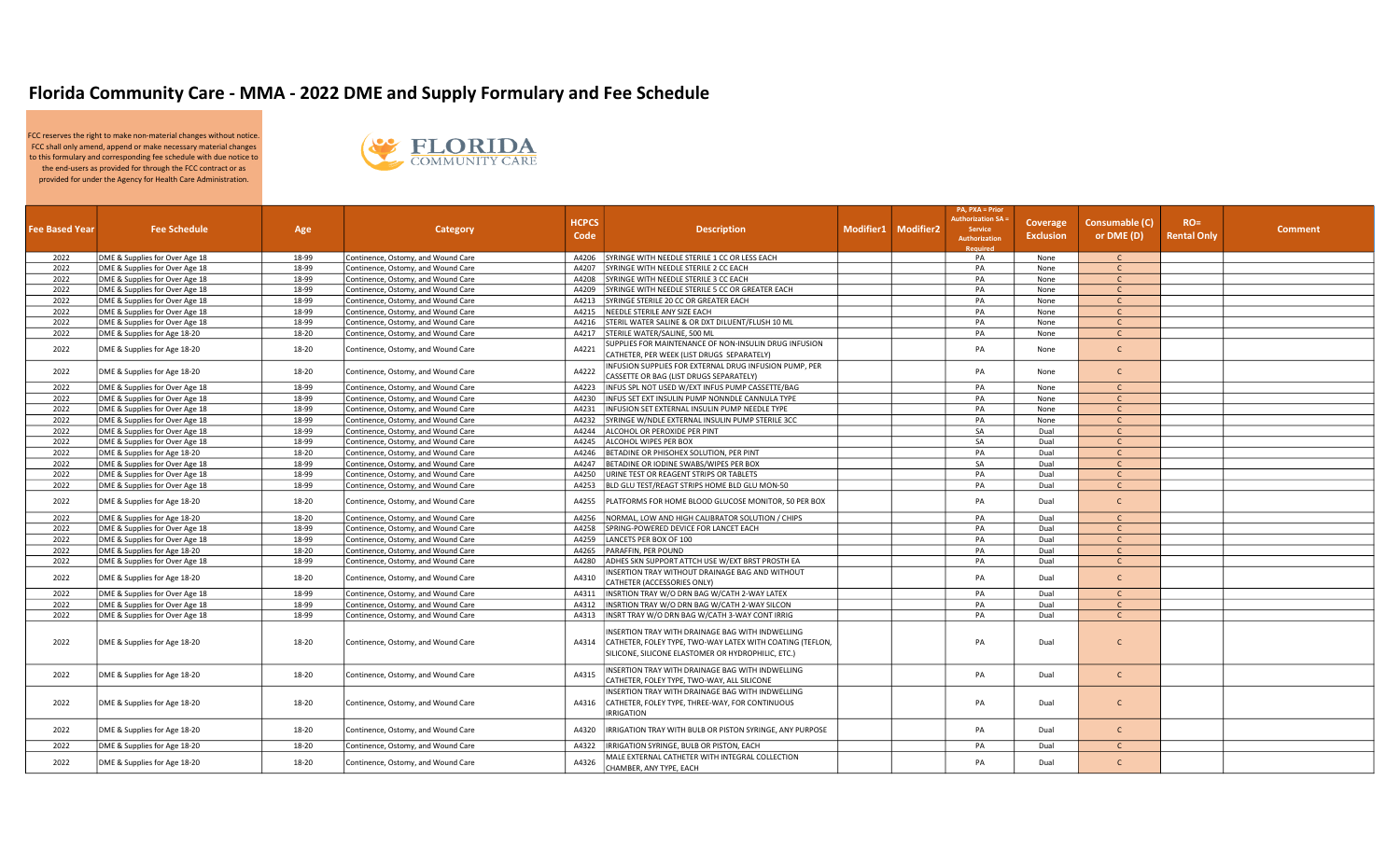## Florida Community Care - MMA - 2022 DME and Supply Formulary and Fee Schedule

FCC reserves the right to make non-material changes without notice. FCC shall only amend, append or make necessary material changes to this formulary and corresponding fee schedule with due notice to the end-users as provided for through the FCC contract or as provided for under the Agency for Health Care Administration.



|                       |                                |       |                                    |              |                                                                                             |                     | <b>PA, PXA = Prior</b><br><b>Authorization SA =</b> |                  |                |                    |                |
|-----------------------|--------------------------------|-------|------------------------------------|--------------|---------------------------------------------------------------------------------------------|---------------------|-----------------------------------------------------|------------------|----------------|--------------------|----------------|
| <b>Fee Based Year</b> | <b>Fee Schedule</b>            | Age   | Category                           | <b>HCPCS</b> | <b>Description</b>                                                                          | Modifier1 Modifier2 | <b>Service</b>                                      | <b>Coverage</b>  | Consumable (C) | $RO =$             | <b>Comment</b> |
|                       |                                |       |                                    | Code         |                                                                                             |                     | <b>Authorization</b>                                | <b>Exclusion</b> | or DME (D)     | <b>Rental Only</b> |                |
| 2022                  | DME & Supplies for Over Age 18 | 18-99 | Continence, Ostomy, and Wound Care | A4206        | SYRINGE WITH NEEDLE STERILE 1 CC OR LESS EACH                                               |                     | <b>Required</b><br>PA                               | None             | $\mathsf{C}$   |                    |                |
| 2022                  | DME & Supplies for Over Age 18 | 18-99 | Continence, Ostomy, and Wound Care | A4207        | SYRINGE WITH NEEDLE STERILE 2 CC EACH                                                       |                     | PA                                                  | None             | $\mathsf{C}$   |                    |                |
| 2022                  | DME & Supplies for Over Age 18 | 18-99 | Continence, Ostomy, and Wound Care | A4208        | SYRINGE WITH NEEDLE STERILE 3 CC EACH                                                       |                     | PA                                                  | None             | $\mathsf{C}$   |                    |                |
| 2022                  | DME & Supplies for Over Age 18 | 18-99 | Continence, Ostomy, and Wound Care | A4209        | SYRINGE WITH NEEDLE STERILE 5 CC OR GREATER EACH                                            |                     | PA                                                  | None             | $\mathsf{C}$   |                    |                |
| 2022                  | DME & Supplies for Over Age 18 | 18-99 | Continence, Ostomy, and Wound Care | A4213        | SYRINGE STERILE 20 CC OR GREATER EACH                                                       |                     | PA                                                  | None             | $\mathsf{C}$   |                    |                |
| 2022                  | DME & Supplies for Over Age 18 | 18-99 | Continence, Ostomy, and Wound Care | A4215        | NEEDLE STERILE ANY SIZE EACH                                                                |                     | PA                                                  | None             | $\mathsf{C}$   |                    |                |
| 2022                  | DME & Supplies for Over Age 18 | 18-99 | Continence, Ostomy, and Wound Care | A4216        | STERIL WATER SALINE & OR DXT DILUENT/FLUSH 10 ML                                            |                     | PA                                                  | None             | $\mathsf{C}$   |                    |                |
| 2022                  | DME & Supplies for Age 18-20   | 18-20 | Continence, Ostomy, and Wound Care |              | A4217 STERILE WATER/SALINE, 500 ML                                                          |                     | PA                                                  | None             | $\mathsf{C}$   |                    |                |
| 2022                  | DME & Supplies for Age 18-20   | 18-20 | Continence, Ostomy, and Wound Care | A4221        | SUPPLIES FOR MAINTENANCE OF NON-INSULIN DRUG INFUSION                                       |                     | PA                                                  | None             | $\mathsf{C}$   |                    |                |
|                       |                                |       |                                    |              | CATHETER, PER WEEK (LIST DRUGS SEPARATELY)                                                  |                     |                                                     |                  |                |                    |                |
| 2022                  | DME & Supplies for Age 18-20   | 18-20 | Continence, Ostomy, and Wound Care | A4222        | INFUSION SUPPLIES FOR EXTERNAL DRUG INFUSION PUMP, PER                                      |                     | PA                                                  | None             | $\mathsf{C}$   |                    |                |
| 2022                  | DME & Supplies for Over Age 18 | 18-99 | Continence, Ostomy, and Wound Care | A4223        | CASSETTE OR BAG (LIST DRUGS SEPARATELY)<br>INFUS SPL NOT USED W/EXT INFUS PUMP CASSETTE/BAG |                     | PA                                                  | None             | $\mathsf{C}$   |                    |                |
| 2022                  | DME & Supplies for Over Age 18 | 18-99 | Continence, Ostomy, and Wound Care | A4230        | INFUS SET EXT INSULIN PUMP NONNDLE CANNULA TYPE                                             |                     | PA                                                  | None             | $\mathsf{C}$   |                    |                |
| 2022                  | DME & Supplies for Over Age 18 | 18-99 | Continence, Ostomy, and Wound Care | A4231        | INFUSION SET EXTERNAL INSULIN PUMP NEEDLE TYPE                                              |                     | PA                                                  | None             | $\mathsf{C}$   |                    |                |
| 2022                  | DME & Supplies for Over Age 18 | 18-99 | Continence, Ostomy, and Wound Care | A4232        | SYRINGE W/NDLE EXTERNAL INSULIN PUMP STERILE 3CC                                            |                     | PA                                                  | None             | $\mathsf{C}$   |                    |                |
| 2022                  | DME & Supplies for Over Age 18 | 18-99 | Continence, Ostomy, and Wound Care | A4244        | ALCOHOL OR PEROXIDE PER PINT                                                                |                     | SA                                                  | Dual             | $\mathsf{C}$   |                    |                |
| 2022                  | DME & Supplies for Over Age 18 | 18-99 | Continence, Ostomy, and Wound Care | A4245        | ALCOHOL WIPES PER BOX                                                                       |                     | SA                                                  | Dual             | $\mathsf{C}$   |                    |                |
| 2022                  | DME & Supplies for Age 18-20   | 18-20 | Continence, Ostomy, and Wound Care | A4246        | BETADINE OR PHISOHEX SOLUTION, PER PINT                                                     |                     | PA                                                  | Dual             | $\mathsf{C}$   |                    |                |
| 2022                  | DME & Supplies for Over Age 18 | 18-99 | Continence, Ostomy, and Wound Care | A4247        | BETADINE OR IODINE SWABS/WIPES PER BOX                                                      |                     | SA                                                  | Dual             | $\mathsf{C}$   |                    |                |
| 2022                  | DME & Supplies for Over Age 18 | 18-99 | Continence, Ostomy, and Wound Care | A4250        | URINE TEST OR REAGENT STRIPS OR TABLETS                                                     |                     | PA                                                  | Dual             | $\mathsf{C}$   |                    |                |
| 2022                  | DME & Supplies for Over Age 18 | 18-99 | Continence, Ostomy, and Wound Care | A4253        | BLD GLU TEST/REAGT STRIPS HOME BLD GLU MON-50                                               |                     | PA                                                  | Dual             | $\mathsf{C}$   |                    |                |
|                       |                                |       |                                    |              |                                                                                             |                     |                                                     |                  |                |                    |                |
| 2022                  | DME & Supplies for Age 18-20   | 18-20 | Continence, Ostomy, and Wound Care | A4255        | PLATFORMS FOR HOME BLOOD GLUCOSE MONITOR, 50 PER BOX                                        |                     | PA                                                  | Dual             | $\mathsf{C}$   |                    |                |
| 2022                  | DME & Supplies for Age 18-20   | 18-20 | Continence, Ostomy, and Wound Care | A4256        | NORMAL, LOW AND HIGH CALIBRATOR SOLUTION / CHIPS                                            |                     | PA                                                  | Dual             | $\mathsf{C}$   |                    |                |
| 2022                  | DME & Supplies for Over Age 18 | 18-99 | Continence, Ostomy, and Wound Care | A4258        | SPRING-POWERED DEVICE FOR LANCET EACH                                                       |                     | PA                                                  | Dual             | $\mathsf{C}$   |                    |                |
| 2022                  | DME & Supplies for Over Age 18 | 18-99 | Continence, Ostomy, and Wound Care | A4259        | LANCETS PER BOX OF 100                                                                      |                     | PA                                                  | Dual             | $\mathsf{C}$   |                    |                |
| 2022                  | DME & Supplies for Age 18-20   | 18-20 | Continence, Ostomy, and Wound Care | A4265        | PARAFFIN, PER POUND                                                                         |                     | PA                                                  | Dual             | $\mathsf{C}$   |                    |                |
| 2022                  | DME & Supplies for Over Age 18 | 18-99 | Continence, Ostomy, and Wound Care |              | A4280 ADHES SKN SUPPORT ATTCH USE W/EXT BRST PROSTH EA                                      |                     | PA                                                  | Dual             | $\mathsf{C}$   |                    |                |
| 2022                  | DME & Supplies for Age 18-20   | 18-20 | Continence, Ostomy, and Wound Care | A4310        | INSERTION TRAY WITHOUT DRAINAGE BAG AND WITHOUT                                             |                     | PA                                                  | Dual             | $\mathsf{C}$   |                    |                |
|                       |                                |       |                                    |              | CATHETER (ACCESSORIES ONLY)                                                                 |                     |                                                     |                  |                |                    |                |
| 2022                  | DME & Supplies for Over Age 18 | 18-99 | Continence, Ostomy, and Wound Care | A4311        | INSRTION TRAY W/O DRN BAG W/CATH 2-WAY LATEX                                                |                     | PA                                                  | Dual             | $\mathsf{C}$   |                    |                |
| 2022                  | DME & Supplies for Over Age 18 | 18-99 | Continence, Ostomy, and Wound Care | A4312        | INSRTION TRAY W/O DRN BAG W/CATH 2-WAY SILCON                                               |                     | PA                                                  | Dual             | $\mathsf{C}$   |                    |                |
| 2022                  | DME & Supplies for Over Age 18 | 18-99 | Continence, Ostomy, and Wound Care | A4313        | INSRT TRAY W/O DRN BAG W/CATH 3-WAY CONT IRRIG                                              |                     | PA                                                  | Dual             | $\mathsf{C}$   |                    |                |
|                       |                                |       |                                    |              | INSERTION TRAY WITH DRAINAGE BAG WITH INDWELLING                                            |                     |                                                     |                  |                |                    |                |
| 2022                  | DME & Supplies for Age 18-20   | 18-20 | Continence, Ostomy, and Wound Care | A4314        | CATHETER, FOLEY TYPE, TWO-WAY LATEX WITH COATING (TEFLON,                                   |                     | PA                                                  | Dual             | $\mathsf{C}$   |                    |                |
|                       |                                |       |                                    |              | SILICONE, SILICONE ELASTOMER OR HYDROPHILIC, ETC.)                                          |                     |                                                     |                  |                |                    |                |
|                       |                                |       |                                    |              |                                                                                             |                     |                                                     |                  |                |                    |                |
| 2022                  | DME & Supplies for Age 18-20   | 18-20 | Continence, Ostomy, and Wound Care | A4315        | INSERTION TRAY WITH DRAINAGE BAG WITH INDWELLING                                            |                     | PA                                                  | Dual             | $\mathsf{C}$   |                    |                |
|                       |                                |       |                                    |              | CATHETER, FOLEY TYPE, TWO-WAY, ALL SILICONE                                                 |                     |                                                     |                  |                |                    |                |
|                       |                                |       |                                    |              | INSERTION TRAY WITH DRAINAGE BAG WITH INDWELLING                                            |                     |                                                     |                  |                |                    |                |
| 2022                  | DME & Supplies for Age 18-20   | 18-20 | Continence, Ostomy, and Wound Care | A4316        | CATHETER, FOLEY TYPE, THREE-WAY, FOR CONTINUOUS                                             |                     | PA                                                  | Dual             | $\mathsf{C}$   |                    |                |
|                       |                                |       |                                    |              | RRIGATION                                                                                   |                     |                                                     |                  |                |                    |                |
| 2022                  | DME & Supplies for Age 18-20   | 18-20 | Continence, Ostomy, and Wound Care | A4320        | RRIGATION TRAY WITH BULB OR PISTON SYRINGE, ANY PURPOSE                                     |                     | PA                                                  | Dual             | $\mathsf{C}$   |                    |                |
| 2022                  | DME & Supplies for Age 18-20   | 18-20 | Continence, Ostomy, and Wound Care | A4322        | IRRIGATION SYRINGE, BULB OR PISTON, EACH                                                    |                     | PA                                                  | Dual             | $\mathsf{C}$   |                    |                |
|                       |                                |       |                                    |              | MALE EXTERNAL CATHETER WITH INTEGRAL COLLECTION                                             |                     |                                                     |                  |                |                    |                |
| 2022                  | DME & Supplies for Age 18-20   | 18-20 | Continence, Ostomy, and Wound Care | A4326        | CHAMBER, ANY TYPE, EACH                                                                     |                     | PA                                                  | Dual             | $\mathsf{C}$   |                    |                |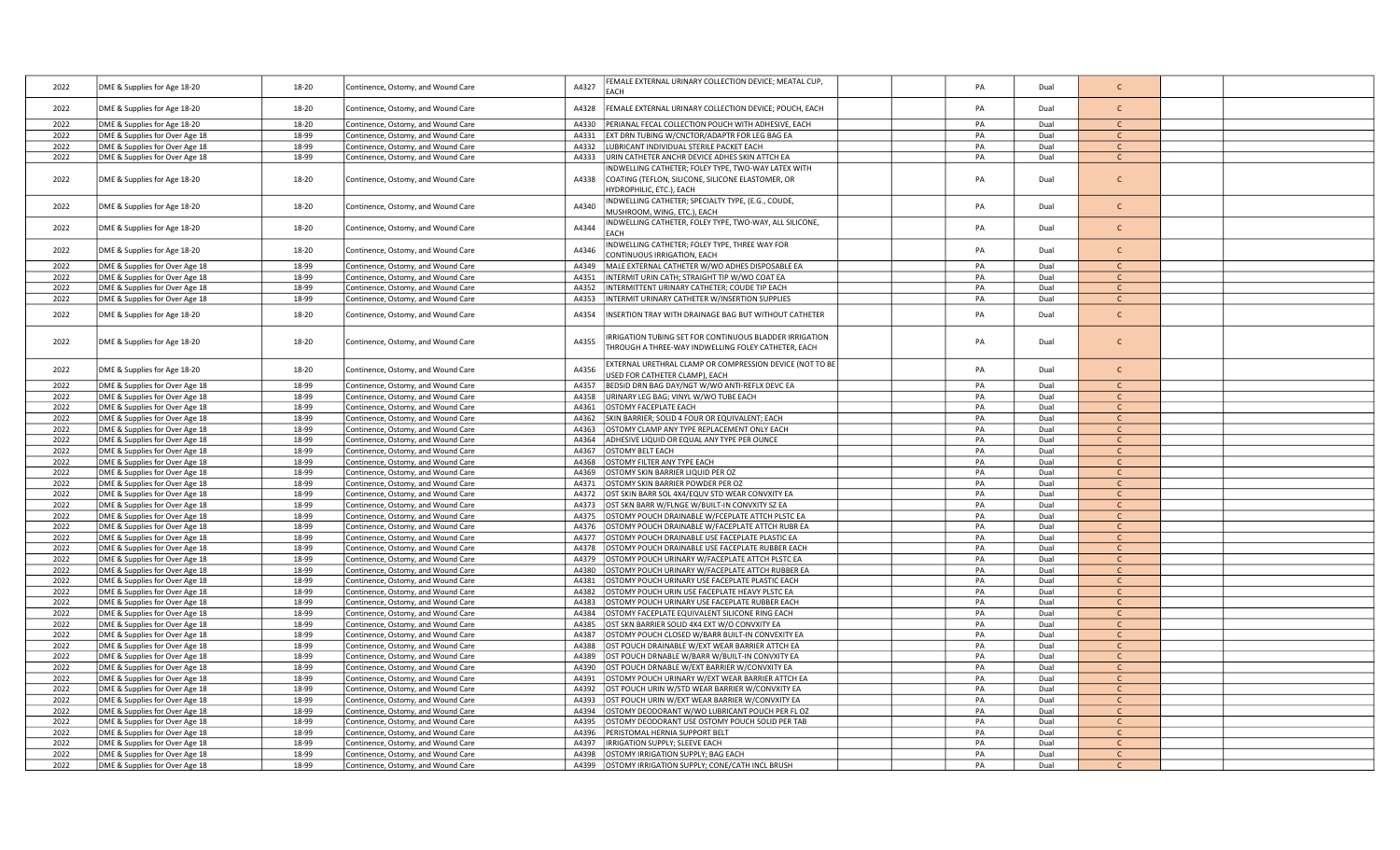| 2022         | DME & Supplies for Age 18-20                                     | 18-20          | Continence, Ostomy, and Wound Care                                       | A4327          | EMALE EXTERNAL URINARY COLLECTION DEVICE; MEATAL CUP,<br>EACH                                       | PA       | Dual         | $\mathsf{C}$                 |  |
|--------------|------------------------------------------------------------------|----------------|--------------------------------------------------------------------------|----------------|-----------------------------------------------------------------------------------------------------|----------|--------------|------------------------------|--|
| 2022         | DME & Supplies for Age 18-20                                     | 18-20          | Continence, Ostomy, and Wound Care                                       | A4328          | EMALE EXTERNAL URINARY COLLECTION DEVICE; POUCH, EACH                                               | PA       | Dual         | $\mathsf{C}$                 |  |
|              |                                                                  |                |                                                                          |                |                                                                                                     |          |              |                              |  |
| 2022         | DME & Supplies for Age 18-20                                     | 18-20          | Continence, Ostomy, and Wound Care                                       | A4330          | PERIANAL FECAL COLLECTION POUCH WITH ADHESIVE, EACH                                                 | PA       | Dual         | $\mathcal{C}$                |  |
| 2022<br>2022 | DME & Supplies for Over Age 18                                   | 18-99<br>18-99 | Continence, Ostomy, and Wound Care                                       | A4331<br>A4332 | EXT DRN TUBING W/CNCTOR/ADAPTR FOR LEG BAG EA<br>LUBRICANT INDIVIDUAL STERILE PACKET EACH           | PA<br>PA | Dual<br>Dual | $\mathsf{C}$<br>$\mathsf{C}$ |  |
| 2022         | DME & Supplies for Over Age 18                                   | 18-99          | Continence, Ostomy, and Wound Care                                       | A4333          | URIN CATHETER ANCHR DEVICE ADHES SKIN ATTCH EA                                                      | PA       | Dual         | $\mathsf{C}$                 |  |
|              | DME & Supplies for Over Age 18                                   |                | Continence, Ostomy, and Wound Care                                       |                | NDWELLING CATHETER; FOLEY TYPE, TWO-WAY LATEX WITH                                                  |          |              |                              |  |
| 2022         | DME & Supplies for Age 18-20                                     | 18-20          | Continence, Ostomy, and Wound Care                                       | A4338          | COATING (TEFLON, SILICONE, SILICONE ELASTOMER, OR                                                   | PA       | Dual         | $\mathsf{C}$                 |  |
|              |                                                                  |                |                                                                          |                | HYDROPHILIC, ETC.), EACH                                                                            |          |              |                              |  |
|              |                                                                  |                |                                                                          |                | INDWELLING CATHETER; SPECIALTY TYPE, (E.G., COUDE,                                                  |          |              |                              |  |
| 2022         | DME & Supplies for Age 18-20                                     | 18-20          | Continence, Ostomy, and Wound Care                                       | A4340          | MUSHROOM, WING, ETC.), EACH                                                                         | PA       | Dual         | $\mathsf{C}$                 |  |
| 2022         | DME & Supplies for Age 18-20                                     | 18-20          | Continence, Ostomy, and Wound Care                                       | A4344          | INDWELLING CATHETER, FOLEY TYPE, TWO-WAY, ALL SILICONE,                                             | PA       | Dual         | $\mathsf{C}$                 |  |
|              |                                                                  |                |                                                                          |                | <b>FACH</b>                                                                                         |          |              |                              |  |
| 2022         | DME & Supplies for Age 18-20                                     | 18-20          | Continence, Ostomy, and Wound Care                                       | A4346          | INDWELLING CATHETER; FOLEY TYPE, THREE WAY FOR                                                      | PA       | Dual         | $\mathsf{C}$                 |  |
|              |                                                                  |                |                                                                          |                | CONTINUOUS IRRIGATION, EACH                                                                         |          |              |                              |  |
| 2022<br>2022 | DME & Supplies for Over Age 18                                   | 18-99<br>18-99 | Continence, Ostomy, and Wound Care                                       | A4349<br>A4351 | MALE EXTERNAL CATHETER W/WO ADHES DISPOSABLE EA<br>INTERMIT URIN CATH; STRAIGHT TIP W/WO COAT EA    | PA<br>PA | Dual<br>Dual | $\mathsf{C}$<br>$\mathsf{C}$ |  |
| 2022         | DME & Supplies for Over Age 18<br>DME & Supplies for Over Age 18 | 18-99          | Continence, Ostomy, and Wound Care<br>Continence, Ostomy, and Wound Care | A4352          | INTERMITTENT URINARY CATHETER; COUDE TIP EACH                                                       | PA       | Dual         | $\mathsf{C}$                 |  |
| 2022         | DME & Supplies for Over Age 18                                   | 18-99          | Continence, Ostomy, and Wound Care                                       | A4353          | INTERMIT URINARY CATHETER W/INSERTION SUPPLIES                                                      | PA       | Dual         | $\mathsf{C}$                 |  |
|              |                                                                  |                |                                                                          |                |                                                                                                     |          |              |                              |  |
| 2022         | DME & Supplies for Age 18-20                                     | 18-20          | Continence, Ostomy, and Wound Care                                       | A4354          | NSERTION TRAY WITH DRAINAGE BAG BUT WITHOUT CATHETER                                                | PA       | Dual         | $\mathsf{C}$                 |  |
|              |                                                                  |                |                                                                          |                |                                                                                                     |          |              |                              |  |
| 2022         | DME & Supplies for Age 18-20                                     | 18-20          | Continence, Ostomy, and Wound Care                                       | A4355          | RRIGATION TUBING SET FOR CONTINUOUS BLADDER IRRIGATION                                              | PA       | Dual         | $\mathsf{C}$                 |  |
|              |                                                                  |                |                                                                          |                | THROUGH A THREE-WAY INDWELLING FOLEY CATHETER, EACH                                                 |          |              |                              |  |
| 2022         | DME & Supplies for Age 18-20                                     | 18-20          | Continence, Ostomy, and Wound Care                                       | A4356          | EXTERNAL URETHRAL CLAMP OR COMPRESSION DEVICE (NOT TO BE                                            | PA       | Dual         | $\mathsf{C}$                 |  |
|              |                                                                  |                |                                                                          |                | JSED FOR CATHETER CLAMP), EACH                                                                      |          |              |                              |  |
| 2022         | DME & Supplies for Over Age 18                                   | 18-99          | Continence, Ostomy, and Wound Care                                       | A4357          | BEDSID DRN BAG DAY/NGT W/WO ANTI-REFLX DEVC EA                                                      | PA       | Dual         |                              |  |
| 2022         | DME & Supplies for Over Age 18                                   | 18-99          | Continence, Ostomy, and Wound Care                                       | A4358          | JRINARY LEG BAG; VINYL W/WO TUBE EACH                                                               | PA       | Dual         | $\mathsf{C}$                 |  |
| 2022<br>2022 | DME & Supplies for Over Age 18<br>DME & Supplies for Over Age 18 | 18-99<br>18-99 | Continence, Ostomy, and Wound Care<br>Continence, Ostomy, and Wound Care | A4361<br>A4362 | OSTOMY FACEPLATE EACH<br>SKIN BARRIER; SOLID 4 FOUR OR EQUIVALENT; EACH                             | PA<br>PA | Dual<br>Dual | $\mathsf{C}$<br>$\mathsf{C}$ |  |
| 2022         | DME & Supplies for Over Age 18                                   | 18-99          | Continence, Ostomy, and Wound Care                                       | A4363          | OSTOMY CLAMP ANY TYPE REPLACEMENT ONLY EACH                                                         | PA       | Dual         | $\mathsf{C}$                 |  |
| 2022         | DME & Supplies for Over Age 18                                   | 18-99          | Continence, Ostomy, and Wound Care                                       | A4364          | ADHESIVE LIQUID OR EQUAL ANY TYPE PER OUNCE                                                         | PA       | Dual         | $\mathsf{C}$                 |  |
| 2022         | DME & Supplies for Over Age 18                                   | 18-99          | Continence, Ostomy, and Wound Care                                       | A4367          | <b>OSTOMY BELT EACH</b>                                                                             | PA       | Dual         | $\mathsf{C}$                 |  |
| 2022         | DME & Supplies for Over Age 18                                   | 18-99          | Continence, Ostomy, and Wound Care                                       | A4368          | OSTOMY FILTER ANY TYPE EACH                                                                         | PA       | Dual         | $\mathsf{C}$                 |  |
| 2022         | DME & Supplies for Over Age 18                                   | 18-99          | Continence, Ostomy, and Wound Care                                       | A4369          | OSTOMY SKIN BARRIER LIQUID PER OZ                                                                   | PA       | Dual         | $\mathsf{C}$                 |  |
| 2022         | DME & Supplies for Over Age 18                                   | 18-99          | Continence, Ostomy, and Wound Care                                       | A4371          | OSTOMY SKIN BARRIER POWDER PER OZ                                                                   | PA       | Dual         | $\mathsf{C}$                 |  |
| 2022         | DME & Supplies for Over Age 18                                   | 18-99          | Continence, Ostomy, and Wound Care                                       | A4372          | OST SKIN BARR SOL 4X4/EQUV STD WEAR CONVXITY EA                                                     | PA       | Dual         | $\mathsf{C}$                 |  |
| 2022         | DME & Supplies for Over Age 18                                   | 18-99          | Continence, Ostomy, and Wound Care                                       | A4373          | OST SKN BARR W/FLNGE W/BUILT-IN CONVXITY SZ EA                                                      | PA       | Dual         | $\mathsf{C}$                 |  |
| 2022         | DME & Supplies for Over Age 18                                   | 18-99          | Continence, Ostomy, and Wound Care                                       | A4375          | OSTOMY POUCH DRAINABLE W/FCEPLATE ATTCH PLSTC EA                                                    | PA       | Dual         | $\mathsf{C}$                 |  |
| 2022<br>2022 | DME & Supplies for Over Age 18                                   | 18-99<br>18-99 | Continence, Ostomy, and Wound Care                                       | A4376<br>A4377 | OSTOMY POUCH DRAINABLE W/FACEPLATE ATTCH RUBR EA<br>OSTOMY POUCH DRAINABLE USE FACEPLATE PLASTIC EA | PA<br>PA | Dual<br>Dual | $\mathsf{C}$<br>$\mathsf{C}$ |  |
| 2022         | DME & Supplies for Over Age 18<br>DME & Supplies for Over Age 18 | 18-99          | Continence, Ostomy, and Wound Care<br>Continence, Ostomy, and Wound Care | A4378          | OSTOMY POUCH DRAINABLE USE FACEPLATE RUBBER EACH                                                    | PA       | Dual         | $\mathsf{C}$                 |  |
| 2022         | DME & Supplies for Over Age 18                                   | 18-99          | Continence, Ostomy, and Wound Care                                       | A4379          | OSTOMY POUCH URINARY W/FACEPLATE ATTCH PLSTC EA                                                     | PA       | Dual         | $\mathsf{C}$                 |  |
| 2022         | DME & Supplies for Over Age 18                                   | 18-99          | Continence, Ostomy, and Wound Care                                       | A4380          | OSTOMY POUCH URINARY W/FACEPLATE ATTCH RUBBER EA                                                    | PA       | Dual         | $\mathsf{C}$                 |  |
| 2022         | DME & Supplies for Over Age 18                                   | 18-99          | Continence, Ostomy, and Wound Care                                       | A4381          | OSTOMY POUCH URINARY USE FACEPLATE PLASTIC EACH                                                     | PA       | Dual         | $\mathsf{C}$                 |  |
| 2022         | DME & Supplies for Over Age 18                                   | 18-99          | Continence, Ostomy, and Wound Care                                       | A4382          | OSTOMY POUCH URIN USE FACEPLATE HEAVY PLSTC EA                                                      | PA       | Dual         | $\mathsf{C}$                 |  |
| 2022         | DME & Supplies for Over Age 18                                   | 18-99          | Continence, Ostomy, and Wound Care                                       | A4383          | OSTOMY POUCH URINARY USE FACEPLATE RUBBER EACH                                                      | PA       | Dual         | $\mathsf{C}$                 |  |
| 2022         | DME & Supplies for Over Age 18                                   | 18-99          | Continence, Ostomy, and Wound Care                                       | A4384          | OSTOMY FACEPLATE EQUIVALENT SILICONE RING EACH                                                      | PA       | Dual         |                              |  |
| 2022         | DME & Supplies for Over Age 18                                   | 18-99          | Continence, Ostomy, and Wound Care                                       | A4385          | OST SKN BARRIER SOLID 4X4 EXT W/O CONVXITY EA                                                       | PA       | Dual         | $\mathsf{C}$                 |  |
| 2022         | DME & Supplies for Over Age 18                                   | 18-99          | Continence, Ostomy, and Wound Care                                       | A4387          | OSTOMY POUCH CLOSED W/BARR BUILT-IN CONVEXITY EA                                                    | PA       | Dual         | $\mathsf{C}$                 |  |
| 2022         | DME & Supplies for Over Age 18                                   | 18-99          | Continence, Ostomy, and Wound Care                                       | A4388          | OST POUCH DRAINABLE W/EXT WEAR BARRIER ATTCH EA                                                     | PA       | Dual         | $\mathsf{C}$<br>$\mathsf{C}$ |  |
| 2022<br>2022 | DME & Supplies for Over Age 18                                   | 18-99<br>18-99 | Continence, Ostomy, and Wound Care                                       | A4389<br>A4390 | OST POUCH DRNABLE W/BARR W/BUILT-IN CONVXITY EA<br>OST POUCH DRNABLE W/EXT BARRIER W/CONVXITY EA    | PA<br>PA | Dual<br>Dual | $\mathcal{C}$                |  |
| 2022         | DME & Supplies for Over Age 18<br>DME & Supplies for Over Age 18 | 18-99          | Continence, Ostomy, and Wound Care<br>Continence, Ostomy, and Wound Care | A4391          | OSTOMY POUCH URINARY W/EXT WEAR BARRIER ATTCH EA                                                    | PA       | Dual         | $\mathsf{C}$                 |  |
| 2022         | DME & Supplies for Over Age 18                                   | 18-99          | Continence, Ostomy, and Wound Care                                       | A4392          | OST POUCH URIN W/STD WEAR BARRIER W/CONVXITY EA                                                     | PA       | Dual         | $\mathsf{C}$                 |  |
| 2022         | DME & Supplies for Over Age 18                                   | 18-99          | Continence, Ostomy, and Wound Care                                       | A4393          | OST POUCH URIN W/EXT WEAR BARRIER W/CONVXITY EA                                                     | PA       | Dual         | $\mathsf{C}$                 |  |
| 2022         | DME & Supplies for Over Age 18                                   | 18-99          | Continence, Ostomy, and Wound Care                                       | A4394          | OSTOMY DEODORANT W/WO LUBRICANT POUCH PER FL OZ                                                     | PA       | Dual         | $\mathsf{C}$                 |  |
| 2022         | DME & Supplies for Over Age 18                                   | 18-99          | Continence, Ostomy, and Wound Care                                       | A4395          | OSTOMY DEODORANT USE OSTOMY POUCH SOLID PER TAB                                                     | PA       | Dual         | C.                           |  |
| 2022         | DME & Supplies for Over Age 18                                   | 18-99          | Continence, Ostomy, and Wound Care                                       | A4396          | PERISTOMAL HERNIA SUPPORT BELT                                                                      | PA       | Dual         | $\mathsf{C}$                 |  |
| 2022         | DME & Supplies for Over Age 18                                   | 18-99          | ontinence, Ostomy, and Wound Care                                        | A4397          | IRRIGATION SUPPLY; SLEEVE EACH                                                                      | PA       | Dual         | $\mathsf{C}$                 |  |
| 2022         | DME & Supplies for Over Age 18                                   | 18-99          | Continence, Ostomy, and Wound Care                                       | A4398          | OSTOMY IRRIGATION SUPPLY; BAG EACH                                                                  | PA       | Dual         | $\mathcal{C}$                |  |
| 2022         | DME & Supplies for Over Age 18                                   | 18-99          | Continence, Ostomy, and Wound Care                                       | A4399          | OSTOMY IRRIGATION SUPPLY; CONE/CATH INCL BRUSH                                                      | PA       | Dual         | $\mathcal{C}$                |  |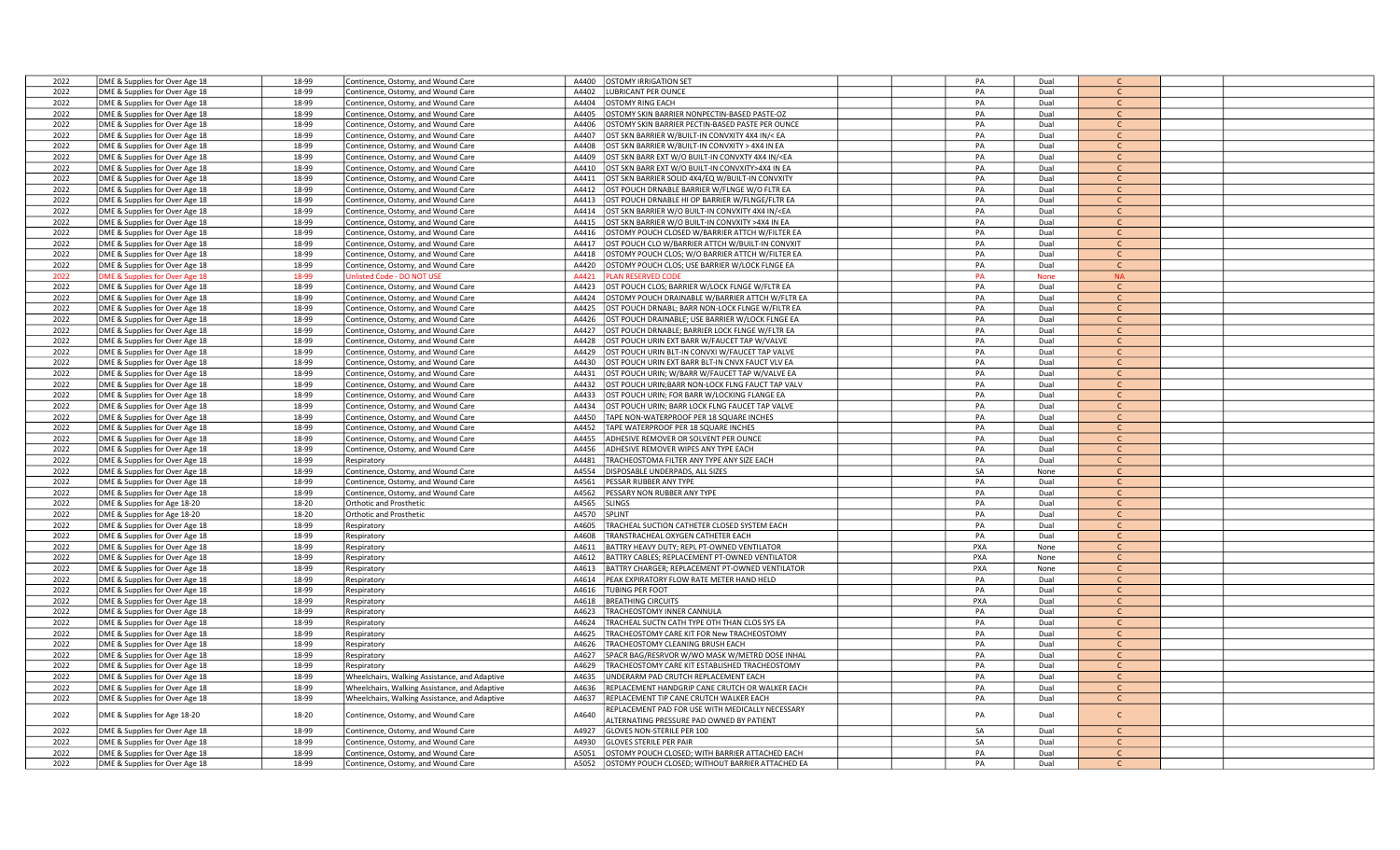| 2022         | DME & Supplies for Over Age 18 | 18-99          | Continence, Ostomy, and Wound Care            | <b>OSTOMY IRRIGATION SET</b><br>A4400                                                                                                     | PA       | Dual        |                              |  |
|--------------|--------------------------------|----------------|-----------------------------------------------|-------------------------------------------------------------------------------------------------------------------------------------------|----------|-------------|------------------------------|--|
| 2022         | DME & Supplies for Over Age 18 | 18-99          | Continence, Ostomy, and Wound Care            | <b>LUBRICANT PER OUNCE</b><br>A4402                                                                                                       | PA       | Dual        | $\mathsf{C}$                 |  |
| 2022         | DME & Supplies for Over Age 18 | 18-99          | Continence, Ostomy, and Wound Care            | A4404<br><b>OSTOMY RING EACH</b>                                                                                                          | PA       | Dual        | $\mathsf{C}$                 |  |
| 2022         | DME & Supplies for Over Age 18 | 18-99          | Continence, Ostomy, and Wound Care            | A4405<br>OSTOMY SKIN BARRIER NONPECTIN-BASED PASTE-OZ                                                                                     | PA       | Dual        | $\mathsf{C}$                 |  |
| 2022         |                                | 18-99          |                                               | OSTOMY SKIN BARRIER PECTIN-BASED PASTE PER OUNCE<br>A4406                                                                                 | PA       | Dual        | $\mathsf{C}$                 |  |
|              | DME & Supplies for Over Age 18 |                | Continence, Ostomy, and Wound Care            |                                                                                                                                           |          |             |                              |  |
| 2022         | DME & Supplies for Over Age 18 | 18-99          | Continence, Ostomy, and Wound Care            | OST SKN BARRIER W/BUILT-IN CONVXITY 4X4 IN/< EA<br>A4407                                                                                  | PA       | Dual        | <sub>c</sub>                 |  |
| 2022         | DME & Supplies for Over Age 18 | 18-99          | Continence, Ostomy, and Wound Care            | A4408<br>OST SKN BARRIER W/BUILT-IN CONVXITY > 4X4 IN EA                                                                                  | PA       | Dual        | $\mathsf{C}$                 |  |
| 2022         | DME & Supplies for Over Age 18 | 18-99          | Continence, Ostomy, and Wound Care            | OST SKN BARR EXT W/O BUILT-IN CONVXTY 4X4 IN/ <ea<br>A4409</ea<br>                                                                        | PA       | Dual        | $\mathsf{C}$                 |  |
| 2022         | DME & Supplies for Over Age 18 | 18-99          | Continence, Ostomy, and Wound Care            | A4410<br>OST SKN BARR EXT W/O BUILT-IN CONVXITY>4X4 IN EA                                                                                 | PA       | Dual        | $\mathsf{C}$                 |  |
| 2022         | DME & Supplies for Over Age 18 | 18-99          | Continence, Ostomy, and Wound Care            | A4411<br>OST SKN BARRIER SOLID 4X4/EQ W/BUILT-IN CONVXITY                                                                                 | PA       | Dual        | $\mathcal{C}$                |  |
| 2022         | DME & Supplies for Over Age 18 | 18-99          | Continence, Ostomy, and Wound Care            | OST POUCH DRNABLE BARRIER W/FLNGE W/O FLTR EA<br>A4412                                                                                    | PA       | Dual        |                              |  |
| 2022         | DME & Supplies for Over Age 18 | 18-99          | Continence, Ostomy, and Wound Care            | OST POUCH DRNABLE HI OP BARRIER W/FLNGE/FLTR EA<br>A4413                                                                                  | PA       | Dual        | C.                           |  |
| 2022         | DME & Supplies for Over Age 18 | 18-99          | Continence, Ostomy, and Wound Care            | A4414<br>OST SKN BARRIER W/O BUILT-IN CONVXITY 4X4 IN/ <ea< td=""><td>PA</td><td>Dual</td><td><math>\mathsf{C}</math></td><td></td></ea<> | PA       | Dual        | $\mathsf{C}$                 |  |
| 2022         | DME & Supplies for Over Age 18 | 18-99          | Continence, Ostomy, and Wound Care            | A4415<br>OST SKN BARRIER W/O BUILT-IN CONVXITY >4X4 IN EA                                                                                 | PA       | Dual        | $\mathsf{C}$                 |  |
| 2022         | DME & Supplies for Over Age 18 | 18-99          | Continence, Ostomy, and Wound Care            | OSTOMY POUCH CLOSED W/BARRIER ATTCH W/FILTER EA<br>A4416                                                                                  | PA       | Dual        | $\mathsf{C}$                 |  |
| 2022         | DME & Supplies for Over Age 18 | 18-99          | Continence, Ostomy, and Wound Care            | A4417<br>OST POUCH CLO W/BARRIER ATTCH W/BUILT-IN CONVXIT                                                                                 | PA       | Dual        | $\mathcal{C}$                |  |
| 2022         | DME & Supplies for Over Age 18 | 18-99          | Continence, Ostomy, and Wound Care            | A4418<br>OSTOMY POUCH CLOS; W/O BARRIER ATTCH W/FILTER EA                                                                                 | PA       | Dual        | $\mathsf{C}$                 |  |
| 2022         | DME & Supplies for Over Age 18 | 18-99          | Continence, Ostomy, and Wound Care            | A4420<br>OSTOMY POUCH CLOS; USE BARRIER W/LOCK FLNGE EA                                                                                   | PA       | Dual        | <sub>c</sub>                 |  |
| 2022         | DME & Supplies for Over Age 18 | 18-99          | Inlisted Code - DO NOT USE                    | A4421<br><b>LAN RESERVED CODE</b>                                                                                                         | PA       | <b>None</b> | <b>NA</b>                    |  |
| 2022         | DME & Supplies for Over Age 18 | 18-99          | Continence, Ostomy, and Wound Care            | A4423<br>OST POUCH CLOS; BARRIER W/LOCK FLNGE W/FLTR EA                                                                                   | PA       | Dual        | $\mathsf{C}$                 |  |
| 2022         | DME & Supplies for Over Age 18 | 18-99          | Continence, Ostomy, and Wound Care            | OSTOMY POUCH DRAINABLE W/BARRIER ATTCH W/FLTR EA<br>A4424                                                                                 | PA       | Dual        | $\mathsf{C}$                 |  |
| 2022         | DME & Supplies for Over Age 18 | 18-99          | Continence, Ostomy, and Wound Care            | OST POUCH DRNABL; BARR NON-LOCK FLNGE W/FILTR EA<br>A4425                                                                                 | PA       | Dual        | $\mathsf{C}$                 |  |
| 2022         | DME & Supplies for Over Age 18 | 18-99          | Continence, Ostomy, and Wound Care            | A4426<br>OST POUCH DRAINABLE; USE BARRIER W/LOCK FLNGE EA                                                                                 | PA       | Dual        | $\mathsf{C}$                 |  |
|              |                                |                |                                               | A4427                                                                                                                                     |          |             | $\mathsf{C}$                 |  |
| 2022         | DME & Supplies for Over Age 18 | 18-99          | Continence, Ostomy, and Wound Care            | OST POUCH DRNABLE; BARRIER LOCK FLNGE W/FLTR EA                                                                                           | PA       | Dual        |                              |  |
| 2022         | DME & Supplies for Over Age 18 | 18-99          | Continence, Ostomy, and Wound Care            | OST POUCH URIN EXT BARR W/FAUCET TAP W/VALVE<br>A4428                                                                                     | PA       | Dual        | $\mathsf{C}$                 |  |
| 2022         | DME & Supplies for Over Age 18 | 18-99          | Continence, Ostomy, and Wound Care            | A4429<br>OST POUCH URIN BLT-IN CONVXI W/FAUCET TAP VALVE                                                                                  | PA       | Dual        | $\mathcal{C}$                |  |
| 2022         | DME & Supplies for Over Age 18 | 18-99          | Continence, Ostomy, and Wound Care            | A4430<br>OST POUCH URIN EXT BARR BLT-IN CNVX FAUCT VLV EA                                                                                 | PA       | Dual        | $\mathsf{C}$                 |  |
| 2022         | DME & Supplies for Over Age 18 | 18-99          | Continence, Ostomy, and Wound Care            | A4431<br>OST POUCH URIN; W/BARR W/FAUCET TAP W/VALVE EA                                                                                   | PA       | Dual        | $\mathsf{C}$                 |  |
| 2022         | DME & Supplies for Over Age 18 | 18-99          | Continence, Ostomy, and Wound Care            | OST POUCH URIN; BARR NON-LOCK FLNG FAUCT TAP VALV<br>A4432                                                                                | PA       | Dual        | $\mathsf{C}$                 |  |
| 2022         | DME & Supplies for Over Age 18 | 18-99          | Continence, Ostomy, and Wound Care            | A4433<br>OST POUCH URIN; FOR BARR W/LOCKING FLANGE EA                                                                                     | PA       | Dual        | $\mathsf{C}$                 |  |
| 2022         | DME & Supplies for Over Age 18 | 18-99          | Continence, Ostomy, and Wound Care            | OST POUCH URIN: BARR LOCK FLNG FAUCET TAP VALVE<br>A4434                                                                                  | PA       | Dual        | $\mathcal{C}$                |  |
| 2022         | DME & Supplies for Over Age 18 | 18-99          | Continence, Ostomy, and Wound Care            | TAPE NON-WATERPROOF PER 18 SQUARE INCHES<br>A4450                                                                                         | PA       | Dual        | $\mathcal{C}$                |  |
| 2022         | DME & Supplies for Over Age 18 | 18-99          | Continence, Ostomy, and Wound Care            | A4452<br>TAPE WATERPROOF PER 18 SQUARE INCHES                                                                                             | PA       | Dual        | $\mathsf{C}$                 |  |
| 2022         | DME & Supplies for Over Age 18 | 18-99          | Continence, Ostomy, and Wound Care            | A4455<br>ADHESIVE REMOVER OR SOLVENT PER OUNCE                                                                                            | PA       | Dual        | $\mathsf{C}$                 |  |
| 2022         | DME & Supplies for Over Age 18 | 18-99          | Continence, Ostomy, and Wound Care            | A4456<br>ADHESIVE REMOVER WIPES ANY TYPE EACH                                                                                             | PA       | Dual        | $\mathsf{C}$                 |  |
| 2022         | DME & Supplies for Over Age 18 | 18-99          | Respiratory                                   | A4481<br>TRACHEOSTOMA FILTER ANY TYPE ANY SIZE EACH                                                                                       | PA       | Dual        | $\mathsf{C}$                 |  |
| 2022         | DME & Supplies for Over Age 18 | 18-99          | Continence, Ostomy, and Wound Care            | A4554<br>DISPOSABLE UNDERPADS, ALL SIZES                                                                                                  | SA       | None        | $\mathsf{C}$                 |  |
| 2022         | DME & Supplies for Over Age 18 | 18-99          | Continence, Ostomy, and Wound Care            | PESSAR RUBBER ANY TYPE<br>A4561                                                                                                           | PA       | Dual        | $\mathsf{C}$                 |  |
| 2022         | DME & Supplies for Over Age 18 | 18-99          | Continence, Ostomy, and Wound Care            | A4562<br>PESSARY NON RUBBER ANY TYPE                                                                                                      | PA       | Dual        | $\mathsf{C}$                 |  |
| 2022         | DME & Supplies for Age 18-20   | 18-20          | <b>Orthotic and Prosthetic</b>                | A4565<br>SLINGS                                                                                                                           | PA       | Dual        | $\mathsf{C}$                 |  |
| 2022         | DME & Supplies for Age 18-20   | 18-20          | <b>Orthotic and Prosthetic</b>                | A4570<br>SPLINT                                                                                                                           | PA       | Dual        | $\mathsf{C}$                 |  |
| 2022         | DME & Supplies for Over Age 18 | 18-99          | Respiratory                                   | A4605<br>TRACHEAL SUCTION CATHETER CLOSED SYSTEM EACH                                                                                     | PA       | Dual        | $\mathsf{C}$                 |  |
| 2022         | DME & Supplies for Over Age 18 | 18-99          | Respiratory                                   | A4608<br>TRANSTRACHEAL OXYGEN CATHETER EACH                                                                                               | PA       | Dual        | $\mathsf{C}$                 |  |
| 2022         | DME & Supplies for Over Age 18 | 18-99          | Respiratory                                   | BATTRY HEAVY DUTY; REPL PT-OWNED VENTILATOR<br>A4611                                                                                      | PXA      | None        | $\mathsf{C}$                 |  |
| 2022         | DME & Supplies for Over Age 18 | 18-99          | Respiratory                                   | A4612<br>BATTRY CABLES; REPLACEMENT PT-OWNED VENTILATOR                                                                                   | PXA      | None        | $\mathsf{C}$                 |  |
| 2022         | DME & Supplies for Over Age 18 | 18-99          | Respiratory                                   | A4613<br>BATTRY CHARGER; REPLACEMENT PT-OWNED VENTILATOR                                                                                  | PXA      | None        | $\mathsf{C}$                 |  |
| 2022         | DME & Supplies for Over Age 18 | 18-99          | Respiratory                                   | PEAK EXPIRATORY FLOW RATE METER HAND HELD<br>A4614                                                                                        | PA       | Dual        | $\mathsf{C}$                 |  |
| 2022         | DME & Supplies for Over Age 18 | 18-99          | Respiratory                                   | A4616<br><b>TUBING PER FOOT</b>                                                                                                           | PA       | Dual        | $\mathsf{C}$                 |  |
| 2022         | DME & Supplies for Over Age 18 | 18-99          |                                               | A4618<br><b>BREATHING CIRCUITS</b>                                                                                                        | PXA      | Dual        | $\mathsf{C}$                 |  |
|              |                                |                | Respiratory                                   |                                                                                                                                           | PA       | Dual        | $\mathsf{C}$                 |  |
| 2022<br>2022 | DME & Supplies for Over Age 18 | 18-99<br>18-99 | Respiratory                                   | <b>FRACHEOSTOMY INNER CANNULA</b><br>A4623<br>A4624<br>TRACHEAL SUCTN CATH TYPE OTH THAN CLOS SYS EA                                      | PA       | Dual        |                              |  |
|              | DME & Supplies for Over Age 18 |                | Respiratory                                   |                                                                                                                                           |          |             |                              |  |
| 2022         | DME & Supplies for Over Age 18 | 18-99          | <b>Respiratory</b>                            | <b>TRACHEOSTOMY CARE KIT FOR New TRACHEOSTOMY</b><br>A4625                                                                                | PA<br>PA | Dual        | $\mathsf{C}$<br>$\mathsf{C}$ |  |
| 2022         | DME & Supplies for Over Age 18 | 18-99          | Respiratory                                   | A4626<br>RACHEOSTOMY CLEANING BRUSH EACH                                                                                                  |          | Dual        |                              |  |
| 2022         | DME & Supplies for Over Age 18 | 18-99          | Respiratory                                   | A4627<br>SPACR BAG/RESRVOR W/WO MASK W/METRD DOSE INHAL                                                                                   | PA       | Dual        | $\mathsf{C}$                 |  |
| 2022         | DME & Supplies for Over Age 18 | 18-99          | Respiratory                                   | <b>TRACHEOSTOMY CARE KIT ESTABLISHED TRACHEOSTOMY</b><br>A4629                                                                            | PA       | Dual        | <sub>c</sub>                 |  |
| 2022         | DME & Supplies for Over Age 18 | 18-99          | Wheelchairs, Walking Assistance, and Adaptive | JNDERARM PAD CRUTCH REPLACEMENT EACH<br>A4635                                                                                             | PA       | Dual        | $\mathsf{C}$                 |  |
| 2022         | DME & Supplies for Over Age 18 | 18-99          | Wheelchairs, Walking Assistance, and Adaptive | A4636<br>REPLACEMENT HANDGRIP CANE CRUTCH OR WALKER EACH                                                                                  | PA       | Dual        | $\mathsf{C}$                 |  |
| 2022         | DME & Supplies for Over Age 18 | 18-99          | Wheelchairs, Walking Assistance, and Adaptive | A4637<br>REPLACEMENT TIP CANE CRUTCH WALKER EACH                                                                                          | PA       | Dual        | $\mathsf{C}$                 |  |
| 2022         | DME & Supplies for Age 18-20   | 18-20          | Continence, Ostomy, and Wound Care            | REPLACEMENT PAD FOR USE WITH MEDICALLY NECESSARY<br>A4640                                                                                 | PA       | Dual        | $\mathsf{C}$                 |  |
|              |                                |                |                                               | LITERNATING PRESSURE PAD OWNED BY PATIENT                                                                                                 |          |             |                              |  |
| 2022         | DME & Supplies for Over Age 18 | 18-99          | Continence, Ostomy, and Wound Care            | A4927<br>GLOVES NON-STERILE PER 100                                                                                                       | SA       | Dual        | C                            |  |
| 2022         | DME & Supplies for Over Age 18 | 18-99          | Continence, Ostomy, and Wound Care            | A4930<br><b>GLOVES STERILE PER PAIR</b>                                                                                                   | SA       | Dual        | $\epsilon$                   |  |
| 2022         | DME & Supplies for Over Age 18 | 18-99          | Continence, Ostomy, and Wound Care            | OSTOMY POUCH CLOSED: WITH BARRIER ATTACHED EACH<br>A5051                                                                                  | PA       | Dual        |                              |  |
| 2022         | DME & Supplies for Over Age 18 | 18-99          | Continence, Ostomy, and Wound Care            | OSTOMY POUCH CLOSED; WITHOUT BARRIER ATTACHED EA<br>A5052                                                                                 | PA       | Dual        |                              |  |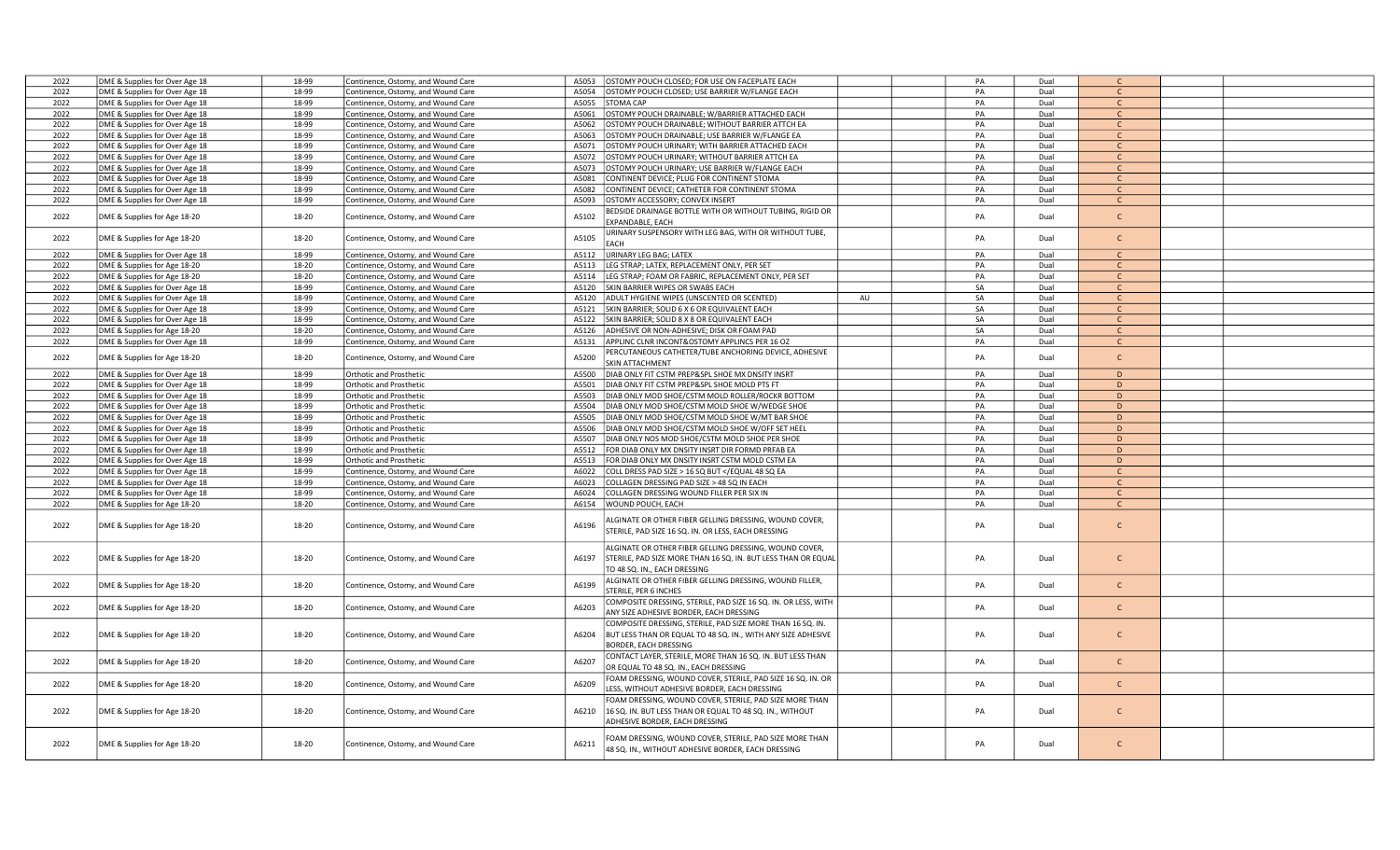| 2022         | DME & Supplies for Over Age 18                                   | 18-99          | Continence, Ostomy, and Wound Care                 | A5053          | OSTOMY POUCH CLOSED; FOR USE ON FACEPLATE EACH                                                           |    | PA       | Dual         | $\mathsf{C}$                 |  |
|--------------|------------------------------------------------------------------|----------------|----------------------------------------------------|----------------|----------------------------------------------------------------------------------------------------------|----|----------|--------------|------------------------------|--|
| 2022         | DME & Supplies for Over Age 18                                   | 18-99          | Continence, Ostomy, and Wound Care                 | A5054          | OSTOMY POUCH CLOSED; USE BARRIER W/FLANGE EACH                                                           |    | PA       | Dual         | $\mathsf{C}$                 |  |
| 2022         | DME & Supplies for Over Age 18                                   | 18-99          | Continence, Ostomy, and Wound Care                 | A5055          | <b>STOMA CAP</b>                                                                                         |    | PA       | Dual         | $\mathsf{C}$                 |  |
| 2022         | DME & Supplies for Over Age 18                                   | 18-99          | Continence, Ostomy, and Wound Care                 | A5061          | OSTOMY POUCH DRAINABLE; W/BARRIER ATTACHED EACH                                                          |    | PA       | Dual         | $\mathsf{C}$                 |  |
| 2022         | DME & Supplies for Over Age 18                                   | 18-99          | Continence, Ostomy, and Wound Care                 | A5062          | OSTOMY POUCH DRAINABLE; WITHOUT BARRIER ATTCH EA                                                         |    | PA       | Dual         | $\mathsf{C}$                 |  |
| 2022         | DME & Supplies for Over Age 18                                   | 18-99          | Continence, Ostomy, and Wound Care                 | A5063          | OSTOMY POUCH DRAINABLE; USE BARRIER W/FLANGE EA                                                          |    | PA       | Dual         | $\mathsf{C}$                 |  |
| 2022         | DME & Supplies for Over Age 18                                   | 18-99          | Continence, Ostomy, and Wound Care                 | A5071          | OSTOMY POUCH URINARY; WITH BARRIER ATTACHED EACH                                                         |    | PA       | Dual         | $\mathsf{C}$                 |  |
| 2022         | DME & Supplies for Over Age 18                                   | 18-99          | Continence, Ostomy, and Wound Care                 | A5072          | OSTOMY POUCH URINARY; WITHOUT BARRIER ATTCH EA                                                           |    | PA       | Dual         | $\mathsf{C}$                 |  |
| 2022         | DME & Supplies for Over Age 18                                   | 18-99          | Continence, Ostomy, and Wound Care                 | A5073          | OSTOMY POUCH URINARY; USE BARRIER W/FLANGE EACH                                                          |    | PA       | Dual         | $\mathsf{C}$                 |  |
| 2022         | DME & Supplies for Over Age 18                                   | 18-99          | Continence, Ostomy, and Wound Care                 | A5081          | CONTINENT DEVICE; PLUG FOR CONTINENT STOMA                                                               |    | PA       | Dual         | $\mathsf{C}$                 |  |
| 2022         | DME & Supplies for Over Age 18                                   | 18-99          | Continence, Ostomy, and Wound Care                 | A5082          | CONTINENT DEVICE; CATHETER FOR CONTINENT STOMA                                                           |    | PA       | Dual         | $\mathsf{C}$                 |  |
| 2022         | DME & Supplies for Over Age 18                                   | 18-99          | Continence, Ostomy, and Wound Care                 | A5093          | OSTOMY ACCESSORY; CONVEX INSERT                                                                          |    | PA       | Dual         | $\mathsf{C}$                 |  |
|              |                                                                  |                |                                                    |                | BEDSIDE DRAINAGE BOTTLE WITH OR WITHOUT TUBING, RIGID OR                                                 |    |          |              |                              |  |
| 2022         | DME & Supplies for Age 18-20                                     | 18-20          | Continence, Ostomy, and Wound Care                 | A5102          | EXPANDABLE, EACH                                                                                         |    | PA       | Dual         | $\mathsf{C}$                 |  |
|              |                                                                  |                |                                                    |                | JRINARY SUSPENSORY WITH LEG BAG, WITH OR WITHOUT TUBE,                                                   |    |          |              |                              |  |
| 2022         | DME & Supplies for Age 18-20                                     | 18-20          | Continence, Ostomy, and Wound Care                 | A5105          | EACH                                                                                                     |    | PA       | Dual         | $\mathsf{C}$                 |  |
| 2022         | DME & Supplies for Over Age 18                                   | 18-99          | Continence, Ostomy, and Wound Care                 | A5112          | URINARY LEG BAG; LATEX                                                                                   |    | PA       | Dual         | $\mathsf{C}$                 |  |
| 2022         | DME & Supplies for Age 18-20                                     | 18-20          | Continence, Ostomy, and Wound Care                 | A5113          | LEG STRAP; LATEX, REPLACEMENT ONLY, PER SET                                                              |    | PA       | Dual         | $\mathsf{C}$                 |  |
| 2022         | DME & Supplies for Age 18-20                                     | 18-20          | Continence, Ostomy, and Wound Care                 | A5114          | LEG STRAP; FOAM OR FABRIC, REPLACEMENT ONLY, PER SET                                                     |    | PA       | Dual         | $\mathsf{C}$                 |  |
| 2022         | DME & Supplies for Over Age 18                                   | 18-99          | Continence, Ostomy, and Wound Care                 | A5120          | SKIN BARRIER WIPES OR SWABS EACH                                                                         |    | SA       | Dual         | $\mathsf{C}$                 |  |
| 2022         | DME & Supplies for Over Age 18                                   | 18-99          |                                                    | A5120          | ADULT HYGIENE WIPES (UNSCENTED OR SCENTED)                                                               | AU | SA       | Dual         | $\mathsf{C}$                 |  |
| 2022         |                                                                  | 18-99          | Continence, Ostomy, and Wound Care                 | A5121          | SKIN BARRIER; SOLID 6 X 6 OR EQUIVALENT EACH                                                             |    | SA       | Dual         | $\mathsf{C}$                 |  |
|              | DME & Supplies for Over Age 18                                   | 18-99          | Continence, Ostomy, and Wound Care                 |                | SKIN BARRIER; SOLID 8 X 8 OR EQUIVALENT EACH                                                             |    | SA       |              | $\mathsf{C}$                 |  |
| 2022         | DME & Supplies for Over Age 18                                   |                | Continence, Ostomy, and Wound Care                 | A5122          |                                                                                                          |    |          | Dual         |                              |  |
| 2022<br>2022 | DME & Supplies for Age 18-20<br>DME & Supplies for Over Age 18   | 18-20<br>18-99 | Continence, Ostomy, and Wound Care                 |                | A5126 ADHESIVE OR NON-ADHESIVE; DISK OR FOAM PAD<br>A5131 APPLINC CLNR INCONT& OSTOMY APPLINCS PER 16 OZ |    | SA<br>PA | Dual<br>Dual | $\mathsf{C}$<br>$\mathsf{C}$ |  |
|              |                                                                  |                | Continence, Ostomy, and Wound Care                 |                |                                                                                                          |    |          |              |                              |  |
| 2022         | DME & Supplies for Age 18-20                                     | 18-20          | Continence, Ostomy, and Wound Care                 | A5200          | PERCUTANEOUS CATHETER/TUBE ANCHORING DEVICE, ADHESIVE                                                    |    | PA       | Dual         | $\mathsf{C}$                 |  |
| 2022         |                                                                  | 18-99          |                                                    | A5500          | <b>SKIN ATTACHMENT</b>                                                                                   |    | PA       | Dual         | D                            |  |
| 2022         | DME & Supplies for Over Age 18                                   | 18-99          | Orthotic and Prosthetic<br>Orthotic and Prosthetic | A5501          | DIAB ONLY FIT CSTM PREP&SPL SHOE MX DNSITY INSRT<br>DIAB ONLY FIT CSTM PREP&SPL SHOE MOLD PTS FT         |    | PA       | Dual         | D                            |  |
| 2022         | DME & Supplies for Over Age 18<br>DME & Supplies for Over Age 18 | 18-99          | <b>Orthotic and Prosthetic</b>                     | A5503          | DIAB ONLY MOD SHOE/CSTM MOLD ROLLER/ROCKR BOTTOM                                                         |    | PA       | Dual         | D                            |  |
| 2022         |                                                                  | 18-99          |                                                    | A5504          | DIAB ONLY MOD SHOE/CSTM MOLD SHOE W/WEDGE SHOE                                                           |    | PA       | Dual         | D                            |  |
| 2022         | DME & Supplies for Over Age 18<br>DME & Supplies for Over Age 18 | 18-99          | Orthotic and Prosthetic<br>Orthotic and Prosthetic | A5505          | DIAB ONLY MOD SHOE/CSTM MOLD SHOE W/MT BAR SHOE                                                          |    | PA       | Dual         | $\mathsf{D}$                 |  |
| 2022         | DME & Supplies for Over Age 18                                   | 18-99          | Orthotic and Prosthetic                            | A5506          | DIAB ONLY MOD SHOE/CSTM MOLD SHOE W/OFF SET HEEL                                                         |    | PA       | Dual         | D                            |  |
| 2022         | DME & Supplies for Over Age 18                                   | 18-99          | Orthotic and Prosthetic                            | A5507          | DIAB ONLY NOS MOD SHOE/CSTM MOLD SHOE PER SHOE                                                           |    | PA       | Dual         | D                            |  |
| 2022         | DME & Supplies for Over Age 18                                   | 18-99          |                                                    |                | A5512 FOR DIAB ONLY MX DNSITY INSRT DIR FORMD PRFAB EA                                                   |    | PA       | Dual         | D                            |  |
|              |                                                                  |                | <b>Orthotic and Prosthetic</b>                     |                |                                                                                                          |    |          |              | D                            |  |
| 2022         | DME & Supplies for Over Age 18                                   | 18-99<br>18-99 | Orthotic and Prosthetic                            | A5513<br>A6022 | FOR DIAB ONLY MX DNSITY INSRT CSTM MOLD CSTM EA                                                          |    | PA<br>PA | Dual         | $\mathsf{C}$                 |  |
| 2022<br>2022 | DME & Supplies for Over Age 18                                   |                | Continence, Ostomy, and Wound Care                 |                | COLL DRESS PAD SIZE > 16 SQ BUT <td></td> <td></td> <td>Dual</td> <td></td> <td></td>                    |    |          | Dual         |                              |  |
|              | DME & Supplies for Over Age 18                                   | 18-99          | Continence, Ostomy, and Wound Care                 | A6023          | COLLAGEN DRESSING PAD SIZE > 48 SQ IN EACH                                                               |    | PA<br>PA | Dual         | $\mathsf{C}$<br>$\mathsf{C}$ |  |
| 2022         | DME & Supplies for Over Age 18                                   | 18-99          | Continence, Ostomy, and Wound Care                 | A6024          | COLLAGEN DRESSING WOUND FILLER PER SIX IN                                                                |    |          | Dual         |                              |  |
| 2022         | DME & Supplies for Age 18-20                                     | 18-20          | Continence, Ostomy, and Wound Care                 |                | A6154 WOUND POUCH, EACH                                                                                  |    | PA       | Dual         | $\mathsf{C}$                 |  |
|              |                                                                  |                |                                                    |                | LGINATE OR OTHER FIBER GELLING DRESSING, WOUND COVER,                                                    |    |          |              | $\mathsf{C}$                 |  |
| 2022         | DME & Supplies for Age 18-20                                     | 18-20          | Continence, Ostomy, and Wound Care                 | A6196          | STERILE, PAD SIZE 16 SQ. IN. OR LESS, EACH DRESSING                                                      |    | PA       | Dual         |                              |  |
|              |                                                                  |                |                                                    |                |                                                                                                          |    |          |              |                              |  |
|              |                                                                  |                |                                                    |                | ALGINATE OR OTHER FIBER GELLING DRESSING, WOUND COVER,                                                   |    |          |              |                              |  |
| 2022         | DME & Supplies for Age 18-20                                     | 18-20          | Continence, Ostomy, and Wound Care                 | A6197          | STERILE, PAD SIZE MORE THAN 16 SQ. IN. BUT LESS THAN OR EQUAL                                            |    | PA       | Dual         | $\mathsf{C}$                 |  |
|              |                                                                  |                |                                                    |                | TO 48 SQ. IN., EACH DRESSING                                                                             |    |          |              |                              |  |
| 2022         | DME & Supplies for Age 18-20                                     | 18-20          | Continence, Ostomy, and Wound Care                 | A6199          | ALGINATE OR OTHER FIBER GELLING DRESSING, WOUND FILLER,                                                  |    | PA       | Dual         | $\mathsf{C}$                 |  |
|              |                                                                  |                |                                                    |                | STERILE, PER 6 INCHES                                                                                    |    |          |              |                              |  |
| 2022         | DME & Supplies for Age 18-20                                     | 18-20          | Continence, Ostomy, and Wound Care                 | A6203          | COMPOSITE DRESSING, STERILE, PAD SIZE 16 SQ. IN. OR LESS, WITH                                           |    | PA       | Dual         | $\mathsf{C}$                 |  |
|              |                                                                  |                |                                                    |                | ANY SIZE ADHESIVE BORDER, EACH DRESSING                                                                  |    |          |              |                              |  |
|              |                                                                  |                |                                                    |                | COMPOSITE DRESSING, STERILE, PAD SIZE MORE THAN 16 SQ. IN.                                               |    |          |              |                              |  |
| 2022         | DME & Supplies for Age 18-20                                     | 18-20          | Continence, Ostomy, and Wound Care                 | A6204          | BUT LESS THAN OR EQUAL TO 48 SQ. IN., WITH ANY SIZE ADHESIVE                                             |    | PA       | Dual         | $\mathsf{C}$                 |  |
|              |                                                                  |                |                                                    |                | BORDER, EACH DRESSING                                                                                    |    |          |              |                              |  |
| 2022         | DME & Supplies for Age 18-20                                     | 18-20          | Continence, Ostomy, and Wound Care                 | A6207          | CONTACT LAYER, STERILE, MORE THAN 16 SQ. IN. BUT LESS THAN                                               |    | PA       | Dual         | $\mathsf{C}$                 |  |
|              |                                                                  |                |                                                    |                | OR EQUAL TO 48 SQ. IN., EACH DRESSING                                                                    |    |          |              |                              |  |
| 2022         | DME & Supplies for Age 18-20                                     | 18-20          | Continence, Ostomy, and Wound Care                 | A6209          | FOAM DRESSING, WOUND COVER, STERILE, PAD SIZE 16 SQ. IN. OR                                              |    | PA       | Dual         | $\mathsf{C}$                 |  |
|              |                                                                  |                |                                                    |                | LESS, WITHOUT ADHESIVE BORDER, EACH DRESSING                                                             |    |          |              |                              |  |
|              |                                                                  |                |                                                    |                | FOAM DRESSING, WOUND COVER, STERILE, PAD SIZE MORE THAN                                                  |    |          |              |                              |  |
| 2022         | DME & Supplies for Age 18-20                                     | 18-20          | Continence, Ostomy, and Wound Care                 | A6210          | 16 SQ. IN. BUT LESS THAN OR EQUAL TO 48 SQ. IN., WITHOUT                                                 |    | PA       | Dual         | $\mathsf{C}$                 |  |
|              |                                                                  |                |                                                    |                | ADHESIVE BORDER, EACH DRESSING                                                                           |    |          |              |                              |  |
|              |                                                                  |                |                                                    |                | OAM DRESSING, WOUND COVER, STERILE, PAD SIZE MORE THAN                                                   |    |          |              |                              |  |
| 2022         | DME & Supplies for Age 18-20                                     | 18-20          | Continence, Ostomy, and Wound Care                 | A6211          | 48 SQ. IN., WITHOUT ADHESIVE BORDER, EACH DRESSING                                                       |    | PA       | Dual         | $\mathsf{C}$                 |  |
|              |                                                                  |                |                                                    |                |                                                                                                          |    |          |              |                              |  |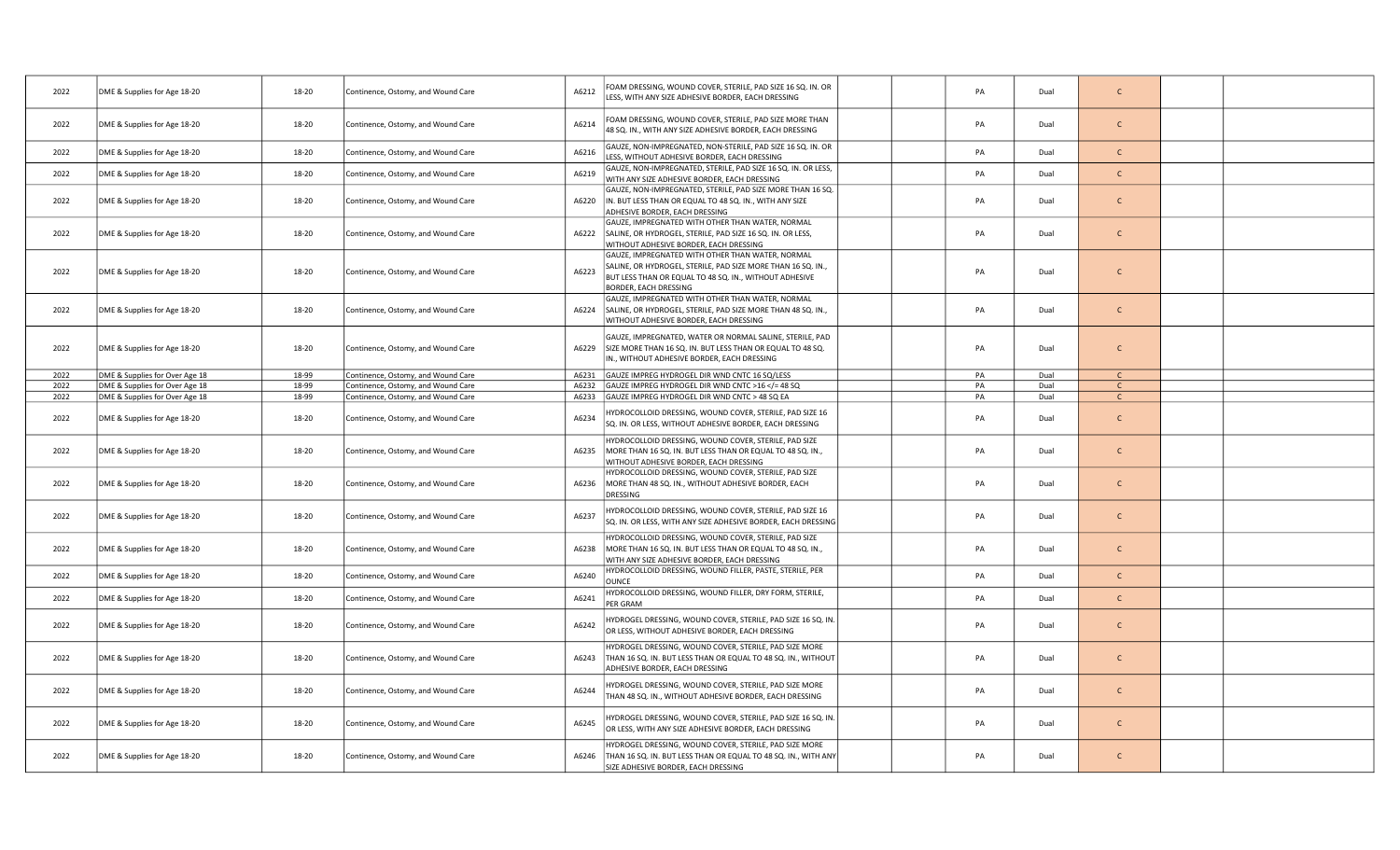| 2022 | DME & Supplies for Age 18-20   | 18-20 | Continence, Ostomy, and Wound Care | A6212 | OAM DRESSING, WOUND COVER, STERILE, PAD SIZE 16 SQ. IN. OR<br>LESS, WITH ANY SIZE ADHESIVE BORDER, EACH DRESSING                                                                                    |  | PA | Dual | $\mathsf{C}$ |  |
|------|--------------------------------|-------|------------------------------------|-------|-----------------------------------------------------------------------------------------------------------------------------------------------------------------------------------------------------|--|----|------|--------------|--|
| 2022 | DME & Supplies for Age 18-20   | 18-20 | Continence, Ostomy, and Wound Care | A6214 | FOAM DRESSING, WOUND COVER, STERILE, PAD SIZE MORE THAN<br>48 SQ. IN., WITH ANY SIZE ADHESIVE BORDER, EACH DRESSING                                                                                 |  | PA | Dual | $\mathsf{C}$ |  |
| 2022 | DME & Supplies for Age 18-20   | 18-20 | Continence, Ostomy, and Wound Care | A6216 | GAUZE, NON-IMPREGNATED, NON-STERILE, PAD SIZE 16 SQ. IN. OR<br>ESS, WITHOUT ADHESIVE BORDER, EACH DRESSING                                                                                          |  | PA | Dual | $\mathsf{C}$ |  |
| 2022 | DME & Supplies for Age 18-20   | 18-20 | Continence, Ostomy, and Wound Care | A6219 | GAUZE, NON-IMPREGNATED, STERILE, PAD SIZE 16 SQ. IN. OR LESS,<br>WITH ANY SIZE ADHESIVE BORDER, EACH DRESSING                                                                                       |  | PA | Dual | $\mathsf{C}$ |  |
| 2022 | DME & Supplies for Age 18-20   | 18-20 | Continence, Ostomy, and Wound Care | A6220 | GAUZE, NON-IMPREGNATED, STERILE, PAD SIZE MORE THAN 16 SQ.<br>IN. BUT LESS THAN OR EQUAL TO 48 SQ. IN., WITH ANY SIZE<br>ADHESIVE BORDER, EACH DRESSING                                             |  | PA | Dual | $\mathsf{C}$ |  |
| 2022 | DME & Supplies for Age 18-20   | 18-20 | Continence, Ostomy, and Wound Care | A6222 | GAUZE, IMPREGNATED WITH OTHER THAN WATER, NORMAL<br>SALINE, OR HYDROGEL, STERILE, PAD SIZE 16 SQ. IN. OR LESS,<br>WITHOUT ADHESIVE BORDER, EACH DRESSING                                            |  | PA | Dual | $\mathsf{C}$ |  |
| 2022 | DME & Supplies for Age 18-20   | 18-20 | Continence, Ostomy, and Wound Care | A6223 | GAUZE, IMPREGNATED WITH OTHER THAN WATER, NORMAL<br>SALINE, OR HYDROGEL, STERILE, PAD SIZE MORE THAN 16 SQ. IN.,<br>BUT LESS THAN OR EQUAL TO 48 SQ. IN., WITHOUT ADHESIVE<br>BORDER, EACH DRESSING |  | PA | Dual | $\mathsf{C}$ |  |
| 2022 | DME & Supplies for Age 18-20   | 18-20 | Continence, Ostomy, and Wound Care |       | GAUZE, IMPREGNATED WITH OTHER THAN WATER, NORMAL<br>A6224 SALINE, OR HYDROGEL, STERILE, PAD SIZE MORE THAN 48 SQ. IN.,<br>WITHOUT ADHESIVE BORDER, EACH DRESSING                                    |  | PA | Dual | $\mathsf{C}$ |  |
| 2022 | DME & Supplies for Age 18-20   | 18-20 | Continence, Ostomy, and Wound Care | A6229 | GAUZE, IMPREGNATED, WATER OR NORMAL SALINE, STERILE, PAD<br>SIZE MORE THAN 16 SQ. IN. BUT LESS THAN OR EQUAL TO 48 SQ.<br>IN., WITHOUT ADHESIVE BORDER, EACH DRESSING                               |  | PA | Dual | $\mathsf{C}$ |  |
| 2022 | DME & Supplies for Over Age 18 | 18-99 | Continence, Ostomy, and Wound Care | A6231 | GAUZE IMPREG HYDROGEL DIR WND CNTC 16 SQ/LESS                                                                                                                                                       |  | PA | Dual | $\mathsf{C}$ |  |
| 2022 | DME & Supplies for Over Age 18 | 18-99 | Continence, Ostomy, and Wound Care | A6232 | GAUZE IMPREG HYDROGEL DIR WND CNTC >16 = 48 SQ</td <td></td> <td>PA</td> <td>Dual</td> <td><math>\mathsf{C}</math></td> <td></td>                                                                   |  | PA | Dual | $\mathsf{C}$ |  |
| 2022 | DME & Supplies for Over Age 18 | 18-99 | Continence, Ostomy, and Wound Care |       | A6233 GAUZE IMPREG HYDROGEL DIR WND CNTC > 48 SQ EA                                                                                                                                                 |  | PA | Dual | $\mathsf{C}$ |  |
| 2022 | DME & Supplies for Age 18-20   | 18-20 | Continence, Ostomy, and Wound Care | A6234 | YDROCOLLOID DRESSING, WOUND COVER, STERILE, PAD SIZE 16<br>SQ. IN. OR LESS, WITHOUT ADHESIVE BORDER, EACH DRESSING                                                                                  |  | PA | Dual | $\mathsf{C}$ |  |
| 2022 | DME & Supplies for Age 18-20   | 18-20 | Continence, Ostomy, and Wound Care | A6235 | HYDROCOLLOID DRESSING, WOUND COVER, STERILE, PAD SIZE<br>MORE THAN 16 SQ. IN. BUT LESS THAN OR EQUAL TO 48 SQ. IN.,<br>WITHOUT ADHESIVE BORDER, EACH DRESSING                                       |  | PA | Dual | $\mathsf{C}$ |  |
| 2022 | DME & Supplies for Age 18-20   | 18-20 | Continence, Ostomy, and Wound Care | A6236 | HYDROCOLLOID DRESSING, WOUND COVER, STERILE, PAD SIZE<br>MORE THAN 48 SQ. IN., WITHOUT ADHESIVE BORDER, EACH<br>DRESSING                                                                            |  | PA | Dual | $\mathsf{C}$ |  |
| 2022 | DME & Supplies for Age 18-20   | 18-20 | Continence, Ostomy, and Wound Care | A6237 | IYDROCOLLOID DRESSING, WOUND COVER, STERILE, PAD SIZE 16<br>SQ. IN. OR LESS, WITH ANY SIZE ADHESIVE BORDER, EACH DRESSING                                                                           |  | PA | Dual | $\mathsf{C}$ |  |
| 2022 | DME & Supplies for Age 18-20   | 18-20 | Continence, Ostomy, and Wound Care | A6238 | HYDROCOLLOID DRESSING, WOUND COVER, STERILE, PAD SIZE<br>MORE THAN 16 SQ. IN. BUT LESS THAN OR EQUAL TO 48 SQ. IN.,<br>WITH ANY SIZE ADHESIVE BORDER, EACH DRESSING                                 |  | PA | Dual | $\mathsf{C}$ |  |
| 2022 | DME & Supplies for Age 18-20   | 18-20 | Continence, Ostomy, and Wound Care | A6240 | HYDROCOLLOID DRESSING, WOUND FILLER, PASTE, STERILE, PER<br><b>OUNCE</b>                                                                                                                            |  | PA | Dual | $\mathsf{C}$ |  |
| 2022 | DME & Supplies for Age 18-20   | 18-20 | Continence, Ostomy, and Wound Care | A6241 | IYDROCOLLOID DRESSING, WOUND FILLER, DRY FORM, STERILE,<br>PER GRAM                                                                                                                                 |  | PA | Dual | $\mathsf{C}$ |  |
| 2022 | DME & Supplies for Age 18-20   | 18-20 | Continence, Ostomy, and Wound Care | A6242 | IYDROGEL DRESSING, WOUND COVER, STERILE, PAD SIZE 16 SQ. IN.<br>OR LESS, WITHOUT ADHESIVE BORDER, EACH DRESSING                                                                                     |  | PA | Dual | $\mathsf{C}$ |  |
| 2022 | DME & Supplies for Age 18-20   | 18-20 | Continence, Ostomy, and Wound Care | A6243 | HYDROGEL DRESSING, WOUND COVER, STERILE, PAD SIZE MORE<br>THAN 16 SQ. IN. BUT LESS THAN OR EQUAL TO 48 SQ. IN., WITHOUT<br>ADHESIVE BORDER, EACH DRESSING                                           |  | PA | Dual | $\mathsf{C}$ |  |
| 2022 | DME & Supplies for Age 18-20   | 18-20 | Continence, Ostomy, and Wound Care | A6244 | IYDROGEL DRESSING, WOUND COVER, STERILE, PAD SIZE MORE<br>THAN 48 SQ. IN., WITHOUT ADHESIVE BORDER, EACH DRESSING                                                                                   |  | PA | Dual | $\mathsf{C}$ |  |
| 2022 | DME & Supplies for Age 18-20   | 18-20 | Continence, Ostomy, and Wound Care | A6245 | IYDROGEL DRESSING, WOUND COVER, STERILE, PAD SIZE 16 SQ. IN.<br>OR LESS, WITH ANY SIZE ADHESIVE BORDER, EACH DRESSING                                                                               |  | PA | Dual | $\mathsf{C}$ |  |
| 2022 | DME & Supplies for Age 18-20   | 18-20 | Continence, Ostomy, and Wound Care | A6246 | IYDROGEL DRESSING, WOUND COVER, STERILE, PAD SIZE MORE<br>THAN 16 SQ. IN. BUT LESS THAN OR EQUAL TO 48 SQ. IN., WITH ANY<br>SIZE ADHESIVE BORDER, EACH DRESSING                                     |  | PA | Dual | $\mathsf{C}$ |  |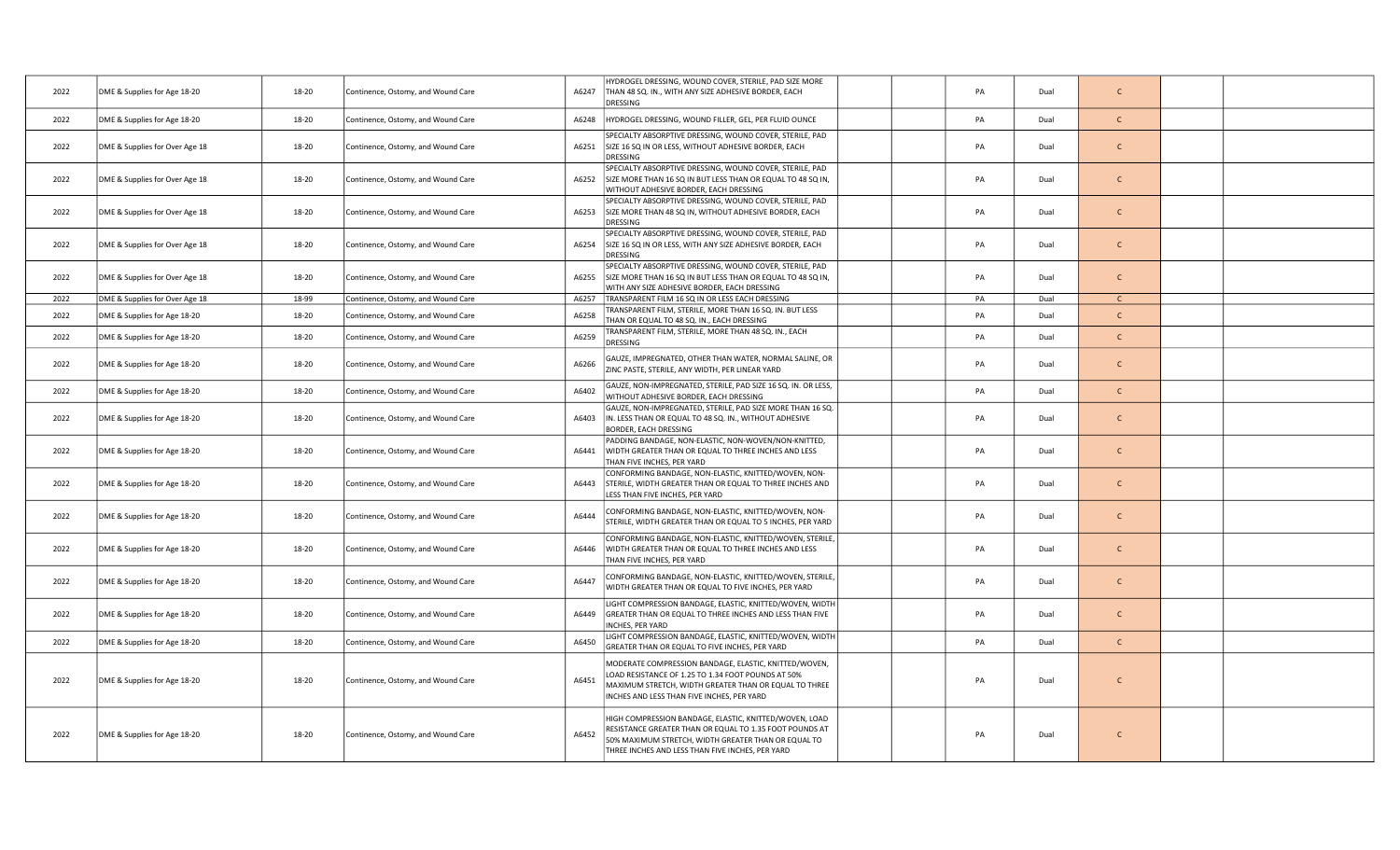| 2022 | DME & Supplies for Age 18-20   | 18-20<br>Continence, Ostomy, and Wound Care | HYDROGEL DRESSING, WOUND COVER, STERILE, PAD SIZE MORE<br>A6247<br>THAN 48 SQ. IN., WITH ANY SIZE ADHESIVE BORDER, EACH<br>DRESSING                                                                                                   | PA | Dual | $\mathsf{C}$ |  |
|------|--------------------------------|---------------------------------------------|---------------------------------------------------------------------------------------------------------------------------------------------------------------------------------------------------------------------------------------|----|------|--------------|--|
| 2022 | DME & Supplies for Age 18-20   | 18-20<br>Continence, Ostomy, and Wound Care | A6248<br>HYDROGEL DRESSING, WOUND FILLER, GEL, PER FLUID OUNCE                                                                                                                                                                        | PA | Dual | $\mathsf{C}$ |  |
| 2022 | DME & Supplies for Over Age 18 | 18-20<br>Continence, Ostomy, and Wound Care | SPECIALTY ABSORPTIVE DRESSING, WOUND COVER, STERILE, PAD<br>A6251<br>SIZE 16 SQ IN OR LESS, WITHOUT ADHESIVE BORDER, EACH<br><b>DRESSING</b>                                                                                          | PA | Dual | $\mathsf{C}$ |  |
| 2022 | DME & Supplies for Over Age 18 | 18-20<br>Continence, Ostomy, and Wound Care | SPECIALTY ABSORPTIVE DRESSING, WOUND COVER, STERILE, PAD<br>A6252<br>SIZE MORE THAN 16 SQ IN BUT LESS THAN OR EQUAL TO 48 SQ IN,<br>WITHOUT ADHESIVE BORDER, EACH DRESSING                                                            | PA | Dual | $\mathsf{C}$ |  |
| 2022 | DME & Supplies for Over Age 18 | 18-20<br>Continence, Ostomy, and Wound Care | SPECIALTY ABSORPTIVE DRESSING, WOUND COVER, STERILE, PAD<br>A6253<br>SIZE MORE THAN 48 SQ IN, WITHOUT ADHESIVE BORDER, EACH<br><b>DRESSING</b>                                                                                        | PA | Dual | $\mathsf{C}$ |  |
| 2022 | DME & Supplies for Over Age 18 | 18-20<br>Continence, Ostomy, and Wound Care | SPECIALTY ABSORPTIVE DRESSING, WOUND COVER, STERILE, PAD<br>A6254<br>SIZE 16 SQ IN OR LESS, WITH ANY SIZE ADHESIVE BORDER, EACH<br><b>DRESSING</b>                                                                                    | PA | Dual | $\mathsf{C}$ |  |
| 2022 | DME & Supplies for Over Age 18 | 18-20<br>Continence, Ostomy, and Wound Care | SPECIALTY ABSORPTIVE DRESSING, WOUND COVER, STERILE, PAD<br>A6255<br>SIZE MORE THAN 16 SQ IN BUT LESS THAN OR EQUAL TO 48 SQ IN,<br>WITH ANY SIZE ADHESIVE BORDER, EACH DRESSING                                                      | PA | Dual | $\mathsf{C}$ |  |
| 2022 | DME & Supplies for Over Age 18 | 18-99<br>Continence, Ostomy, and Wound Care | A6257 TRANSPARENT FILM 16 SQ IN OR LESS EACH DRESSING                                                                                                                                                                                 | PA | Dual | $\mathsf{C}$ |  |
| 2022 | DME & Supplies for Age 18-20   | 18-20<br>Continence, Ostomy, and Wound Care | RANSPARENT FILM, STERILE, MORE THAN 16 SQ. IN. BUT LESS<br>A6258<br>THAN OR EQUAL TO 48 SQ. IN., EACH DRESSING                                                                                                                        | PA | Dual | $\mathsf{C}$ |  |
| 2022 | DME & Supplies for Age 18-20   | 18-20<br>Continence, Ostomy, and Wound Care | TRANSPARENT FILM, STERILE, MORE THAN 48 SQ. IN., EACH<br>A6259<br><b>DRESSING</b>                                                                                                                                                     | PA | Dual | $\mathsf{C}$ |  |
| 2022 | DME & Supplies for Age 18-20   | 18-20<br>Continence, Ostomy, and Wound Care | GAUZE, IMPREGNATED, OTHER THAN WATER, NORMAL SALINE, OR<br>A6266<br>ZINC PASTE, STERILE, ANY WIDTH, PER LINEAR YARD                                                                                                                   | PA | Dual | $\mathsf{C}$ |  |
| 2022 | DME & Supplies for Age 18-20   | 18-20<br>Continence, Ostomy, and Wound Care | GAUZE, NON-IMPREGNATED, STERILE, PAD SIZE 16 SQ. IN. OR LESS,<br>A6402<br>WITHOUT ADHESIVE BORDER, EACH DRESSING                                                                                                                      | PA | Dual | $\mathsf{C}$ |  |
| 2022 | DME & Supplies for Age 18-20   | 18-20<br>Continence, Ostomy, and Wound Care | GAUZE, NON-IMPREGNATED, STERILE, PAD SIZE MORE THAN 16 SQ.<br>A6403<br>IN. LESS THAN OR EQUAL TO 48 SQ. IN., WITHOUT ADHESIVE<br><b>BORDER, EACH DRESSING</b>                                                                         | PA | Dual | $\mathsf{C}$ |  |
| 2022 | DME & Supplies for Age 18-20   | 18-20<br>Continence, Ostomy, and Wound Care | PADDING BANDAGE, NON-ELASTIC, NON-WOVEN/NON-KNITTED,<br>A6441<br>WIDTH GREATER THAN OR EQUAL TO THREE INCHES AND LESS<br>THAN FIVE INCHES, PER YARD                                                                                   | PA | Dual | $\mathsf{C}$ |  |
| 2022 | DME & Supplies for Age 18-20   | 18-20<br>Continence, Ostomy, and Wound Care | CONFORMING BANDAGE, NON-ELASTIC, KNITTED/WOVEN, NON-<br>A6443<br>STERILE, WIDTH GREATER THAN OR EQUAL TO THREE INCHES AND<br>LESS THAN FIVE INCHES, PER YARD                                                                          | PA | Dual | $\mathsf{C}$ |  |
| 2022 | DME & Supplies for Age 18-20   | 18-20<br>Continence, Ostomy, and Wound Care | CONFORMING BANDAGE, NON-ELASTIC, KNITTED/WOVEN, NON-<br>A6444<br>STERILE, WIDTH GREATER THAN OR EQUAL TO 5 INCHES, PER YARD                                                                                                           | PA | Dual | $\mathsf{C}$ |  |
| 2022 | DME & Supplies for Age 18-20   | 18-20<br>Continence, Ostomy, and Wound Care | CONFORMING BANDAGE, NON-ELASTIC, KNITTED/WOVEN, STERILE,<br>A6446<br>WIDTH GREATER THAN OR EQUAL TO THREE INCHES AND LESS<br>THAN FIVE INCHES, PER YARD                                                                               | PA | Dual | $\mathsf{C}$ |  |
| 2022 | DME & Supplies for Age 18-20   | 18-20<br>Continence, Ostomy, and Wound Care | CONFORMING BANDAGE, NON-ELASTIC, KNITTED/WOVEN, STERILE,<br>A6447<br>WIDTH GREATER THAN OR EQUAL TO FIVE INCHES, PER YARD                                                                                                             | PA | Dual | $\mathsf{C}$ |  |
| 2022 | DME & Supplies for Age 18-20   | 18-20<br>Continence, Ostomy, and Wound Care | LIGHT COMPRESSION BANDAGE, ELASTIC, KNITTED/WOVEN, WIDTH<br>A6449<br>GREATER THAN OR EQUAL TO THREE INCHES AND LESS THAN FIVE<br><b>NCHES, PER YARD</b>                                                                               | PA | Dual | $\mathsf{C}$ |  |
| 2022 | DME & Supplies for Age 18-20   | 18-20<br>Continence, Ostomy, and Wound Care | LIGHT COMPRESSION BANDAGE, ELASTIC, KNITTED/WOVEN, WIDTH<br>A6450<br>GREATER THAN OR EQUAL TO FIVE INCHES, PER YARD                                                                                                                   | PA | Dual | $\mathsf{C}$ |  |
| 2022 | DME & Supplies for Age 18-20   | 18-20<br>Continence, Ostomy, and Wound Care | MODERATE COMPRESSION BANDAGE, ELASTIC, KNITTED/WOVEN,<br>LOAD RESISTANCE OF 1.25 TO 1.34 FOOT POUNDS AT 50%<br>A6451<br>MAXIMUM STRETCH, WIDTH GREATER THAN OR EQUAL TO THREE<br>INCHES AND LESS THAN FIVE INCHES, PER YARD           | PA | Dual | $\mathsf{C}$ |  |
| 2022 | DME & Supplies for Age 18-20   | 18-20<br>Continence, Ostomy, and Wound Care | HIGH COMPRESSION BANDAGE, ELASTIC, KNITTED/WOVEN, LOAD<br>RESISTANCE GREATER THAN OR EQUAL TO 1.35 FOOT POUNDS AT<br>A6452<br>50% MAXIMUM STRETCH, WIDTH GREATER THAN OR EQUAL TO<br>THREE INCHES AND LESS THAN FIVE INCHES, PER YARD | PA | Dual | $\mathsf{C}$ |  |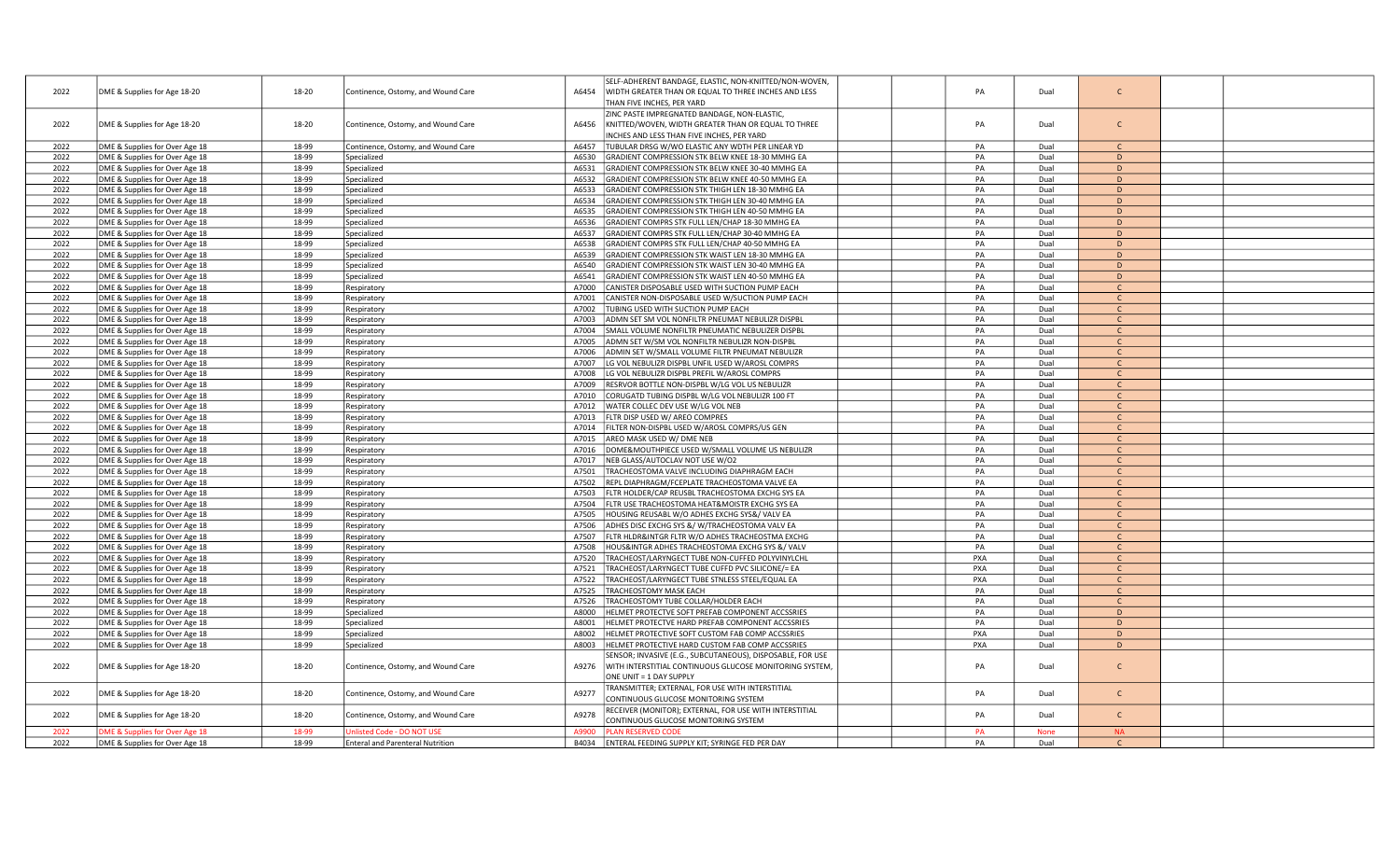|      |                                |       |                                         | SELF-ADHERENT BANDAGE, ELASTIC, NON-KNITTED/NON-WOVEN,           |     |             |              |  |
|------|--------------------------------|-------|-----------------------------------------|------------------------------------------------------------------|-----|-------------|--------------|--|
| 2022 | DME & Supplies for Age 18-20   | 18-20 | Continence, Ostomy, and Wound Care      | A6454<br>WIDTH GREATER THAN OR EQUAL TO THREE INCHES AND LESS    | PA  | Dual        | $\mathsf{C}$ |  |
|      |                                |       |                                         | <b>THAN FIVE INCHES, PER YARD</b>                                |     |             |              |  |
|      |                                |       |                                         | ZINC PASTE IMPREGNATED BANDAGE, NON-ELASTIC,                     |     |             |              |  |
|      |                                |       |                                         |                                                                  |     |             | $\mathsf{C}$ |  |
| 2022 | DME & Supplies for Age 18-20   | 18-20 | Continence, Ostomy, and Wound Care      | A6456<br>KNITTED/WOVEN, WIDTH GREATER THAN OR EQUAL TO THREE     | PA  | Dual        |              |  |
|      |                                |       |                                         | INCHES AND LESS THAN FIVE INCHES, PER YARD                       |     |             |              |  |
| 2022 | DME & Supplies for Over Age 18 | 18-99 | Continence, Ostomy, and Wound Care      | A6457<br>TUBULAR DRSG W/WO ELASTIC ANY WDTH PER LINEAR YD        | PA  | Dual        | $\mathsf{C}$ |  |
| 2022 | DME & Supplies for Over Age 18 | 18-99 | Specialized                             | GRADIENT COMPRESSION STK BELW KNEE 18-30 MMHG EA<br>A6530        | PA  | Dual        | D            |  |
| 2022 | DME & Supplies for Over Age 18 | 18-99 | Specialized                             | A6531<br>GRADIENT COMPRESSION STK BELW KNEE 30-40 MMHG EA        | PA  | Dual        | D            |  |
| 2022 | DME & Supplies for Over Age 18 | 18-99 | Specialized                             | A6532<br>GRADIENT COMPRESSION STK BELW KNEE 40-50 MMHG EA        | PA  | Dual        | D            |  |
| 2022 | DME & Supplies for Over Age 18 | 18-99 | Specialized                             | GRADIENT COMPRESSION STK THIGH LEN 18-30 MMHG EA<br>A6533        | PA  | Dual        | D            |  |
| 2022 | DME & Supplies for Over Age 18 | 18-99 | Specialized                             | A6534<br>GRADIENT COMPRESSION STK THIGH LEN 30-40 MMHG EA        | PA  | Dual        | D            |  |
| 2022 | DME & Supplies for Over Age 18 | 18-99 | Specialized                             | A6535<br>GRADIENT COMPRESSION STK THIGH LEN 40-50 MMHG EA        | PA  | Dual        | D            |  |
| 2022 | DME & Supplies for Over Age 18 | 18-99 | Specialized                             | A6536<br>GRADIENT COMPRS STK FULL LEN/CHAP 18-30 MMHG EA         | PA  | Dual        | D            |  |
| 2022 | DME & Supplies for Over Age 18 | 18-99 |                                         | A6537<br>GRADIENT COMPRS STK FULL LEN/CHAP 30-40 MMHG EA         | PA  | Dual        | D            |  |
|      |                                |       | Specialized                             |                                                                  |     |             | D            |  |
| 2022 | DME & Supplies for Over Age 18 | 18-99 | Specialized                             | GRADIENT COMPRS STK FULL LEN/CHAP 40-50 MMHG EA<br>A6538         | PA  | Dual        |              |  |
| 2022 | DME & Supplies for Over Age 18 | 18-99 | Specialized                             | GRADIENT COMPRESSION STK WAIST LEN 18-30 MMHG EA<br>A6539        | PA  | Dual        | D            |  |
| 2022 | DME & Supplies for Over Age 18 | 18-99 | Specialized                             | A6540<br>GRADIENT COMPRESSION STK WAIST LEN 30-40 MMHG EA        | PA  | Dual        | D            |  |
| 2022 | DME & Supplies for Over Age 18 | 18-99 | Specialized                             | A6541<br>GRADIENT COMPRESSION STK WAIST LEN 40-50 MMHG EA        | PA  | Dual        | D            |  |
| 2022 | DME & Supplies for Over Age 18 | 18-99 | Respiratory                             | A7000<br>CANISTER DISPOSABLE USED WITH SUCTION PUMP EACH         | PA  | Dual        | $\mathsf{C}$ |  |
| 2022 | DME & Supplies for Over Age 18 | 18-99 | Respiratory                             | CANISTER NON-DISPOSABLE USED W/SUCTION PUMP EACH<br>A7001        | PA  | Dual        | $\mathsf{C}$ |  |
| 2022 | DME & Supplies for Over Age 18 | 18-99 | Respiratory                             | A7002<br>TUBING USED WITH SUCTION PUMP EACH                      | PA  | Dual        | C            |  |
| 2022 | DME & Supplies for Over Age 18 | 18-99 | Respiratory                             | A7003<br>ADMN SET SM VOL NONFILTR PNEUMAT NEBULIZR DISPBL        | PA  | Dual        | $\mathsf{C}$ |  |
| 2022 | DME & Supplies for Over Age 18 | 18-99 | Respiratory                             | SMALL VOLUME NONFILTR PNEUMATIC NEBULIZER DISPBL<br>A7004        | PA  | Dual        | $\mathsf{C}$ |  |
| 2022 | DME & Supplies for Over Age 18 | 18-99 | Respiratory                             | A7005<br>ADMN SET W/SM VOL NONFILTR NEBULIZR NON-DISPBL          | PA  | Dual        | $\mathsf{C}$ |  |
|      |                                |       |                                         |                                                                  |     |             | $\mathsf{C}$ |  |
| 2022 | DME & Supplies for Over Age 18 | 18-99 | Respiratory                             | A7006<br>ADMIN SET W/SMALL VOLUME FILTR PNEUMAT NEBULIZR         | PA  | Dual        |              |  |
| 2022 | DME & Supplies for Over Age 18 | 18-99 | Respiratory                             | A7007<br>LG VOL NEBULIZR DISPBL UNFIL USED W/AROSL COMPRS        | PA  | Dual        | $\mathsf{C}$ |  |
| 2022 | DME & Supplies for Over Age 18 | 18-99 | Respiratory                             | A7008<br>LG VOL NEBULIZR DISPBL PREFIL W/AROSL COMPRS            | PA  | Dual        | $\mathsf{C}$ |  |
| 2022 | DME & Supplies for Over Age 18 | 18-99 | Respiratory                             | A7009<br>RESRVOR BOTTLE NON-DISPBL W/LG VOL US NEBULIZR          | PA  | Dual        | $\mathsf{C}$ |  |
| 2022 | DME & Supplies for Over Age 18 | 18-99 | Respiratory                             | A7010<br>CORUGATD TUBING DISPBL W/LG VOL NEBULIZR 100 FT         | PA  | Dual        | $\mathsf{C}$ |  |
| 2022 | DME & Supplies for Over Age 18 | 18-99 | Respiratory                             | A7012<br>WATER COLLEC DEV USE W/LG VOL NEB                       | PA  | Dual        | $\mathsf{C}$ |  |
| 2022 | DME & Supplies for Over Age 18 | 18-99 | Respiratory                             | A7013<br>FLTR DISP USED W/ AREO COMPRES                          | PA  | Dual        | $\mathsf{C}$ |  |
| 2022 | DME & Supplies for Over Age 18 | 18-99 | Respiratory                             | A7014<br>FILTER NON-DISPBL USED W/AROSL COMPRS/US GEN            | PA  | Dual        | $\mathsf{C}$ |  |
| 2022 | DME & Supplies for Over Age 18 | 18-99 | Respiratory                             | A7015<br>AREO MASK USED W/ DME NEB                               | PA  | Dual        | $\mathsf{C}$ |  |
| 2022 | DME & Supplies for Over Age 18 | 18-99 | Respiratory                             | A7016<br>DOME&MOUTHPIECE USED W/SMALL VOLUME US NEBULIZR         | PA  | Dual        | $\mathsf{C}$ |  |
| 2022 | DME & Supplies for Over Age 18 | 18-99 | Respiratory                             | A7017<br>NEB GLASS/AUTOCLAV NOT USE W/O2                         | PA  | Dual        | $\mathsf{C}$ |  |
| 2022 | DME & Supplies for Over Age 18 | 18-99 |                                         | TRACHEOSTOMA VALVE INCLUDING DIAPHRAGM EACH<br>A7501             | PA  | Dual        | $\mathsf{C}$ |  |
|      |                                |       | Respiratory                             |                                                                  |     |             |              |  |
| 2022 | DME & Supplies for Over Age 18 | 18-99 | Respiratory                             | REPL DIAPHRAGM/FCEPLATE TRACHEOSTOMA VALVE EA<br>A7502           | PA  | Dual        | $\mathsf{C}$ |  |
| 2022 | DME & Supplies for Over Age 18 | 18-99 | Respiratory                             | A7503<br>FLTR HOLDER/CAP REUSBL TRACHEOSTOMA EXCHG SYS EA        | PA  | Dual        | $\mathsf{C}$ |  |
| 2022 | DME & Supplies for Over Age 18 | 18-99 | Respiratory                             | A7504<br>FLTR USE TRACHEOSTOMA HEAT&MOISTR EXCHG SYS EA          | PA  | Dual        | $\mathsf{C}$ |  |
| 2022 | DME & Supplies for Over Age 18 | 18-99 | Respiratory                             | HOUSING REUSABL W/O ADHES EXCHG SYS&/ VALV EA<br>A7505           | PA  | Dual        | $\mathsf{C}$ |  |
| 2022 | DME & Supplies for Over Age 18 | 18-99 | Respiratory                             | ADHES DISC EXCHG SYS &/ W/TRACHEOSTOMA VALV EA<br>A7506          | PA  | Dual        | $\mathsf{C}$ |  |
| 2022 | DME & Supplies for Over Age 18 | 18-99 | Respiratory                             | A7507<br>FLTR HLDR&INTGR FLTR W/O ADHES TRACHEOSTMA EXCHG        | PA  | Dual        | $\mathsf{C}$ |  |
| 2022 | DME & Supplies for Over Age 18 | 18-99 | Respiratory                             | A7508<br>HOUS&INTGR ADHES TRACHEOSTOMA EXCHG SYS &/ VALV         | PA  | Dual        | $\mathsf{C}$ |  |
| 2022 | DME & Supplies for Over Age 18 | 18-99 | Respiratory                             | A7520<br>TRACHEOST/LARYNGECT TUBE NON-CUFFED POLYVINYLCHL        | PXA | Dual        | $\mathsf{C}$ |  |
| 2022 | DME & Supplies for Over Age 18 | 18-99 | Respiratory                             | A7521<br>TRACHEOST/LARYNGECT TUBE CUFFD PVC SILICONE/= EA        | PXA | Dual        | $\mathsf{C}$ |  |
| 2022 | DME & Supplies for Over Age 18 | 18-99 | Respiratory                             | TRACHEOST/LARYNGECT TUBE STNLESS STEEL/EQUAL EA<br>A7522         | PXA | Dual        | $\mathsf{C}$ |  |
| 2022 | DME & Supplies for Over Age 18 | 18-99 | Respiratory                             | A7525<br>TRACHEOSTOMY MASK EACH                                  | PA  | Dual        | $\mathsf{C}$ |  |
| 2022 | DME & Supplies for Over Age 18 | 18-99 | Respiratory                             | A7526<br>TRACHEOSTOMY TUBE COLLAR/HOLDER EACH                    | PA  | Dual        |              |  |
| 2022 | DME & Supplies for Over Age 18 | 18-99 | Specialized                             | HELMET PROTECTVE SOFT PREFAB COMPONENT ACCSSRIES<br>A8000        | PA  | Dual        | D            |  |
|      |                                |       |                                         |                                                                  |     |             |              |  |
| 2022 | DME & Supplies for Over Age 18 | 18-99 | Specialized                             | A8001<br>HELMET PROTECTVE HARD PREFAB COMPONENT ACCSSRIES        | PA  | Dual        | D            |  |
| 2022 | DME & Supplies for Over Age 18 | 18-99 | Specialized                             | HELMET PROTECTIVE SOFT CUSTOM FAB COMP ACCSSRIES<br>A8002        | PXA | Dual        | D            |  |
| 2022 | DME & Supplies for Over Age 18 | 18-99 | Specialized                             | A8003<br>HELMET PROTECTIVE HARD CUSTOM FAB COMP ACCSSRIES        | PXA | Dual        | D            |  |
|      |                                |       |                                         | SENSOR; INVASIVE (E.G., SUBCUTANEOUS), DISPOSABLE, FOR USE       |     |             |              |  |
| 2022 | DME & Supplies for Age 18-20   | 18-20 | Continence, Ostomy, and Wound Care      | A9276<br>WITH INTERSTITIAL CONTINUOUS GLUCOSE MONITORING SYSTEM, | PA  | Dual        | $\mathsf{C}$ |  |
|      |                                |       |                                         | ONE UNIT = 1 DAY SUPPLY                                          |     |             |              |  |
|      |                                |       |                                         | <b>FRANSMITTER; EXTERNAL, FOR USE WITH INTERSTITIAL</b>          |     |             |              |  |
| 2022 | DME & Supplies for Age 18-20   | 18-20 | Continence, Ostomy, and Wound Care      | A9277<br>CONTINUOUS GLUCOSE MONITORING SYSTEM                    | PA  | Dual        | $\mathsf{C}$ |  |
|      |                                |       |                                         | RECEIVER (MONITOR); EXTERNAL, FOR USE WITH INTERSTITIAL          |     |             |              |  |
| 2022 | DME & Supplies for Age 18-20   | 18-20 | Continence, Ostomy, and Wound Care      | A9278<br>CONTINUOUS GLUCOSE MONITORING SYSTEM                    | PA  | Dual        | $\mathsf{C}$ |  |
| 2022 |                                | 18-99 | <b>Jnlisted Code - DO NOT USE</b>       | A9900<br><b>PLAN RESERVED CODE</b>                               | PA  | <b>None</b> | <b>NA</b>    |  |
|      | ME & Supplies for Over Age 18  |       |                                         |                                                                  |     |             |              |  |
| 2022 | DME & Supplies for Over Age 18 | 18-99 | <b>Enteral and Parenteral Nutrition</b> | B4034<br>ENTERAL FEEDING SUPPLY KIT; SYRINGE FED PER DAY         | PA  | Dual        | $\mathsf{C}$ |  |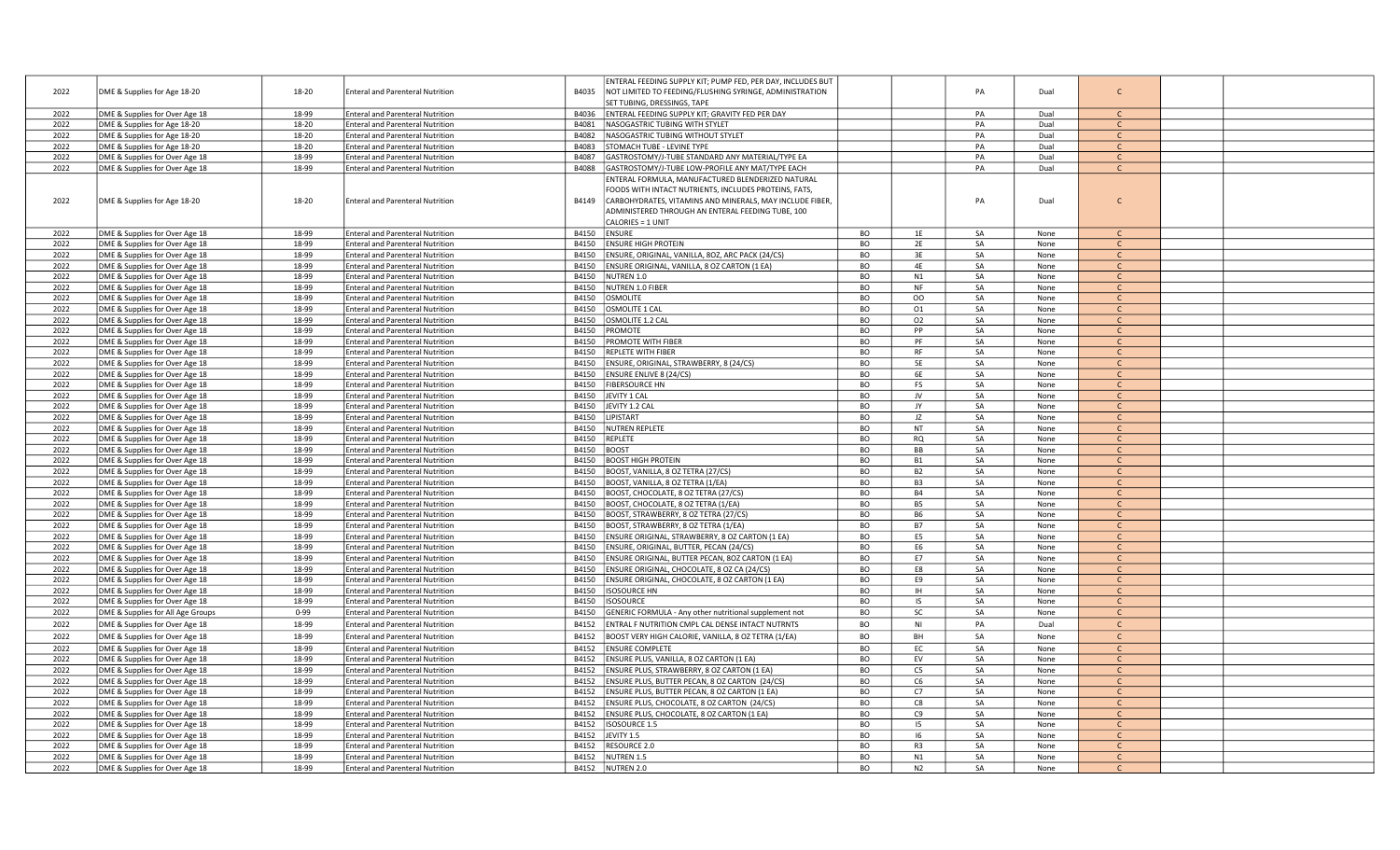|      |                                   |          |                                         | ENTERAL FEEDING SUPPLY KIT; PUMP FED, PER DAY, INCLUDES BUT       |           |                |    |      |               |  |
|------|-----------------------------------|----------|-----------------------------------------|-------------------------------------------------------------------|-----------|----------------|----|------|---------------|--|
| 2022 | DME & Supplies for Age 18-20      | 18-20    | <b>Enteral and Parenteral Nutrition</b> | B4035<br>NOT LIMITED TO FEEDING/FLUSHING SYRINGE, ADMINISTRATION  |           |                | PA | Dual | $\mathsf{C}$  |  |
|      |                                   |          |                                         | SET TUBING, DRESSINGS, TAPE                                       |           |                |    |      |               |  |
| 2022 | DME & Supplies for Over Age 18    | 18-99    | <b>Enteral and Parenteral Nutrition</b> | ENTERAL FEEDING SUPPLY KIT; GRAVITY FED PER DAY<br>B4036          |           |                | PA | Dual | $\mathsf{C}$  |  |
|      |                                   |          |                                         |                                                                   |           |                |    |      |               |  |
| 2022 | DME & Supplies for Age 18-20      | 18-20    | <b>Enteral and Parenteral Nutrition</b> | NASOGASTRIC TUBING WITH STYLET<br>B4081                           |           |                | PA | Dual | $\mathsf{C}$  |  |
| 2022 | DME & Supplies for Age 18-20      | 18-20    | <b>Enteral and Parenteral Nutrition</b> | B4082<br>NASOGASTRIC TUBING WITHOUT STYLET                        |           |                | PA | Dual | $\mathsf{C}$  |  |
| 2022 | DME & Supplies for Age 18-20      | 18-20    | <b>Enteral and Parenteral Nutrition</b> | B4083<br>STOMACH TUBE - LEVINE TYPE                               |           |                | PA | Dual | $\mathsf{C}$  |  |
| 2022 | DME & Supplies for Over Age 18    | 18-99    | <b>Enteral and Parenteral Nutrition</b> | GASTROSTOMY/J-TUBE STANDARD ANY MATERIAL/TYPE EA<br>B4087         |           |                | PA | Dual | $\mathsf{C}$  |  |
| 2022 | DME & Supplies for Over Age 18    | 18-99    | <b>Enteral and Parenteral Nutrition</b> | B4088<br>GASTROSTOMY/J-TUBE LOW-PROFILE ANY MAT/TYPE EACH         |           |                | PA | Dual | $\mathsf{C}$  |  |
|      |                                   |          |                                         | ENTERAL FORMULA, MANUFACTURED BLENDERIZED NATURAL                 |           |                |    |      |               |  |
|      |                                   |          |                                         | FOODS WITH INTACT NUTRIENTS, INCLUDES PROTEINS, FATS,             |           |                |    |      |               |  |
| 2022 | DME & Supplies for Age 18-20      | 18-20    | <b>Enteral and Parenteral Nutrition</b> | B4149<br>CARBOHYDRATES, VITAMINS AND MINERALS, MAY INCLUDE FIBER, |           |                | PA | Dual | $\mathsf{C}$  |  |
|      |                                   |          |                                         |                                                                   |           |                |    |      |               |  |
|      |                                   |          |                                         | ADMINISTERED THROUGH AN ENTERAL FEEDING TUBE, 100                 |           |                |    |      |               |  |
|      |                                   |          |                                         | CALORIES = 1 UNIT                                                 |           |                |    |      |               |  |
| 2022 | DME & Supplies for Over Age 18    | 18-99    | <b>Enteral and Parenteral Nutrition</b> | B4150<br><b>ENSURE</b>                                            | BO        | 1E             | SA | None | $\mathsf{C}$  |  |
| 2022 | DME & Supplies for Over Age 18    | 18-99    | <b>Enteral and Parenteral Nutrition</b> | B4150<br><b>ENSURE HIGH PROTEIN</b>                               | BO        | 2E             | SA | None | $\mathsf{C}$  |  |
| 2022 | DME & Supplies for Over Age 18    | 18-99    | <b>Enteral and Parenteral Nutrition</b> | B4150<br>ENSURE, ORIGINAL, VANILLA, 80Z, ARC PACK (24/CS)         | <b>BO</b> | 3E             | SA | None | $\mathsf{C}$  |  |
| 2022 | DME & Supplies for Over Age 18    | 18-99    | <b>Enteral and Parenteral Nutrition</b> | ENSURE ORIGINAL, VANILLA, 8 OZ CARTON (1 EA)<br>B4150             | <b>BO</b> | 4F             | SA | None | $\mathsf{C}$  |  |
| 2022 | DME & Supplies for Over Age 18    | 18-99    | <b>Enteral and Parenteral Nutrition</b> | B4150<br>NUTREN 1.0                                               | <b>BO</b> | N1             | SA | None | $\mathsf{C}$  |  |
| 2022 | DME & Supplies for Over Age 18    | 18-99    | <b>Enteral and Parenteral Nutrition</b> | NUTREN 1.0 FIBER<br>B4150                                         | <b>BO</b> | <b>NF</b>      | SA | None | $\mathsf{C}$  |  |
| 2022 | DME & Supplies for Over Age 18    | 18-99    | <b>Enteral and Parenteral Nutrition</b> | OSMOLITE<br>B4150                                                 | <b>BO</b> | OO             | SA | None | $\mathsf{C}$  |  |
| 2022 | DME & Supplies for Over Age 18    | 18-99    | <b>Enteral and Parenteral Nutrition</b> | OSMOLITE 1 CAL<br>B4150                                           | BO        | 01             | SA | None | $\mathsf{C}$  |  |
| 2022 | DME & Supplies for Over Age 18    | 18-99    | <b>Enteral and Parenteral Nutrition</b> | B4150<br>OSMOLITE 1.2 CAL                                         | <b>BO</b> | 02             | SA | None | $\mathsf{C}$  |  |
|      |                                   |          |                                         |                                                                   |           | PP             | SA |      |               |  |
| 2022 | DME & Supplies for Over Age 18    | 18-99    | <b>Enteral and Parenteral Nutrition</b> | B4150<br>PROMOTE                                                  | <b>BO</b> |                |    | None | $\mathsf{C}$  |  |
| 2022 | DME & Supplies for Over Age 18    | 18-99    | <b>Enteral and Parenteral Nutrition</b> | B4150<br><b>PROMOTE WITH FIBER</b>                                | <b>BO</b> | PF             | SA | None | $\mathsf{C}$  |  |
| 2022 | DME & Supplies for Over Age 18    | 18-99    | <b>Enteral and Parenteral Nutrition</b> | B4150<br>REPLETE WITH FIBER                                       | BO        | <b>RF</b>      | SA | None | $\mathcal{C}$ |  |
| 2022 | DME & Supplies for Over Age 18    | 18-99    | <b>Enteral and Parenteral Nutrition</b> | ENSURE, ORIGINAL, STRAWBERRY, 8 (24/CS)<br>B4150                  | <b>BO</b> | 5E             | SA | None | $\mathsf{C}$  |  |
| 2022 | DME & Supplies for Over Age 18    | 18-99    | <b>Enteral and Parenteral Nutrition</b> | <b>ENSURE ENLIVE 8 (24/CS)</b><br>B4150                           | <b>BO</b> | 6E             | SA | None | $\mathsf{C}$  |  |
| 2022 | DME & Supplies for Over Age 18    | 18-99    | <b>Enteral and Parenteral Nutrition</b> | B4150<br><b>FIBERSOURCE HN</b>                                    | <b>BO</b> | <b>FS</b>      | SA | None | $\mathsf{C}$  |  |
| 2022 | DME & Supplies for Over Age 18    | 18-99    | <b>Enteral and Parenteral Nutrition</b> | B4150<br>JEVITY 1 CAL                                             | <b>BO</b> | JV             | SA | None | $\mathsf{C}$  |  |
| 2022 | DME & Supplies for Over Age 18    | 18-99    | <b>Enteral and Parenteral Nutrition</b> | JEVITY 1.2 CAL<br>B4150                                           | <b>BO</b> | JY             | SA | None | $\mathsf{C}$  |  |
| 2022 | DME & Supplies for Over Age 18    | 18-99    | <b>Enteral and Parenteral Nutrition</b> | B4150<br>LIPISTART                                                | BO        | JZ             | SA | None | $\mathsf{C}$  |  |
| 2022 | DME & Supplies for Over Age 18    | 18-99    | <b>Enteral and Parenteral Nutrition</b> | <b>NUTREN REPLETE</b><br>B4150                                    | BO        | <b>NT</b>      | SA | None | $\mathsf{C}$  |  |
| 2022 | DME & Supplies for Over Age 18    | 18-99    | <b>Enteral and Parenteral Nutrition</b> | B4150<br><b>REPLETE</b>                                           | <b>BO</b> | <b>RQ</b>      | SA | None | $\mathsf{C}$  |  |
|      |                                   |          |                                         |                                                                   |           |                |    |      |               |  |
| 2022 | DME & Supplies for Over Age 18    | 18-99    | <b>Enteral and Parenteral Nutrition</b> | B4150<br><b>BOOST</b>                                             | BO        | <b>BB</b>      | SA | None | $\mathsf{C}$  |  |
| 2022 | DME & Supplies for Over Age 18    | 18-99    | <b>Enteral and Parenteral Nutrition</b> | <b>BOOST HIGH PROTEIN</b><br>B4150                                | <b>BO</b> | <b>B1</b>      | SA | None | $\mathsf{C}$  |  |
| 2022 | DME & Supplies for Over Age 18    | 18-99    | <b>Enteral and Parenteral Nutrition</b> | BOOST, VANILLA, 8 OZ TETRA (27/CS)<br>B4150                       | <b>BO</b> | <b>B2</b>      | SA | None | $\mathsf{C}$  |  |
| 2022 | DME & Supplies for Over Age 18    | 18-99    | <b>Enteral and Parenteral Nutrition</b> | BOOST, VANILLA, 8 OZ TETRA (1/EA)<br>B4150                        | <b>BO</b> | B <sub>3</sub> | SA | None | <sub>c</sub>  |  |
| 2022 | DME & Supplies for Over Age 18    | 18-99    | <b>Enteral and Parenteral Nutrition</b> | BOOST, CHOCOLATE, 8 OZ TETRA (27/CS)<br>B4150                     | <b>BO</b> | <b>B4</b>      | SA | None | $\mathsf{C}$  |  |
| 2022 | DME & Supplies for Over Age 18    | 18-99    | <b>Enteral and Parenteral Nutrition</b> | BOOST, CHOCOLATE, 8 OZ TETRA (1/EA)<br>B4150                      | <b>BO</b> | <b>B5</b>      | SA | None | $\mathsf{C}$  |  |
| 2022 | DME & Supplies for Over Age 18    | 18-99    | <b>Enteral and Parenteral Nutrition</b> | BOOST, STRAWBERRY, 8 OZ TETRA (27/CS)<br>B4150                    | <b>BO</b> | <b>B6</b>      | SA | None | $\mathsf{C}$  |  |
| 2022 | DME & Supplies for Over Age 18    | 18-99    | <b>Enteral and Parenteral Nutrition</b> | B4150<br>BOOST, STRAWBERRY, 8 OZ TETRA (1/EA)                     | <b>BO</b> | <b>B7</b>      | SA | None | $\mathsf{C}$  |  |
| 2022 | DME & Supplies for Over Age 18    | 18-99    | <b>Enteral and Parenteral Nutrition</b> | B4150<br>ENSURE ORIGINAL, STRAWBERRY, 8 OZ CARTON (1 EA)          | <b>BO</b> | E5             | SA | None | $\mathsf{C}$  |  |
| 2022 | DME & Supplies for Over Age 18    | 18-99    | <b>Enteral and Parenteral Nutrition</b> | B4150<br>ENSURE, ORIGINAL, BUTTER, PECAN (24/CS)                  | <b>BO</b> | E <sub>6</sub> | SA | None | $\mathsf{C}$  |  |
| 2022 |                                   | 18-99    | <b>Enteral and Parenteral Nutrition</b> | B4150<br>ENSURE ORIGINAL, BUTTER PECAN, 8OZ CARTON (1 EA)         | BO        | E7             | SA | None | $\mathsf{C}$  |  |
|      | DME & Supplies for Over Age 18    |          |                                         |                                                                   |           |                | SA |      |               |  |
| 2022 | DME & Supplies for Over Age 18    | 18-99    | <b>Enteral and Parenteral Nutrition</b> | B4150<br>ENSURE ORIGINAL, CHOCOLATE, 8 OZ CA (24/CS)              | <b>BO</b> | E8             |    | None | $\mathsf{C}$  |  |
| 2022 | DME & Supplies for Over Age 18    | 18-99    | <b>Enteral and Parenteral Nutrition</b> | ENSURE ORIGINAL, CHOCOLATE, 8 OZ CARTON (1 EA)<br>B4150           | <b>BO</b> | E9             | SA | None | $\mathsf{C}$  |  |
| 2022 | DME & Supplies for Over Age 18    | 18-99    | <b>Enteral and Parenteral Nutrition</b> | B4150<br><b>ISOSOURCE HN</b>                                      | <b>BO</b> | <b>IH</b>      | SA | None | $\mathsf{C}$  |  |
| 2022 | DME & Supplies for Over Age 18    | 18-99    | <b>Enteral and Parenteral Nutrition</b> | B4150<br><b>ISOSOURCE</b>                                         | <b>BO</b> | IS             | SA | None | $\mathsf{C}$  |  |
| 2022 | DME & Supplies for All Age Groups | $0 - 99$ | <b>Enteral and Parenteral Nutrition</b> | GENERIC FORMULA - Any other nutritional supplement not<br>B4150   | <b>BO</b> | SC             | SA | None | $\mathsf{C}$  |  |
| 2022 | DME & Supplies for Over Age 18    | 18-99    | <b>Enteral and Parenteral Nutrition</b> | ENTRAL F NUTRITION CMPL CAL DENSE INTACT NUTRNTS<br>B4152         | BO        | <b>NI</b>      | PA | Dual | $\mathsf{C}$  |  |
| 2022 | DME & Supplies for Over Age 18    | 18-99    | <b>Enteral and Parenteral Nutrition</b> | B4152<br>BOOST VERY HIGH CALORIE, VANILLA, 8 OZ TETRA (1/EA)      | <b>BO</b> | BH             | SA | None | $\mathsf{C}$  |  |
|      |                                   |          |                                         |                                                                   |           | EC             |    |      | $\mathsf{C}$  |  |
| 2022 | DME & Supplies for Over Age 18    | 18-99    | <b>Enteral and Parenteral Nutrition</b> | B4152<br><b>ENSURE COMPLETE</b>                                   | BO        |                | SA | None |               |  |
| 2022 | DME & Supplies for Over Age 18    | 18-99    | <b>Enteral and Parenteral Nutrition</b> | ENSURE PLUS, VANILLA, 8 OZ CARTON (1 EA)<br>B4152                 | <b>BO</b> | EV             | SA | None | <sub>c</sub>  |  |
| 2022 | DME & Supplies for Over Age 18    | 18-99    | <b>Enteral and Parenteral Nutrition</b> | ENSURE PLUS, STRAWBERRY, 8 OZ CARTON (1 EA)<br>B4152              | <b>BO</b> | C5             | SA | None | $\mathsf{C}$  |  |
| 2022 | DME & Supplies for Over Age 18    | 18-99    | <b>Enteral and Parenteral Nutrition</b> | ENSURE PLUS, BUTTER PECAN, 8 OZ CARTON (24/CS)<br>B4152           | BO        | C6             | SA | None | $\mathsf{C}$  |  |
| 2022 | DME & Supplies for Over Age 18    | 18-99    | <b>Enteral and Parenteral Nutrition</b> | ENSURE PLUS, BUTTER PECAN, 8 OZ CARTON (1 EA)<br>B4152            | <b>BO</b> | C7             | SA | None | $\mathsf{C}$  |  |
| 2022 | DME & Supplies for Over Age 18    | 18-99    | <b>Enteral and Parenteral Nutrition</b> | ENSURE PLUS, CHOCOLATE, 8 OZ CARTON (24/CS)<br>B4152              | BO        | C8             | SA | None | $\mathsf{C}$  |  |
| 2022 | DME & Supplies for Over Age 18    | 18-99    | <b>Enteral and Parenteral Nutrition</b> | ENSURE PLUS, CHOCOLATE, 8 OZ CARTON (1 EA)<br>B4152               | <b>BO</b> | C9             | SA | None | $\mathsf{C}$  |  |
| 2022 | DME & Supplies for Over Age 18    | 18-99    | <b>Enteral and Parenteral Nutrition</b> | B4152<br><b>ISOSOURCE 1.5</b>                                     | BO        | 15             | SA | None | $\mathsf{C}$  |  |
| 2022 | DME & Supplies for Over Age 18    | 18-99    | <b>Enteral and Parenteral Nutrition</b> | B4152<br>JEVITY 1.5                                               | <b>BO</b> | -16            | SA | None | $\mathsf{C}$  |  |
| 2022 | DME & Supplies for Over Age 18    | 18-99    | <b>Enteral and Parenteral Nutrition</b> | RESOURCE 2.0<br>B4152                                             | <b>BO</b> | R <sub>3</sub> | SA | None | $\mathsf{C}$  |  |
| 2022 | DME & Supplies for Over Age 18    | 18-99    | <b>Enteral and Parenteral Nutrition</b> | NUTREN 1.5<br>B4152                                               | <b>BO</b> | N1             | SA | None | $\mathsf{C}$  |  |
| 2022 | DME & Supplies for Over Age 18    | 18-99    | <b>Enteral and Parenteral Nutrition</b> | B4152 NUTREN 2.0                                                  | <b>BO</b> | N <sub>2</sub> | SA | None | $\mathsf{C}$  |  |
|      |                                   |          |                                         |                                                                   |           |                |    |      |               |  |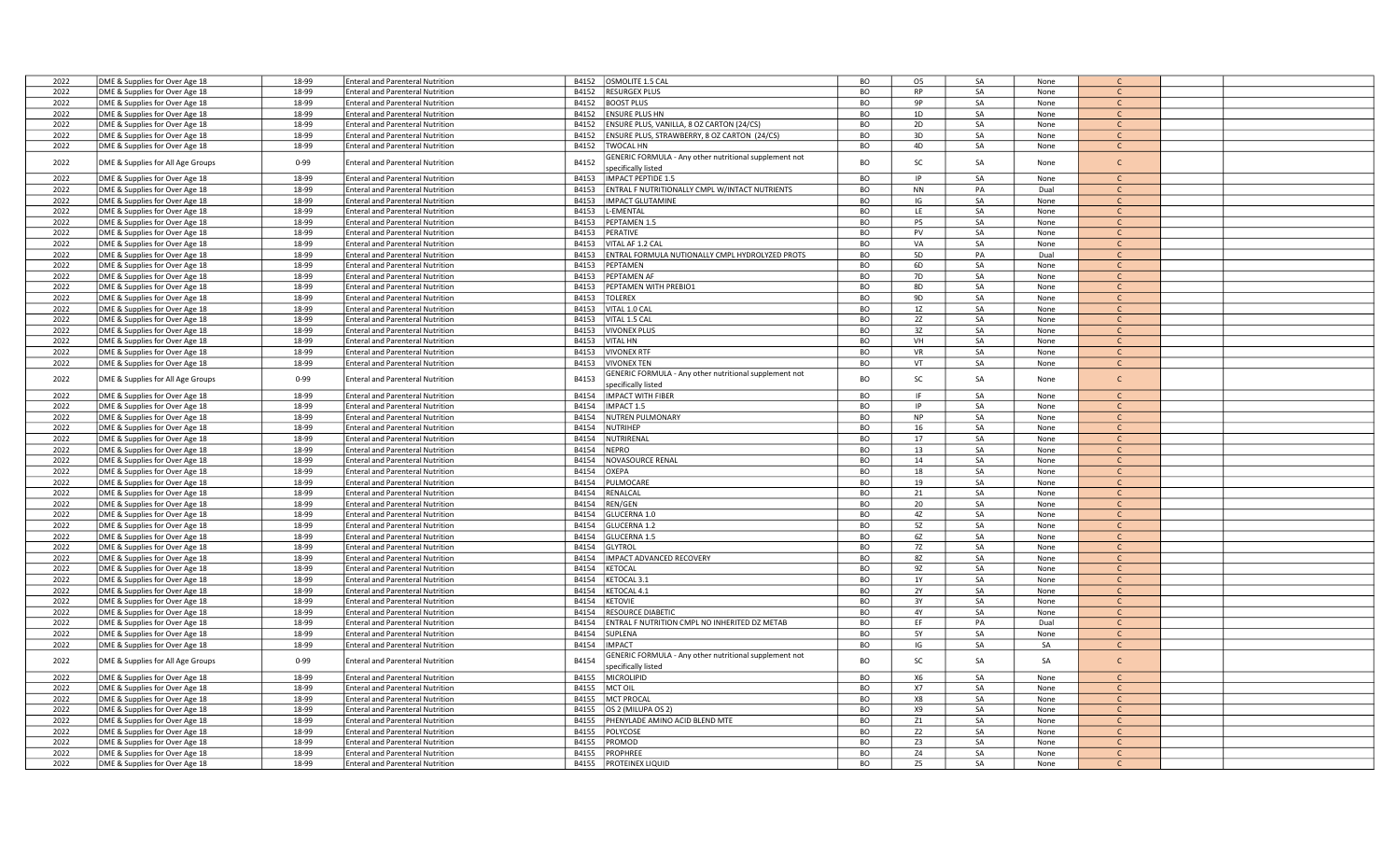| 2022 | DME & Supplies for Over Age 18    | 18-99    | <b>Enteral and Parenteral Nutrition</b> | B4152 | OSMOLITE 1.5 CAL                                       | <b>BO</b> | O <sub>5</sub> | SA | None |               |  |
|------|-----------------------------------|----------|-----------------------------------------|-------|--------------------------------------------------------|-----------|----------------|----|------|---------------|--|
| 2022 | DME & Supplies for Over Age 18    | 18-99    | <b>Enteral and Parenteral Nutrition</b> | B4152 | <b>RESURGEX PLUS</b>                                   | BO        | <b>RP</b>      | SA | None | $\mathsf{C}$  |  |
| 2022 | DME & Supplies for Over Age 18    | 18-99    | <b>Enteral and Parenteral Nutrition</b> | B4152 | <b>BOOST PLUS</b>                                      | BO        | 9P             | SA | None | $\mathsf{C}$  |  |
| 2022 | DME & Supplies for Over Age 18    | 18-99    | <b>Enteral and Parenteral Nutrition</b> | B4152 | ENSURE PLUS HN                                         | BO        | 1D             | SA | None | $\mathsf{C}$  |  |
| 2022 | DME & Supplies for Over Age 18    | 18-99    | <b>Enteral and Parenteral Nutrition</b> | B4152 | ENSURE PLUS, VANILLA, 8 OZ CARTON (24/CS)              | BO        | 2D             | SA | None | $\mathcal{C}$ |  |
|      |                                   |          |                                         |       |                                                        |           |                |    |      |               |  |
| 2022 | DME & Supplies for Over Age 18    | 18-99    | <b>Enteral and Parenteral Nutrition</b> | B4152 | ENSURE PLUS, STRAWBERRY, 8 OZ CARTON (24/CS)           | BO        | 3D             | SA | None | C             |  |
| 2022 | DME & Supplies for Over Age 18    | 18-99    | <b>Enteral and Parenteral Nutrition</b> | B4152 | <b>TWOCAL HN</b>                                       | BO        | 4D             | SA | None | $\mathsf{C}$  |  |
| 2022 | DME & Supplies for All Age Groups | $0 - 99$ | <b>Enteral and Parenteral Nutrition</b> | B4152 | GENERIC FORMULA - Any other nutritional supplement not | <b>BO</b> | SC             | SA | None | $\mathsf{C}$  |  |
|      |                                   |          |                                         |       | specifically listed                                    |           |                |    |      |               |  |
| 2022 | DME & Supplies for Over Age 18    | 18-99    | <b>Enteral and Parenteral Nutrition</b> | B4153 | IMPACT PEPTIDE 1.5                                     | BO        | IP             | SA | None | $\mathcal{C}$ |  |
| 2022 | DME & Supplies for Over Age 18    | 18-99    | <b>Enteral and Parenteral Nutrition</b> | B4153 | ENTRAL F NUTRITIONALLY CMPL W/INTACT NUTRIENTS         | BO        | NN             | PA | Dual | $\mathsf{C}$  |  |
| 2022 | DME & Supplies for Over Age 18    | 18-99    | <b>Enteral and Parenteral Nutrition</b> | B4153 | <b>IMPACT GLUTAMINE</b>                                | <b>BO</b> | IG             | SA | None | $\mathsf{C}$  |  |
| 2022 | DME & Supplies for Over Age 18    | 18-99    | <b>Enteral and Parenteral Nutrition</b> | B4153 | -EMENTAL                                               | BO        | LE             | SA | None | $\mathsf{C}$  |  |
| 2022 | DME & Supplies for Over Age 18    | 18-99    | <b>Enteral and Parenteral Nutrition</b> | B4153 | PEPTAMEN 1.5                                           | <b>BO</b> | P5             | SA | None | $\mathsf{C}$  |  |
| 2022 |                                   | 18-99    | <b>Enteral and Parenteral Nutrition</b> | B4153 | PERATIVE                                               | BO        | PV             | SA |      | $\mathsf{C}$  |  |
|      | DME & Supplies for Over Age 18    |          |                                         |       |                                                        |           |                |    | None | $\mathcal{C}$ |  |
| 2022 | DME & Supplies for Over Age 18    | 18-99    | <b>Enteral and Parenteral Nutrition</b> | B4153 | VITAL AF 1.2 CAL                                       | BO        | VA             | SA | None |               |  |
| 2022 | DME & Supplies for Over Age 18    | 18-99    | <b>Enteral and Parenteral Nutrition</b> | B4153 | <b>ENTRAL FORMULA NUTIONALLY CMPL HYDROLYZED PROTS</b> | BO        | <b>5D</b>      | PA | Dual | $\mathsf{C}$  |  |
| 2022 | DME & Supplies for Over Age 18    | 18-99    | <b>Enteral and Parenteral Nutrition</b> | B4153 | PEPTAMEN                                               | BО        | 6D             | SA | None | C             |  |
| 2022 | DME & Supplies for Over Age 18    | 18-99    | <b>Enteral and Parenteral Nutrition</b> | B4153 | PEPTAMEN AF                                            | BO        | 7D             | SA | None | $\mathsf{C}$  |  |
| 2022 | DME & Supplies for Over Age 18    | 18-99    | <b>Enteral and Parenteral Nutrition</b> | B4153 | PEPTAMEN WITH PREBIO1                                  | BO        | 8D             | SA | None | $\mathsf{C}$  |  |
| 2022 | DME & Supplies for Over Age 18    | 18-99    | <b>Enteral and Parenteral Nutrition</b> | B4153 | <b>TOLEREX</b>                                         | BO        | 9D             | SA | None | $\mathsf{C}$  |  |
| 2022 | DME & Supplies for Over Age 18    | 18-99    | <b>Enteral and Parenteral Nutrition</b> | B4153 | VITAL 1.0 CAL                                          | BO        | 1Z             | SA | None | $\mathsf{C}$  |  |
| 2022 | DME & Supplies for Over Age 18    | 18-99    | <b>Enteral and Parenteral Nutrition</b> | B4153 | VITAL 1.5 CAL                                          | <b>BO</b> | 2Z             | SA | None |               |  |
| 2022 | DME & Supplies for Over Age 18    | 18-99    |                                         | B4153 | <b>VIVONEX PLUS</b>                                    | BO        | 3Z             | SA |      | $\mathsf{C}$  |  |
|      |                                   |          | <b>Enteral and Parenteral Nutrition</b> |       |                                                        |           |                |    | None |               |  |
| 2022 | DME & Supplies for Over Age 18    | 18-99    | <b>Enteral and Parenteral Nutrition</b> | B4153 | <b>VITAL HN</b>                                        | <b>BO</b> | VH             | SA | None | $\mathsf{C}$  |  |
| 2022 | DME & Supplies for Over Age 18    | 18-99    | <b>Enteral and Parenteral Nutrition</b> | B4153 | <b>VIVONEX RTF</b>                                     | BO        | <b>VR</b>      | SA | None | $\mathsf{C}$  |  |
| 2022 | DME & Supplies for Over Age 18    | 18-99    | <b>Enteral and Parenteral Nutrition</b> | B4153 | <b>VIVONEX TEN</b>                                     | BO        | VT             | SA | None | C             |  |
| 2022 | DME & Supplies for All Age Groups | $0 - 99$ | <b>Enteral and Parenteral Nutrition</b> | B4153 | GENERIC FORMULA - Any other nutritional supplement not | BO        | SC             | SA | None | $\mathsf{C}$  |  |
|      |                                   |          |                                         |       | pecifically listed                                     |           |                |    |      |               |  |
| 2022 | DME & Supplies for Over Age 18    | 18-99    | <b>Enteral and Parenteral Nutrition</b> | B4154 | IMPACT WITH FIBER                                      | BO        | IF.            | SA | None |               |  |
| 2022 | DME & Supplies for Over Age 18    | 18-99    | <b>Enteral and Parenteral Nutrition</b> | B4154 | IMPACT 1.5                                             | <b>BO</b> | IP             | SA | None | $\mathsf{C}$  |  |
| 2022 | DME & Supplies for Over Age 18    | 18-99    | <b>Enteral and Parenteral Nutrition</b> | B4154 | <b>NUTREN PULMONARY</b>                                | BO        | <b>NP</b>      | SA | None | $\mathsf{C}$  |  |
| 2022 | DME & Supplies for Over Age 18    | 18-99    | <b>Enteral and Parenteral Nutrition</b> | B4154 | NUTRIHEP                                               | BO        | 16             | SA | None | C             |  |
|      |                                   |          |                                         |       |                                                        |           |                |    |      |               |  |
| 2022 | DME & Supplies for Over Age 18    | 18-99    | <b>Enteral and Parenteral Nutrition</b> | B4154 | NUTRIRENAL                                             | BO        | 17             | SA | None | $\mathsf{C}$  |  |
| 2022 | DME & Supplies for Over Age 18    | 18-99    | <b>Enteral and Parenteral Nutrition</b> | B4154 | <b>NEPRO</b>                                           | BO        | 13             | SA | None | $\mathsf{C}$  |  |
| 2022 | DME & Supplies for Over Age 18    | 18-99    | <b>Enteral and Parenteral Nutrition</b> | B4154 | NOVASOURCE RENAL                                       | BO        | 14             | SA | None | $\mathsf{C}$  |  |
| 2022 | DME & Supplies for Over Age 18    | 18-99    | <b>Enteral and Parenteral Nutrition</b> | B4154 | OXEPA                                                  | BO        | 18             | SA | None | $\mathsf{C}$  |  |
| 2022 | DME & Supplies for Over Age 18    | 18-99    | <b>Enteral and Parenteral Nutrition</b> | B4154 | PULMOCARE                                              | BO        | 19             | SA | None | $\mathsf{C}$  |  |
| 2022 | DME & Supplies for Over Age 18    | 18-99    | <b>Enteral and Parenteral Nutrition</b> | B4154 | RENALCAL                                               | BO        | 21             | SA | None | C             |  |
| 2022 | DME & Supplies for Over Age 18    | 18-99    | <b>Enteral and Parenteral Nutrition</b> | B4154 | REN/GEN                                                | BO        | 20             | SA | None | $\mathsf{C}$  |  |
| 2022 | DME & Supplies for Over Age 18    | 18-99    | <b>Enteral and Parenteral Nutrition</b> | B4154 | GLUCERNA 1.0                                           | BO        | 4Z             | SA | None | $\mathsf{C}$  |  |
| 2022 | DME & Supplies for Over Age 18    | 18-99    | <b>Enteral and Parenteral Nutrition</b> | B4154 | GLUCERNA 1.2                                           | BO        | 5Z             | SA | None |               |  |
| 2022 | DME & Supplies for Over Age 18    | 18-99    | <b>Enteral and Parenteral Nutrition</b> | B4154 | GLUCERNA 1.5                                           | BO        | 6Z             | SA | None | $\mathsf{C}$  |  |
|      |                                   |          |                                         |       |                                                        |           |                |    |      |               |  |
| 2022 | DME & Supplies for Over Age 18    | 18-99    | <b>Enteral and Parenteral Nutrition</b> | B4154 | GLYTROL                                                | BO        | 7Z             | SA | None | $\mathsf{C}$  |  |
| 2022 | DME & Supplies for Over Age 18    | 18-99    | <b>Enteral and Parenteral Nutrition</b> | B4154 | IMPACT ADVANCED RECOVERY                               | BO        | 8Z             | SA | None | $\mathsf{C}$  |  |
| 2022 | DME & Supplies for Over Age 18    | 18-99    | <b>Enteral and Parenteral Nutrition</b> | B4154 | KETOCAL                                                | BO        | 9Z             | SA | None | $\mathsf{C}$  |  |
| 2022 | DME & Supplies for Over Age 18    | 18-99    | <b>Enteral and Parenteral Nutrition</b> | B4154 | KETOCAL 3.1                                            | BO        | 1Y             | SA | None | $\mathsf{C}$  |  |
| 2022 | DME & Supplies for Over Age 18    | 18-99    | <b>Enteral and Parenteral Nutrition</b> | B4154 | KETOCAL 4.1                                            | BO        | 2Y             | SA | None | $\mathsf{C}$  |  |
| 2022 | DME & Supplies for Over Age 18    | 18-99    | <b>Enteral and Parenteral Nutrition</b> | B4154 | <b>KETOVIE</b>                                         | <b>BO</b> | 3Y             | SA | None | $\mathsf{C}$  |  |
| 2022 | DME & Supplies for Over Age 18    | 18-99    | <b>Enteral and Parenteral Nutrition</b> | B4154 | RESOURCE DIABETIC                                      | BO        | 4Y             | SA | None | $\mathsf{C}$  |  |
| 2022 | DME & Supplies for Over Age 18    | 18-99    | <b>Enteral and Parenteral Nutrition</b> | B4154 | ENTRAL F NUTRITION CMPL NO INHERITED DZ METAB          | BO        | EF             | PA | Dual | $\mathsf{C}$  |  |
| 2022 | DME & Supplies for Over Age 18    | 18-99    | <b>Enteral and Parenteral Nutrition</b> | B4154 | SUPLENA                                                | <b>BO</b> | <b>5Y</b>      | SA | None | $\mathsf{C}$  |  |
| 2022 | DME & Supplies for Over Age 18    | 18-99    | <b>Enteral and Parenteral Nutrition</b> | B4154 | <b>IMPACT</b>                                          | BO        | IG             | SA | SA   | $\mathsf{C}$  |  |
|      |                                   |          |                                         |       |                                                        |           |                |    |      |               |  |
| 2022 | DME & Supplies for All Age Groups | $0 - 99$ | <b>Enteral and Parenteral Nutrition</b> | B4154 | GENERIC FORMULA - Any other nutritional supplement not | <b>BO</b> | SC             | SA | SA   | $\mathsf{C}$  |  |
|      |                                   |          |                                         |       | specifically listed                                    |           |                |    |      |               |  |
| 2022 | DME & Supplies for Over Age 18    | 18-99    | <b>Enteral and Parenteral Nutrition</b> | B4155 | MICROLIPID                                             | <b>BO</b> | <b>X6</b>      | SA | None | $\mathsf{C}$  |  |
| 2022 | DME & Supplies for Over Age 18    | 18-99    | <b>Enteral and Parenteral Nutrition</b> | B4155 | MCT OIL                                                | BO        | <b>X7</b>      | SA | None | $\mathsf{C}$  |  |
| 2022 | DME & Supplies for Over Age 18    | 18-99    | <b>Enteral and Parenteral Nutrition</b> | B4155 | MCT PROCAI                                             | BO        | X8             | SA | None | $\mathsf{C}$  |  |
| 2022 | DME & Supplies for Over Age 18    | 18-99    | <b>Enteral and Parenteral Nutrition</b> | B4155 | OS 2 (MILUPA OS 2)                                     | BO        | X9             | SA | None | $\mathsf{C}$  |  |
| 2022 | DME & Supplies for Over Age 18    | 18-99    | <b>Enteral and Parenteral Nutrition</b> | B4155 | PHENYLADE AMINO ACID BLEND MTE                         | BO        | Z1             | SA | None | $\mathsf{C}$  |  |
| 2022 | DME & Supplies for Over Age 18    | 18-99    | <b>Enteral and Parenteral Nutrition</b> | B4155 | POLYCOSE                                               | <b>BO</b> | Z <sub>2</sub> | SA | None | $\mathsf{C}$  |  |
| 2022 | DME & Supplies for Over Age 18    | 18-99    | <b>Enteral and Parenteral Nutrition</b> | B4155 | PROMOD                                                 | BO        | Z <sub>3</sub> | SA | None | $\mathsf{C}$  |  |
| 2022 | DME & Supplies for Over Age 18    | 18-99    | <b>Enteral and Parenteral Nutrition</b> | B4155 | <b>PROPHREE</b>                                        | <b>BO</b> | Z4             | SA | None |               |  |
|      |                                   |          |                                         |       |                                                        |           |                |    |      |               |  |
| 2022 | DME & Supplies for Over Age 18    | 18-99    | <b>Enteral and Parenteral Nutrition</b> |       | <b>B4155 PROTEINEX LIQUID</b>                          | BO        | Z <sub>5</sub> | SA | None |               |  |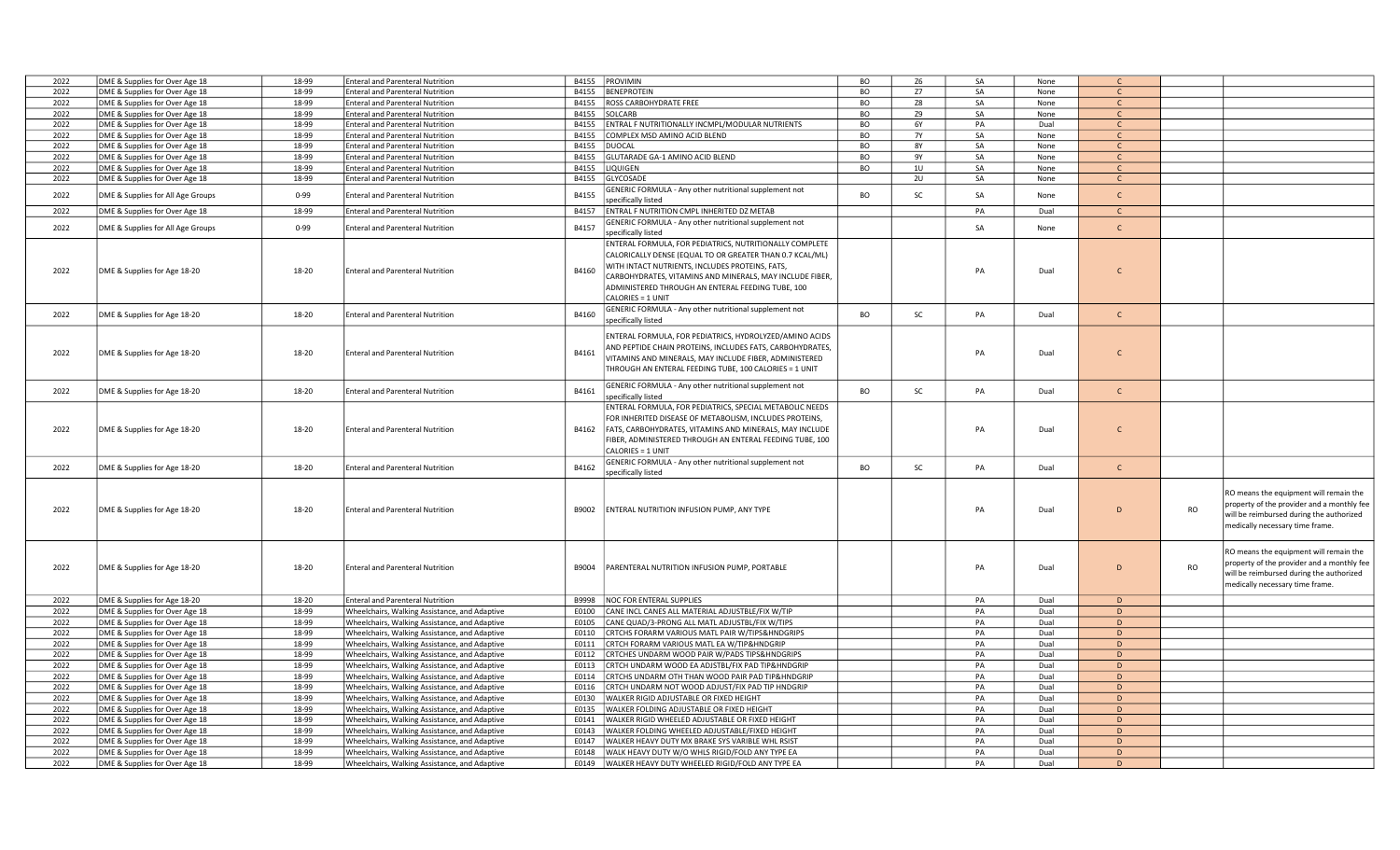| 2022 | DME & Supplies for Over Age 18    | 18-99    | <b>Enteral and Parenteral Nutrition</b>       |       | B4155 PROVIMIN                                                                                                                                                                                                                                                                                               | BO        | Z <sub>6</sub> | SA | None | $\mathcal{C}$ |           |                                                                                                                                                                     |
|------|-----------------------------------|----------|-----------------------------------------------|-------|--------------------------------------------------------------------------------------------------------------------------------------------------------------------------------------------------------------------------------------------------------------------------------------------------------------|-----------|----------------|----|------|---------------|-----------|---------------------------------------------------------------------------------------------------------------------------------------------------------------------|
| 2022 | DME & Supplies for Over Age 18    | 18-99    | <b>Enteral and Parenteral Nutrition</b>       | B4155 | BENEPROTEIN                                                                                                                                                                                                                                                                                                  | BO        | Z7             | SA | None | $\mathsf{C}$  |           |                                                                                                                                                                     |
| 2022 | DME & Supplies for Over Age 18    | 18-99    | <b>Enteral and Parenteral Nutrition</b>       |       | B4155   ROSS CARBOHYDRATE FREE                                                                                                                                                                                                                                                                               | BO        | Z8             | SA | None | $\mathsf{C}$  |           |                                                                                                                                                                     |
| 2022 | DME & Supplies for Over Age 18    | 18-99    | <b>Enteral and Parenteral Nutrition</b>       | B4155 | <b>SOLCARB</b>                                                                                                                                                                                                                                                                                               | BO        | Z9             | SA | None | $\mathsf{C}$  |           |                                                                                                                                                                     |
| 2022 | DME & Supplies for Over Age 18    | 18-99    | <b>Enteral and Parenteral Nutrition</b>       | B4155 | ENTRAL F NUTRITIONALLY INCMPL/MODULAR NUTRIENTS                                                                                                                                                                                                                                                              | BO        | 6Y             | PA | Dual | $\mathsf{C}$  |           |                                                                                                                                                                     |
| 2022 | DME & Supplies for Over Age 18    | 18-99    | <b>Enteral and Parenteral Nutrition</b>       | B4155 | COMPLEX MSD AMINO ACID BLEND                                                                                                                                                                                                                                                                                 | BO        | <b>7Y</b>      | SA | None | $\mathsf{C}$  |           |                                                                                                                                                                     |
| 2022 | DME & Supplies for Over Age 18    | 18-99    | <b>Enteral and Parenteral Nutrition</b>       |       | B4155 DUOCAL                                                                                                                                                                                                                                                                                                 | BO        | <b>8Y</b>      | SA | None | $\mathsf{C}$  |           |                                                                                                                                                                     |
| 2022 | DME & Supplies for Over Age 18    | 18-99    | <b>Enteral and Parenteral Nutrition</b>       | B4155 | GLUTARADE GA-1 AMINO ACID BLEND                                                                                                                                                                                                                                                                              | BO        | 9Y             | SA | None | $\mathsf{C}$  |           |                                                                                                                                                                     |
| 2022 | DME & Supplies for Over Age 18    | 18-99    | <b>Enteral and Parenteral Nutrition</b>       | B4155 | LIQUIGEN                                                                                                                                                                                                                                                                                                     | BO        | 10             | SA | None | $\mathsf{C}$  |           |                                                                                                                                                                     |
| 2022 |                                   | 18-99    | <b>Enteral and Parenteral Nutrition</b>       | B4155 | GLYCOSADE                                                                                                                                                                                                                                                                                                    |           | 2U             | SA |      | $\mathsf{C}$  |           |                                                                                                                                                                     |
|      | DME & Supplies for Over Age 18    |          |                                               |       |                                                                                                                                                                                                                                                                                                              |           |                |    | None |               |           |                                                                                                                                                                     |
| 2022 | DME & Supplies for All Age Groups | $0 - 99$ | <b>Enteral and Parenteral Nutrition</b>       | B4155 | GENERIC FORMULA - Any other nutritional supplement not                                                                                                                                                                                                                                                       | <b>BO</b> | SC             | SA | None | $\mathsf{C}$  |           |                                                                                                                                                                     |
|      |                                   |          |                                               |       | specifically listed                                                                                                                                                                                                                                                                                          |           |                |    |      |               |           |                                                                                                                                                                     |
| 2022 | DME & Supplies for Over Age 18    | 18-99    | <b>Enteral and Parenteral Nutrition</b>       | B4157 | ENTRAL F NUTRITION CMPL INHERITED DZ METAB                                                                                                                                                                                                                                                                   |           |                | PA | Dual | $\mathsf{C}$  |           |                                                                                                                                                                     |
| 2022 | DME & Supplies for All Age Groups | $0 - 99$ | <b>Enteral and Parenteral Nutrition</b>       | B4157 | GENERIC FORMULA - Any other nutritional supplement not                                                                                                                                                                                                                                                       |           |                | SA | None | $\mathsf{C}$  |           |                                                                                                                                                                     |
|      |                                   |          |                                               |       | specifically listed                                                                                                                                                                                                                                                                                          |           |                |    |      |               |           |                                                                                                                                                                     |
| 2022 | DME & Supplies for Age 18-20      | 18-20    | <b>Enteral and Parenteral Nutrition</b>       | B4160 | ENTERAL FORMULA, FOR PEDIATRICS, NUTRITIONALLY COMPLETE<br>CALORICALLY DENSE (EQUAL TO OR GREATER THAN 0.7 KCAL/ML)<br>WITH INTACT NUTRIENTS, INCLUDES PROTEINS, FATS,<br>CARBOHYDRATES, VITAMINS AND MINERALS, MAY INCLUDE FIBER,<br>ADMINISTERED THROUGH AN ENTERAL FEEDING TUBE, 100<br>CALORIES = 1 UNIT |           |                | PA | Dual | $\mathsf{C}$  |           |                                                                                                                                                                     |
| 2022 | DME & Supplies for Age 18-20      | 18-20    | <b>Enteral and Parenteral Nutrition</b>       | B4160 | GENERIC FORMULA - Any other nutritional supplement not                                                                                                                                                                                                                                                       | BO        | SC             | PA | Dual | $\mathsf{C}$  |           |                                                                                                                                                                     |
|      |                                   |          |                                               |       | specifically listed                                                                                                                                                                                                                                                                                          |           |                |    |      |               |           |                                                                                                                                                                     |
| 2022 | DME & Supplies for Age 18-20      | 18-20    | <b>Enteral and Parenteral Nutrition</b>       | B4161 | ENTERAL FORMULA, FOR PEDIATRICS, HYDROLYZED/AMINO ACIDS<br>AND PEPTIDE CHAIN PROTEINS, INCLUDES FATS, CARBOHYDRATES,<br>VITAMINS AND MINERALS, MAY INCLUDE FIBER, ADMINISTERED<br>THROUGH AN ENTERAL FEEDING TUBE, 100 CALORIES = 1 UNIT                                                                     |           |                | PA | Dual | $\mathsf{C}$  |           |                                                                                                                                                                     |
| 2022 | DME & Supplies for Age 18-20      | 18-20    | <b>Enteral and Parenteral Nutrition</b>       | B4161 | GENERIC FORMULA - Any other nutritional supplement not<br>specifically listed                                                                                                                                                                                                                                | <b>BO</b> | SC             | PA | Dual | $\mathsf{C}$  |           |                                                                                                                                                                     |
| 2022 | DME & Supplies for Age 18-20      | 18-20    | <b>Enteral and Parenteral Nutrition</b>       | B4162 | ENTERAL FORMULA, FOR PEDIATRICS, SPECIAL METABOLIC NEEDS<br>FOR INHERITED DISEASE OF METABOLISM, INCLUDES PROTEINS,<br>FATS, CARBOHYDRATES, VITAMINS AND MINERALS, MAY INCLUDE<br>FIBER, ADMINISTERED THROUGH AN ENTERAL FEEDING TUBE, 100<br>CALORIES = 1 UNIT                                              |           |                | PA | Dual | $\mathsf{C}$  |           |                                                                                                                                                                     |
| 2022 | DME & Supplies for Age 18-20      | 18-20    | <b>Enteral and Parenteral Nutrition</b>       | B4162 | GENERIC FORMULA - Any other nutritional supplement not<br>specifically listed                                                                                                                                                                                                                                | <b>BO</b> | SC             | PA | Dual | $\mathsf{C}$  |           |                                                                                                                                                                     |
| 2022 | DME & Supplies for Age 18-20      | 18-20    | <b>Enteral and Parenteral Nutrition</b>       | B9002 | ENTERAL NUTRITION INFUSION PUMP, ANY TYPE                                                                                                                                                                                                                                                                    |           |                | PA | Dual | D             | <b>RO</b> | RO means the equipment will remain the<br>property of the provider and a monthly fee<br>will be reimbursed during the authorized<br>medically necessary time frame. |
| 2022 | DME & Supplies for Age 18-20      | 18-20    | <b>Enteral and Parenteral Nutrition</b>       | B9004 | PARENTERAL NUTRITION INFUSION PUMP, PORTABLE                                                                                                                                                                                                                                                                 |           |                | PA | Dual | D             | <b>RO</b> | RO means the equipment will remain the<br>property of the provider and a monthly fee<br>will be reimbursed during the authorized<br>medically necessary time frame. |
| 2022 | DME & Supplies for Age 18-20      | 18-20    | <b>Enteral and Parenteral Nutrition</b>       | B9998 | <b>NOC FOR ENTERAL SUPPLIES</b>                                                                                                                                                                                                                                                                              |           |                | PA | Dual | D             |           |                                                                                                                                                                     |
| 2022 | DME & Supplies for Over Age 18    | 18-99    | Wheelchairs, Walking Assistance, and Adaptive |       | E0100 CANE INCL CANES ALL MATERIAL ADJUSTBLE/FIX W/TIP                                                                                                                                                                                                                                                       |           |                | PA | Dual | D             |           |                                                                                                                                                                     |
| 2022 | DME & Supplies for Over Age 18    | 18-99    | Wheelchairs, Walking Assistance, and Adaptive | E0105 | CANE QUAD/3-PRONG ALL MATL ADJUSTBL/FIX W/TIPS                                                                                                                                                                                                                                                               |           |                | PA | Dual | D             |           |                                                                                                                                                                     |
| 2022 | DME & Supplies for Over Age 18    | 18-99    | Wheelchairs, Walking Assistance, and Adaptive |       | E0110 CRTCHS FORARM VARIOUS MATL PAIR W/TIPS& HNDGRIPS                                                                                                                                                                                                                                                       |           |                | PA | Dual | D             |           |                                                                                                                                                                     |
| 2022 | DME & Supplies for Over Age 18    | 18-99    | Wheelchairs, Walking Assistance, and Adaptive | E0111 | CRTCH FORARM VARIOUS MATL EA W/TIP&HNDGRIP                                                                                                                                                                                                                                                                   |           |                | PA | Dual | D             |           |                                                                                                                                                                     |
| 2022 | DME & Supplies for Over Age 18    | 18-99    | Wheelchairs, Walking Assistance, and Adaptive | E0112 | CRTCHES UNDARM WOOD PAIR W/PADS TIPS&HNDGRIPS                                                                                                                                                                                                                                                                |           |                | PA | Dual | D             |           |                                                                                                                                                                     |
| 2022 | DME & Supplies for Over Age 18    | 18-99    | Wheelchairs, Walking Assistance, and Adaptive |       | E0113 CRTCH UNDARM WOOD EA ADJSTBL/FIX PAD TIP&HNDGRIP                                                                                                                                                                                                                                                       |           |                | PA | Dual | D             |           |                                                                                                                                                                     |
| 2022 | DME & Supplies for Over Age 18    | 18-99    | Wheelchairs, Walking Assistance, and Adaptive |       | E0114 CRTCHS UNDARM OTH THAN WOOD PAIR PAD TIP&HNDGRIP                                                                                                                                                                                                                                                       |           |                | PA | Dual | D             |           |                                                                                                                                                                     |
| 2022 | DME & Supplies for Over Age 18    | 18-99    | Wheelchairs, Walking Assistance, and Adaptive | E0116 | CRTCH UNDARM NOT WOOD ADJUST/FIX PAD TIP HNDGRIP                                                                                                                                                                                                                                                             |           |                | PA | Dual | D             |           |                                                                                                                                                                     |
| 2022 | DME & Supplies for Over Age 18    | 18-99    | Wheelchairs, Walking Assistance, and Adaptive | E0130 | WALKER RIGID ADJUSTABLE OR FIXED HEIGHT                                                                                                                                                                                                                                                                      |           |                | PA | Dual | D             |           |                                                                                                                                                                     |
| 2022 | DME & Supplies for Over Age 18    | 18-99    | Wheelchairs, Walking Assistance, and Adaptive | E0135 | WALKER FOLDING ADJUSTABLE OR FIXED HEIGHT                                                                                                                                                                                                                                                                    |           |                | PA | Dual | D             |           |                                                                                                                                                                     |
| 2022 | DME & Supplies for Over Age 18    | 18-99    | Wheelchairs, Walking Assistance, and Adaptive | E0141 | WALKER RIGID WHEELED ADJUSTABLE OR FIXED HEIGHT                                                                                                                                                                                                                                                              |           |                | PA | Dual | D             |           |                                                                                                                                                                     |
| 2022 | DME & Supplies for Over Age 18    | 18-99    | Wheelchairs, Walking Assistance, and Adaptive |       | E0143 WALKER FOLDING WHEELED ADJUSTABLE/FIXED HEIGHT                                                                                                                                                                                                                                                         |           |                | PA | Dual | D             |           |                                                                                                                                                                     |
| 2022 | DME & Supplies for Over Age 18    | 18-99    | Wheelchairs, Walking Assistance, and Adaptive | E0147 | WALKER HEAVY DUTY MX BRAKE SYS VARIBLE WHL RSIST                                                                                                                                                                                                                                                             |           |                | PA | Dual | D             |           |                                                                                                                                                                     |
| 2022 | DME & Supplies for Over Age 18    | 18-99    | Wheelchairs, Walking Assistance, and Adaptive | E0148 | WALK HEAVY DUTY W/O WHLS RIGID/FOLD ANY TYPE EA                                                                                                                                                                                                                                                              |           |                | PA | Dual | D             |           |                                                                                                                                                                     |
| 2022 | DME & Supplies for Over Age 18    | 18-99    | Wheelchairs, Walking Assistance, and Adaptive |       | E0149 WALKER HEAVY DUTY WHEELED RIGID/FOLD ANY TYPE EA                                                                                                                                                                                                                                                       |           |                | PA | Dual | D             |           |                                                                                                                                                                     |
|      |                                   |          |                                               |       |                                                                                                                                                                                                                                                                                                              |           |                |    |      |               |           |                                                                                                                                                                     |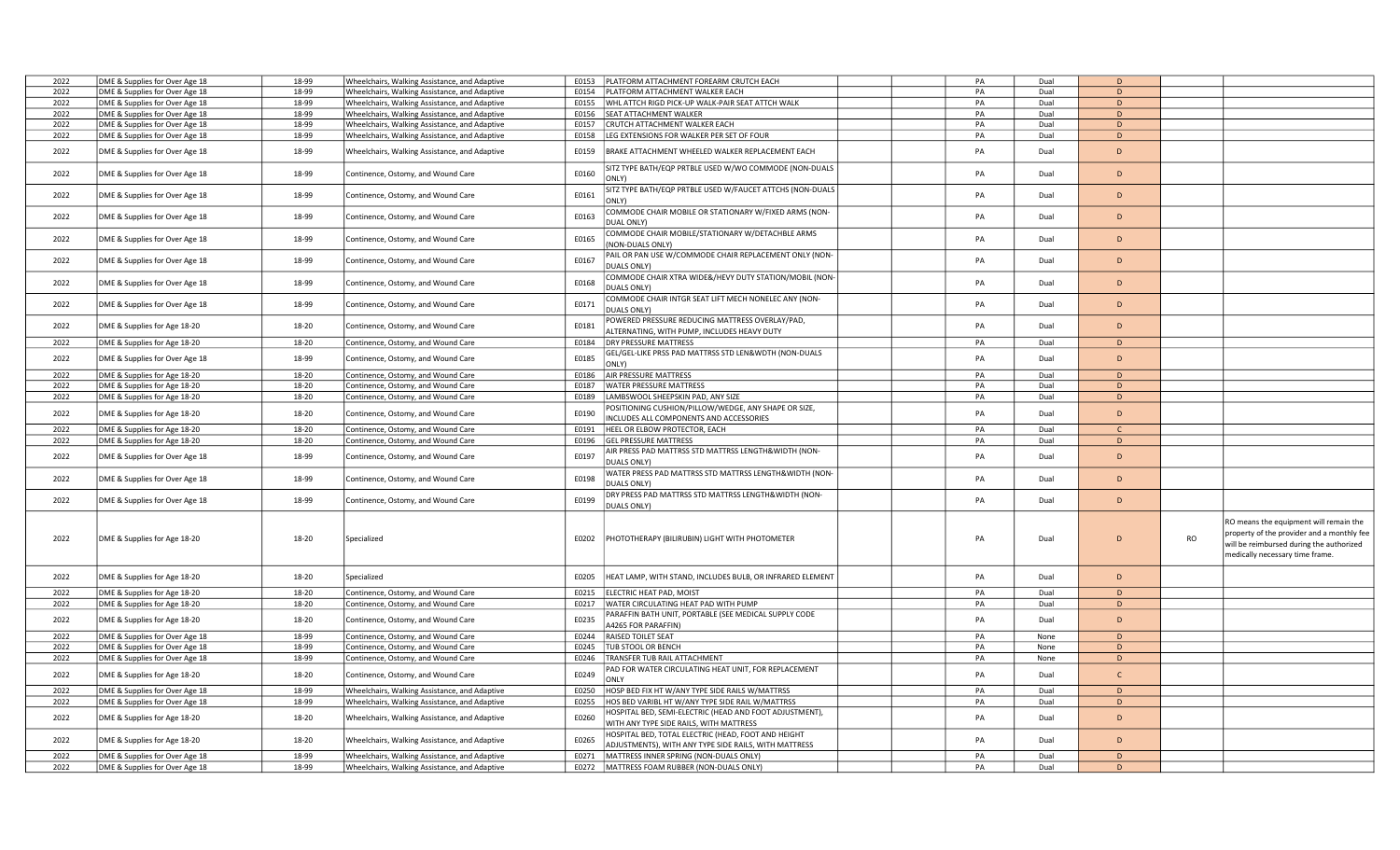| 2022 | DME & Supplies for Over Age 18 | 18-99 | Wheelchairs, Walking Assistance, and Adaptive | E0153 | PLATFORM ATTACHMENT FOREARM CRUTCH EACH                                                                      | PA | Dual | D            |                                                                                                                                                                                  |
|------|--------------------------------|-------|-----------------------------------------------|-------|--------------------------------------------------------------------------------------------------------------|----|------|--------------|----------------------------------------------------------------------------------------------------------------------------------------------------------------------------------|
| 2022 | DME & Supplies for Over Age 18 | 18-99 | Wheelchairs, Walking Assistance, and Adaptive | E0154 | <b>PLATFORM ATTACHMENT WALKER EACH</b>                                                                       | PA | Dual | D            |                                                                                                                                                                                  |
| 2022 | DME & Supplies for Over Age 18 | 18-99 | Wheelchairs, Walking Assistance, and Adaptive | E0155 | WHL ATTCH RIGD PICK-UP WALK-PAIR SEAT ATTCH WALK                                                             | PA | Dual | D            |                                                                                                                                                                                  |
| 2022 | DME & Supplies for Over Age 18 | 18-99 | Wheelchairs, Walking Assistance, and Adaptive | E0156 | <b>SEAT ATTACHMENT WALKER</b>                                                                                | PA | Dual | D            |                                                                                                                                                                                  |
| 2022 | DME & Supplies for Over Age 18 | 18-99 | Wheelchairs, Walking Assistance, and Adaptive | E0157 | CRUTCH ATTACHMENT WALKER EACH                                                                                | PA | Dual | D            |                                                                                                                                                                                  |
| 2022 |                                | 18-99 |                                               | E0158 | LEG EXTENSIONS FOR WALKER PER SET OF FOUR                                                                    | PA | Dual | D            |                                                                                                                                                                                  |
|      | DME & Supplies for Over Age 18 |       | Wheelchairs, Walking Assistance, and Adaptive |       |                                                                                                              |    |      |              |                                                                                                                                                                                  |
| 2022 | DME & Supplies for Over Age 18 | 18-99 | Wheelchairs, Walking Assistance, and Adaptive | E0159 | BRAKE ATTACHMENT WHEELED WALKER REPLACEMENT EACH                                                             | PA | Dual | D            |                                                                                                                                                                                  |
| 2022 | DME & Supplies for Over Age 18 | 18-99 | Continence, Ostomy, and Wound Care            | E0160 | SITZ TYPE BATH/EQP PRTBLE USED W/WO COMMODE (NON-DUALS<br>ONLY)                                              | PA | Dual | D            |                                                                                                                                                                                  |
| 2022 | DME & Supplies for Over Age 18 | 18-99 | Continence, Ostomy, and Wound Care            | E0161 | SITZ TYPE BATH/EQP PRTBLE USED W/FAUCET ATTCHS (NON-DUALS<br>ONLY)                                           | PA | Dual | D            |                                                                                                                                                                                  |
| 2022 | DME & Supplies for Over Age 18 | 18-99 | Continence, Ostomy, and Wound Care            | E0163 | COMMODE CHAIR MOBILE OR STATIONARY W/FIXED ARMS (NON-<br>DUAL ONLY)                                          | PA | Dual | D            |                                                                                                                                                                                  |
| 2022 | DME & Supplies for Over Age 18 | 18-99 | Continence, Ostomy, and Wound Care            | E0165 | COMMODE CHAIR MOBILE/STATIONARY W/DETACHBLE ARMS<br>(NON-DUALS ONLY)                                         | PA | Dual | D            |                                                                                                                                                                                  |
| 2022 | DME & Supplies for Over Age 18 | 18-99 | Continence, Ostomy, and Wound Care            | E0167 | AIL OR PAN USE W/COMMODE CHAIR REPLACEMENT ONLY (NON-<br>DUALS ONLY)                                         | PA | Dual | D            |                                                                                                                                                                                  |
| 2022 | DME & Supplies for Over Age 18 | 18-99 | Continence, Ostomy, and Wound Care            | E0168 | COMMODE CHAIR XTRA WIDE&/HEVY DUTY STATION/MOBIL (NON-<br><b>DUALS ONLY)</b>                                 | PA | Dual | D            |                                                                                                                                                                                  |
| 2022 | DME & Supplies for Over Age 18 | 18-99 | Continence, Ostomy, and Wound Care            | E0171 | COMMODE CHAIR INTGR SEAT LIFT MECH NONELEC ANY (NON-<br>DUALS ONLY)                                          | PA | Dual | D            |                                                                                                                                                                                  |
| 2022 | DME & Supplies for Age 18-20   | 18-20 | Continence, Ostomy, and Wound Care            | E0181 | OWERED PRESSURE REDUCING MATTRESS OVERLAY/PAD,                                                               | PA | Dual | D            |                                                                                                                                                                                  |
|      |                                |       |                                               |       | ALTERNATING, WITH PUMP, INCLUDES HEAVY DUTY<br>DRY PRESSURE MATTRESS                                         |    |      | D            |                                                                                                                                                                                  |
| 2022 | DME & Supplies for Age 18-20   | 18-20 | Continence, Ostomy, and Wound Care            | E0184 |                                                                                                              | PA | Dual |              |                                                                                                                                                                                  |
| 2022 | DME & Supplies for Over Age 18 | 18-99 | Continence, Ostomy, and Wound Care            | E0185 | GEL/GEL-LIKE PRSS PAD MATTRSS STD LEN&WDTH (NON-DUALS<br><b>DNLY)</b>                                        | PA | Dual | D            |                                                                                                                                                                                  |
| 2022 | DME & Supplies for Age 18-20   | 18-20 | Continence, Ostomy, and Wound Care            | E0186 | AIR PRESSURE MATTRESS                                                                                        | PA | Dual | D            |                                                                                                                                                                                  |
| 2022 | DME & Supplies for Age 18-20   | 18-20 | Continence, Ostomy, and Wound Care            | E0187 | <b>WATER PRESSURE MATTRESS</b>                                                                               | PA | Dual | D            |                                                                                                                                                                                  |
| 2022 | DME & Supplies for Age 18-20   | 18-20 | Continence, Ostomy, and Wound Care            | E0189 | LAMBSWOOL SHEEPSKIN PAD, ANY SIZE                                                                            | PA | Dual | D            |                                                                                                                                                                                  |
| 2022 | DME & Supplies for Age 18-20   | 18-20 | Continence, Ostomy, and Wound Care            | E0190 | POSITIONING CUSHION/PILLOW/WEDGE, ANY SHAPE OR SIZE,<br>INCLUDES ALL COMPONENTS AND ACCESSORIES              | PA | Dual | D            |                                                                                                                                                                                  |
| 2022 | DME & Supplies for Age 18-20   | 18-20 | Continence, Ostomy, and Wound Care            | E0191 | HEEL OR ELBOW PROTECTOR, EACH                                                                                | PA | Dual |              |                                                                                                                                                                                  |
| 2022 | DME & Supplies for Age 18-20   | 18-20 | Continence, Ostomy, and Wound Care            | E0196 | <b>GEL PRESSURE MATTRESS</b>                                                                                 | PA | Dual | D            |                                                                                                                                                                                  |
| 2022 | DME & Supplies for Over Age 18 | 18-99 | Continence, Ostomy, and Wound Care            | E0197 | AIR PRESS PAD MATTRSS STD MATTRSS LENGTH&WIDTH (NON-<br>DUALS ONLY)                                          | PA | Dual | D            |                                                                                                                                                                                  |
| 2022 | DME & Supplies for Over Age 18 | 18-99 | Continence, Ostomy, and Wound Care            | E0198 | WATER PRESS PAD MATTRSS STD MATTRSS LENGTH&WIDTH (NON-<br>DUALS ONLY)                                        | PA | Dual | D            |                                                                                                                                                                                  |
| 2022 | DME & Supplies for Over Age 18 | 18-99 | Continence, Ostomy, and Wound Care            | E0199 | DRY PRESS PAD MATTRSS STD MATTRSS LENGTH&WIDTH (NON-<br>DUALS ONLY)                                          | PA | Dual | D            |                                                                                                                                                                                  |
| 2022 | DME & Supplies for Age 18-20   | 18-20 | Specialized                                   | E0202 | PHOTOTHERAPY (BILIRUBIN) LIGHT WITH PHOTOMETER                                                               | PA | Dual | D            | RO means the equipment will remain the<br>property of the provider and a monthly fee<br><b>RO</b><br>will be reimbursed during the authorized<br>medically necessary time frame. |
| 2022 | DME & Supplies for Age 18-20   | 18-20 | Specialized                                   | E0205 | HEAT LAMP, WITH STAND, INCLUDES BULB, OR INFRARED ELEMENT                                                    | PA | Dual | D            |                                                                                                                                                                                  |
| 2022 | DME & Supplies for Age 18-20   | 18-20 | Continence, Ostomy, and Wound Care            | E0215 | ELECTRIC HEAT PAD, MOIST                                                                                     | PA | Dual | D            |                                                                                                                                                                                  |
| 2022 | DME & Supplies for Age 18-20   | 18-20 | Continence, Ostomy, and Wound Care            | E0217 | WATER CIRCULATING HEAT PAD WITH PUMP                                                                         | PA | Dual | D            |                                                                                                                                                                                  |
| 2022 | DME & Supplies for Age 18-20   | 18-20 | Continence, Ostomy, and Wound Care            | E0235 | PARAFFIN BATH UNIT, PORTABLE (SEE MEDICAL SUPPLY CODE<br>A4265 FOR PARAFFIN)                                 | PA | Dual | D            |                                                                                                                                                                                  |
| 2022 | DME & Supplies for Over Age 18 | 18-99 | Continence, Ostomy, and Wound Care            |       | E0244 RAISED TOILET SEAT                                                                                     | PA | None | D            |                                                                                                                                                                                  |
| 2022 | DME & Supplies for Over Age 18 | 18-99 | Continence, Ostomy, and Wound Care            | E0245 | TUB STOOL OR BENCH                                                                                           | PA | None | D            |                                                                                                                                                                                  |
| 2022 | DME & Supplies for Over Age 18 | 18-99 | Continence, Ostomy, and Wound Care            | E0246 | TRANSFER TUB RAIL ATTACHMENT                                                                                 | PA | None | $\mathsf D$  |                                                                                                                                                                                  |
| 2022 | DME & Supplies for Age 18-20   | 18-20 | Continence, Ostomy, and Wound Care            | E0249 | AD FOR WATER CIRCULATING HEAT UNIT, FOR REPLACEMENT<br>ONLY                                                  | PA | Dual | $\mathsf{C}$ |                                                                                                                                                                                  |
| 2022 | DME & Supplies for Over Age 18 | 18-99 | Wheelchairs, Walking Assistance, and Adaptive | E0250 | HOSP BED FIX HT W/ANY TYPE SIDE RAILS W/MATTRSS                                                              | PA | Dual | D            |                                                                                                                                                                                  |
| 2022 | DME & Supplies for Over Age 18 | 18-99 | Wheelchairs, Walking Assistance, and Adaptive | E0255 | HOS BED VARIBL HT W/ANY TYPE SIDE RAIL W/MATTRSS                                                             | PA | Dual | D            |                                                                                                                                                                                  |
| 2022 | DME & Supplies for Age 18-20   | 18-20 | Wheelchairs, Walking Assistance, and Adaptive | E0260 | HOSPITAL BED, SEMI-ELECTRIC (HEAD AND FOOT ADJUSTMENT),<br>WITH ANY TYPE SIDE RAILS, WITH MATTRESS           | PA | Dual | D            |                                                                                                                                                                                  |
| 2022 | DME & Supplies for Age 18-20   | 18-20 | Wheelchairs, Walking Assistance, and Adaptive | E0265 | HOSPITAL BED, TOTAL ELECTRIC (HEAD, FOOT AND HEIGHT<br>ADJUSTMENTS), WITH ANY TYPE SIDE RAILS, WITH MATTRESS | PA | Dual | D            |                                                                                                                                                                                  |
| 2022 | DME & Supplies for Over Age 18 | 18-99 | Wheelchairs, Walking Assistance, and Adaptive | E0271 | MATTRESS INNER SPRING (NON-DUALS ONLY)                                                                       | PA | Dual | D            |                                                                                                                                                                                  |
| 2022 | DME & Supplies for Over Age 18 | 18-99 | Wheelchairs, Walking Assistance, and Adaptive |       | E0272   MATTRESS FOAM RUBBER (NON-DUALS ONLY)                                                                | PA | Dual | D            |                                                                                                                                                                                  |
|      |                                |       |                                               |       |                                                                                                              |    |      |              |                                                                                                                                                                                  |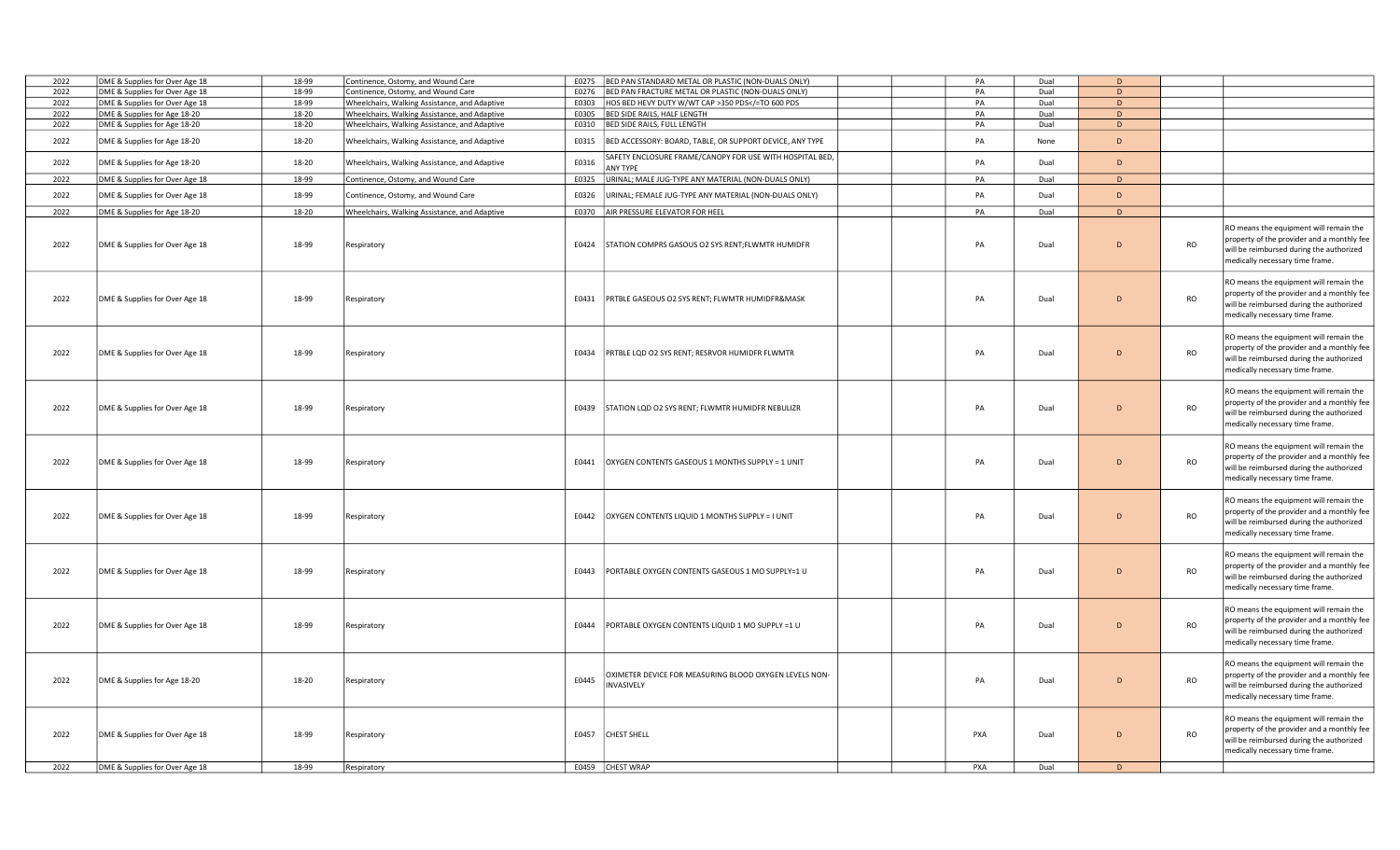| 2022 | DME & Supplies for Over Age 18 | 18-99 | Continence, Ostomy, and Wound Care            | E0275 | BED PAN STANDARD METAL OR PLASTIC (NON-DUALS ONLY)                                                                           |  | PA  | Dual | D           |           |                                                                                                                                                                     |
|------|--------------------------------|-------|-----------------------------------------------|-------|------------------------------------------------------------------------------------------------------------------------------|--|-----|------|-------------|-----------|---------------------------------------------------------------------------------------------------------------------------------------------------------------------|
| 2022 | DME & Supplies for Over Age 18 | 18-99 | Continence, Ostomy, and Wound Care            | E0276 | BED PAN FRACTURE METAL OR PLASTIC (NON-DUALS ONLY)                                                                           |  | PA  | Dual | D           |           |                                                                                                                                                                     |
| 2022 | DME & Supplies for Over Age 18 | 18-99 | Wheelchairs, Walking Assistance, and Adaptive |       | E0303 HOS BED HEVY DUTY W/WT CAP >350 PDS =TO 600 PDS</td <td></td> <td>PA</td> <td>Dual</td> <td>D</td> <td></td> <td></td> |  | PA  | Dual | D           |           |                                                                                                                                                                     |
| 2022 | DME & Supplies for Age 18-20   | 18-20 | Wheelchairs, Walking Assistance, and Adaptive | E0305 | BED SIDE RAILS, HALF LENGTH                                                                                                  |  | PA  | Dual | D           |           |                                                                                                                                                                     |
| 2022 | DME & Supplies for Age 18-20   | 18-20 | Wheelchairs, Walking Assistance, and Adaptive |       | E0310 BED SIDE RAILS, FULL LENGTH                                                                                            |  | PA  | Dual | D           |           |                                                                                                                                                                     |
| 2022 | DME & Supplies for Age 18-20   | 18-20 | Wheelchairs, Walking Assistance, and Adaptive | E0315 | BED ACCESSORY: BOARD, TABLE, OR SUPPORT DEVICE, ANY TYPE                                                                     |  | PA  | None | D           |           |                                                                                                                                                                     |
| 2022 | DME & Supplies for Age 18-20   | 18-20 | Wheelchairs, Walking Assistance, and Adaptive | E0316 | SAFETY ENCLOSURE FRAME/CANOPY FOR USE WITH HOSPITAL BED,<br><b>ANY TYPE</b>                                                  |  | PA  | Dual | $\mathsf D$ |           |                                                                                                                                                                     |
| 2022 | DME & Supplies for Over Age 18 | 18-99 | Continence, Ostomy, and Wound Care            |       | E0325 URINAL; MALE JUG-TYPE ANY MATERIAL (NON-DUALS ONLY)                                                                    |  | PA  | Dual | D           |           |                                                                                                                                                                     |
| 2022 | DME & Supplies for Over Age 18 | 18-99 | Continence, Ostomy, and Wound Care            | E0326 | URINAL; FEMALE JUG-TYPE ANY MATERIAL (NON-DUALS ONLY)                                                                        |  | PA  | Dual | D           |           |                                                                                                                                                                     |
| 2022 | DME & Supplies for Age 18-20   | 18-20 | Wheelchairs, Walking Assistance, and Adaptive |       | E0370 AIR PRESSURE ELEVATOR FOR HEEL                                                                                         |  | PA  | Dual | D           |           |                                                                                                                                                                     |
| 2022 | DME & Supplies for Over Age 18 | 18-99 | Respiratory                                   |       | E0424 STATION COMPRS GASOUS O2 SYS RENT;FLWMTR HUMIDFR                                                                       |  | PA  | Dual | D           | <b>RO</b> | RO means the equipment will remain the<br>property of the provider and a monthly fee<br>will be reimbursed during the authorized<br>medically necessary time frame. |
| 2022 | DME & Supplies for Over Age 18 | 18-99 | Respiratory                                   |       | E0431 PRTBLE GASEOUS O2 SYS RENT; FLWMTR HUMIDFR&MASK                                                                        |  | PA  | Dual | D           | <b>RO</b> | RO means the equipment will remain the<br>property of the provider and a monthly fee<br>will be reimbursed during the authorized<br>medically necessary time frame. |
| 2022 | DME & Supplies for Over Age 18 | 18-99 | Respiratory                                   | E0434 | PRTBLE LQD O2 SYS RENT; RESRVOR HUMIDFR FLWMTR                                                                               |  | PA  | Dual | D           | <b>RO</b> | RO means the equipment will remain the<br>property of the provider and a monthly fee<br>will be reimbursed during the authorized<br>medically necessary time frame. |
| 2022 | DME & Supplies for Over Age 18 | 18-99 | Respiratory                                   | E0439 | STATION LQD O2 SYS RENT; FLWMTR HUMIDFR NEBULIZR                                                                             |  | PA  | Dual | D           | RO        | RO means the equipment will remain the<br>property of the provider and a monthly fee<br>will be reimbursed during the authorized<br>medically necessary time frame. |
| 2022 | DME & Supplies for Over Age 18 | 18-99 | Respiratory                                   | E0441 | OXYGEN CONTENTS GASEOUS 1 MONTHS SUPPLY = 1 UNIT                                                                             |  | PA  | Dual | D           | <b>RO</b> | RO means the equipment will remain the<br>property of the provider and a monthly fee<br>will be reimbursed during the authorized<br>medically necessary time frame. |
| 2022 | DME & Supplies for Over Age 18 | 18-99 | Respiratory                                   | E0442 | OXYGEN CONTENTS LIQUID 1 MONTHS SUPPLY = I UNIT                                                                              |  | PA  | Dual | D           | <b>RO</b> | RO means the equipment will remain the<br>property of the provider and a monthly fee<br>will be reimbursed during the authorized<br>medically necessary time frame. |
| 2022 | DME & Supplies for Over Age 18 | 18-99 | Respiratory                                   | E0443 | PORTABLE OXYGEN CONTENTS GASEOUS 1 MO SUPPLY=1 U                                                                             |  | PA  | Dual | D           | <b>RO</b> | RO means the equipment will remain the<br>property of the provider and a monthly fee<br>will be reimbursed during the authorized<br>medically necessary time frame. |
| 2022 | DME & Supplies for Over Age 18 | 18-99 | Respiratory                                   | E0444 | PORTABLE OXYGEN CONTENTS LIQUID 1 MO SUPPLY =1 U                                                                             |  | PA  | Dual | D           | <b>RO</b> | RO means the equipment will remain the<br>property of the provider and a monthly fee<br>will be reimbursed during the authorized<br>medically necessary time frame. |
| 2022 | DME & Supplies for Age 18-20   | 18-20 | Respiratory                                   | E0445 | DXIMETER DEVICE FOR MEASURING BLOOD OXYGEN LEVELS NON-<br><b>NVASIVELY</b>                                                   |  | PA  | Dual | D           | <b>RO</b> | RO means the equipment will remain the<br>property of the provider and a monthly fee<br>will be reimbursed during the authorized<br>medically necessary time frame. |
| 2022 | DME & Supplies for Over Age 18 | 18-99 | Respiratory                                   | E0457 | <b>CHEST SHELL</b>                                                                                                           |  | PXA | Dual | D           | <b>RO</b> | RO means the equipment will remain the<br>property of the provider and a monthly fee<br>will be reimbursed during the authorized<br>medically necessary time frame. |
| 2022 | DME & Supplies for Over Age 18 | 18-99 | Respiratory                                   |       | E0459 CHEST WRAP                                                                                                             |  | PXA | Dual | D           |           |                                                                                                                                                                     |
|      |                                |       |                                               |       |                                                                                                                              |  |     |      |             |           |                                                                                                                                                                     |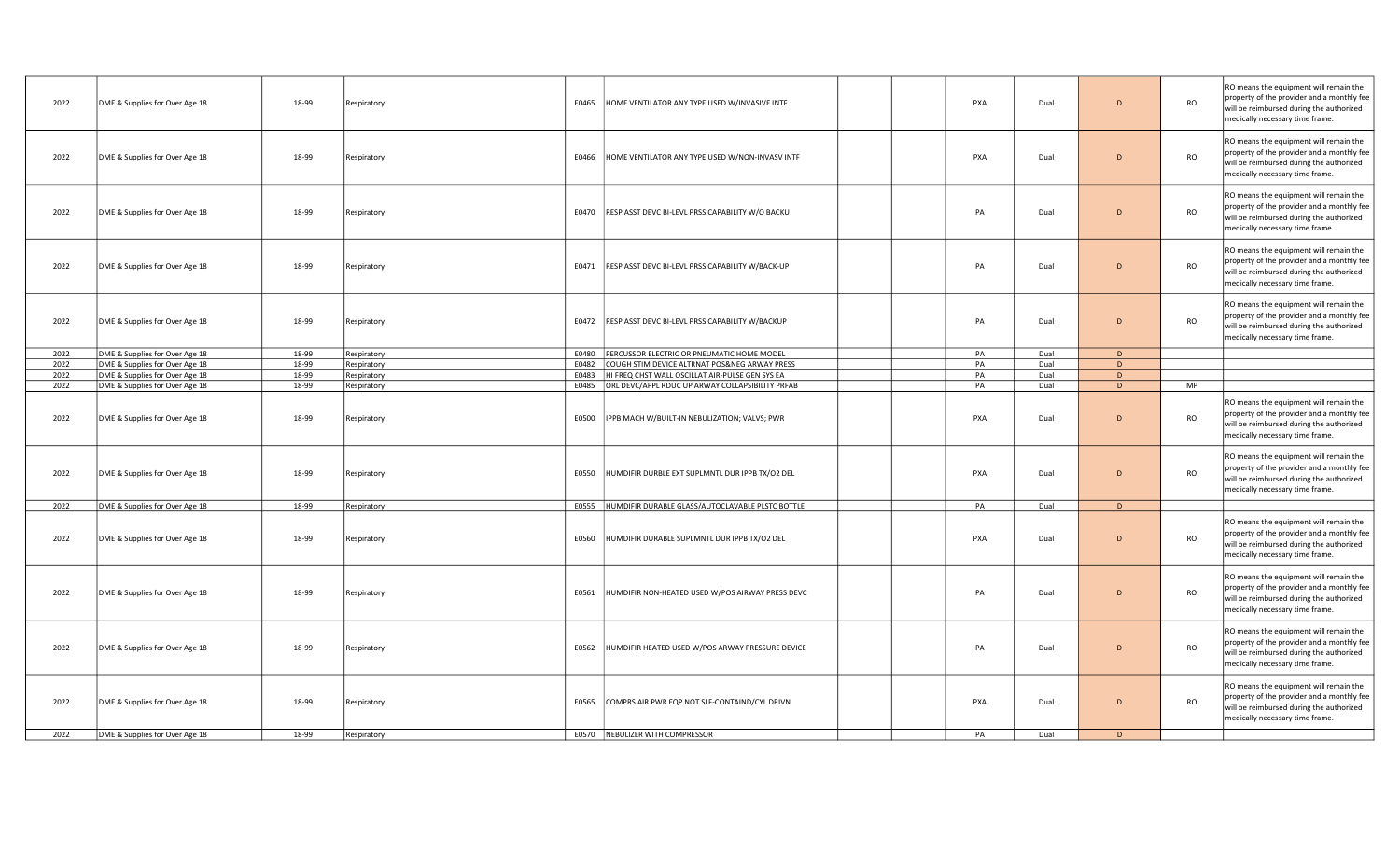| 2022 | DME & Supplies for Over Age 18 | 18-99 | Respiratory | E0465 | HOME VENTILATOR ANY TYPE USED W/INVASIVE INTF            | PXA        | Dual | D              | <b>RO</b> | RO means the equipment will remain the<br>property of the provider and a monthly fee<br>will be reimbursed during the authorized<br>medically necessary time frame. |
|------|--------------------------------|-------|-------------|-------|----------------------------------------------------------|------------|------|----------------|-----------|---------------------------------------------------------------------------------------------------------------------------------------------------------------------|
| 2022 | DME & Supplies for Over Age 18 | 18-99 | Respiratory | E0466 | HOME VENTILATOR ANY TYPE USED W/NON-INVASV INTF          | PXA        | Dual | D              | <b>RO</b> | RO means the equipment will remain the<br>property of the provider and a monthly fee<br>will be reimbursed during the authorized<br>medically necessary time frame. |
| 2022 | DME & Supplies for Over Age 18 | 18-99 | Respiratory |       | E0470 RESP ASST DEVC BI-LEVL PRSS CAPABILITY W/O BACKU   | PA         | Dual | D              | <b>RO</b> | RO means the equipment will remain the<br>property of the provider and a monthly fee<br>will be reimbursed during the authorized<br>medically necessary time frame. |
| 2022 | DME & Supplies for Over Age 18 | 18-99 | Respiratory |       | E0471   RESP ASST DEVC BI-LEVL PRSS CAPABILITY W/BACK-UP | PA         | Dual | $\overline{D}$ | <b>RO</b> | RO means the equipment will remain the<br>property of the provider and a monthly fee<br>will be reimbursed during the authorized<br>medically necessary time frame. |
| 2022 | DME & Supplies for Over Age 18 | 18-99 | Respiratory |       | E0472 RESP ASST DEVC BI-LEVL PRSS CAPABILITY W/BACKUP    | PA         | Dual | $\overline{D}$ | <b>RO</b> | RO means the equipment will remain the<br>property of the provider and a monthly fee<br>will be reimbursed during the authorized<br>medically necessary time frame. |
| 2022 | DME & Supplies for Over Age 18 | 18-99 | Respiratory | E0480 | PERCUSSOR ELECTRIC OR PNEUMATIC HOME MODEL               | PA         | Dual | D              |           |                                                                                                                                                                     |
| 2022 | DME & Supplies for Over Age 18 | 18-99 | Respiratory | E0482 | COUGH STIM DEVICE ALTRNAT POS&NEG ARWAY PRESS            | PA         | Dual | D              |           |                                                                                                                                                                     |
| 2022 | DME & Supplies for Over Age 18 | 18-99 | Respiratory | E0483 | HI FREQ CHST WALL OSCILLAT AIR-PULSE GEN SYS EA          | PA         | Dual | D              |           |                                                                                                                                                                     |
| 2022 | DME & Supplies for Over Age 18 | 18-99 | Respiratory |       | E0485 ORL DEVC/APPL RDUC UP ARWAY COLLAPSIBILITY PRFAB   | PA         | Dual | D              | <b>MP</b> |                                                                                                                                                                     |
| 2022 | DME & Supplies for Over Age 18 | 18-99 | Respiratory |       | E0500   IPPB MACH W/BUILT-IN NEBULIZATION; VALVS; PWR    | PXA        | Dual | $\overline{D}$ | <b>RO</b> | RO means the equipment will remain the<br>property of the provider and a monthly fee<br>will be reimbursed during the authorized<br>medically necessary time frame. |
| 2022 | DME & Supplies for Over Age 18 | 18-99 | Respiratory | E0550 | HUMDIFIR DURBLE EXT SUPLMNTL DUR IPPB TX/O2 DEL          | <b>PXA</b> | Dual | D              | <b>RO</b> | RO means the equipment will remain the<br>property of the provider and a monthly fee<br>will be reimbursed during the authorized<br>medically necessary time frame. |
| 2022 | DME & Supplies for Over Age 18 | 18-99 | Respiratory |       | E0555  HUMDIFIR DURABLE GLASS/AUTOCLAVABLE PLSTC BOTTLE  | PA         | Dual | D              |           |                                                                                                                                                                     |
| 2022 | DME & Supplies for Over Age 18 | 18-99 | Respiratory | E0560 | HUMDIFIR DURABLE SUPLMNTL DUR IPPB TX/O2 DEL             | PXA        | Dual | $\overline{D}$ | <b>RO</b> | RO means the equipment will remain the<br>property of the provider and a monthly fee<br>will be reimbursed during the authorized<br>medically necessary time frame. |
| 2022 | DME & Supplies for Over Age 18 | 18-99 | Respiratory | E0561 | HUMDIFIR NON-HEATED USED W/POS AIRWAY PRESS DEVC         | PA         | Dual | $\overline{D}$ | <b>RO</b> | RO means the equipment will remain the<br>property of the provider and a monthly fee<br>will be reimbursed during the authorized<br>medically necessary time frame. |
| 2022 | DME & Supplies for Over Age 18 | 18-99 | Respiratory | E0562 | HUMDIFIR HEATED USED W/POS ARWAY PRESSURE DEVICE         | PA         | Dual | $\overline{D}$ | <b>RO</b> | RO means the equipment will remain the<br>property of the provider and a monthly fee<br>will be reimbursed during the authorized<br>medically necessary time frame. |
| 2022 | DME & Supplies for Over Age 18 | 18-99 | Respiratory | E0565 | COMPRS AIR PWR EQP NOT SLF-CONTAIND/CYL DRIVN            | PXA        | Dual | D              | <b>RO</b> | RO means the equipment will remain the<br>property of the provider and a monthly fee<br>will be reimbursed during the authorized<br>medically necessary time frame. |
| 2022 | DME & Supplies for Over Age 18 | 18-99 | Respiratory |       | E0570 NEBULIZER WITH COMPRESSOR                          | PA         | Dual | D              |           |                                                                                                                                                                     |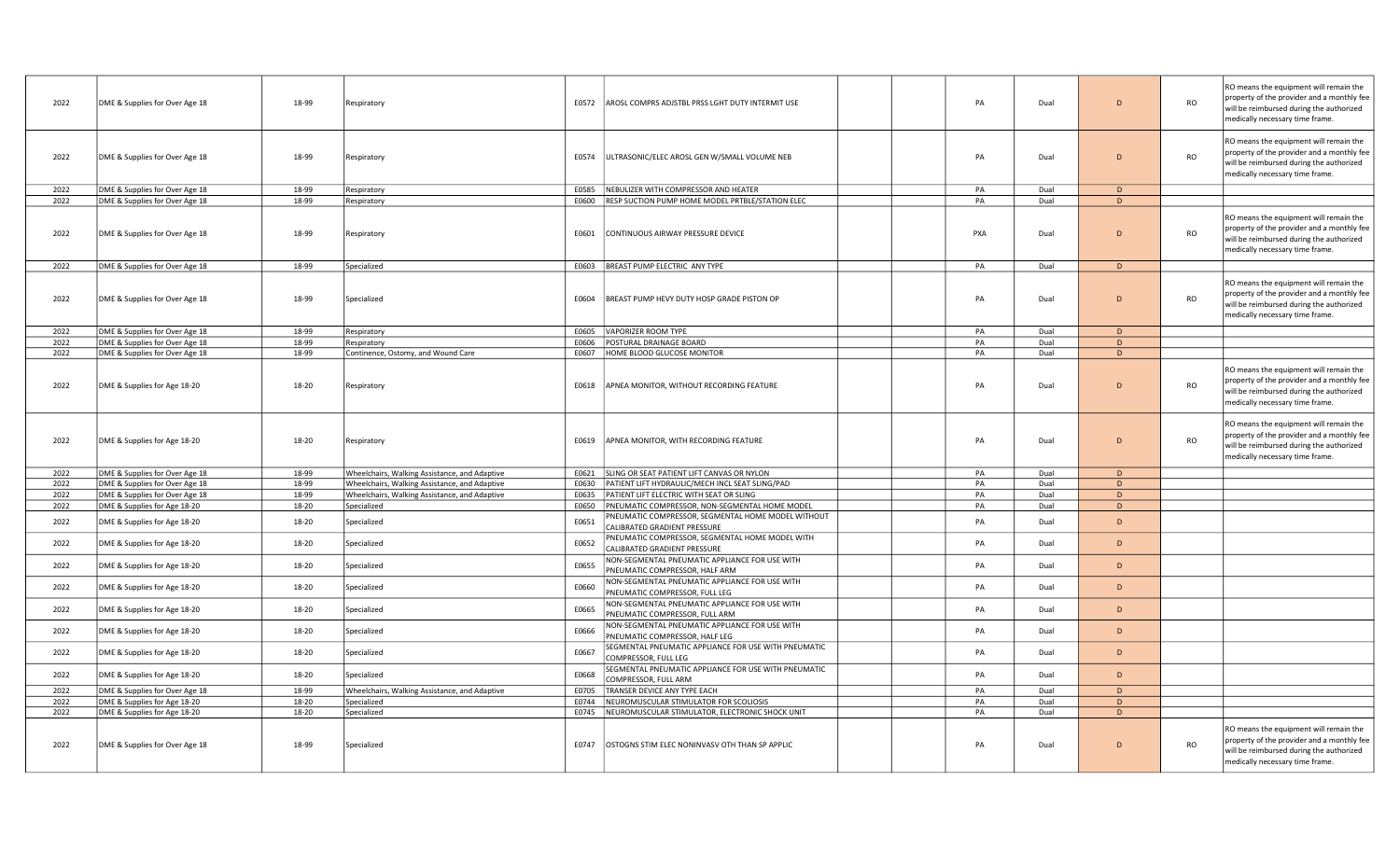| 2022 | DME & Supplies for Over Age 18 | 18-99 | Respiratory                                   | E0572 | AROSL COMPRS ADJSTBL PRSS LGHT DUTY INTERMIT USE                                   | PA  | Dual | D              | <b>RO</b> | RO means the equipment will remain the<br>property of the provider and a monthly fee<br>will be reimbursed during the authorized                                    |
|------|--------------------------------|-------|-----------------------------------------------|-------|------------------------------------------------------------------------------------|-----|------|----------------|-----------|---------------------------------------------------------------------------------------------------------------------------------------------------------------------|
|      |                                |       |                                               |       |                                                                                    |     |      |                |           | medically necessary time frame.                                                                                                                                     |
| 2022 | DME & Supplies for Over Age 18 | 18-99 | Respiratory                                   | E0574 | ULTRASONIC/ELEC AROSL GEN W/SMALL VOLUME NEB                                       | PA  | Dual | D              | <b>RO</b> | RO means the equipment will remain the<br>property of the provider and a monthly fee<br>will be reimbursed during the authorized<br>medically necessary time frame. |
| 2022 | DME & Supplies for Over Age 18 | 18-99 | Respiratory                                   | E0585 | NEBULIZER WITH COMPRESSOR AND HEATER                                               | PA  | Dual | D              |           |                                                                                                                                                                     |
| 2022 | DME & Supplies for Over Age 18 | 18-99 | Respiratory                                   |       | E0600 RESP SUCTION PUMP HOME MODEL PRTBLE/STATION ELEC                             | PA  | Dual | D              |           |                                                                                                                                                                     |
| 2022 | DME & Supplies for Over Age 18 | 18-99 | Respiratory                                   | E0601 | CONTINUOUS AIRWAY PRESSURE DEVICE                                                  | PXA | Dual | $\mathsf{D}$   | <b>RO</b> | RO means the equipment will remain the<br>property of the provider and a monthly fee<br>will be reimbursed during the authorized<br>medically necessary time frame. |
| 2022 | DME & Supplies for Over Age 18 | 18-99 | Specialized                                   |       | E0603 BREAST PUMP ELECTRIC ANY TYPE                                                | PA  | Dual | D              |           |                                                                                                                                                                     |
| 2022 | DME & Supplies for Over Age 18 | 18-99 | Specialized                                   | E0604 | BREAST PUMP HEVY DUTY HOSP GRADE PISTON OP                                         | PA  | Dual | $\mathsf{D}$   | <b>RO</b> | RO means the equipment will remain the<br>property of the provider and a monthly fee<br>will be reimbursed during the authorized<br>medically necessary time frame. |
| 2022 | DME & Supplies for Over Age 18 | 18-99 | Respiratory                                   | E0605 | <b>VAPORIZER ROOM TYPE</b>                                                         | PA  | Dual | D              |           |                                                                                                                                                                     |
| 2022 | DME & Supplies for Over Age 18 | 18-99 | Respiratory                                   | E0606 | POSTURAL DRAINAGE BOARD                                                            | PA  | Dual | D              |           |                                                                                                                                                                     |
| 2022 | DME & Supplies for Over Age 18 | 18-99 | Continence, Ostomy, and Wound Care            | E0607 | HOME BLOOD GLUCOSE MONITOR                                                         | PA  | Dual | D              |           |                                                                                                                                                                     |
| 2022 | DME & Supplies for Age 18-20   | 18-20 | Respiratory                                   | E0618 | APNEA MONITOR, WITHOUT RECORDING FEATURE                                           | PA  | Dual | D              | RO        | RO means the equipment will remain the<br>property of the provider and a monthly fee<br>will be reimbursed during the authorized<br>medically necessary time frame. |
| 2022 | DME & Supplies for Age 18-20   | 18-20 | Respiratory                                   | E0619 | APNEA MONITOR, WITH RECORDING FEATURE                                              | PA  | Dual | $\mathsf{D}$   | <b>RO</b> | RO means the equipment will remain the<br>property of the provider and a monthly fee<br>will be reimbursed during the authorized<br>medically necessary time frame. |
| 2022 | DME & Supplies for Over Age 18 | 18-99 | Wheelchairs, Walking Assistance, and Adaptive | E0621 | SLING OR SEAT PATIENT LIFT CANVAS OR NYLON                                         | PA  | Dual | D              |           |                                                                                                                                                                     |
| 2022 | DME & Supplies for Over Age 18 | 18-99 | Wheelchairs, Walking Assistance, and Adaptive |       | E0630 PATIENT LIFT HYDRAULIC/MECH INCL SEAT SLING/PAD                              | PA  | Dual | D              |           |                                                                                                                                                                     |
| 2022 | DME & Supplies for Over Age 18 | 18-99 | Wheelchairs, Walking Assistance, and Adaptive |       | E0635 PATIENT LIFT ELECTRIC WITH SEAT OR SLING                                     | PA  | Dual | D              |           |                                                                                                                                                                     |
| 2022 | DME & Supplies for Age 18-20   | 18-20 | Specialized                                   |       | E0650 PNEUMATIC COMPRESSOR, NON-SEGMENTAL HOME MODEL                               | PA  | Dual | D              |           |                                                                                                                                                                     |
| 2022 | DME & Supplies for Age 18-20   | 18-20 | Specialized                                   | E0651 | PNEUMATIC COMPRESSOR, SEGMENTAL HOME MODEL WITHOUT<br>CALIBRATED GRADIENT PRESSURE | PA  | Dual | $\mathsf{D}$   |           |                                                                                                                                                                     |
| 2022 | DME & Supplies for Age 18-20   | 18-20 | Specialized                                   | E0652 | PNEUMATIC COMPRESSOR, SEGMENTAL HOME MODEL WITH<br>CALIBRATED GRADIENT PRESSURE    | PA  | Dual | D              |           |                                                                                                                                                                     |
| 2022 | DME & Supplies for Age 18-20   | 18-20 | Specialized                                   | E0655 | NON-SEGMENTAL PNEUMATIC APPLIANCE FOR USE WITH<br>PNEUMATIC COMPRESSOR, HALF ARM   | PA  | Dual | D              |           |                                                                                                                                                                     |
| 2022 | DME & Supplies for Age 18-20   | 18-20 | Specialized                                   | E0660 | NON-SEGMENTAL PNEUMATIC APPLIANCE FOR USE WITH<br>PNEUMATIC COMPRESSOR, FULL LEG   | PA  | Dual | D              |           |                                                                                                                                                                     |
| 2022 | DME & Supplies for Age 18-20   | 18-20 | Specialized                                   | E0665 | NON-SEGMENTAL PNEUMATIC APPLIANCE FOR USE WITH<br>PNEUMATIC COMPRESSOR, FULL ARM   | PA  | Dual | D              |           |                                                                                                                                                                     |
| 2022 | DME & Supplies for Age 18-20   | 18-20 | Specialized                                   | E0666 | NON-SEGMENTAL PNEUMATIC APPLIANCE FOR USE WITH<br>PNEUMATIC COMPRESSOR, HALF LEG   | PA  | Dual | $\overline{D}$ |           |                                                                                                                                                                     |
| 2022 | DME & Supplies for Age 18-20   | 18-20 | Specialized                                   | E0667 | SEGMENTAL PNEUMATIC APPLIANCE FOR USE WITH PNEUMATIC<br>COMPRESSOR, FULL LEG       | PA  | Dual | D              |           |                                                                                                                                                                     |
| 2022 | DME & Supplies for Age 18-20   | 18-20 | Specialized                                   | E0668 | SEGMENTAL PNEUMATIC APPLIANCE FOR USE WITH PNEUMATIC<br>COMPRESSOR, FULL ARM       | PA  | Dual | D              |           |                                                                                                                                                                     |
| 2022 | DME & Supplies for Over Age 18 | 18-99 | Wheelchairs, Walking Assistance, and Adaptive | E0705 | TRANSER DEVICE ANY TYPE EACH                                                       | PA  | Dual | D              |           |                                                                                                                                                                     |
| 2022 | DME & Supplies for Age 18-20   | 18-20 | Specialized                                   | E0744 | NEUROMUSCULAR STIMULATOR FOR SCOLIOSIS                                             | PA  | Dual | D              |           |                                                                                                                                                                     |
| 2022 | DME & Supplies for Age 18-20   | 18-20 | Specialized                                   |       | E0745 NEUROMUSCULAR STIMULATOR, ELECTRONIC SHOCK UNIT                              | PA  | Dual | D              |           |                                                                                                                                                                     |
| 2022 | DME & Supplies for Over Age 18 | 18-99 | Specialized                                   |       | E0747   OSTOGNS STIM ELEC NONINVASV OTH THAN SP APPLIC                             | PA  | Dual | $\mathsf{D}$   | <b>RO</b> | RO means the equipment will remain the<br>property of the provider and a monthly fee<br>will be reimbursed during the authorized<br>medically necessary time frame. |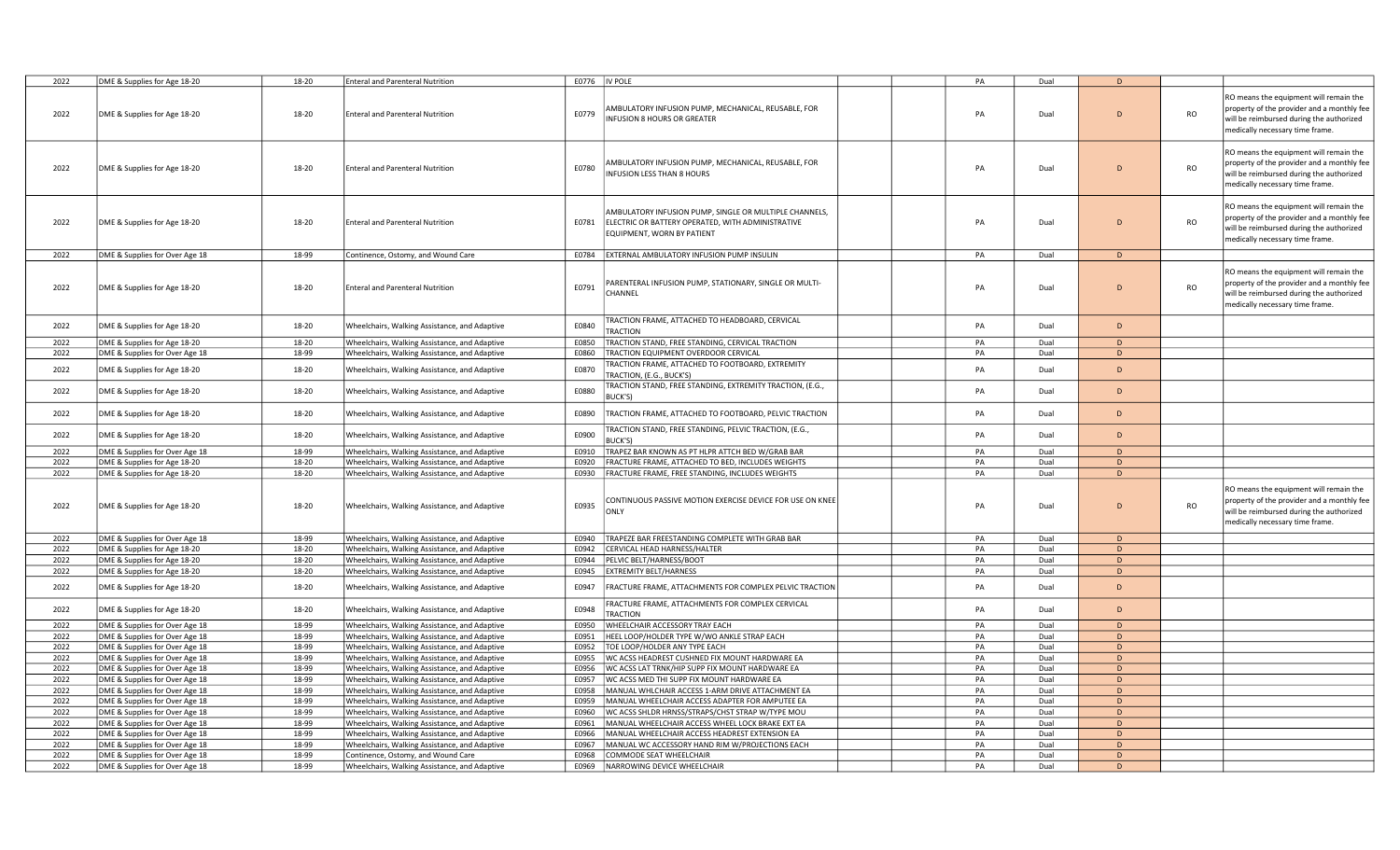| 2022 | DME & Supplies for Age 18-20   | 18-20 | <b>Enteral and Parenteral Nutrition</b>       | E0776  IV POLE |                                                                                                                                           | PA | Dual | <sub>D</sub>   |           |                                                                                                                                                                     |
|------|--------------------------------|-------|-----------------------------------------------|----------------|-------------------------------------------------------------------------------------------------------------------------------------------|----|------|----------------|-----------|---------------------------------------------------------------------------------------------------------------------------------------------------------------------|
| 2022 | DME & Supplies for Age 18-20   | 18-20 | <b>Enteral and Parenteral Nutrition</b>       | E0779          | AMBULATORY INFUSION PUMP, MECHANICAL, REUSABLE, FOR<br><b>INFUSION 8 HOURS OR GREATER</b>                                                 | PA | Dual | D              | <b>RO</b> | RO means the equipment will remain the<br>property of the provider and a monthly fee<br>will be reimbursed during the authorized<br>medically necessary time frame. |
| 2022 | DME & Supplies for Age 18-20   | 18-20 | <b>Enteral and Parenteral Nutrition</b>       | E0780          | MBULATORY INFUSION PUMP, MECHANICAL, REUSABLE, FOR<br><b>INFUSION LESS THAN 8 HOURS</b>                                                   | PA | Dual | $\mathsf{D}$   | <b>RO</b> | RO means the equipment will remain the<br>property of the provider and a monthly fee<br>will be reimbursed during the authorized<br>medically necessary time frame. |
| 2022 | DME & Supplies for Age 18-20   | 18-20 | <b>Enteral and Parenteral Nutrition</b>       | E0781          | AMBULATORY INFUSION PUMP, SINGLE OR MULTIPLE CHANNELS,<br>ELECTRIC OR BATTERY OPERATED, WITH ADMINISTRATIVE<br>EQUIPMENT, WORN BY PATIENT | PA | Dual | D              | <b>RO</b> | RO means the equipment will remain the<br>property of the provider and a monthly fee<br>will be reimbursed during the authorized<br>medically necessary time frame. |
| 2022 | DME & Supplies for Over Age 18 | 18-99 | Continence, Ostomy, and Wound Care            |                | E0784 EXTERNAL AMBULATORY INFUSION PUMP INSULIN                                                                                           | PA | Dual | D              |           |                                                                                                                                                                     |
| 2022 | DME & Supplies for Age 18-20   | 18-20 | <b>Enteral and Parenteral Nutrition</b>       | E0791          | ARENTERAL INFUSION PUMP, STATIONARY, SINGLE OR MULTI-<br>CHANNEL                                                                          | PA | Dual | D              | RO        | RO means the equipment will remain the<br>property of the provider and a monthly fee<br>will be reimbursed during the authorized<br>medically necessary time frame. |
| 2022 | DME & Supplies for Age 18-20   | 18-20 | Wheelchairs, Walking Assistance, and Adaptive | E0840          | <b>FRACTION FRAME, ATTACHED TO HEADBOARD, CERVICAL</b><br><b>TRACTION</b>                                                                 | PA | Dual | D.             |           |                                                                                                                                                                     |
| 2022 | DME & Supplies for Age 18-20   | 18-20 | Wheelchairs, Walking Assistance, and Adaptive | E0850          | TRACTION STAND, FREE STANDING, CERVICAL TRACTION                                                                                          | PA | Dual | D              |           |                                                                                                                                                                     |
| 2022 | DME & Supplies for Over Age 18 | 18-99 | Wheelchairs, Walking Assistance, and Adaptive | E0860          | TRACTION EQUIPMENT OVERDOOR CERVICAL                                                                                                      | PA | Dual | D              |           |                                                                                                                                                                     |
| 2022 | DME & Supplies for Age 18-20   | 18-20 | Wheelchairs, Walking Assistance, and Adaptive | E0870          | <b>FRACTION FRAME, ATTACHED TO FOOTBOARD, EXTREMITY</b><br><b>FRACTION, (E.G., BUCK'S)</b>                                                | PA | Dual | D              |           |                                                                                                                                                                     |
| 2022 | DME & Supplies for Age 18-20   | 18-20 | Wheelchairs, Walking Assistance, and Adaptive | E0880          | <b>FRACTION STAND, FREE STANDING, EXTREMITY TRACTION, (E.G.,</b><br>BUCK'S)                                                               | PA | Dual | D              |           |                                                                                                                                                                     |
| 2022 | DME & Supplies for Age 18-20   | 18-20 | Wheelchairs, Walking Assistance, and Adaptive | E0890          | TRACTION FRAME, ATTACHED TO FOOTBOARD, PELVIC TRACTION                                                                                    | PA | Dual | D              |           |                                                                                                                                                                     |
| 2022 | DME & Supplies for Age 18-20   | 18-20 | Wheelchairs, Walking Assistance, and Adaptive | E0900          | <b>FRACTION STAND, FREE STANDING, PELVIC TRACTION, (E.G.,</b><br><b>BUCK'S)</b>                                                           | PA | Dual | D              |           |                                                                                                                                                                     |
| 2022 | DME & Supplies for Over Age 18 | 18-99 | Wheelchairs, Walking Assistance, and Adaptive | E0910          | TRAPEZ BAR KNOWN AS PT HLPR ATTCH BED W/GRAB BAR                                                                                          | PA | Dual | D              |           |                                                                                                                                                                     |
| 2022 | DME & Supplies for Age 18-20   | 18-20 | Wheelchairs, Walking Assistance, and Adaptive | E0920          | FRACTURE FRAME, ATTACHED TO BED, INCLUDES WEIGHTS                                                                                         | PA | Dual | D              |           |                                                                                                                                                                     |
| 2022 | DME & Supplies for Age 18-20   | 18-20 | Wheelchairs, Walking Assistance, and Adaptive | E0930          | FRACTURE FRAME, FREE STANDING, INCLUDES WEIGHTS                                                                                           | PA | Dual | D              |           |                                                                                                                                                                     |
| 2022 | DME & Supplies for Age 18-20   | 18-20 | Wheelchairs, Walking Assistance, and Adaptive | E0935          | ONTINUOUS PASSIVE MOTION EXERCISE DEVICE FOR USE ON KNEE<br>ONLY                                                                          | PA | Dual | $\overline{D}$ | <b>RO</b> | RO means the equipment will remain the<br>property of the provider and a monthly fee<br>will be reimbursed during the authorized<br>medically necessary time frame. |
| 2022 | DME & Supplies for Over Age 18 | 18-99 | Wheelchairs, Walking Assistance, and Adaptive | E0940          | TRAPEZE BAR FREESTANDING COMPLETE WITH GRAB BAR                                                                                           | PA | Dual | D              |           |                                                                                                                                                                     |
| 2022 | DME & Supplies for Age 18-20   | 18-20 | Wheelchairs, Walking Assistance, and Adaptive | E0942          | CERVICAL HEAD HARNESS/HALTER                                                                                                              | PA | Dual | D              |           |                                                                                                                                                                     |
| 2022 | DME & Supplies for Age 18-20   | 18-20 | Wheelchairs, Walking Assistance, and Adaptive |                | E0944   PELVIC BELT/HARNESS/BOOT                                                                                                          | PA | Dual | D              |           |                                                                                                                                                                     |
| 2022 | DME & Supplies for Age 18-20   | 18-20 | Wheelchairs, Walking Assistance, and Adaptive |                | E0945 EXTREMITY BELT/HARNESS                                                                                                              | PA | Dual | D              |           |                                                                                                                                                                     |
| 2022 | DME & Supplies for Age 18-20   | 18-20 | Wheelchairs, Walking Assistance, and Adaptive | E0947          | FRACTURE FRAME, ATTACHMENTS FOR COMPLEX PELVIC TRACTION                                                                                   | PA | Dual | D              |           |                                                                                                                                                                     |
| 2022 | DME & Supplies for Age 18-20   | 18-20 | Wheelchairs, Walking Assistance, and Adaptive | E0948          | FRACTURE FRAME, ATTACHMENTS FOR COMPLEX CERVICAL<br><b>TRACTION</b>                                                                       | PA | Dual | $\overline{D}$ |           |                                                                                                                                                                     |
| 2022 | DME & Supplies for Over Age 18 | 18-99 | Wheelchairs, Walking Assistance, and Adaptive |                | E0950 WHEELCHAIR ACCESSORY TRAY EACH                                                                                                      | PA | Dual | D              |           |                                                                                                                                                                     |
| 2022 | DME & Supplies for Over Age 18 | 18-99 | Wheelchairs, Walking Assistance, and Adaptive | E0951          | HEEL LOOP/HOLDER TYPE W/WO ANKLE STRAP EACH                                                                                               | PA | Dual | D              |           |                                                                                                                                                                     |
| 2022 | DME & Supplies for Over Age 18 | 18-99 | Wheelchairs, Walking Assistance, and Adaptive |                | E0952   TOE LOOP/HOLDER ANY TYPE EACH                                                                                                     | PA | Dual | D              |           |                                                                                                                                                                     |
| 2022 | DME & Supplies for Over Age 18 | 18-99 | Wheelchairs, Walking Assistance, and Adaptive | E0955          | WC ACSS HEADREST CUSHNED FIX MOUNT HARDWARE EA                                                                                            | PA | Dual | <sub>D</sub>   |           |                                                                                                                                                                     |
| 2022 | DME & Supplies for Over Age 18 | 18-99 | Wheelchairs, Walking Assistance, and Adaptive | E0956          | WC ACSS LAT TRNK/HIP SUPP FIX MOUNT HARDWARE EA                                                                                           | PA | Dual | D              |           |                                                                                                                                                                     |
| 2022 | DME & Supplies for Over Age 18 | 18-99 | Wheelchairs, Walking Assistance, and Adaptive | E0957          | WC ACSS MED THI SUPP FIX MOUNT HARDWARE EA                                                                                                | PA | Dual | D              |           |                                                                                                                                                                     |
| 2022 | DME & Supplies for Over Age 18 | 18-99 | Wheelchairs, Walking Assistance, and Adaptive | E0958          | MANUAL WHLCHAIR ACCESS 1-ARM DRIVE ATTACHMENT EA                                                                                          | PA | Dual | D              |           |                                                                                                                                                                     |
| 2022 | DME & Supplies for Over Age 18 | 18-99 | Wheelchairs, Walking Assistance, and Adaptive | E0959          | MANUAL WHEELCHAIR ACCESS ADAPTER FOR AMPUTEE EA                                                                                           | PA | Dual | D              |           |                                                                                                                                                                     |
| 2022 | DME & Supplies for Over Age 18 | 18-99 | Wheelchairs, Walking Assistance, and Adaptive | E0960          | WC ACSS SHLDR HRNSS/STRAPS/CHST STRAP W/TYPE MOU                                                                                          | PA | Dual | D              |           |                                                                                                                                                                     |
|      |                                |       |                                               |                |                                                                                                                                           |    |      | D              |           |                                                                                                                                                                     |
| 2022 | DME & Supplies for Over Age 18 | 18-99 | Wheelchairs, Walking Assistance, and Adaptive | E0961          | MANUAL WHEELCHAIR ACCESS WHEEL LOCK BRAKE EXT EA                                                                                          | PA | Dual |                |           |                                                                                                                                                                     |
| 2022 | DME & Supplies for Over Age 18 | 18-99 | Wheelchairs, Walking Assistance, and Adaptive | E0966          | MANUAL WHEELCHAIR ACCESS HEADREST EXTENSION EA                                                                                            | PA | Dual | D              |           |                                                                                                                                                                     |
| 2022 | DME & Supplies for Over Age 18 | 18-99 | Wheelchairs, Walking Assistance, and Adaptive | E0967          | MANUAL WC ACCESSORY HAND RIM W/PROJECTIONS EACH                                                                                           | PA | Dual | D              |           |                                                                                                                                                                     |
| 2022 | DME & Supplies for Over Age 18 | 18-99 | Continence, Ostomy, and Wound Care            | E0968          | COMMODE SEAT WHEELCHAIR                                                                                                                   | PA | Dual | <sub>D</sub>   |           |                                                                                                                                                                     |
| 2022 | DME & Supplies for Over Age 18 | 18-99 | Wheelchairs, Walking Assistance, and Adaptive |                | E0969   NARROWING DEVICE WHEELCHAIR                                                                                                       | PA | Dual | D              |           |                                                                                                                                                                     |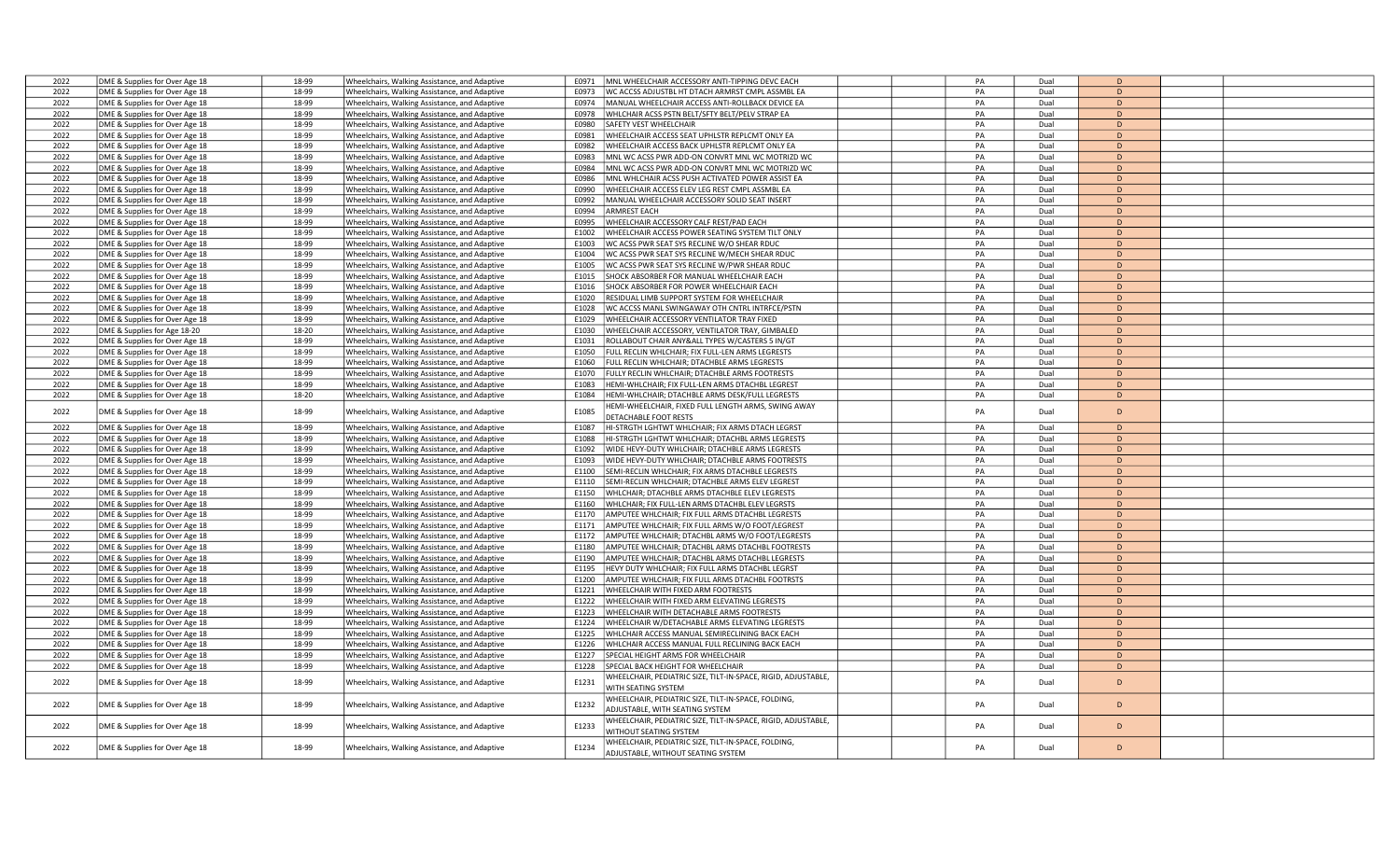| 2022 | DME & Supplies for Over Age 18 | 18-99 | Wheelchairs, Walking Assistance, and Adaptive | MNL WHEELCHAIR ACCESSORY ANTI-TIPPING DEVC EACH<br>E0971                                           | PA | Dual | D              |  |
|------|--------------------------------|-------|-----------------------------------------------|----------------------------------------------------------------------------------------------------|----|------|----------------|--|
| 2022 | DME & Supplies for Over Age 18 | 18-99 | Wheelchairs, Walking Assistance, and Adaptive | E0973<br>WC ACCSS ADJUSTBL HT DTACH ARMRST CMPL ASSMBL EA                                          | PA | Dual | D              |  |
| 2022 | DME & Supplies for Over Age 18 | 18-99 | Wheelchairs, Walking Assistance, and Adaptive | E0974<br>MANUAL WHEELCHAIR ACCESS ANTI-ROLLBACK DEVICE EA                                          | PA | Dual | D              |  |
|      |                                |       |                                               |                                                                                                    |    |      | D              |  |
| 2022 | DME & Supplies for Over Age 18 | 18-99 | Wheelchairs, Walking Assistance, and Adaptive | E0978<br>WHLCHAIR ACSS PSTN BELT/SFTY BELT/PELV STRAP EA                                           | PA | Dual |                |  |
| 2022 | DME & Supplies for Over Age 18 | 18-99 | Wheelchairs, Walking Assistance, and Adaptive | E0980<br>SAFETY VEST WHEELCHAIR                                                                    | PA | Dual | D              |  |
| 2022 | DME & Supplies for Over Age 18 | 18-99 | Wheelchairs, Walking Assistance, and Adaptive | WHEELCHAIR ACCESS SEAT UPHLSTR REPLCMT ONLY EA<br>E0981                                            | PA | Dual | D              |  |
| 2022 | DME & Supplies for Over Age 18 | 18-99 | Wheelchairs, Walking Assistance, and Adaptive | E0982<br>WHEELCHAIR ACCESS BACK UPHLSTR REPLCMT ONLY EA                                            | PA | Dual | D              |  |
| 2022 | DME & Supplies for Over Age 18 | 18-99 | Wheelchairs, Walking Assistance, and Adaptive | MNL WC ACSS PWR ADD-ON CONVRT MNL WC MOTRIZD WC<br>F0983                                           | PA | Dual | D              |  |
| 2022 | DME & Supplies for Over Age 18 | 18-99 | Wheelchairs, Walking Assistance, and Adaptive | E0984<br>MNL WC ACSS PWR ADD-ON CONVRT MNL WC MOTRIZD WC                                           | PA | Dual | D              |  |
| 2022 | DME & Supplies for Over Age 18 | 18-99 | Wheelchairs, Walking Assistance, and Adaptive | E0986<br>MNL WHLCHAIR ACSS PUSH ACTIVATED POWER ASSIST EA                                          | PA | Dual | D              |  |
| 2022 | DME & Supplies for Over Age 18 | 18-99 | Wheelchairs, Walking Assistance, and Adaptive | E0990<br>WHEELCHAIR ACCESS ELEV LEG REST CMPL ASSMBL EA                                            | PA | Dual | D              |  |
| 2022 | DME & Supplies for Over Age 18 | 18-99 | Wheelchairs, Walking Assistance, and Adaptive | MANUAL WHEELCHAIR ACCESSORY SOLID SEAT INSERT<br>E0992                                             | PA | Dual | D              |  |
| 2022 |                                | 18-99 |                                               | E0994<br><b>ARMREST EACH</b>                                                                       | PA | Dual | D              |  |
|      | DME & Supplies for Over Age 18 |       | Wheelchairs, Walking Assistance, and Adaptive |                                                                                                    |    |      | $\overline{D}$ |  |
| 2022 | DME & Supplies for Over Age 18 | 18-99 | Wheelchairs, Walking Assistance, and Adaptive | WHEELCHAIR ACCESSORY CALF REST/PAD EACH<br>E0995                                                   | PA | Dual |                |  |
| 2022 | DME & Supplies for Over Age 18 | 18-99 | Wheelchairs, Walking Assistance, and Adaptive | E1002<br>WHEELCHAIR ACCESS POWER SEATING SYSTEM TILT ONLY                                          | PA | Dual | D              |  |
| 2022 | DME & Supplies for Over Age 18 | 18-99 | Wheelchairs, Walking Assistance, and Adaptive | E1003<br>WC ACSS PWR SEAT SYS RECLINE W/O SHEAR RDUC                                               | PA | Dual | D              |  |
| 2022 | DME & Supplies for Over Age 18 | 18-99 | Wheelchairs, Walking Assistance, and Adaptive | E1004<br>WC ACSS PWR SEAT SYS RECLINE W/MECH SHEAR RDUC                                            | PA | Dual | D              |  |
| 2022 | DME & Supplies for Over Age 18 | 18-99 | Wheelchairs, Walking Assistance, and Adaptive | E1005<br>WC ACSS PWR SEAT SYS RECLINE W/PWR SHEAR RDUC                                             | PA | Dual | D              |  |
| 2022 | DME & Supplies for Over Age 18 | 18-99 | Wheelchairs, Walking Assistance, and Adaptive | SHOCK ABSORBER FOR MANUAL WHEELCHAIR EACH<br>E1015                                                 | PA | Dual | D              |  |
| 2022 | DME & Supplies for Over Age 18 | 18-99 | Wheelchairs, Walking Assistance, and Adaptive | E1016<br>SHOCK ABSORBER FOR POWER WHEELCHAIR EACH                                                  | PA | Dual | D              |  |
| 2022 | DME & Supplies for Over Age 18 | 18-99 | Wheelchairs, Walking Assistance, and Adaptive | E1020<br>RESIDUAL LIMB SUPPORT SYSTEM FOR WHEELCHAIR                                               | PA | Dual | D              |  |
|      |                                | 18-99 |                                               |                                                                                                    |    |      | D              |  |
| 2022 | DME & Supplies for Over Age 18 |       | Wheelchairs, Walking Assistance, and Adaptive | E1028<br>WC ACCSS MANL SWINGAWAY OTH CNTRL INTRFCE/PSTN                                            | PA | Dual |                |  |
| 2022 | DME & Supplies for Over Age 18 | 18-99 | Wheelchairs, Walking Assistance, and Adaptive | WHEELCHAIR ACCESSORY VENTILATOR TRAY FIXED<br>F1029                                                | PA | Dual | D              |  |
| 2022 | DME & Supplies for Age 18-20   | 18-20 | Wheelchairs, Walking Assistance, and Adaptive | WHEELCHAIR ACCESSORY, VENTILATOR TRAY, GIMBALED<br>E1030                                           | PA | Dual | D              |  |
| 2022 | DME & Supplies for Over Age 18 | 18-99 | Wheelchairs, Walking Assistance, and Adaptive | E1031<br>ROLLABOUT CHAIR ANY&ALL TYPES W/CASTERS 5 IN/GT                                           | PA | Dual | D              |  |
| 2022 | DME & Supplies for Over Age 18 | 18-99 | Wheelchairs, Walking Assistance, and Adaptive | E1050<br>ULL RECLIN WHLCHAIR; FIX FULL-LEN ARMS LEGRESTS                                           | PA | Dual | D              |  |
| 2022 | DME & Supplies for Over Age 18 | 18-99 | Wheelchairs, Walking Assistance, and Adaptive | E1060<br>FULL RECLIN WHLCHAIR; DTACHBLE ARMS LEGRESTS                                              | PA | Dual | D              |  |
| 2022 | DME & Supplies for Over Age 18 | 18-99 | Wheelchairs, Walking Assistance, and Adaptive | E1070<br>FULLY RECLIN WHLCHAIR; DTACHBLE ARMS FOOTRESTS                                            | PA | Dual | D              |  |
| 2022 | DME & Supplies for Over Age 18 | 18-99 | Wheelchairs, Walking Assistance, and Adaptive | E1083<br>HEMI-WHLCHAIR; FIX FULL-LEN ARMS DTACHBL LEGREST                                          | PA | Dual | D              |  |
| 2022 |                                | 18-20 |                                               | E1084                                                                                              | PA | Dual | D              |  |
|      | DME & Supplies for Over Age 18 |       | Wheelchairs, Walking Assistance, and Adaptive | HEMI-WHLCHAIR; DTACHBLE ARMS DESK/FULL LEGRESTS                                                    |    |      |                |  |
| 2022 | DME & Supplies for Over Age 18 | 18-99 | Wheelchairs, Walking Assistance, and Adaptive | HEMI-WHEELCHAIR, FIXED FULL LENGTH ARMS, SWING AWAY<br>E1085<br>DETACHABLE FOOT RESTS              | PA | Dual | D              |  |
| 2022 | DME & Supplies for Over Age 18 | 18-99 | Wheelchairs, Walking Assistance, and Adaptive | E1087<br>HI-STRGTH LGHTWT WHLCHAIR; FIX ARMS DTACH LEGRST                                          | PA | Dual | D              |  |
| 2022 | DME & Supplies for Over Age 18 | 18-99 | Wheelchairs, Walking Assistance, and Adaptive | HI-STRGTH LGHTWT WHLCHAIR; DTACHBL ARMS LEGRESTS<br>E1088                                          | PA | Dual | D              |  |
| 2022 | DME & Supplies for Over Age 18 | 18-99 | Wheelchairs, Walking Assistance, and Adaptive | E1092<br>WIDE HEVY-DUTY WHLCHAIR; DTACHBLE ARMS LEGRESTS                                           | PA | Dual | D              |  |
| 2022 | DME & Supplies for Over Age 18 | 18-99 |                                               | E1093<br>WIDE HEVY-DUTY WHLCHAIR; DTACHBLE ARMS FOOTRESTS                                          | PA | Dual | D              |  |
|      |                                |       | Wheelchairs, Walking Assistance, and Adaptive | E1100                                                                                              |    |      | $\overline{D}$ |  |
| 2022 | DME & Supplies for Over Age 18 | 18-99 | Wheelchairs, Walking Assistance, and Adaptive | SEMI-RECLIN WHLCHAIR; FIX ARMS DTACHBLE LEGRESTS                                                   | PA | Dual |                |  |
| 2022 | DME & Supplies for Over Age 18 | 18-99 | Wheelchairs, Walking Assistance, and Adaptive | SEMI-RECLIN WHLCHAIR; DTACHBLE ARMS ELEV LEGREST<br>E1110                                          | PA | Dual | D              |  |
| 2022 | DME & Supplies for Over Age 18 | 18-99 | Wheelchairs, Walking Assistance, and Adaptive | WHLCHAIR; DTACHBLE ARMS DTACHBLE ELEV LEGRESTS<br>E1150                                            | PA | Dual | D              |  |
| 2022 | DME & Supplies for Over Age 18 | 18-99 | Wheelchairs, Walking Assistance, and Adaptive | E1160<br>WHLCHAIR; FIX FULL-LEN ARMS DTACHBL ELEV LEGRSTS                                          | PA | Dual | D              |  |
| 2022 | DME & Supplies for Over Age 18 | 18-99 | Wheelchairs, Walking Assistance, and Adaptive | E1170<br>AMPUTEE WHLCHAIR; FIX FULL ARMS DTACHBL LEGRESTS                                          | PA | Dual | D              |  |
| 2022 | DME & Supplies for Over Age 18 | 18-99 | Wheelchairs, Walking Assistance, and Adaptive | E1171<br>AMPUTEE WHLCHAIR; FIX FULL ARMS W/O FOOT/LEGREST                                          | PA | Dual | D              |  |
| 2022 | DME & Supplies for Over Age 18 | 18-99 | Wheelchairs, Walking Assistance, and Adaptive | AMPUTEE WHLCHAIR; DTACHBL ARMS W/O FOOT/LEGRESTS<br>E1172                                          | PA | Dual | D              |  |
| 2022 | DME & Supplies for Over Age 18 | 18-99 | Wheelchairs, Walking Assistance, and Adaptive | AMPUTEE WHLCHAIR; DTACHBL ARMS DTACHBL FOOTRESTS<br>E1180                                          | PA | Dual | D              |  |
| 2022 | DME & Supplies for Over Age 18 | 18-99 | Wheelchairs, Walking Assistance, and Adaptive | E1190<br>AMPUTEE WHLCHAIR; DTACHBL ARMS DTACHBL LEGRESTS                                           | PA | Dual | D              |  |
| 2022 | DME & Supplies for Over Age 18 | 18-99 | Wheelchairs, Walking Assistance, and Adaptive | HEVY DUTY WHLCHAIR; FIX FULL ARMS DTACHBL LEGRST<br>E1195                                          | PA | Dual | D              |  |
|      |                                |       |                                               |                                                                                                    | PA |      | D              |  |
| 2022 | DME & Supplies for Over Age 18 | 18-99 | Wheelchairs, Walking Assistance, and Adaptive | E1200<br>AMPUTEE WHLCHAIR; FIX FULL ARMS DTACHBL FOOTRSTS                                          |    | Dual |                |  |
| 2022 | DME & Supplies for Over Age 18 | 18-99 | Wheelchairs, Walking Assistance, and Adaptive | E1221<br>WHEELCHAIR WITH FIXED ARM FOOTRESTS                                                       | PA | Dual | D              |  |
| 2022 | DME & Supplies for Over Age 18 | 18-99 | Wheelchairs, Walking Assistance, and Adaptive | E1222<br>WHEELCHAIR WITH FIXED ARM ELEVATING LEGRESTS                                              | PA | Dual | D              |  |
| 2022 | DME & Supplies for Over Age 18 | 18-99 | Wheelchairs, Walking Assistance, and Adaptive | WHEELCHAIR WITH DETACHABLE ARMS FOOTRESTS<br>E1223                                                 | PA | Dual | D              |  |
| 2022 | DME & Supplies for Over Age 18 | 18-99 | Wheelchairs, Walking Assistance, and Adaptive | E1224<br>WHEELCHAIR W/DETACHABLE ARMS ELEVATING LEGRESTS                                           | PA | Dual | D              |  |
| 2022 | DME & Supplies for Over Age 18 | 18-99 | Wheelchairs, Walking Assistance, and Adaptive | WHLCHAIR ACCESS MANUAL SEMIRECLINING BACK EACH<br>E1225                                            | PA | Dual | D              |  |
| 2022 | DME & Supplies for Over Age 18 | 18-99 | Wheelchairs, Walking Assistance, and Adaptive | E1226<br>WHLCHAIR ACCESS MANUAL FULL RECLINING BACK EACH                                           | PA | Dual | D              |  |
| 2022 | DME & Supplies for Over Age 18 | 18-99 | Wheelchairs, Walking Assistance, and Adaptive | E1227<br>SPECIAL HEIGHT ARMS FOR WHEELCHAIR                                                        | PA | Dual | D              |  |
| 2022 | DME & Supplies for Over Age 18 | 18-99 | Wheelchairs, Walking Assistance, and Adaptive | E1228<br>SPECIAL BACK HEIGHT FOR WHEELCHAIR                                                        | PA | Dual | D              |  |
|      |                                |       |                                               |                                                                                                    |    |      |                |  |
| 2022 | DME & Supplies for Over Age 18 | 18-99 | Wheelchairs, Walking Assistance, and Adaptive | WHEELCHAIR, PEDIATRIC SIZE, TILT-IN-SPACE, RIGID, ADJUSTABLE,<br>E1231<br>WITH SEATING SYSTEM      | PA | Dual | D              |  |
| 2022 | DME & Supplies for Over Age 18 | 18-99 | Wheelchairs, Walking Assistance, and Adaptive | WHEELCHAIR, PEDIATRIC SIZE, TILT-IN-SPACE, FOLDING,<br>E1232                                       | PA | Dual | D              |  |
|      |                                |       |                                               | ADJUSTABLE, WITH SEATING SYSTEM                                                                    |    |      |                |  |
| 2022 | DME & Supplies for Over Age 18 | 18-99 | Wheelchairs, Walking Assistance, and Adaptive | WHEELCHAIR, PEDIATRIC SIZE, TILT-IN-SPACE, RIGID, ADJUSTABLE,<br>E1233<br>VITHOUT SEATING SYSTEM   | PA | Dual | D              |  |
| 2022 | DME & Supplies for Over Age 18 | 18-99 | Wheelchairs, Walking Assistance, and Adaptive | WHEELCHAIR, PEDIATRIC SIZE, TILT-IN-SPACE, FOLDING,<br>E1234<br>ADJUSTABLE, WITHOUT SEATING SYSTEM | PA | Dual | D              |  |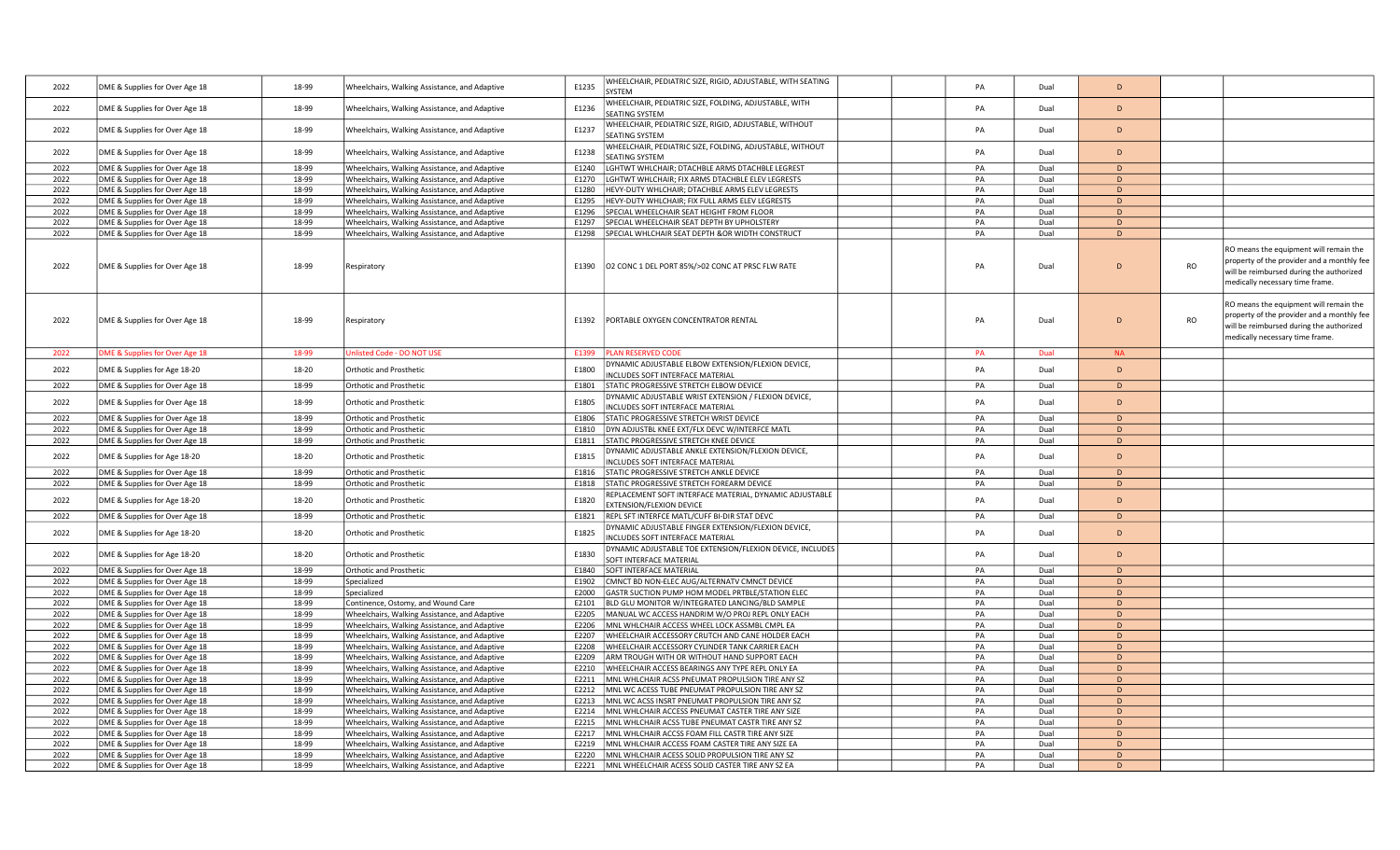| 2022 | DME & Supplies for Over Age 18 | 18-99 | Wheelchairs, Walking Assistance, and Adaptive | E1235          | WHEELCHAIR, PEDIATRIC SIZE, RIGID, ADJUSTABLE, WITH SEATING<br>SYSTEM                      | PA | Dual | D            |           |                                                                                                                                                                     |
|------|--------------------------------|-------|-----------------------------------------------|----------------|--------------------------------------------------------------------------------------------|----|------|--------------|-----------|---------------------------------------------------------------------------------------------------------------------------------------------------------------------|
| 2022 | DME & Supplies for Over Age 18 | 18-99 | Wheelchairs, Walking Assistance, and Adaptive | E1236          | WHEELCHAIR, PEDIATRIC SIZE, FOLDING, ADJUSTABLE, WITH<br><b>SEATING SYSTEM</b>             | PA | Dual | D            |           |                                                                                                                                                                     |
| 2022 | DME & Supplies for Over Age 18 | 18-99 | Wheelchairs, Walking Assistance, and Adaptive | E1237          | WHEELCHAIR, PEDIATRIC SIZE, RIGID, ADJUSTABLE, WITHOUT<br>SEATING SYSTEM                   | PA | Dual | D.           |           |                                                                                                                                                                     |
| 2022 | DME & Supplies for Over Age 18 | 18-99 | Wheelchairs, Walking Assistance, and Adaptive | E1238          | WHEELCHAIR, PEDIATRIC SIZE, FOLDING, ADJUSTABLE, WITHOUT                                   | PA | Dual | D            |           |                                                                                                                                                                     |
| 2022 | DME & Supplies for Over Age 18 | 18-99 | Wheelchairs, Walking Assistance, and Adaptive |                | <b>SEATING SYSTEM</b><br>LGHTWT WHLCHAIR; DTACHBLE ARMS DTACHBLE LEGREST                   | PA | Dual | D            |           |                                                                                                                                                                     |
|      |                                |       |                                               | E1240<br>E1270 | LGHTWT WHLCHAIR; FIX ARMS DTACHBLE ELEV LEGRESTS                                           | PA | Dual | D            |           |                                                                                                                                                                     |
| 2022 | DME & Supplies for Over Age 18 | 18-99 | Wheelchairs, Walking Assistance, and Adaptive |                |                                                                                            |    |      | D            |           |                                                                                                                                                                     |
| 2022 | DME & Supplies for Over Age 18 | 18-99 | Wheelchairs, Walking Assistance, and Adaptive | E1280          | HEVY-DUTY WHLCHAIR; DTACHBLE ARMS ELEV LEGRESTS                                            | PA | Dual |              |           |                                                                                                                                                                     |
| 2022 | DME & Supplies for Over Age 18 | 18-99 | Wheelchairs, Walking Assistance, and Adaptive | E1295          | HEVY-DUTY WHLCHAIR; FIX FULL ARMS ELEV LEGRESTS                                            | PA | Dual | D            |           |                                                                                                                                                                     |
| 2022 | DME & Supplies for Over Age 18 | 18-99 | Wheelchairs, Walking Assistance, and Adaptive | E1296          | SPECIAL WHEELCHAIR SEAT HEIGHT FROM FLOOR                                                  | PA | Dual | D            |           |                                                                                                                                                                     |
| 2022 | DME & Supplies for Over Age 18 | 18-99 | Wheelchairs, Walking Assistance, and Adaptive | E1297          | SPECIAL WHEELCHAIR SEAT DEPTH BY UPHOLSTERY                                                | PA | Dual | D            |           |                                                                                                                                                                     |
| 2022 | DME & Supplies for Over Age 18 | 18-99 | Wheelchairs, Walking Assistance, and Adaptive | E1298          | SPECIAL WHLCHAIR SEAT DEPTH &OR WIDTH CONSTRUCT                                            | PA | Dual | D            |           |                                                                                                                                                                     |
| 2022 | DME & Supplies for Over Age 18 | 18-99 | Respiratory                                   | E1390          | O2 CONC 1 DEL PORT 85%/>02 CONC AT PRSC FLW RATE                                           | PA | Dual | D            | <b>RO</b> | RO means the equipment will remain the<br>property of the provider and a monthly fee<br>will be reimbursed during the authorized<br>medically necessary time frame. |
| 2022 | DME & Supplies for Over Age 18 | 18-99 | Respiratory                                   | E1392          | PORTABLE OXYGEN CONCENTRATOR RENTAL                                                        | PA | Dual | D            | <b>RO</b> | RO means the equipment will remain the<br>property of the provider and a monthly fee<br>will be reimbursed during the authorized<br>medically necessary time frame. |
| 2022 | DME & Supplies for Over Age 18 | 18-99 | <b>Jnlisted Code - DO NOT USE</b>             | E1399          | <b>PLAN RESERVED CODE</b>                                                                  | PA | Dual | <b>NA</b>    |           |                                                                                                                                                                     |
| 2022 | DME & Supplies for Age 18-20   | 18-20 | Orthotic and Prosthetic                       | E1800          | DYNAMIC ADJUSTABLE ELBOW EXTENSION/FLEXION DEVICE,<br>NCLUDES SOFT INTERFACE MATERIAL      | PA | Dual | D            |           |                                                                                                                                                                     |
| 2022 | DME & Supplies for Over Age 18 | 18-99 | <b>Orthotic and Prosthetic</b>                | E1801          | STATIC PROGRESSIVE STRETCH ELBOW DEVICE                                                    | PA | Dual | $\mathsf{D}$ |           |                                                                                                                                                                     |
| 2022 | DME & Supplies for Over Age 18 | 18-99 | Orthotic and Prosthetic                       | E1805          | DYNAMIC ADJUSTABLE WRIST EXTENSION / FLEXION DEVICE,<br>INCLUDES SOFT INTERFACE MATERIAL   | PA | Dual | D            |           |                                                                                                                                                                     |
| 2022 | DME & Supplies for Over Age 18 | 18-99 | <b>Orthotic and Prosthetic</b>                | E1806          | STATIC PROGRESSIVE STRETCH WRIST DEVICE                                                    | PA | Dual | D            |           |                                                                                                                                                                     |
| 2022 | DME & Supplies for Over Age 18 | 18-99 | Orthotic and Prosthetic                       | E1810          | DYN ADJUSTBL KNEE EXT/FLX DEVC W/INTERFCE MATL                                             | PA | Dual | D            |           |                                                                                                                                                                     |
| 2022 | DME & Supplies for Over Age 18 | 18-99 | <b>Orthotic and Prosthetic</b>                | E1811          | STATIC PROGRESSIVE STRETCH KNEE DEVICE                                                     | PA | Dual | D            |           |                                                                                                                                                                     |
|      |                                |       |                                               |                |                                                                                            |    |      |              |           |                                                                                                                                                                     |
| 2022 | DME & Supplies for Age 18-20   | 18-20 | <b>Orthotic and Prosthetic</b>                | E1815          | DYNAMIC ADJUSTABLE ANKLE EXTENSION/FLEXION DEVICE,<br>INCLUDES SOFT INTERFACE MATERIAL     | PA | Dual | <sub>D</sub> |           |                                                                                                                                                                     |
| 2022 | DME & Supplies for Over Age 18 | 18-99 | <b>Orthotic and Prosthetic</b>                | E1816          | STATIC PROGRESSIVE STRETCH ANKLE DEVICE                                                    | PA | Dual | D.           |           |                                                                                                                                                                     |
| 2022 | DME & Supplies for Over Age 18 | 18-99 | <b>Orthotic and Prosthetic</b>                | E1818          | STATIC PROGRESSIVE STRETCH FOREARM DEVICE                                                  | PA | Dual | D            |           |                                                                                                                                                                     |
| 2022 | DME & Supplies for Age 18-20   | 18-20 | Orthotic and Prosthetic                       | E1820          | REPLACEMENT SOFT INTERFACE MATERIAL, DYNAMIC ADJUSTABLE<br><b>EXTENSION/FLEXION DEVICE</b> | PA | Dual | D            |           |                                                                                                                                                                     |
| 2022 | DME & Supplies for Over Age 18 | 18-99 | <b>Orthotic and Prosthetic</b>                | E1821          | REPL SFT INTERFCE MATL/CUFF BI-DIR STAT DEVC                                               | PA | Dual | D            |           |                                                                                                                                                                     |
| 2022 | DME & Supplies for Age 18-20   | 18-20 | Orthotic and Prosthetic                       | E1825          | DYNAMIC ADJUSTABLE FINGER EXTENSION/FLEXION DEVICE,<br>INCLUDES SOFT INTERFACE MATERIAL    | PA | Dual | D            |           |                                                                                                                                                                     |
| 2022 | DME & Supplies for Age 18-20   | 18-20 | <b>Orthotic and Prosthetic</b>                | E1830          | DYNAMIC ADJUSTABLE TOE EXTENSION/FLEXION DEVICE, INCLUDES<br>SOFT INTERFACE MATERIAL       | PA | Dual | D            |           |                                                                                                                                                                     |
| 2022 | DME & Supplies for Over Age 18 | 18-99 | <b>Orthotic and Prosthetic</b>                | E1840          | SOFT INTERFACE MATERIAL                                                                    | PA | Dual | D            |           |                                                                                                                                                                     |
| 2022 | DME & Supplies for Over Age 18 | 18-99 | Specialized                                   | F1902          | CMNCT BD NON-ELEC AUG/ALTERNATV CMNCT DEVICE                                               | PA | Dual | D            |           |                                                                                                                                                                     |
| 2022 | DME & Supplies for Over Age 18 | 18-99 | Specialized                                   | E2000          | GASTR SUCTION PUMP HOM MODEL PRTBLE/STATION ELEC                                           | PA | Dual | D            |           |                                                                                                                                                                     |
| 2022 | DME & Supplies for Over Age 18 | 18-99 | Continence, Ostomy, and Wound Care            | E2101          | BLD GLU MONITOR W/INTEGRATED LANCING/BLD SAMPLE                                            | PA | Dual | D            |           |                                                                                                                                                                     |
| 2022 | DME & Supplies for Over Age 18 | 18-99 | Wheelchairs, Walking Assistance, and Adaptive | E2205          | MANUAL WC ACCESS HANDRIM W/O PROJ REPL ONLY EACH                                           | PA | Dual | D            |           |                                                                                                                                                                     |
| 2022 | DME & Supplies for Over Age 18 | 18-99 | Wheelchairs, Walking Assistance, and Adaptive | E2206          | MNL WHLCHAIR ACCESS WHEEL LOCK ASSMBL CMPL EA                                              | PA | Dual | D            |           |                                                                                                                                                                     |
| 2022 | DME & Supplies for Over Age 18 | 18-99 | Wheelchairs, Walking Assistance, and Adaptive | E2207          | WHEELCHAIR ACCESSORY CRUTCH AND CANE HOLDER EACH                                           | PA | Dual | D.           |           |                                                                                                                                                                     |
| 2022 | DME & Supplies for Over Age 18 | 18-99 | Wheelchairs, Walking Assistance, and Adaptive | E2208          | WHEELCHAIR ACCESSORY CYLINDER TANK CARRIER EACH                                            | PA | Dual | D            |           |                                                                                                                                                                     |
| 2022 | DME & Supplies for Over Age 18 | 18-99 | Wheelchairs, Walking Assistance, and Adaptive | E2209          | ARM TROUGH WITH OR WITHOUT HAND SUPPORT EACH                                               | PA | Dual | D            |           |                                                                                                                                                                     |
| 2022 | DME & Supplies for Over Age 18 | 18-99 | Wheelchairs, Walking Assistance, and Adaptive | E2210          | WHEELCHAIR ACCESS BEARINGS ANY TYPE REPL ONLY EA                                           | PA | Dual | D            |           |                                                                                                                                                                     |
| 2022 | DME & Supplies for Over Age 18 | 18-99 | Wheelchairs, Walking Assistance, and Adaptive | E2211          | MNL WHLCHAIR ACSS PNEUMAT PROPULSION TIRE ANY SZ                                           | PA | Dual | D            |           |                                                                                                                                                                     |
| 2022 | DME & Supplies for Over Age 18 | 18-99 | Wheelchairs, Walking Assistance, and Adaptive | E2212          | MNL WC ACESS TUBE PNEUMAT PROPULSION TIRE ANY SZ                                           | PA | Dual | D            |           |                                                                                                                                                                     |
| 2022 | DME & Supplies for Over Age 18 | 18-99 | Wheelchairs, Walking Assistance, and Adaptive | E2213          | MNL WC ACSS INSRT PNEUMAT PROPULSION TIRE ANY SZ                                           | PA | Dual | D            |           |                                                                                                                                                                     |
| 2022 | DME & Supplies for Over Age 18 | 18-99 |                                               | E2214          | MNL WHLCHAIR ACCESS PNEUMAT CASTER TIRE ANY SIZE                                           | PA | Dual | D            |           |                                                                                                                                                                     |
| 2022 |                                | 18-99 | Wheelchairs, Walking Assistance, and Adaptive |                |                                                                                            | PA |      | $\bullet$    |           |                                                                                                                                                                     |
|      | DME & Supplies for Over Age 18 |       | Wheelchairs, Walking Assistance, and Adaptive | E2215          | MNL WHLCHAIR ACSS TUBE PNEUMAT CASTR TIRE ANY SZ                                           |    | Dual |              |           |                                                                                                                                                                     |
| 2022 | DME & Supplies for Over Age 18 | 18-99 | Wheelchairs, Walking Assistance, and Adaptive | E2217          | MNL WHLCHAIR ACCSS FOAM FILL CASTR TIRE ANY SIZE                                           | PA | Dual | D            |           |                                                                                                                                                                     |
| 2022 | DME & Supplies for Over Age 18 | 18-99 | Wheelchairs, Walking Assistance, and Adaptive | E2219          | MNL WHLCHAIR ACCESS FOAM CASTER TIRE ANY SIZE EA                                           | PA | Dual | D            |           |                                                                                                                                                                     |
| 2022 | DME & Supplies for Over Age 18 | 18-99 | Wheelchairs, Walking Assistance, and Adaptive | E2220          | MNL WHLCHAIR ACESS SOLID PROPULSION TIRE ANY SZ                                            | PA | Dual | <sub>D</sub> |           |                                                                                                                                                                     |
| 2022 | DME & Supplies for Over Age 18 | 18-99 | Wheelchairs, Walking Assistance, and Adaptive |                | E2221 MNL WHEELCHAIR ACESS SOLID CASTER TIRE ANY SZ EA                                     | PA | Dual | D            |           |                                                                                                                                                                     |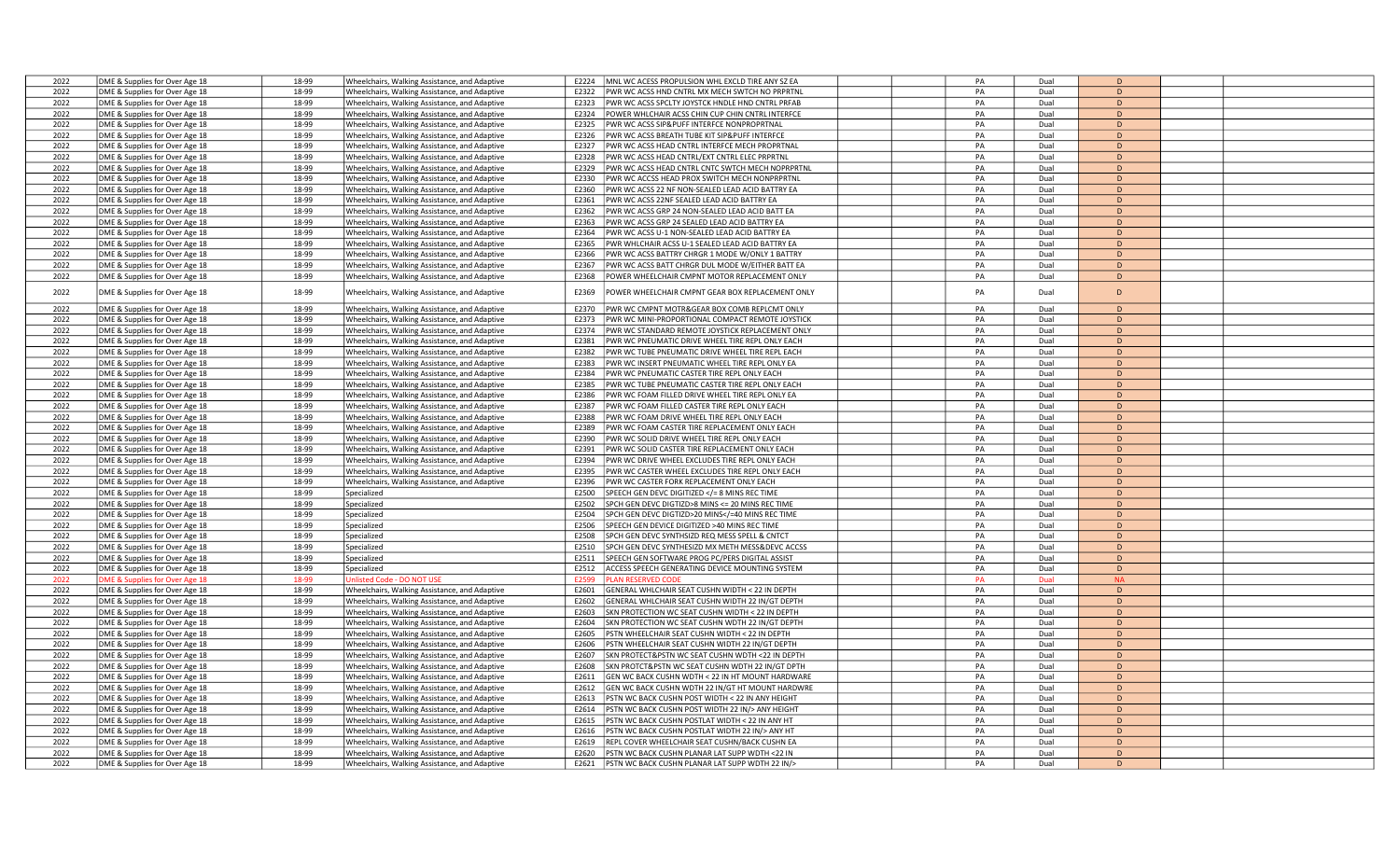| 2022         | DME & Supplies for Over Age 18                                   | 18-99          | Wheelchairs, Walking Assistance, and Adaptive                                                  | E2224<br>MNL WC ACESS PROPULSION WHL EXCLD TIRE ANY SZ EA                                                             | PA | Dual         | D         |  |
|--------------|------------------------------------------------------------------|----------------|------------------------------------------------------------------------------------------------|-----------------------------------------------------------------------------------------------------------------------|----|--------------|-----------|--|
| 2022         | DME & Supplies for Over Age 18                                   | 18-99          | Wheelchairs, Walking Assistance, and Adaptive                                                  | PWR WC ACSS HND CNTRL MX MECH SWTCH NO PRPRTNI<br>E2322                                                               | PA | Dual         | D         |  |
| 2022         | DME & Supplies for Over Age 18                                   | 18-99          | Wheelchairs, Walking Assistance, and Adaptive                                                  | PWR WC ACSS SPCLTY JOYSTCK HNDLE HND CNTRL PRFAB<br>E2323                                                             | PA | Dual         | D         |  |
| 2022         | DME & Supplies for Over Age 18                                   | 18-99          | Wheelchairs, Walking Assistance, and Adaptive                                                  | POWER WHLCHAIR ACSS CHIN CUP CHIN CNTRL INTERFCE<br>E2324                                                             | PA | Dual         | D         |  |
| 2022         | DME & Supplies for Over Age 18                                   | 18-99          | Wheelchairs, Walking Assistance, and Adaptive                                                  | E2325<br>PWR WC ACSS SIP&PUFF INTERFCE NONPROPRTNAL                                                                   | PA | Dual         | D         |  |
| 2022         | DME & Supplies for Over Age 18                                   | 18-99          | Wheelchairs, Walking Assistance, and Adaptive                                                  | E2326<br>PWR WC ACSS BREATH TUBE KIT SIP&PUFF INTERFCE                                                                | PA | Dual         | D         |  |
| 2022         | DME & Supplies for Over Age 18                                   | 18-99          | Wheelchairs, Walking Assistance, and Adaptive                                                  | E2327<br>PWR WC ACSS HEAD CNTRL INTERFCE MECH PROPRTNAL                                                               | PA | Dual         | D         |  |
| 2022         | DME & Supplies for Over Age 18                                   | 18-99          | Wheelchairs, Walking Assistance, and Adaptive                                                  | PWR WC ACSS HEAD CNTRL/EXT CNTRL ELEC PRPRTNL<br>E2328                                                                | PA | Dual         | D         |  |
| 2022         | DME & Supplies for Over Age 18                                   | 18-99          | Wheelchairs, Walking Assistance, and Adaptive                                                  | E2329<br>PWR WC ACSS HEAD CNTRL CNTC SWTCH MECH NOPRPRTNL                                                             | PA | Dual         | D         |  |
| 2022         | DME & Supplies for Over Age 18                                   | 18-99          | Wheelchairs, Walking Assistance, and Adaptive                                                  | E2330<br>PWR WC ACCSS HEAD PROX SWITCH MECH NONPRPRTNL                                                                | PA | Dual         | D         |  |
| 2022         | DME & Supplies for Over Age 18                                   | 18-99          | Wheelchairs, Walking Assistance, and Adaptive                                                  | E2360<br>PWR WC ACSS 22 NF NON-SEALED LEAD ACID BATTRY EA                                                             | PA | Dual         | D         |  |
| 2022         | DME & Supplies for Over Age 18                                   | 18-99          | Wheelchairs, Walking Assistance, and Adaptive                                                  | F2361<br>PWR WC ACSS 22NF SEALED LEAD ACID BATTRY EA                                                                  | PA | Dual         | D         |  |
| 2022         | DME & Supplies for Over Age 18                                   | 18-99          | Wheelchairs, Walking Assistance, and Adaptive                                                  | PWR WC ACSS GRP 24 NON-SEALED LEAD ACID BATT EA<br>E2362                                                              | PA | Dual         | D         |  |
| 2022         | DME & Supplies for Over Age 18                                   | 18-99          | Wheelchairs, Walking Assistance, and Adaptive                                                  | PWR WC ACSS GRP 24 SEALED LEAD ACID BATTRY EA<br>E2363                                                                | PA | Dual         | D         |  |
| 2022         | DME & Supplies for Over Age 18                                   | 18-99          | Wheelchairs, Walking Assistance, and Adaptive                                                  | E2364<br>PWR WC ACSS U-1 NON-SEALED LEAD ACID BATTRY EA                                                               | PA | Dual         | D         |  |
| 2022         | DME & Supplies for Over Age 18                                   | 18-99          | Wheelchairs, Walking Assistance, and Adaptive                                                  | E2365<br>PWR WHLCHAIR ACSS U-1 SEALED LEAD ACID BATTRY EA                                                             | PA | Dual         | D         |  |
| 2022         | DME & Supplies for Over Age 18                                   | 18-99          | Wheelchairs, Walking Assistance, and Adaptive                                                  | PWR WC ACSS BATTRY CHRGR 1 MODE W/ONLY 1 BATTRY<br>E2366                                                              | PA | Dual         | D         |  |
| 2022         | DME & Supplies for Over Age 18                                   | 18-99          | Wheelchairs, Walking Assistance, and Adaptive                                                  | PWR WC ACSS BATT CHRGR DUL MODE W/EITHER BATT EA<br>E2367                                                             | PA | Dual         | D         |  |
| 2022         | DME & Supplies for Over Age 18                                   | 18-99          | Wheelchairs, Walking Assistance, and Adaptive                                                  | POWER WHEELCHAIR CMPNT MOTOR REPLACEMENT ONLY<br>E2368                                                                | PA | Dual         | D         |  |
|              |                                                                  |                |                                                                                                |                                                                                                                       |    |              |           |  |
| 2022         | DME & Supplies for Over Age 18                                   | 18-99          | Wheelchairs, Walking Assistance, and Adaptive                                                  | E2369<br>POWER WHEELCHAIR CMPNT GEAR BOX REPLACEMENT ONLY                                                             | PA | Dual         | D         |  |
| 2022         | DME & Supplies for Over Age 18                                   | 18-99          | Wheelchairs, Walking Assistance, and Adaptive                                                  | PWR WC CMPNT MOTR&GEAR BOX COMB REPLCMT ONLY<br>F2370                                                                 | PA | Dual         | D         |  |
| 2022         | DME & Supplies for Over Age 18                                   | 18-99          | Wheelchairs, Walking Assistance, and Adaptive                                                  | PWR WC MINI-PROPORTIONAL COMPACT REMOTE JOYSTICK<br>E2373                                                             | PA | Dual         | D         |  |
| 2022         | DME & Supplies for Over Age 18                                   | 18-99          | Wheelchairs, Walking Assistance, and Adaptive                                                  | E2374<br>PWR WC STANDARD REMOTE JOYSTICK REPLACEMENT ONLY                                                             | PA | Dual         | D         |  |
| 2022         | DME & Supplies for Over Age 18                                   | 18-99          | Wheelchairs, Walking Assistance, and Adaptive                                                  | E2381<br>PWR WC PNEUMATIC DRIVE WHEEL TIRE REPL ONLY EACH                                                             | PA | Dual         | D         |  |
| 2022         | DME & Supplies for Over Age 18                                   | 18-99          | Wheelchairs, Walking Assistance, and Adaptive                                                  | PWR WC TUBE PNEUMATIC DRIVE WHEEL TIRE REPL EACH<br>E2382                                                             | PA | Dual         | D         |  |
| 2022         | DME & Supplies for Over Age 18                                   | 18-99          | Wheelchairs, Walking Assistance, and Adaptive                                                  | E2383<br>PWR WC INSERT PNEUMATIC WHEEL TIRE REPL ONLY EA                                                              | PA | Dual         | D         |  |
| 2022         | DME & Supplies for Over Age 18                                   | 18-99          | Wheelchairs, Walking Assistance, and Adaptive                                                  | E2384<br>PWR WC PNEUMATIC CASTER TIRE REPL ONLY EACH                                                                  | PA | Dual         | D         |  |
| 2022         | DME & Supplies for Over Age 18                                   | 18-99          | Wheelchairs, Walking Assistance, and Adaptive                                                  | E2385<br>PWR WC TUBE PNEUMATIC CASTER TIRE REPL ONLY EACH                                                             | PA | Dual         | D         |  |
| 2022         | DME & Supplies for Over Age 18                                   | 18-99          | Wheelchairs, Walking Assistance, and Adaptive                                                  | E2386<br>PWR WC FOAM FILLED DRIVE WHEEL TIRE REPL ONLY EA                                                             | PA | Dual         | D         |  |
| 2022         | DME & Supplies for Over Age 18                                   | 18-99          | Wheelchairs, Walking Assistance, and Adaptive                                                  | E2387<br>PWR WC FOAM FILLED CASTER TIRE REPL ONLY EACH                                                                | PA | Dual         | D         |  |
| 2022         | DME & Supplies for Over Age 18                                   | 18-99          | Wheelchairs, Walking Assistance, and Adaptive                                                  | PWR WC FOAM DRIVE WHEEL TIRE REPL ONLY EACH<br>E2388                                                                  | PA | Dual         | D         |  |
| 2022         | DME & Supplies for Over Age 18                                   | 18-99          | Wheelchairs, Walking Assistance, and Adaptive                                                  | PWR WC FOAM CASTER TIRE REPLACEMENT ONLY EACH<br>E2389                                                                | PA | Dual         | D         |  |
| 2022         | DME & Supplies for Over Age 18                                   | 18-99          | Wheelchairs, Walking Assistance, and Adaptive                                                  | E2390<br>PWR WC SOLID DRIVE WHEEL TIRE REPL ONLY EACH                                                                 | PA | Dual         | D         |  |
| 2022         | DME & Supplies for Over Age 18                                   | 18-99          | Wheelchairs, Walking Assistance, and Adaptive                                                  | E2391<br>PWR WC SOLID CASTER TIRE REPLACEMENT ONLY EACH                                                               | PA | Dual         | D         |  |
| 2022         | DME & Supplies for Over Age 18                                   | 18-99          | Wheelchairs, Walking Assistance, and Adaptive                                                  | E2394<br>PWR WC DRIVE WHEEL EXCLUDES TIRE REPL ONLY EACH                                                              | PA | Dual         | D         |  |
| 2022         | DME & Supplies for Over Age 18                                   | 18-99          | Wheelchairs, Walking Assistance, and Adaptive                                                  | E2395<br>PWR WC CASTER WHEEL EXCLUDES TIRE REPL ONLY EACH                                                             | PA | Dual         | D         |  |
| 2022         | DME & Supplies for Over Age 18                                   | 18-99          | Wheelchairs, Walking Assistance, and Adaptive                                                  | E2396<br>PWR WC CASTER FORK REPLACEMENT ONLY EACH                                                                     | PA | Dual         | D         |  |
| 2022         | DME & Supplies for Over Age 18                                   | 18-99          | Specialized                                                                                    | E2500<br>SPEECH GEN DEVC DIGITIZED = 8 MINS REC TIME</td <td>PA</td> <td>Dual</td> <td>D</td> <td></td>               | PA | Dual         | D         |  |
| 2022         | DME & Supplies for Over Age 18                                   | 18-99          | Specialized                                                                                    | E2502<br>SPCH GEN DEVC DIGTIZD>8 MINS <= 20 MINS REC TIME                                                             | PA | Dual         | D         |  |
| 2022         | DME & Supplies for Over Age 18                                   | 18-99          | Specialized                                                                                    | E2504<br>SPCH GEN DEVC DIGTIZD>20 MINS =40 MINS REC TIME</td <td>PA</td> <td>Dual</td> <td>D</td> <td></td>           | PA | Dual         | D         |  |
| 2022         | DME & Supplies for Over Age 18                                   | 18-99          | Specialized                                                                                    | E2506<br>SPEECH GEN DEVICE DIGITIZED >40 MINS REC TIME                                                                | PA | Dual         | D         |  |
| 2022         | DME & Supplies for Over Age 18                                   | 18-99          | Specialized                                                                                    | E2508<br>SPCH GEN DEVC SYNTHSIZD REQ MESS SPELL & CNTCT                                                               | PA | Dual         | D         |  |
| 2022         |                                                                  |                |                                                                                                |                                                                                                                       | PA | Dual         | D         |  |
| 2022         | DME & Supplies for Over Age 18                                   | 18-99<br>18-99 | Specialized                                                                                    | SPCH GEN DEVC SYNTHESIZD MX METH MESS&DEVC ACCSS<br>E2510                                                             | PA |              | D         |  |
| 2022         | DME & Supplies for Over Age 18                                   | 18-99          | Specialized<br>Specialized                                                                     | E2511<br>SPEECH GEN SOFTWARE PROG PC/PERS DIGITAL ASSIST<br>E2512                                                     | PA | Dual<br>Dual | D         |  |
| 2022         | DME & Supplies for Over Age 18                                   | 18-99          | <b>Jnlisted Code - DO NOT USE</b>                                                              | ACCESS SPEECH GENERATING DEVICE MOUNTING SYSTEM<br>E2599                                                              | PA | Dual         | <b>NA</b> |  |
|              | OME & Supplies for Over Age 18                                   | 18-99          |                                                                                                | <b>LAN RESERVED COD</b>                                                                                               | PA |              | D         |  |
| 2022<br>2022 | DME & Supplies for Over Age 18<br>DME & Supplies for Over Age 18 | 18-99          | Wheelchairs, Walking Assistance, and Adaptive<br>Wheelchairs, Walking Assistance, and Adaptive | E2601<br>GENERAL WHLCHAIR SEAT CUSHN WIDTH < 22 IN DEPTH<br>E2602<br>GENERAL WHLCHAIR SEAT CUSHN WIDTH 22 IN/GT DEPTH | PA | Dual<br>Dual | D         |  |
| 2022         | DME & Supplies for Over Age 18                                   | 18-99          | Wheelchairs, Walking Assistance, and Adaptive                                                  | SKN PROTECTION WC SEAT CUSHN WIDTH < 22 IN DEPTH<br>E2603                                                             | PA | Dual         | D         |  |
| 2022         | DME & Supplies for Over Age 18                                   | 18-99          | Wheelchairs, Walking Assistance, and Adaptive                                                  | E2604<br>SKN PROTECTION WC SEAT CUSHN WDTH 22 IN/GT DEPTH                                                             | PA | Dual         | D         |  |
|              |                                                                  | 18-99          |                                                                                                | E2605                                                                                                                 | PA | Dual         | D         |  |
| 2022<br>2022 | DME & Supplies for Over Age 18                                   | 18-99          | Wheelchairs, Walking Assistance, and Adaptive                                                  | PSTN WHEELCHAIR SEAT CUSHN WIDTH < 22 IN DEPTH                                                                        | PA |              | D         |  |
| 2022         | DME & Supplies for Over Age 18                                   | 18-99          | Wheelchairs, Walking Assistance, and Adaptive                                                  | E2606<br>PSTN WHEELCHAIR SEAT CUSHN WIDTH 22 IN/GT DEPTH<br>E2607<br>SKN PROTECT&PSTN WC SEAT CUSHN WDTH <22 IN DEPTH | PA | Dual<br>Dual | D         |  |
| 2022         | DME & Supplies for Over Age 18                                   |                | Wheelchairs, Walking Assistance, and Adaptive                                                  |                                                                                                                       |    |              |           |  |
|              | DME & Supplies for Over Age 18                                   | 18-99          | Wheelchairs, Walking Assistance, and Adaptive                                                  | E2608<br>SKN PROTCT&PSTN WC SEAT CUSHN WDTH 22 IN/GT DPTH                                                             | PA | Dual         | D         |  |
| 2022         | DME & Supplies for Over Age 18                                   | 18-99          | Wheelchairs, Walking Assistance, and Adaptive                                                  | GEN WC BACK CUSHN WDTH < 22 IN HT MOUNT HARDWARE<br>E2611                                                             | PA | Dual         | D         |  |
| 2022         | DME & Supplies for Over Age 18                                   | 18-99          | Wheelchairs, Walking Assistance, and Adaptive                                                  | E2612<br>GEN WC BACK CUSHN WDTH 22 IN/GT HT MOUNT HARDWRE                                                             | PA | Dual         | D         |  |
| 2022         | DME & Supplies for Over Age 18                                   | 18-99          | Wheelchairs, Walking Assistance, and Adaptive                                                  | E2613<br>PSTN WC BACK CUSHN POST WIDTH < 22 IN ANY HEIGHT                                                             | PA | Dual         | D         |  |
| 2022         | DME & Supplies for Over Age 18                                   | 18-99          | Wheelchairs, Walking Assistance, and Adaptive                                                  | E2614<br>PSTN WC BACK CUSHN POST WIDTH 22 IN/> ANY HEIGHT                                                             | PA | Dual         | D         |  |
| 2022         | DME & Supplies for Over Age 18                                   | 18-99          | Wheelchairs, Walking Assistance, and Adaptive                                                  | E2615<br>PSTN WC BACK CUSHN POSTLAT WIDTH < 22 IN ANY HT                                                              | PA | Dual         | D         |  |
| 2022         | DME & Supplies for Over Age 18                                   | 18-99          | Wheelchairs, Walking Assistance, and Adaptive                                                  | E2616<br>PSTN WC BACK CUSHN POSTLAT WIDTH 22 IN/> ANY HT                                                              | PA | Dual         | D         |  |
| 2022         | DME & Supplies for Over Age 18                                   | 18-99          | Wheelchairs, Walking Assistance, and Adaptive                                                  | REPL COVER WHEELCHAIR SEAT CUSHN/BACK CUSHN EA<br>E2619                                                               | PA | Dual         | D         |  |
| 2022         | DME & Supplies for Over Age 18                                   | 18-99          | Wheelchairs, Walking Assistance, and Adaptive                                                  | PSTN WC BACK CUSHN PLANAR LAT SUPP WDTH <22 IN<br>E2620                                                               | PA | Dual         | D         |  |
| 2022         | DME & Supplies for Over Age 18                                   | 18-99          | Wheelchairs, Walking Assistance, and Adaptive                                                  | PSTN WC BACK CUSHN PLANAR LAT SUPP WDTH 22 IN/><br>E2621                                                              | PA | Dual         | D         |  |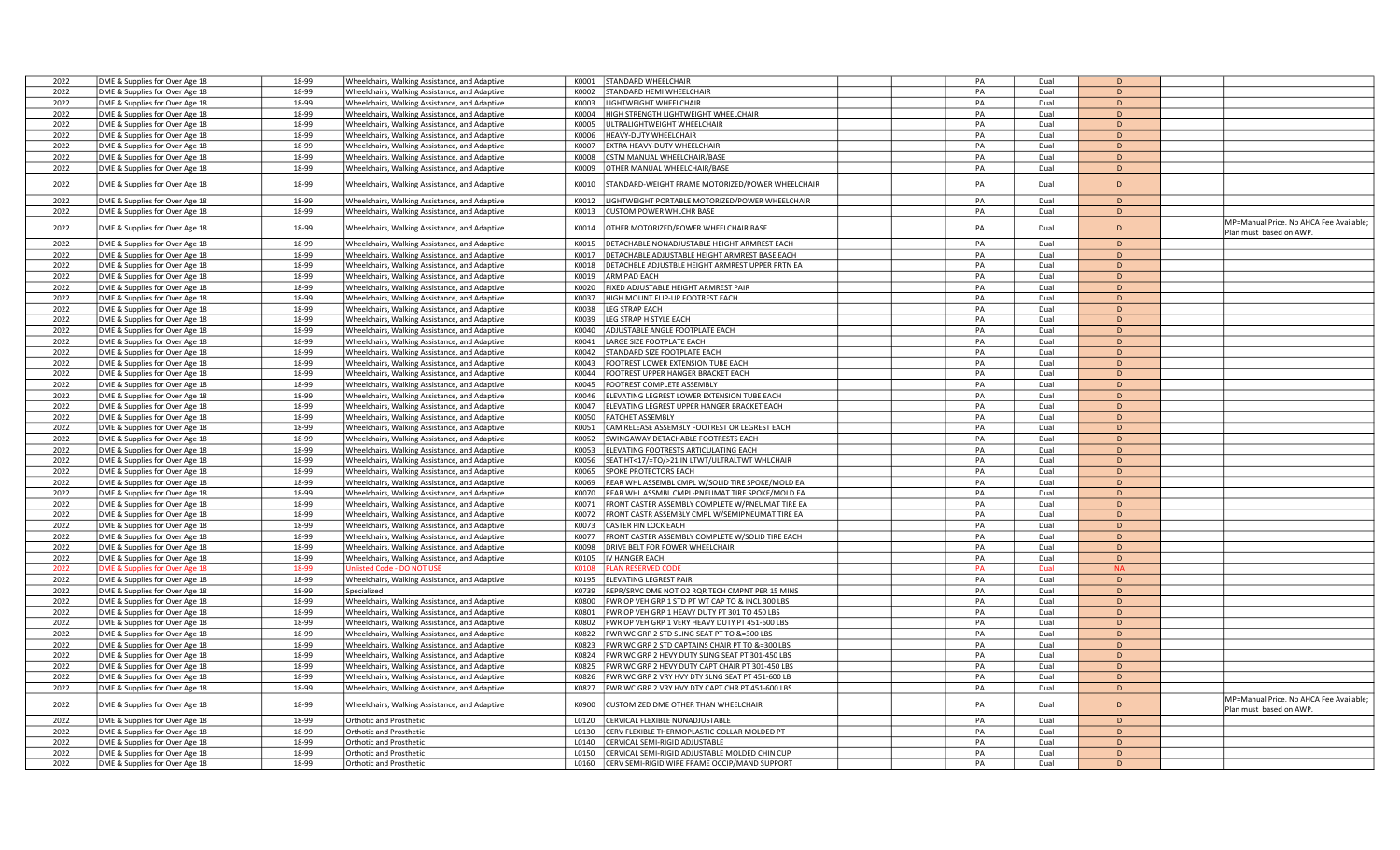| 2022 | DME & Supplies for Over Age 18 | 18-99          | Wheelchairs, Walking Assistance, and Adaptive | STANDARD WHEELCHAIR<br>K0001                                      | PA | Dual         | D              |                                                                    |
|------|--------------------------------|----------------|-----------------------------------------------|-------------------------------------------------------------------|----|--------------|----------------|--------------------------------------------------------------------|
| 2022 | DME & Supplies for Over Age 18 | 18-99          | Wheelchairs, Walking Assistance, and Adaptive | STANDARD HEMI WHEELCHAIR<br>K0002                                 | PA | Dual         | D              |                                                                    |
| 2022 | DME & Supplies for Over Age 18 | 18-99          | Wheelchairs, Walking Assistance, and Adaptive | LIGHTWEIGHT WHEELCHAIR<br>K0003                                   | PA | Dual         | D              |                                                                    |
| 2022 | DME & Supplies for Over Age 18 | 18-99          |                                               | HIGH STRENGTH LIGHTWEIGHT WHEELCHAIR<br>K0004                     | PA | Dual         | D              |                                                                    |
| 2022 |                                | 18-99          | Wheelchairs, Walking Assistance, and Adaptive | JLTRALIGHTWEIGHT WHEELCHAIR<br>KOOO5                              | PA | Dual         | D              |                                                                    |
|      | DME & Supplies for Over Age 18 |                | Wheelchairs, Walking Assistance, and Adaptive |                                                                   |    |              |                |                                                                    |
| 2022 | DME & Supplies for Over Age 18 | 18-99          | Wheelchairs, Walking Assistance, and Adaptive | K0006<br>HEAVY-DUTY WHEELCHAIR                                    | PA | Dual         | D              |                                                                    |
| 2022 | DME & Supplies for Over Age 18 | 18-99          | Wheelchairs, Walking Assistance, and Adaptive | K0007<br>EXTRA HEAVY-DUTY WHEELCHAIR                              | PA | Dual         | D              |                                                                    |
| 2022 | DME & Supplies for Over Age 18 | 18-99          | Wheelchairs, Walking Assistance, and Adaptive | CSTM MANUAL WHEELCHAIR/BASE<br>K0008                              | PA | Dual         | D              |                                                                    |
| 2022 | DME & Supplies for Over Age 18 | 18-99          | Wheelchairs, Walking Assistance, and Adaptive | K0009<br>OTHER MANUAL WHEELCHAIR/BASE                             | PA | Dual         | D              |                                                                    |
| 2022 | DME & Supplies for Over Age 18 | 18-99          | Wheelchairs, Walking Assistance, and Adaptive | K0010<br>TANDARD-WEIGHT FRAME MOTORIZED/POWER WHEELCHAIR          | PA | Dual         | D              |                                                                    |
| 2022 | DME & Supplies for Over Age 18 | 18-99          | Wheelchairs, Walking Assistance, and Adaptive | LIGHTWEIGHT PORTABLE MOTORIZED/POWER WHEELCHAIR<br>K0012          | PA | Dual         | D              |                                                                    |
| 2022 | DME & Supplies for Over Age 18 | 18-99          | Wheelchairs, Walking Assistance, and Adaptive | <b>CUSTOM POWER WHLCHR BASE</b><br>K0013                          | PA | Dual         | D              |                                                                    |
|      |                                |                |                                               |                                                                   |    |              |                | MP=Manual Price. No AHCA Fee Available;                            |
| 2022 | DME & Supplies for Over Age 18 | 18-99          | Wheelchairs, Walking Assistance, and Adaptive | K0014<br>OTHER MOTORIZED/POWER WHEELCHAIR BASE                    | PA | Dual         | D              | Plan must based on AWP.                                            |
| 2022 | DME & Supplies for Over Age 18 | 18-99          | Wheelchairs, Walking Assistance, and Adaptive | DETACHABLE NONADJUSTABLE HEIGHT ARMREST EACH<br>K0015             | PA | Dual         | $\overline{D}$ |                                                                    |
| 2022 | DME & Supplies for Over Age 18 | 18-99          | Wheelchairs, Walking Assistance, and Adaptive | K0017<br>DETACHABLE ADJUSTABLE HEIGHT ARMREST BASE EACH           | PA | Dual         | D              |                                                                    |
| 2022 | DME & Supplies for Over Age 18 | 18-99          | Wheelchairs, Walking Assistance, and Adaptive | DETACHBLE ADJUSTBLE HEIGHT ARMREST UPPER PRTN EA<br>K0018         | PA | Dual         | D              |                                                                    |
| 2022 | DME & Supplies for Over Age 18 | 18-99          | Wheelchairs, Walking Assistance, and Adaptive | ARM PAD EACH<br>K0019                                             | PA | Dual         | $\overline{D}$ |                                                                    |
| 2022 | DME & Supplies for Over Age 18 | 18-99          | Wheelchairs, Walking Assistance, and Adaptive | K0020<br>FIXED ADJUSTABLE HEIGHT ARMREST PAIR                     | PA | Dual         | D              |                                                                    |
| 2022 | DME & Supplies for Over Age 18 | 18-99          | Wheelchairs, Walking Assistance, and Adaptive | HIGH MOUNT FLIP-UP FOOTREST EACH<br>K0037                         | PA | Dual         | D              |                                                                    |
| 2022 | DME & Supplies for Over Age 18 | 18-99          | Wheelchairs, Walking Assistance, and Adaptive | K0038<br><b>EG STRAP EACH</b>                                     | PA | Dual         | D              |                                                                    |
| 2022 | DME & Supplies for Over Age 18 | 18-99          | Wheelchairs, Walking Assistance, and Adaptive | K0039<br><b>EG STRAP H STYLE EACH</b>                             | PA | Dual         | D              |                                                                    |
| 2022 | DME & Supplies for Over Age 18 | 18-99          |                                               | ADJUSTABLE ANGLE FOOTPLATE EACH<br>K0040                          | PA | Dual         | D              |                                                                    |
|      |                                |                | Wheelchairs, Walking Assistance, and Adaptive |                                                                   |    |              | D              |                                                                    |
| 2022 | DME & Supplies for Over Age 18 | 18-99          | Wheelchairs, Walking Assistance, and Adaptive | K0041<br>LARGE SIZE FOOTPLATE EACH                                | PA | Dual         |                |                                                                    |
| 2022 | DME & Supplies for Over Age 18 | 18-99          | Wheelchairs, Walking Assistance, and Adaptive | K0042<br>STANDARD SIZE FOOTPLATE EACH                             | PA | Dual         | D              |                                                                    |
| 2022 | DME & Supplies for Over Age 18 | 18-99          | Wheelchairs, Walking Assistance, and Adaptive | K0043<br>FOOTREST LOWER EXTENSION TUBE EACH                       | PA | Dual         | D              |                                                                    |
| 2022 | DME & Supplies for Over Age 18 | 18-99          | Wheelchairs, Walking Assistance, and Adaptive | K0044<br>FOOTREST UPPER HANGER BRACKET EACH                       | PA | Dual         | D              |                                                                    |
| 2022 | DME & Supplies for Over Age 18 | 18-99          | Wheelchairs, Walking Assistance, and Adaptive | K0045<br>FOOTREST COMPLETE ASSEMBLY                               | PA | Dual         | D              |                                                                    |
| 2022 | DME & Supplies for Over Age 18 | 18-99          | Wheelchairs, Walking Assistance, and Adaptive | K0046<br>ELEVATING LEGREST LOWER EXTENSION TUBE EACH              | PA | Dual         | D              |                                                                    |
| 2022 | DME & Supplies for Over Age 18 | 18-99          | Wheelchairs, Walking Assistance, and Adaptive | ELEVATING LEGREST UPPER HANGER BRACKET EACH<br>K0047              | PA | Dual         | $\mathsf{D}$   |                                                                    |
| 2022 | DME & Supplies for Over Age 18 | 18-99          | Wheelchairs, Walking Assistance, and Adaptive | K0050<br>RATCHET ASSEMBLY                                         | PA | Dual         | D              |                                                                    |
| 2022 | DME & Supplies for Over Age 18 | 18-99          | Wheelchairs, Walking Assistance, and Adaptive | CAM RELEASE ASSEMBLY FOOTREST OR LEGREST EACH<br>K0051            | PA | Dual         | D              |                                                                    |
| 2022 | DME & Supplies for Over Age 18 | 18-99          | Wheelchairs, Walking Assistance, and Adaptive | K0052<br>SWINGAWAY DETACHABLE FOOTRESTS EACH                      | PA | Dual         | D              |                                                                    |
| 2022 | DME & Supplies for Over Age 18 | 18-99          | Wheelchairs, Walking Assistance, and Adaptive | K0053<br>ELEVATING FOOTRESTS ARTICULATING EACH                    | PA | Dual         | D              |                                                                    |
| 2022 | DME & Supplies for Over Age 18 | 18-99          |                                               | SEAT HT<17/=TO/>21 IN LTWT/ULTRALTWT WHLCHAIR<br>K0056            | PA | Dual         | D              |                                                                    |
| 2022 |                                | 18-99          | Wheelchairs, Walking Assistance, and Adaptive | SPOKE PROTECTORS EACH<br>K0065                                    | PA | Dual         | D              |                                                                    |
|      | DME & Supplies for Over Age 18 |                | Wheelchairs, Walking Assistance, and Adaptive |                                                                   |    |              |                |                                                                    |
| 2022 | DME & Supplies for Over Age 18 | 18-99          | Wheelchairs, Walking Assistance, and Adaptive | REAR WHL ASSEMBL CMPL W/SOLID TIRE SPOKE/MOLD EA<br>K0069         | PA | Dual         | D              |                                                                    |
| 2022 | DME & Supplies for Over Age 18 | 18-99          | Wheelchairs, Walking Assistance, and Adaptive | REAR WHL ASSMBL CMPL-PNEUMAT TIRE SPOKE/MOLD EA<br>K0070          | PA | Dual         | D              |                                                                    |
| 2022 | DME & Supplies for Over Age 18 | 18-99          | Wheelchairs, Walking Assistance, and Adaptive | FRONT CASTER ASSEMBLY COMPLETE W/PNEUMAT TIRE EA<br>K0071         | PA | Dual         | D              |                                                                    |
| 2022 | DME & Supplies for Over Age 18 | 18-99          | Wheelchairs, Walking Assistance, and Adaptive | K0072<br>FRONT CASTR ASSEMBLY CMPL W/SEMIPNEUMAT TIRE EA          | PA | Dual         | D              |                                                                    |
| 2022 | DME & Supplies for Over Age 18 | 18-99          | Wheelchairs, Walking Assistance, and Adaptive | K0073<br>CASTER PIN LOCK EACH                                     | PA | Dual         | D              |                                                                    |
| 2022 | DME & Supplies for Over Age 18 | 18-99          | Wheelchairs, Walking Assistance, and Adaptive | FRONT CASTER ASSEMBLY COMPLETE W/SOLID TIRE EACH<br>K0077         | PA | Dual         | D              |                                                                    |
| 2022 | DME & Supplies for Over Age 18 | 18-99          | Wheelchairs, Walking Assistance, and Adaptive | ORIVE BELT FOR POWER WHEELCHAIR<br>K0098                          | PA | Dual         | D              |                                                                    |
| 2022 | DME & Supplies for Over Age 18 | 18-99          | Wheelchairs, Walking Assistance, and Adaptive | K0105<br>IV HANGER EACH                                           | PA | Dual         | D              |                                                                    |
| 2022 | DME & Supplies for Over Age 18 | 18-99          | nlisted Code - DO NOT USE                     | <b>LAN RESERVED COD</b><br>K0108                                  | PA | Dual         | <b>NA</b>      |                                                                    |
| 2022 | DME & Supplies for Over Age 18 | 18-99          | Wheelchairs, Walking Assistance, and Adaptive | K0195<br>ELEVATING LEGREST PAIR                                   | PA | Dual         | D              |                                                                    |
| 2022 | DME & Supplies for Over Age 18 | 18-99          | Specialized                                   | REPR/SRVC DME NOT O2 RQR TECH CMPNT PER 15 MINS<br>K0739          | PA | Dual         | D              |                                                                    |
| 2022 | DME & Supplies for Over Age 18 | 18-99          | Wheelchairs, Walking Assistance, and Adaptive | PWR OP VEH GRP 1 STD PT WT CAP TO & INCL 300 LBS<br>K0800         | PA | Dual         | D              |                                                                    |
| 2022 | DME & Supplies for Over Age 18 | 18-99          | Wheelchairs, Walking Assistance, and Adaptive | PWR OP VEH GRP 1 HEAVY DUTY PT 301 TO 450 LBS<br>K0801            | PA | Dual         | D              |                                                                    |
| 2022 | DME & Supplies for Over Age 18 | 18-99          | Wheelchairs, Walking Assistance, and Adaptive | K0802<br>PWR OP VEH GRP 1 VERY HEAVY DUTY PT 451-600 LBS          | PA | Dual         | D              |                                                                    |
| 2022 | DME & Supplies for Over Age 18 | 18-99          | Wheelchairs, Walking Assistance, and Adaptive | K0822<br>PWR WC GRP 2 STD SLING SEAT PT TO &=300 LBS              | PA | Dual         | D              |                                                                    |
|      |                                |                |                                               |                                                                   | PA |              | D              |                                                                    |
| 2022 | DME & Supplies for Over Age 18 | 18-99<br>18-99 | Wheelchairs, Walking Assistance, and Adaptive | PWR WC GRP 2 STD CAPTAINS CHAIR PT TO &=300 LBS<br>K0823<br>K0824 | PA | Dual<br>Dual | D              |                                                                    |
| 2022 | DME & Supplies for Over Age 18 |                | Wheelchairs, Walking Assistance, and Adaptive | PWR WC GRP 2 HEVY DUTY SLING SEAT PT 301-450 LBS                  |    |              |                |                                                                    |
| 2022 | DME & Supplies for Over Age 18 | 18-99          | Wheelchairs, Walking Assistance, and Adaptive | K0825<br>PWR WC GRP 2 HEVY DUTY CAPT CHAIR PT 301-450 LBS         | PA | Dual         | D              |                                                                    |
| 2022 | DME & Supplies for Over Age 18 | 18-99          | Wheelchairs, Walking Assistance, and Adaptive | K0826<br>PWR WC GRP 2 VRY HVY DTY SLNG SEAT PT 451-600 LB         | PA | Dual         | D              |                                                                    |
| 2022 | DME & Supplies for Over Age 18 | 18-99          | Wheelchairs, Walking Assistance, and Adaptive | K0827<br>PWR WC GRP 2 VRY HVY DTY CAPT CHR PT 451-600 LBS         | PA | Dual         | D              |                                                                    |
| 2022 | DME & Supplies for Over Age 18 | 18-99          | Wheelchairs, Walking Assistance, and Adaptive | K0900<br>CUSTOMIZED DME OTHER THAN WHEELCHAIR                     | PA | Dual         | D              | MP=Manual Price. No AHCA Fee Available;<br>Plan must based on AWP. |
| 2022 | DME & Supplies for Over Age 18 | 18-99          | <b>Orthotic and Prosthetic</b>                | L0120<br>CERVICAL FLEXIBLE NONADJUSTABLE                          | PA | Dual         | D              |                                                                    |
| 2022 | DME & Supplies for Over Age 18 | 18-99          | <b>Orthotic and Prosthetic</b>                | L0130<br>CERV FLEXIBLE THERMOPLASTIC COLLAR MOLDED PT             | PA | Dual         | D              |                                                                    |
| 2022 | DME & Supplies for Over Age 18 | 18-99          | <b>Orthotic and Prosthetic</b>                | CERVICAL SEMI-RIGID ADJUSTABLE<br>L0140                           | PA | Dual         | D              |                                                                    |
| 2022 | DME & Supplies for Over Age 18 | 18-99          | <b>Orthotic and Prosthetic</b>                | CERVICAL SEMI-RIGID ADJUSTABLE MOLDED CHIN CUP<br>L0150           | PA | Dual         | D              |                                                                    |
| 2022 | DME & Supplies for Over Age 18 | 18-99          | <b>Orthotic and Prosthetic</b>                | CERV SEMI-RIGID WIRE FRAME OCCIP/MAND SUPPORT<br>L0160            | PA | Dual         | $\mathsf{D}$   |                                                                    |
|      |                                |                |                                               |                                                                   |    |              |                |                                                                    |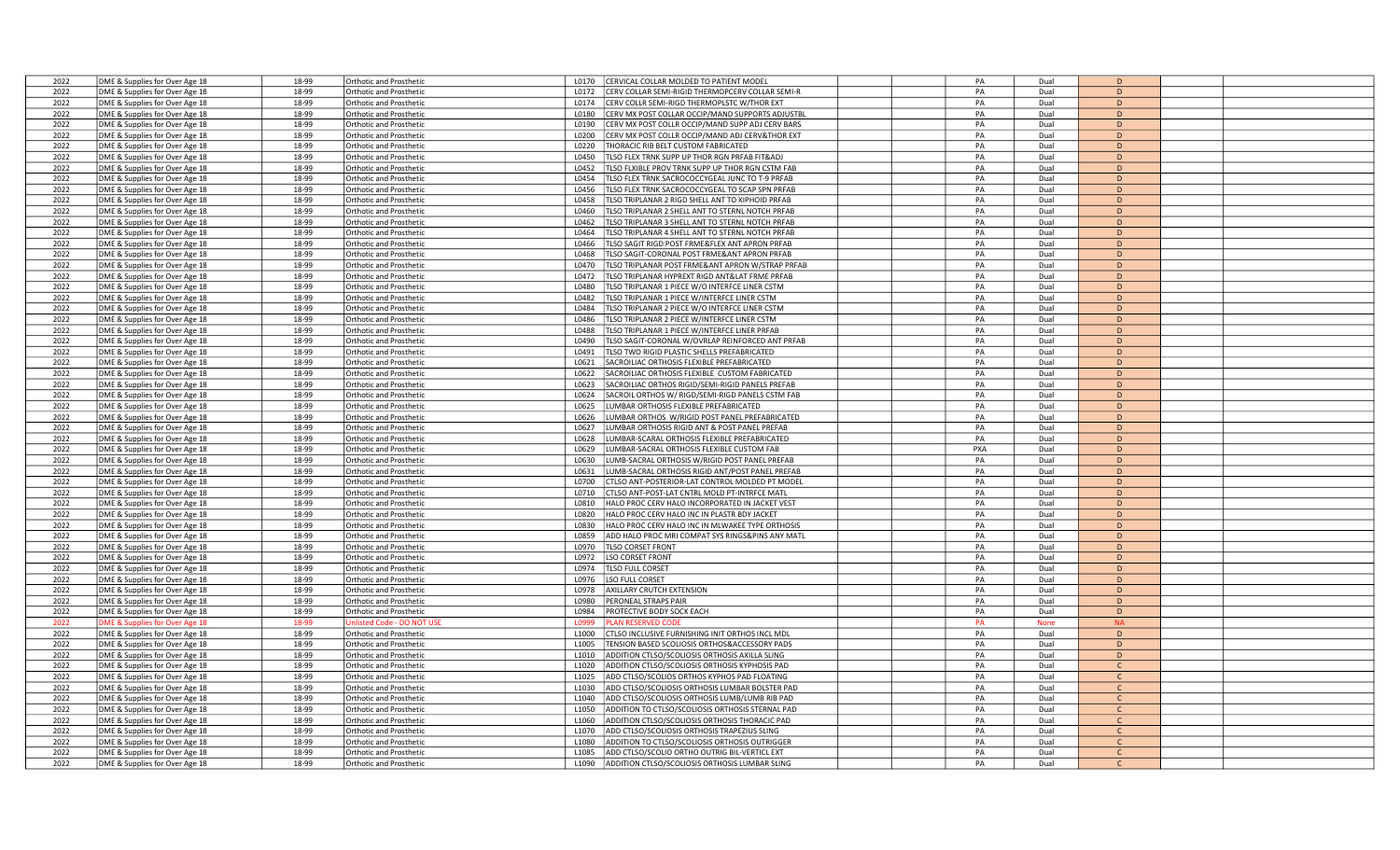| 2022 | DME & Supplies for Over Age 18                                   | 18-99 | Orthotic and Prosthetic                                          | L0170             | ERVICAL COLLAR MOLDED TO PATIENT MODEL                                                         | PA  | Dual         | $\overline{D}$ |  |
|------|------------------------------------------------------------------|-------|------------------------------------------------------------------|-------------------|------------------------------------------------------------------------------------------------|-----|--------------|----------------|--|
| 2022 | DME & Supplies for Over Age 18                                   | 18-99 | <b>Orthotic and Prosthetic</b>                                   | L0172             | ERV COLLAR SEMI-RIGID THERMOPCERV COLLAR SEMI-R                                                | PA  | Dual         | D              |  |
| 2022 | DME & Supplies for Over Age 18                                   | 18-99 | <b>Orthotic and Prosthetic</b>                                   | L0174             | CERV COLLR SEMI-RIGD THERMOPLSTC W/THOR EXT                                                    | PA  | Dual         | D              |  |
| 2022 |                                                                  | 18-99 | Orthotic and Prosthetic                                          | L0180             | ERV MX POST COLLAR OCCIP/MAND SUPPORTS ADJUSTBL                                                | PA  | Dual         | D              |  |
|      | DME & Supplies for Over Age 18                                   |       |                                                                  |                   |                                                                                                |     |              | D              |  |
| 2022 | DME & Supplies for Over Age 18                                   | 18-99 | Orthotic and Prosthetic                                          | L0190             | ERV MX POST COLLR OCCIP/MAND SUPP ADJ CERV BARS                                                | PA  | Dual         |                |  |
| 2022 | DME & Supplies for Over Age 18                                   | 18-99 | <b>Orthotic and Prosthetic</b>                                   | L0200             | ERV MX POST COLLR OCCIP/MAND ADJ CERV&THOR EXT                                                 | PA  | Dual         | D              |  |
| 2022 | DME & Supplies for Over Age 18                                   | 18-99 | Orthotic and Prosthetic                                          | L0220             | HORACIC RIB BELT CUSTOM FABRICATED                                                             | PA  | Dual         | D              |  |
| 2022 | DME & Supplies for Over Age 18                                   | 18-99 | <b>Orthotic and Prosthetic</b>                                   | L0450             | LSO FLEX TRNK SUPP UP THOR RGN PRFAB FIT&ADJ                                                   | PA  | Dual         | D              |  |
| 2022 | DME & Supplies for Over Age 18                                   | 18-99 | <b>Orthotic and Prosthetic</b>                                   | L0452             | LSO FLXIBLE PROV TRNK SUPP UP THOR RGN CSTM FAB                                                | PA  | Dual         | D              |  |
| 2022 | DME & Supplies for Over Age 18                                   | 18-99 | Orthotic and Prosthetic                                          | L0454             | LSO FLEX TRNK SACROCOCCYGEAL JUNC TO T-9 PRFAB                                                 | PA  | Dual         | D              |  |
| 2022 | DME & Supplies for Over Age 18                                   | 18-99 | <b>Orthotic and Prosthetic</b>                                   | L0456             | LSO FLEX TRNK SACROCOCCYGEAL TO SCAP SPN PRFAB                                                 | PA  | Dual         | D              |  |
| 2022 | DME & Supplies for Over Age 18                                   | 18-99 | <b>Orthotic and Prosthetic</b>                                   | L0458             | LSO TRIPLANAR 2 RIGD SHELL ANT TO XIPHOID PRFAB                                                | PA  | Dual         | D              |  |
| 2022 | DME & Supplies for Over Age 18                                   | 18-99 | Orthotic and Prosthetic                                          | L0460             | LSO TRIPLANAR 2 SHELL ANT TO STERNL NOTCH PRFAB                                                | PA  | Dual         | D              |  |
| 2022 | DME & Supplies for Over Age 18                                   | 18-99 | <b>Orthotic and Prosthetic</b>                                   | L0462             | LSO TRIPLANAR 3 SHELL ANT TO STERNL NOTCH PRFAB                                                | PA  | Dual         | D              |  |
| 2022 | DME & Supplies for Over Age 18                                   | 18-99 | <b>Orthotic and Prosthetic</b>                                   | L0464             | LSO TRIPLANAR 4 SHELL ANT TO STERNL NOTCH PRFAB                                                | PA  | Dual         | D              |  |
| 2022 | DME & Supplies for Over Age 18                                   | 18-99 | Orthotic and Prosthetic                                          | L0466             | LSO SAGIT RIGD POST FRME&FLEX ANT APRON PRFAB                                                  | PA  | Dual         | D              |  |
| 2022 | DME & Supplies for Over Age 18                                   | 18-99 | <b>Orthotic and Prosthetic</b>                                   | L0468             | LSO SAGIT-CORONAL POST FRME&ANT APRON PRFAB                                                    | PA  | Dual         | D              |  |
| 2022 | DME & Supplies for Over Age 18                                   | 18-99 | <b>Orthotic and Prosthetic</b>                                   | L0470             | LSO TRIPLANAR POST FRME&ANT APRON W/STRAP PRFAB                                                | PA  | Dual         | D              |  |
| 2022 |                                                                  | 18-99 | Orthotic and Prosthetic                                          | L0472             | LSO TRIPLANAR HYPREXT RIGD ANT&LAT FRME PRFAB                                                  | PA  | Dual         | D              |  |
|      | DME & Supplies for Over Age 18                                   | 18-99 |                                                                  | L0480             |                                                                                                | PA  | Dual         | D              |  |
| 2022 | DME & Supplies for Over Age 18                                   |       | <b>Orthotic and Prosthetic</b>                                   |                   | LSO TRIPLANAR 1 PIECE W/O INTERFCE LINER CSTM                                                  |     |              |                |  |
| 2022 | DME & Supplies for Over Age 18                                   | 18-99 | <b>Orthotic and Prosthetic</b>                                   | L0482             | LSO TRIPLANAR 1 PIECE W/INTERFCE LINER CSTM                                                    | PA  | Dual         | D              |  |
| 2022 | DME & Supplies for Over Age 18                                   | 18-99 | Orthotic and Prosthetic                                          | L0484             | LSO TRIPLANAR 2 PIECE W/O INTERFCE LINER CSTM                                                  | PA  | Dual         | D              |  |
| 2022 | DME & Supplies for Over Age 18                                   | 18-99 | <b>Orthotic and Prosthetic</b>                                   | L0486             | LSO TRIPLANAR 2 PIECE W/INTERFCE LINER CSTM                                                    | PA  | Dual         | D              |  |
| 2022 | DME & Supplies for Over Age 18                                   | 18-99 | <b>Orthotic and Prosthetic</b>                                   | L0488             | LSO TRIPLANAR 1 PIECE W/INTERFCE LINER PRFAB                                                   | PA  | Dual         | D              |  |
| 2022 | DME & Supplies for Over Age 18                                   | 18-99 | Orthotic and Prosthetic                                          | L0490             | LSO SAGIT-CORONAL W/OVRLAP REINFORCED ANT PRFAB                                                | PA  | Dual         | D              |  |
| 2022 | DME & Supplies for Over Age 18                                   | 18-99 | <b>Orthotic and Prosthetic</b>                                   | L0491             | LSO TWO RIGID PLASTIC SHELLS PREFABRICATED                                                     | PA  | Dual         | D              |  |
| 2022 | DME & Supplies for Over Age 18                                   | 18-99 | <b>Orthotic and Prosthetic</b>                                   | L0621             | SACROILIAC ORTHOSIS FLEXIBLE PREFABRICATED                                                     | PA  | Dual         | D              |  |
| 2022 | DME & Supplies for Over Age 18                                   | 18-99 | Orthotic and Prosthetic                                          | L0622             | ACROILIAC ORTHOSIS FLEXIBLE CUSTOM FABRICATED                                                  | PA  | Dual         | D              |  |
| 2022 | DME & Supplies for Over Age 18                                   | 18-99 | <b>Orthotic and Prosthetic</b>                                   | L0623             | ACROILIAC ORTHOS RIGID/SEMI-RIGID PANELS PREFAB                                                | PA  | Dual         | D              |  |
| 2022 | DME & Supplies for Over Age 18                                   | 18-99 | <b>Orthotic and Prosthetic</b>                                   | L0624             | ACROIL ORTHOS W/RIGD/SEMI-RIGD PANELS CSTM FAB                                                 | PA  | Dual         | D              |  |
| 2022 | DME & Supplies for Over Age 18                                   | 18-99 | Orthotic and Prosthetic                                          | L0625             | UMBAR ORTHOSIS FLEXIBLE PREFABRICATED                                                          | PA  | Dual         | D              |  |
| 2022 | DME & Supplies for Over Age 18                                   | 18-99 | <b>Orthotic and Prosthetic</b>                                   | L0626             | UMBAR ORTHOS W/RIGID POST PANEL PREFABRICATED                                                  | PA  | Dual         | D              |  |
| 2022 | DME & Supplies for Over Age 18                                   | 18-99 | <b>Orthotic and Prosthetic</b>                                   | L0627             | UMBAR ORTHOSIS RIGID ANT & POST PANEL PREFAB                                                   | PA  | Dual         | D              |  |
| 2022 | DME & Supplies for Over Age 18                                   | 18-99 | Orthotic and Prosthetic                                          | L0628             | UMBAR-SCARAL ORTHOSIS FLEXIBLE PREFABRICATED                                                   | PA  | Dual         | D              |  |
| 2022 | DME & Supplies for Over Age 18                                   | 18-99 | <b>Orthotic and Prosthetic</b>                                   | L0629             | UMBAR-SACRAL ORTHOSIS FLEXIBLE CUSTOM FAB                                                      | PXA | Dual         | D              |  |
| 2022 | DME & Supplies for Over Age 18                                   | 18-99 | <b>Orthotic and Prosthetic</b>                                   | L0630             | UMB-SACRAL ORTHOSIS W/RIGID POST PANEL PREFAB                                                  | PA  | Dual         | D              |  |
| 2022 | DME & Supplies for Over Age 18                                   | 18-99 | Orthotic and Prosthetic                                          | L0631             | UMB-SACRAL ORTHOSIS RIGID ANT/POST PANEL PREFAB                                                | PA  | Dual         | D              |  |
| 2022 | DME & Supplies for Over Age 18                                   | 18-99 | <b>Orthotic and Prosthetic</b>                                   | L0700             | TLSO ANT-POSTERIOR-LAT CONTROL MOLDED PT MODEL                                                 | PA  | Dual         | D              |  |
| 2022 | DME & Supplies for Over Age 18                                   | 18-99 | <b>Orthotic and Prosthetic</b>                                   | L0710             | TLSO ANT-POST-LAT CNTRL MOLD PT-INTRFCE MATL                                                   | PA  | Dual         | D              |  |
| 2022 | DME & Supplies for Over Age 18                                   | 18-99 | Orthotic and Prosthetic                                          | L0810             | HALO PROC CERV HALO INCORPORATED IN JACKET VEST                                                | PA  | Dual         | D              |  |
| 2022 | DME & Supplies for Over Age 18                                   | 18-99 | <b>Orthotic and Prosthetic</b>                                   | L0820             | ALO PROC CERV HALO INC IN PLASTR BDY JACKET                                                    | PA  | Dual         | D              |  |
| 2022 | DME & Supplies for Over Age 18                                   | 18-99 | <b>Orthotic and Prosthetic</b>                                   | L0830             | IALO PROC CERV HALO INC IN MLWAKEE TYPE ORTHOSIS                                               | PA  | Dual         | $\mathsf{D}$   |  |
| 2022 | DME & Supplies for Over Age 18                                   | 18-99 | Orthotic and Prosthetic                                          | L0859             | ADD HALO PROC MRI COMPAT SYS RINGS&PINS ANY MATL                                               | PA  | Dual         | D              |  |
| 2022 | DME & Supplies for Over Age 18                                   | 18-99 | <b>Orthotic and Prosthetic</b>                                   | L0970             | <b>LSO CORSET FRONT</b>                                                                        | PA  | Dual         | D              |  |
| 2022 | DME & Supplies for Over Age 18                                   | 18-99 | Orthotic and Prosthetic                                          | L0972             | SO CORSET FRONT                                                                                | PA  | Dual         | D              |  |
| 2022 | DME & Supplies for Over Age 18                                   | 18-99 | <b>Orthotic and Prosthetic</b>                                   | L0974             | LSO FULL CORSET                                                                                | PA  | Dual         | D              |  |
| 2022 | DME & Supplies for Over Age 18                                   | 18-99 | <b>Orthotic and Prosthetic</b>                                   | L0976             | SO FULL CORSET                                                                                 | PA  | Dual         | D              |  |
| 2022 | DME & Supplies for Over Age 18                                   | 18-99 | <b>Orthotic and Prosthetic</b>                                   | L0978             | <b>XXILLARY CRUTCH EXTENSION</b>                                                               | PA  | Dual         | D              |  |
| 2022 | DME & Supplies for Over Age 18                                   | 18-99 | Orthotic and Prosthetic                                          | L0980             | <b>ERONEAL STRAPS PAIR</b>                                                                     | PA  | Dual         | $\Gamma$       |  |
| 2022 |                                                                  | 18-99 |                                                                  | L0984             |                                                                                                | PA  | Dual         | D              |  |
| 2022 | DME & Supplies for Over Age 18<br>OME & Supplies for Over Age 18 | 18-99 | <b>Orthotic and Prosthetic</b><br>Inlisted Code - DO NOT US      | 1.0999            | PROTECTIVE BODY SOCK EACH<br><b>AN RESERVED CODE</b>                                           | PA  | <b>None</b>  | <b>NA</b>      |  |
| 2022 | DME & Supplies for Over Age 18                                   | 18-99 | <b>Orthotic and Prosthetic</b>                                   | L1000             | TLSO INCLUSIVE FURNISHING INIT ORTHOS INCL MDL                                                 | PA  | Dual         | D              |  |
| 2022 |                                                                  | 18-99 |                                                                  |                   |                                                                                                | PA  |              | D              |  |
| 2022 | DME & Supplies for Over Age 18                                   | 18-99 | <b>Orthotic and Prosthetic</b><br><b>Orthotic and Prosthetic</b> | L1005<br>L1010    | ENSION BASED SCOLIOSIS ORTHOS&ACCESSORY PADS<br>ADDITION CTLSO/SCOLIOSIS ORTHOSIS AXILLA SLING | PA  | Dual<br>Dual | D              |  |
|      | DME & Supplies for Over Age 18                                   |       |                                                                  |                   |                                                                                                |     |              |                |  |
| 2022 | DME & Supplies for Over Age 18                                   | 18-99 | Orthotic and Prosthetic                                          | L1020             | <b>ADDITION CTLSO/SCOLIOSIS ORTHOSIS KYPHOSIS PAD</b>                                          | PA  | Dual         | $\mathsf{C}$   |  |
| 2022 | DME & Supplies for Over Age 18                                   | 18-99 | <b>Orthotic and Prosthetic</b>                                   | L1025             | ADD CTLSO/SCOLIOS ORTHOS KYPHOS PAD FLOATING                                                   | PA  | Dual         | $\mathcal{C}$  |  |
| 2022 | DME & Supplies for Over Age 18                                   | 18-99 | <b>Orthotic and Prosthetic</b>                                   | L <sub>1030</sub> | ADD CTLSO/SCOLIOSIS ORTHOSIS LUMBAR BOLSTER PAD                                                | PA  | Dual         | $\mathsf{C}$   |  |
| 2022 | DME & Supplies for Over Age 18                                   | 18-99 | <b>Orthotic and Prosthetic</b>                                   | L1040             | ADD CTLSO/SCOLIOSIS ORTHOSIS LUMB/LUMB RIB PAD                                                 | PA  | Dual         | $\mathsf{C}$   |  |
| 2022 | DME & Supplies for Over Age 18                                   | 18-99 | <b>Orthotic and Prosthetic</b>                                   | L1050             | ADDITION TO CTLSO/SCOLIOSIS ORTHOSIS STERNAL PAD                                               | PA  | Dual         | $\mathsf{C}$   |  |
| 2022 | DME & Supplies for Over Age 18                                   | 18-99 | <b>Orthotic and Prosthetic</b>                                   | L1060             | ADDITION CTLSO/SCOLIOSIS ORTHOSIS THORACIC PAD                                                 | PA  | Dual         | $\mathsf{C}$   |  |
| 2022 | DME & Supplies for Over Age 18                                   | 18-99 | Orthotic and Prosthetic                                          | 11070             | ADD CTLSO/SCOLIOSIS ORTHOSIS TRAPEZIUS SLING                                                   | PA  | Dual         | $\mathcal{C}$  |  |
| 2022 | DME & Supplies for Over Age 18                                   | 18-99 | <b>Orthotic and Prosthetic</b>                                   | L <sub>1080</sub> | ADDITION TO CTLSO/SCOLIOSIS ORTHOSIS OUTRIGGER                                                 | PA  | Dual         | $\mathcal{C}$  |  |
| 2022 | DME & Supplies for Over Age 18                                   | 18-99 | Orthotic and Prosthetic                                          | L1085             | ADD CTLSO/SCOLIO ORTHO OUTRIG BIL-VERTICL EXT                                                  | PA  | Dual         | $\mathsf{C}$   |  |
| 2022 | DME & Supplies for Over Age 18                                   | 18-99 | Orthotic and Prosthetic                                          | L1090             | ADDITION CTLSO/SCOLIOSIS ORTHOSIS LUMBAR SLING                                                 | PA  | Dual         |                |  |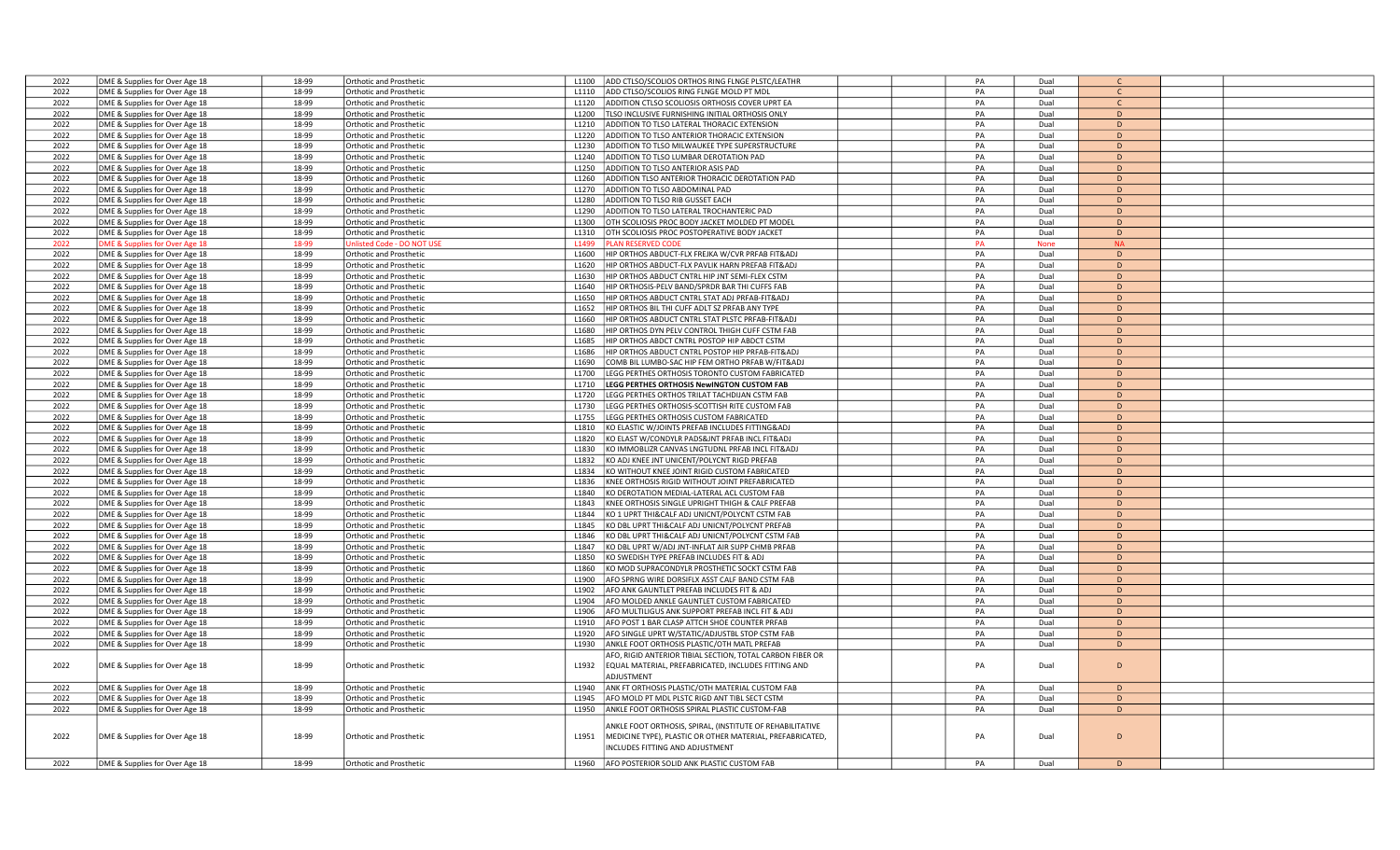| 2022 | DME & Supplies for Over Age 18 | 18-99 | <b>Orthotic and Prosthetic</b>   | L1100             | ADD CTLSO/SCOLIOS ORTHOS RING FLNGE PLSTC/LEATHR          | PA | Dual         | $\mathsf{C}$ |  |
|------|--------------------------------|-------|----------------------------------|-------------------|-----------------------------------------------------------|----|--------------|--------------|--|
| 2022 | DME & Supplies for Over Age 18 | 18-99 | Orthotic and Prosthetic          | L <sub>1110</sub> | ADD CTLSO/SCOLIOS RING FLNGE MOLD PT MDL                  | PA | Dual         | $\mathsf{C}$ |  |
| 2022 | DME & Supplies for Over Age 18 | 18-99 | <b>Orthotic and Prosthetic</b>   | L1120             | ADDITION CTLSO SCOLIOSIS ORTHOSIS COVER UPRT EA           | PA | Dual         | $\mathsf{C}$ |  |
| 2022 | DME & Supplies for Over Age 18 | 18-99 | Orthotic and Prosthetic          | L1200             | TLSO INCLUSIVE FURNISHING INITIAL ORTHOSIS ONLY           | PA | Dual         | D            |  |
| 2022 | DME & Supplies for Over Age 18 | 18-99 | Orthotic and Prosthetic          | L1210             | ADDITION TO TLSO LATERAL THORACIC EXTENSION               | PA | Dual         | D            |  |
| 2022 | DME & Supplies for Over Age 18 | 18-99 | Orthotic and Prosthetic          | L1220             | ADDITION TO TLSO ANTERIOR THORACIC EXTENSION              | PA | Dual         | $\mathsf{D}$ |  |
| 2022 | DME & Supplies for Over Age 18 | 18-99 | <b>Orthotic and Prosthetic</b>   | L1230             | ADDITION TO TLSO MILWAUKEE TYPE SUPERSTRUCTURE            | PA | Dual         | D            |  |
| 2022 | DME & Supplies for Over Age 18 | 18-99 | Orthotic and Prosthetic          | L <sub>1240</sub> | ADDITION TO TLSO LUMBAR DEROTATION PAD                    | PA | Dual         | $\mathsf{D}$ |  |
| 2022 |                                | 18-99 |                                  | L1250             | ADDITION TO TLSO ANTERIOR ASIS PAD                        | PA | Dual         | D            |  |
|      | DME & Supplies for Over Age 18 |       | <b>Orthotic and Prosthetic</b>   |                   |                                                           |    |              |              |  |
| 2022 | DME & Supplies for Over Age 18 | 18-99 | Orthotic and Prosthetic          | L1260             | ADDITION TLSO ANTERIOR THORACIC DEROTATION PAD            | PA | Dual         | D            |  |
| 2022 | DME & Supplies for Over Age 18 | 18-99 | Orthotic and Prosthetic          | L1270             | ADDITION TO TLSO ABDOMINAL PAD                            | PA | Dual         | D            |  |
| 2022 | DME & Supplies for Over Age 18 | 18-99 | Orthotic and Prosthetic          | L1280             | ADDITION TO TLSO RIB GUSSET EACH                          | PA | Dual         | $\mathsf{D}$ |  |
| 2022 | DME & Supplies for Over Age 18 | 18-99 | <b>Orthotic and Prosthetic</b>   | L1290             | ADDITION TO TLSO LATERAL TROCHANTERIC PAD                 | PA | Dual         | D            |  |
| 2022 | DME & Supplies for Over Age 18 | 18-99 | Orthotic and Prosthetic          | L1300             | OTH SCOLIOSIS PROC BODY JACKET MOLDED PT MODEL            | PA | Dual         | D            |  |
| 2022 | DME & Supplies for Over Age 18 | 18-99 | Orthotic and Prosthetic          | L1310             | OTH SCOLIOSIS PROC POSTOPERATIVE BODY JACKET              | PA | Dual         | $\mathsf{D}$ |  |
| 2022 | DME & Supplies for Over Age 18 | 18-99 | <b>Jnlisted Code - DO NOT US</b> | L1499             | <b>PLAN RESERVED CODE</b>                                 | PA | <b>None</b>  | <b>NA</b>    |  |
| 2022 | DME & Supplies for Over Age 18 | 18-99 | Orthotic and Prosthetic          | L1600             | HIP ORTHOS ABDUCT-FLX FREJKA W/CVR PRFAB FIT&ADJ          | PA | Dual         | D            |  |
| 2022 | DME & Supplies for Over Age 18 | 18-99 | Orthotic and Prosthetic          | L1620             | HIP ORTHOS ABDUCT-FLX PAVLIK HARN PREFAB FIT&ADJ          | PA | Dual         | $\mathsf{D}$ |  |
| 2022 | DME & Supplies for Over Age 18 | 18-99 | <b>Orthotic and Prosthetic</b>   | L1630             | HIP ORTHOS ABDUCT CNTRL HIP JNT SEMI-FLEX CSTM            | PA | Dual         | D            |  |
| 2022 | DME & Supplies for Over Age 18 | 18-99 | <b>Orthotic and Prosthetic</b>   | L1640             | HIP ORTHOSIS-PELV BAND/SPRDR BAR THI CUFFS FAB            | PA | Dual         | D            |  |
| 2022 | DME & Supplies for Over Age 18 | 18-99 | Orthotic and Prosthetic          | L1650             | HIP ORTHOS ABDUCT CNTRL STAT ADJ PRFAB-FIT&ADJ            | PA | Dual         | $\mathsf{D}$ |  |
| 2022 | DME & Supplies for Over Age 18 | 18-99 | <b>Orthotic and Prosthetic</b>   | 11652             | HIP ORTHOS BIL THI CUFF ADLT SZ PRFAB ANY TYPE            | PA | Dual         | D            |  |
| 2022 | DME & Supplies for Over Age 18 | 18-99 | <b>Orthotic and Prosthetic</b>   | L1660             | HIP ORTHOS ABDUCT CNTRL STAT PLSTC PRFAB-FIT&ADJ          | PA | Dual         | D            |  |
| 2022 | DME & Supplies for Over Age 18 | 18-99 | <b>Orthotic and Prosthetic</b>   | L1680             | HIP ORTHOS DYN PELV CONTROL THIGH CUFF CSTM FAB           | PA | Dual         | $\mathsf{D}$ |  |
| 2022 | DME & Supplies for Over Age 18 | 18-99 | Orthotic and Prosthetic          | L1685             | HIP ORTHOS ABDCT CNTRL POSTOP HIP ABDCT CSTM              | PA | Dual         | D            |  |
|      |                                |       |                                  |                   |                                                           | PA |              |              |  |
| 2022 | DME & Supplies for Over Age 18 | 18-99 | Orthotic and Prosthetic          | L1686             | HIP ORTHOS ABDUCT CNTRL POSTOP HIP PRFAB-FIT&ADJ          |    | Dual         | D            |  |
| 2022 | DME & Supplies for Over Age 18 | 18-99 | Orthotic and Prosthetic          | L1690             | COMB BIL LUMBO-SAC HIP FEM ORTHO PRFAB W/FIT&ADJ          | PA | Dual         | D            |  |
| 2022 | DME & Supplies for Over Age 18 | 18-99 | Orthotic and Prosthetic          | L1700             | LEGG PERTHES ORTHOSIS TORONTO CUSTOM FABRICATED           | PA | Dual         | D            |  |
| 2022 | DME & Supplies for Over Age 18 | 18-99 | <b>Orthotic and Prosthetic</b>   | L1710             | LEGG PERTHES ORTHOSIS NewINGTON CUSTOM FAB                | PA | Dual         | D            |  |
| 2022 | DME & Supplies for Over Age 18 | 18-99 | <b>Orthotic and Prosthetic</b>   | L1720             | LEGG PERTHES ORTHOS TRILAT TACHDIJAN CSTM FAB             | PA | Dual         | $\mathsf{D}$ |  |
| 2022 | DME & Supplies for Over Age 18 | 18-99 | <b>Orthotic and Prosthetic</b>   | L1730             | LEGG PERTHES ORTHOSIS-SCOTTISH RITE CUSTOM FAB            | PA | Dual         | D            |  |
| 2022 | DME & Supplies for Over Age 18 | 18-99 | Orthotic and Prosthetic          | L1755             | LEGG PERTHES ORTHOSIS CUSTOM FABRICATED                   | PA | Dual         | $\mathsf D$  |  |
| 2022 | DME & Supplies for Over Age 18 | 18-99 | Orthotic and Prosthetic          | L1810             | KO ELASTIC W/JOINTS PREFAB INCLUDES FITTING&ADJ           | PA | Dual         | D            |  |
| 2022 | DME & Supplies for Over Age 18 | 18-99 | <b>Orthotic and Prosthetic</b>   | L1820             | KO ELAST W/CONDYLR PADS&JNT PRFAB INCL FIT&ADJ            | PA | Dual         | D            |  |
| 2022 | DME & Supplies for Over Age 18 | 18-99 | Orthotic and Prosthetic          | L1830             | KO IMMOBLIZR CANVAS LNGTUDNL PRFAB INCL FIT&ADJ           | PA | Dual         | $\mathsf{D}$ |  |
| 2022 | DME & Supplies for Over Age 18 | 18-99 | Orthotic and Prosthetic          | L <sub>1832</sub> | KO ADJ KNEE JNT UNICENT/POLYCNT RIGD PREFAB               | PA | Dual         | D            |  |
| 2022 | DME & Supplies for Over Age 18 | 18-99 | Orthotic and Prosthetic          | L1834             | KO WITHOUT KNEE JOINT RIGID CUSTOM FABRICATED             | PA | Dual         | D            |  |
| 2022 | DME & Supplies for Over Age 18 | 18-99 | Orthotic and Prosthetic          | L1836             | KNEE ORTHOSIS RIGID WITHOUT JOINT PREFABRICATED           | PA | Dual         | D            |  |
| 2022 | DME & Supplies for Over Age 18 | 18-99 | Orthotic and Prosthetic          | L1840             | KO DEROTATION MEDIAL-LATERAL ACL CUSTOM FAB               | PA | Dual         | $\mathsf{D}$ |  |
| 2022 | DME & Supplies for Over Age 18 | 18-99 | <b>Orthotic and Prosthetic</b>   | L1843             | KNEE ORTHOSIS SINGLE UPRIGHT THIGH & CALF PREFAB          | PA | Dual         | D            |  |
| 2022 | DME & Supplies for Over Age 18 | 18-99 | <b>Orthotic and Prosthetic</b>   | L1844             | KO 1 UPRT THI&CALF ADJ UNICNT/POLYCNT CSTM FAB            | PA | Dual         | D            |  |
| 2022 | DME & Supplies for Over Age 18 | 18-99 | <b>Orthotic and Prosthetic</b>   | L1845             | KO DBL UPRT THI&CALF ADJ UNICNT/POLYCNT PREFAB            | PA | Dual         | D            |  |
| 2022 | DME & Supplies for Over Age 18 | 18-99 | Orthotic and Prosthetic          | L1846             | KO DBL UPRT THI&CALF ADJ UNICNT/POLYCNT CSTM FAB          | PA | Dual         | $\mathsf{D}$ |  |
| 2022 | DME & Supplies for Over Age 18 | 18-99 | <b>Orthotic and Prosthetic</b>   | L1847             | KO DBL UPRT W/ADJ JNT-INFLAT AIR SUPP CHMB PRFAB          | PA | Dual         | D            |  |
| 2022 | DME & Supplies for Over Age 18 | 18-99 | <b>Orthotic and Prosthetic</b>   | L1850             | KO SWEDISH TYPE PREFAB INCLUDES FIT & ADJ                 | PA | Dual         | D            |  |
| 2022 | DME & Supplies for Over Age 18 | 18-99 | <b>Orthotic and Prosthetic</b>   | L1860             | KO MOD SUPRACONDYLR PROSTHETIC SOCKT CSTM FAB             | PA |              | D            |  |
| 2022 |                                | 18-99 | Orthotic and Prosthetic          | L1900             | AFO SPRNG WIRE DORSIFLX ASST CALF BAND CSTM FAB           | PA | Dual<br>Dual | D            |  |
|      | DME & Supplies for Over Age 18 |       |                                  |                   |                                                           |    |              | D            |  |
| 2022 | DME & Supplies for Over Age 18 | 18-99 | Orthotic and Prosthetic          | L1902             | AFO ANK GAUNTLET PREFAB INCLUDES FIT & ADJ                | PA | Dual         |              |  |
| 2022 | DME & Supplies for Over Age 18 | 18-99 | <b>Orthotic and Prosthetic</b>   | L1904             | AFO MOLDED ANKLE GAUNTLET CUSTOM FABRICATED               | PA | Dual         | D            |  |
| 2022 | DME & Supplies for Over Age 18 | 18-99 | Orthotic and Prosthetic          | L1906             | AFO MULTILIGUS ANK SUPPORT PREFAB INCL FIT & ADJ          | PA | Dual         | $\mathsf{D}$ |  |
| 2022 | DME & Supplies for Over Age 18 | 18-99 | <b>Orthotic and Prosthetic</b>   | L1910             | AFO POST 1 BAR CLASP ATTCH SHOE COUNTER PRFAB             | PA | Dual         | D            |  |
| 2022 | DME & Supplies for Over Age 18 | 18-99 | <b>Orthotic and Prosthetic</b>   | L1920             | AFO SINGLE UPRT W/STATIC/ADJUSTBL STOP CSTM FAB           | PA | Dual         | D            |  |
| 2022 | DME & Supplies for Over Age 18 | 18-99 | Orthotic and Prosthetic          | L1930             | ANKLE FOOT ORTHOSIS PLASTIC/OTH MATL PREFAB               | PA | Dual         | D            |  |
|      |                                |       |                                  |                   | AFO, RIGID ANTERIOR TIBIAL SECTION, TOTAL CARBON FIBER OR |    |              |              |  |
| 2022 | DME & Supplies for Over Age 18 | 18-99 | <b>Orthotic and Prosthetic</b>   | L1932             | EQUAL MATERIAL, PREFABRICATED, INCLUDES FITTING AND       | PA | Dual         | $\mathsf{D}$ |  |
|      |                                |       |                                  |                   | ADJUSTMENT                                                |    |              |              |  |
| 2022 | DME & Supplies for Over Age 18 | 18-99 | Orthotic and Prosthetic          | L1940             | ANK FT ORTHOSIS PLASTIC/OTH MATERIAL CUSTOM FAB           | PA | Dual         | D            |  |
| 2022 | DME & Supplies for Over Age 18 | 18-99 | Orthotic and Prosthetic          | L1945             | AFO MOLD PT MDL PLSTC RIGD ANT TIBL SECT CSTM             | PA | Dual         | $\mathsf{D}$ |  |
| 2022 | DME & Supplies for Over Age 18 | 18-99 | Orthotic and Prosthetic          | L1950             | ANKLE FOOT ORTHOSIS SPIRAL PLASTIC CUSTOM-FAB             | PA | Dual         | D            |  |
|      |                                |       |                                  |                   |                                                           |    |              |              |  |
|      |                                |       |                                  |                   | ANKLE FOOT ORTHOSIS, SPIRAL, (INSTITUTE OF REHABILITATIVE |    |              |              |  |
| 2022 | DME & Supplies for Over Age 18 | 18-99 | Orthotic and Prosthetic          | L1951             | MEDICINE TYPE), PLASTIC OR OTHER MATERIAL, PREFABRICATED, | PA | Dual         | D            |  |
|      |                                |       |                                  |                   | INCLUDES FITTING AND ADJUSTMENT                           |    |              |              |  |
| 2022 | DME & Supplies for Over Age 18 | 18-99 | <b>Orthotic and Prosthetic</b>   |                   | L1960   AFO POSTERIOR SOLID ANK PLASTIC CUSTOM FAB        | PA | Dual         | D            |  |
|      |                                |       |                                  |                   |                                                           |    |              |              |  |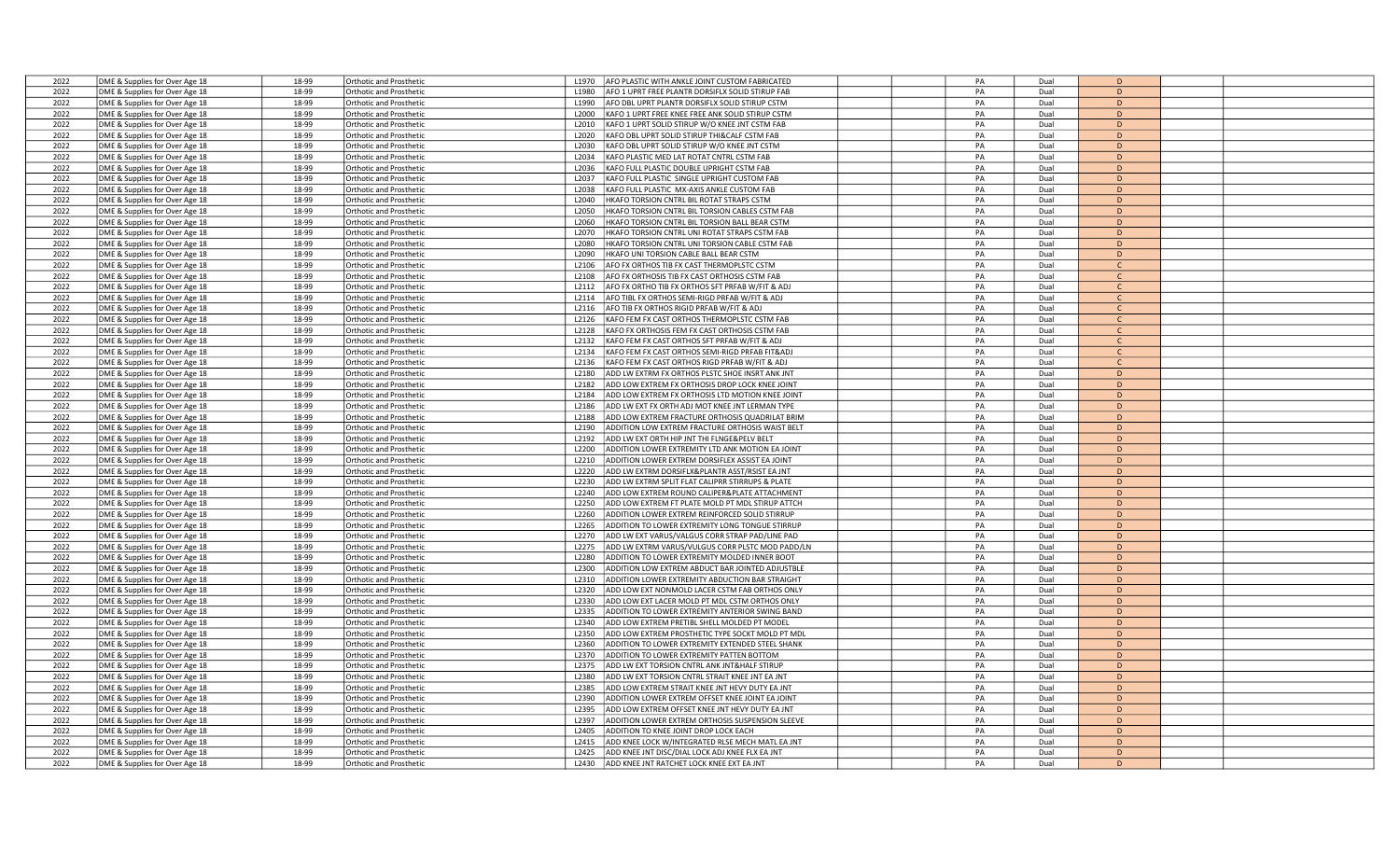| 2022 | DME & Supplies for Over Age 18 | 18-99 | <b>Orthotic and Prosthetic</b> | AFO PLASTIC WITH ANKLE JOINT CUSTOM FABRICATED<br>L <sub>1970</sub>   | PA | Dual | D              |  |
|------|--------------------------------|-------|--------------------------------|-----------------------------------------------------------------------|----|------|----------------|--|
| 2022 | DME & Supplies for Over Age 18 | 18-99 | Orthotic and Prosthetic        | AFO 1 UPRT FREE PLANTR DORSIFLX SOLID STIRUP FAB<br>L <sub>1980</sub> | PA | Dual | D              |  |
| 2022 | DME & Supplies for Over Age 18 | 18-99 | Orthotic and Prosthetic        | AFO DBL UPRT PLANTR DORSIFLX SOLID STIRUP CSTM<br>L1990               | PA | Dual | D              |  |
| 2022 | DME & Supplies for Over Age 18 | 18-99 | <b>Orthotic and Prosthetic</b> | KAFO 1 UPRT FREE KNEE FREE ANK SOLID STIRUP CSTM<br>L2000             | PA | Dual | D              |  |
| 2022 | DME & Supplies for Over Age 18 | 18-99 | <b>Orthotic and Prosthetic</b> | L2010<br>KAFO 1 UPRT SOLID STIRUP W/O KNEE JNT CSTM FAB               | PA | Dual | D              |  |
|      |                                | 18-99 |                                | L2020                                                                 | PA | Dual | D              |  |
| 2022 | DME & Supplies for Over Age 18 |       | <b>Orthotic and Prosthetic</b> | KAFO DBL UPRT SOLID STIRUP THI&CALF CSTM FAB                          |    |      | D.             |  |
| 2022 | DME & Supplies for Over Age 18 | 18-99 | Orthotic and Prosthetic        | KAFO DBL UPRT SOLID STIRUP W/O KNEE JNT CSTM<br>L2030                 | PA | Dual |                |  |
| 2022 | DME & Supplies for Over Age 18 | 18-99 | <b>Orthotic and Prosthetic</b> | KAFO PLASTIC MED LAT ROTAT CNTRL CSTM FAB<br>L2034                    | PA | Dual | D              |  |
| 2022 | DME & Supplies for Over Age 18 | 18-99 | <b>Orthotic and Prosthetic</b> | L2036<br>KAFO FULL PLASTIC DOUBLE UPRIGHT CSTM FAB                    | PA | Dual | D              |  |
| 2022 | DME & Supplies for Over Age 18 | 18-99 | Orthotic and Prosthetic        | L2037<br>KAFO FULL PLASTIC SINGLE UPRIGHT CUSTOM FAB                  | PA | Dual | D              |  |
| 2022 | DME & Supplies for Over Age 18 | 18-99 | <b>Orthotic and Prosthetic</b> | L2038<br>KAFO FULL PLASTIC MX-AXIS ANKLE CUSTOM FAB                   | PA | Dual | D              |  |
| 2022 | DME & Supplies for Over Age 18 | 18-99 | <b>Orthotic and Prosthetic</b> | L2040<br>HKAFO TORSION CNTRL BIL ROTAT STRAPS CSTM                    | PA | Dual | D              |  |
| 2022 | DME & Supplies for Over Age 18 | 18-99 | Orthotic and Prosthetic        | L2050<br>HKAFO TORSION CNTRL BIL TORSION CABLES CSTM FAB              | PA | Dual | D              |  |
| 2022 | DME & Supplies for Over Age 18 | 18-99 | <b>Orthotic and Prosthetic</b> | HKAFO TORSION CNTRL BIL TORSION BALL BEAR CSTM<br>L2060               | PA | Dual | D              |  |
| 2022 | DME & Supplies for Over Age 18 | 18-99 | Orthotic and Prosthetic        | L2070<br>HKAFO TORSION CNTRL UNI ROTAT STRAPS CSTM FAB                | PA | Dual | D              |  |
| 2022 | DME & Supplies for Over Age 18 | 18-99 | Orthotic and Prosthetic        | HKAFO TORSION CNTRL UNI TORSION CABLE CSTM FAB<br>L2080               | PA | Dual | D              |  |
| 2022 | DME & Supplies for Over Age 18 | 18-99 | Orthotic and Prosthetic        | HKAFO UNI TORSION CABLE BALL BEAR CSTM<br>L2090                       | PA | Dual | D              |  |
| 2022 |                                | 18-99 |                                | L2106<br>AFO FX ORTHOS TIB FX CAST THERMOPLSTC CSTM                   | PA | Dual | $\mathsf{C}$   |  |
|      | DME & Supplies for Over Age 18 |       | Orthotic and Prosthetic        |                                                                       |    |      | $\mathcal{C}$  |  |
| 2022 | DME & Supplies for Over Age 18 | 18-99 | Orthotic and Prosthetic        | AFO FX ORTHOSIS TIB FX CAST ORTHOSIS CSTM FAB<br>L2108                | PA | Dual |                |  |
| 2022 | DME & Supplies for Over Age 18 | 18-99 | <b>Orthotic and Prosthetic</b> | AFO FX ORTHO TIB FX ORTHOS SFT PRFAB W/FIT & ADJ<br>L2112             | PA | Dual |                |  |
| 2022 | DME & Supplies for Over Age 18 | 18-99 | <b>Orthotic and Prosthetic</b> | AFO TIBL FX ORTHOS SEMI-RIGD PRFAB W/FIT & ADJ<br>L2114               | PA | Dual | C.             |  |
| 2022 | DME & Supplies for Over Age 18 | 18-99 | Orthotic and Prosthetic        | L2116<br>AFO TIB FX ORTHOS RIGID PRFAB W/FIT & ADJ                    | PA | Dual | $\mathsf{C}$   |  |
| 2022 | DME & Supplies for Over Age 18 | 18-99 | Orthotic and Prosthetic        | KAFO FEM FX CAST ORTHOS THERMOPLSTC CSTM FAB<br>L <sub>2126</sub>     | PA | Dual | $\mathsf{C}$   |  |
| 2022 | DME & Supplies for Over Age 18 | 18-99 | <b>Orthotic and Prosthetic</b> | KAFO FX ORTHOSIS FEM FX CAST ORTHOSIS CSTM FAB<br>L2128               | PA | Dual | <sub>c</sub>   |  |
| 2022 | DME & Supplies for Over Age 18 | 18-99 | Orthotic and Prosthetic        | KAFO FEM FX CAST ORTHOS SFT PRFAB W/FIT & ADJ<br>L2132                | PA | Dual | $\mathcal{C}$  |  |
| 2022 | DME & Supplies for Over Age 18 | 18-99 | <b>Orthotic and Prosthetic</b> | L2134<br>KAFO FEM FX CAST ORTHOS SEMI-RIGD PRFAB FIT&ADJ              | PA | Dual | $\mathsf{C}$   |  |
| 2022 | DME & Supplies for Over Age 18 | 18-99 | Orthotic and Prosthetic        | L2136<br>KAFO FEM FX CAST ORTHOS RIGD PRFAB W/FIT & ADJ               | PA | Dual | $\mathsf{C}$   |  |
| 2022 | DME & Supplies for Over Age 18 | 18-99 | Orthotic and Prosthetic        | L2180<br>ADD LW EXTRM FX ORTHOS PLSTC SHOE INSRT ANK JNT              | PA | Dual | D              |  |
| 2022 | DME & Supplies for Over Age 18 | 18-99 | Orthotic and Prosthetic        | ADD LOW EXTREM FX ORTHOSIS DROP LOCK KNEE JOINT<br>L2182              | PA | Dual | D              |  |
| 2022 |                                | 18-99 |                                | L2184<br>ADD LOW EXTREM FX ORTHOSIS LTD MOTION KNEE JOINT             | PA |      | D              |  |
|      | DME & Supplies for Over Age 18 |       | Orthotic and Prosthetic        |                                                                       |    | Dual |                |  |
| 2022 | DME & Supplies for Over Age 18 | 18-99 | Orthotic and Prosthetic        | ADD LW EXT FX ORTH ADJ MOT KNEE JNT LERMAN TYPE<br>L2186              | PA | Dual | D              |  |
| 2022 | DME & Supplies for Over Age 18 | 18-99 | Orthotic and Prosthetic        | ADD LOW EXTREM FRACTURE ORTHOSIS QUADRILAT BRIM<br>L2188              | PA | Dual | D              |  |
| 2022 | DME & Supplies for Over Age 18 | 18-99 | <b>Orthotic and Prosthetic</b> | ADDITION LOW EXTREM FRACTURE ORTHOSIS WAIST BELT<br>L2190             | PA | Dual | D              |  |
| 2022 | DME & Supplies for Over Age 18 | 18-99 | Orthotic and Prosthetic        | L2192<br>ADD LW EXT ORTH HIP JNT THI FLNGE&PELV BELT                  | PA | Dual | D              |  |
| 2022 | DME & Supplies for Over Age 18 | 18-99 | <b>Orthotic and Prosthetic</b> | ADDITION LOWER EXTREMITY LTD ANK MOTION EA JOINT<br>L2200             | PA | Dual | D              |  |
| 2022 | DME & Supplies for Over Age 18 | 18-99 | Orthotic and Prosthetic        | L2210<br>ADDITION LOWER EXTREM DORSIFLEX ASSIST EA JOINT              | PA | Dual | D              |  |
| 2022 | DME & Supplies for Over Age 18 | 18-99 | Orthotic and Prosthetic        | L2220<br>ADD LW EXTRM DORSIFLX&PLANTR ASST/RSIST EA JNT               | PA | Dual | D              |  |
| 2022 | DME & Supplies for Over Age 18 | 18-99 | Orthotic and Prosthetic        | ADD LW EXTRM SPLIT FLAT CALIPRR STIRRUPS & PLATE<br>12230             | PA | Dual | D              |  |
| 2022 | DME & Supplies for Over Age 18 | 18-99 | Orthotic and Prosthetic        | ADD LOW EXTREM ROUND CALIPER&PLATE ATTACHMENT<br>L2240                | PA | Dual | D              |  |
| 2022 | DME & Supplies for Over Age 18 | 18-99 | Orthotic and Prosthetic        | ADD LOW EXTREM FT PLATE MOLD PT MDL STIRUP ATTCH<br>L2250             | PA | Dual | D              |  |
| 2022 | DME & Supplies for Over Age 18 | 18-99 | <b>Orthotic and Prosthetic</b> | ADDITION LOWER EXTREM REINFORCED SOLID STIRRUP<br>L2260               | PA | Dual | D              |  |
| 2022 | DME & Supplies for Over Age 18 | 18-99 | Orthotic and Prosthetic        | L2265<br>ADDITION TO LOWER EXTREMITY LONG TONGUE STIRRUP              | PA | Dual | D              |  |
| 2022 | DME & Supplies for Over Age 18 | 18-99 | <b>Orthotic and Prosthetic</b> | L2270<br>ADD LW EXT VARUS/VALGUS CORR STRAP PAD/LINE PAD              | PA | Dual | D              |  |
|      |                                |       |                                |                                                                       |    |      |                |  |
| 2022 | DME & Supplies for Over Age 18 | 18-99 | Orthotic and Prosthetic        | ADD LW EXTRM VARUS/VULGUS CORR PLSTC MOD PADD/LN<br>L2275             | PA | Dual | D              |  |
| 2022 | DME & Supplies for Over Age 18 | 18-99 | Orthotic and Prosthetic        | L2280<br>ADDITION TO LOWER EXTREMITY MOLDED INNER BOOT                | PA | Dual | D              |  |
| 2022 | DME & Supplies for Over Age 18 | 18-99 | Orthotic and Prosthetic        | ADDITION LOW EXTREM ABDUCT BAR JOINTED ADJUSTBLE<br>L2300             | PA | Dual | D              |  |
| 2022 | DME & Supplies for Over Age 18 | 18-99 | Orthotic and Prosthetic        | L2310<br>ADDITION LOWER EXTREMITY ABDUCTION BAR STRAIGHT              | PA | Dual | D              |  |
| 2022 | DME & Supplies for Over Age 18 | 18-99 | Orthotic and Prosthetic        | ADD LOW EXT NONMOLD LACER CSTM FAB ORTHOS ONLY<br>L2320               | PA | Dual | D              |  |
| 2022 | DME & Supplies for Over Age 18 | 18-99 | Orthotic and Prosthetic        | L2330<br>ADD LOW EXT LACER MOLD PT MDL CSTM ORTHOS ONLY               | PA | Dual | $\overline{D}$ |  |
| 2022 | DME & Supplies for Over Age 18 | 18-99 | Orthotic and Prosthetic        | ADDITION TO LOWER EXTREMITY ANTERIOR SWING BAND<br>12335              | PA | Dual | D              |  |
| 2022 | DME & Supplies for Over Age 18 | 18-99 | <b>Orthotic and Prosthetic</b> | ADD LOW EXTREM PRETIBL SHELL MOLDED PT MODEL<br>L2340                 | PA | Dual | D              |  |
| 2022 | DME & Supplies for Over Age 18 | 18-99 | Orthotic and Prosthetic        | L2350<br>ADD LOW EXTREM PROSTHETIC TYPE SOCKT MOLD PT MDL             | PA | Dual | D              |  |
| 2022 | DME & Supplies for Over Age 18 | 18-99 | Orthotic and Prosthetic        | L2360<br>ADDITION TO LOWER EXTREMITY EXTENDED STEEL SHANK             | PA | Dual | D              |  |
| 2022 | DME & Supplies for Over Age 18 | 18-99 | Orthotic and Prosthetic        | L2370<br>ADDITION TO LOWER EXTREMITY PATTEN BOTTOM                    | PA | Dual | D              |  |
| 2022 | DME & Supplies for Over Age 18 | 18-99 | Orthotic and Prosthetic        | L2375<br>ADD LW EXT TORSION CNTRL ANK JNT&HALF STIRUP                 | PA | Dual | $\overline{D}$ |  |
| 2022 |                                | 18-99 | Orthotic and Prosthetic        | L2380<br>ADD LW EXT TORSION CNTRL STRAIT KNEE JNT EA JNT              | PA | Dual | D              |  |
| 2022 | DME & Supplies for Over Age 18 | 18-99 |                                | ADD LOW EXTREM STRAIT KNEE JNT HEVY DUTY EA JNT                       | PA |      | D              |  |
|      | DME & Supplies for Over Age 18 |       | Orthotic and Prosthetic        | L2385                                                                 |    | Dual |                |  |
| 2022 | DME & Supplies for Over Age 18 | 18-99 | Orthotic and Prosthetic        | L2390<br>ADDITION LOWER EXTREM OFFSET KNEE JOINT EA JOINT             | PA | Dual | D              |  |
| 2022 | DME & Supplies for Over Age 18 | 18-99 | Orthotic and Prosthetic        | L2395<br>ADD LOW EXTREM OFFSET KNEE JNT HEVY DUTY EA JNT              | PA | Dual | D              |  |
| 2022 | DME & Supplies for Over Age 18 | 18-99 | <b>Orthotic and Prosthetic</b> | L2397<br>ADDITION LOWER EXTREM ORTHOSIS SUSPENSION SLEEVE             | PA | Dual | D              |  |
| 2022 | DME & Supplies for Over Age 18 | 18-99 | Orthotic and Prosthetic        | ADDITION TO KNEE JOINT DROP LOCK EACH<br>L2405                        | PA | Dual | $\overline{D}$ |  |
| 2022 | DME & Supplies for Over Age 18 | 18-99 | Orthotic and Prosthetic        | ADD KNEE LOCK W/INTEGRATED RLSE MECH MATL EA JNT<br>L <sub>2415</sub> | PA | Dual | D              |  |
| 2022 | DME & Supplies for Over Age 18 | 18-99 | Orthotic and Prosthetic        | ADD KNEE JNT DISC/DIAL LOCK ADJ KNEE FLX EA JNT<br>L2425              | PA | Dual | D              |  |
| 2022 | DME & Supplies for Over Age 18 | 18-99 | <b>Orthotic and Prosthetic</b> | L2430<br>ADD KNEE JNT RATCHET LOCK KNEE EXT EA JNT                    | PA | Dual | D              |  |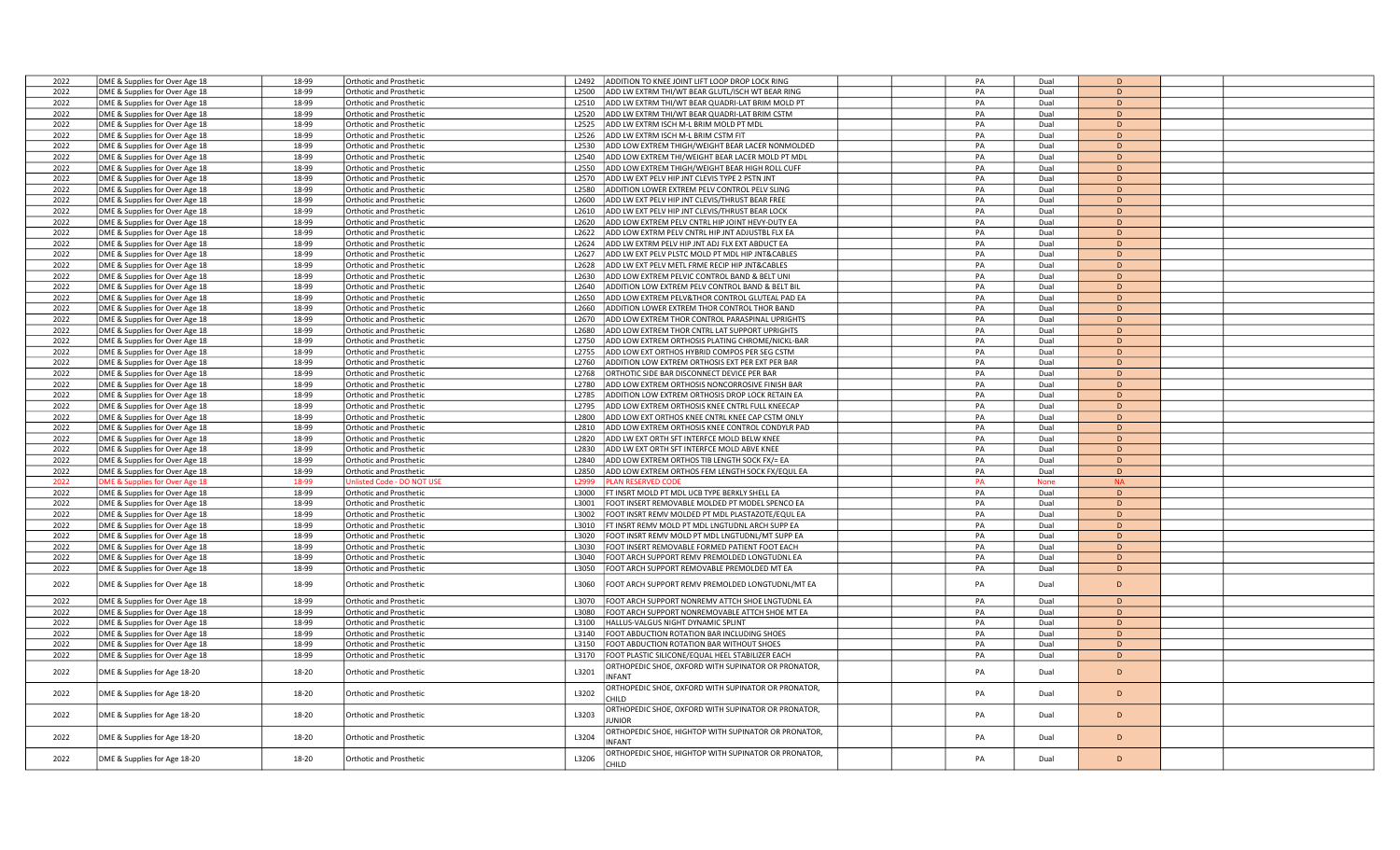| 2022 | DME & Supplies for Over Age 18 | 18-99 | Orthotic and Prosthetic          | 12492             | ADDITION TO KNEE JOINT LIFT LOOP DROP LOCK RING               | PA | Dual        | D            |  |
|------|--------------------------------|-------|----------------------------------|-------------------|---------------------------------------------------------------|----|-------------|--------------|--|
| 2022 | DME & Supplies for Over Age 18 | 18-99 | Orthotic and Prosthetic          | L2500             | ADD LW EXTRM THI/WT BEAR GLUTL/ISCH WT BEAR RING              | PA | Dual        | D            |  |
| 2022 | DME & Supplies for Over Age 18 | 18-99 | Orthotic and Prosthetic          | L2510             | ADD LW EXTRM THI/WT BEAR QUADRI-LAT BRIM MOLD PT              | PA | Dual        | D            |  |
| 2022 | DME & Supplies for Over Age 18 | 18-99 | Orthotic and Prosthetic          | L2520             | ADD LW EXTRM THI/WT BEAR QUADRI-LAT BRIM CSTM                 | PA | Dual        | D            |  |
| 2022 | DME & Supplies for Over Age 18 | 18-99 | Orthotic and Prosthetic          | L2525             | ADD LW EXTRM ISCH M-L BRIM MOLD PT MDL                        | PA | Dual        | D            |  |
| 2022 | DME & Supplies for Over Age 18 | 18-99 | Orthotic and Prosthetic          | L2526             | ADD LW EXTRM ISCH M-L BRIM CSTM FIT                           | PA | Dual        | D            |  |
| 2022 |                                | 18-99 |                                  | L2530             | ADD LOW EXTREM THIGH/WEIGHT BEAR LACER NONMOLDED              | PA | Dual        | D            |  |
| 2022 | DME & Supplies for Over Age 18 | 18-99 | <b>Orthotic and Prosthetic</b>   |                   |                                                               | PA |             | D            |  |
|      | DME & Supplies for Over Age 18 |       | <b>Orthotic and Prosthetic</b>   | L2540             | ADD LOW EXTREM THI/WEIGHT BEAR LACER MOLD PT MDL              |    | Dual        |              |  |
| 2022 | DME & Supplies for Over Age 18 | 18-99 | Orthotic and Prosthetic          | L2550             | ADD LOW EXTREM THIGH/WEIGHT BEAR HIGH ROLL CUFF               | PA | Dual        | D            |  |
| 2022 | DME & Supplies for Over Age 18 | 18-99 | Orthotic and Prosthetic          | L2570             | ADD LW EXT PELV HIP JNT CLEVIS TYPE 2 PSTN JNT                | PA | Dual        | D            |  |
| 2022 | DME & Supplies for Over Age 18 | 18-99 | Orthotic and Prosthetic          | L2580             | ADDITION LOWER EXTREM PELV CONTROL PELV SLING                 | PA | Dual        | D            |  |
| 2022 | DME & Supplies for Over Age 18 | 18-99 | Orthotic and Prosthetic          | L2600             | ADD LW EXT PELV HIP JNT CLEVIS/THRUST BEAR FREE               | PA | Dual        | D            |  |
| 2022 | DME & Supplies for Over Age 18 | 18-99 | <b>Orthotic and Prosthetic</b>   | L2610             | ADD LW EXT PELV HIP JNT CLEVIS/THRUST BEAR LOCK               | PA | Dual        | D            |  |
| 2022 | DME & Supplies for Over Age 18 | 18-99 | Orthotic and Prosthetic          | L2620             | ADD LOW EXTREM PELV CNTRL HIP JOINT HEVY-DUTY EA              | PA | Dual        | D            |  |
| 2022 | DME & Supplies for Over Age 18 | 18-99 | Orthotic and Prosthetic          | L2622             | ADD LOW EXTRM PELV CNTRL HIP JNT ADJUSTBL FLX EA              | PA | Dual        | D            |  |
| 2022 | DME & Supplies for Over Age 18 | 18-99 | Orthotic and Prosthetic          | L2624             | ADD LW EXTRM PELV HIP JNT ADJ FLX EXT ABDUCT EA               | PA | Dual        | D            |  |
| 2022 | DME & Supplies for Over Age 18 | 18-99 | Orthotic and Prosthetic          | L2627             | ADD LW EXT PELV PLSTC MOLD PT MDL HIP JNT&CABLES              | PA | Dual        | D            |  |
| 2022 | DME & Supplies for Over Age 18 | 18-99 | Orthotic and Prosthetic          | L2628             | ADD LW EXT PELV METL FRME RECIP HIP JNT&CABLES                | PA | Dual        | D            |  |
| 2022 | DME & Supplies for Over Age 18 | 18-99 | <b>Orthotic and Prosthetic</b>   | L2630             | ADD LOW EXTREM PELVIC CONTROL BAND & BELT UNI                 | PA | Dual        | D            |  |
| 2022 | DME & Supplies for Over Age 18 | 18-99 | <b>Orthotic and Prosthetic</b>   | L2640             | ADDITION LOW EXTREM PELV CONTROL BAND & BELT BI               | PA | Dual        | $\mathsf{D}$ |  |
| 2022 | DME & Supplies for Over Age 18 | 18-99 | Orthotic and Prosthetic          | L2650             | ADD LOW EXTREM PELV&THOR CONTROL GLUTEAL PAD EA               | PA | Dual        | D            |  |
| 2022 | DME & Supplies for Over Age 18 | 18-99 | Orthotic and Prosthetic          | L2660             | ADDITION LOWER EXTREM THOR CONTROL THOR BAND                  | PA | Dual        | D            |  |
| 2022 | DME & Supplies for Over Age 18 | 18-99 | Orthotic and Prosthetic          | L2670             | ADD LOW EXTREM THOR CONTROL PARASPINAL UPRIGHTS               | PA | Dual        | D            |  |
| 2022 |                                | 18-99 | Orthotic and Prosthetic          | L2680             | ADD LOW EXTREM THOR CNTRL LAT SUPPORT UPRIGHTS                | PA | Dual        | D            |  |
|      | DME & Supplies for Over Age 18 |       |                                  |                   |                                                               |    |             |              |  |
| 2022 | DME & Supplies for Over Age 18 | 18-99 | Orthotic and Prosthetic          | L2750             | ADD LOW EXTREM ORTHOSIS PLATING CHROME/NICKL-BAR              | PA | Dual        | D            |  |
| 2022 | DME & Supplies for Over Age 18 | 18-99 | Orthotic and Prosthetic          | L2755             | ADD LOW EXT ORTHOS HYBRID COMPOS PER SEG CSTM                 | PA | Dual        | D            |  |
| 2022 | DME & Supplies for Over Age 18 | 18-99 | <b>Orthotic and Prosthetic</b>   | L2760             | ADDITION LOW EXTREM ORTHOSIS EXT PER EXT PER BAR              | PA | Dual        | D            |  |
| 2022 | DME & Supplies for Over Age 18 | 18-99 | <b>Orthotic and Prosthetic</b>   | L2768             | ORTHOTIC SIDE BAR DISCONNECT DEVICE PER BAR                   | PA | Dual        | D            |  |
| 2022 | DME & Supplies for Over Age 18 | 18-99 | Orthotic and Prosthetic          | L2780             | ADD LOW EXTREM ORTHOSIS NONCORROSIVE FINISH BAR               | PA | Dual        | D            |  |
| 2022 | DME & Supplies for Over Age 18 | 18-99 | Orthotic and Prosthetic          | L2785             | ADDITION LOW EXTREM ORTHOSIS DROP LOCK RETAIN EA              | PA | Dual        | D            |  |
| 2022 | DME & Supplies for Over Age 18 | 18-99 | Orthotic and Prosthetic          | L2795             | ADD LOW EXTREM ORTHOSIS KNEE CNTRL FULL KNEECAP               | PA | Dual        | D            |  |
| 2022 | DME & Supplies for Over Age 18 | 18-99 | <b>Orthotic and Prosthetic</b>   | 1.2800            | ADD LOW EXT ORTHOS KNEE CNTRL KNEE CAP CSTM ONLY              | PA | Dual        | D            |  |
| 2022 | DME & Supplies for Over Age 18 | 18-99 | Orthotic and Prosthetic          | L <sub>2810</sub> | ADD LOW EXTREM ORTHOSIS KNEE CONTROL CONDYLR PAD              | PA | Dual        | D            |  |
| 2022 | DME & Supplies for Over Age 18 | 18-99 | Orthotic and Prosthetic          | L2820             | ADD LW EXT ORTH SFT INTERFCE MOLD BELW KNEE                   | PA | Dual        | D            |  |
| 2022 | DME & Supplies for Over Age 18 | 18-99 | Orthotic and Prosthetic          | L2830             | ADD LW EXT ORTH SFT INTERFCE MOLD ABVE KNEE                   | PA | Dual        | D            |  |
| 2022 | DME & Supplies for Over Age 18 | 18-99 | Orthotic and Prosthetic          | L2840             | ADD LOW EXTREM ORTHOS TIB LENGTH SOCK FX/= EA                 | PA | Dual        | D            |  |
| 2022 | DME & Supplies for Over Age 18 | 18-99 | Orthotic and Prosthetic          | L2850             | ADD LOW EXTREM ORTHOS FEM LENGTH SOCK FX/EQUL EA              | PA | Dual        | $\mathsf{D}$ |  |
| 2022 | DME & Supplies for Over Age 18 | 18-99 | <b>Jnlisted Code - DO NOT US</b> | L2999             | <b>PLAN RESERVED CODE</b>                                     | PA | <b>None</b> | <b>NA</b>    |  |
| 2022 | DME & Supplies for Over Age 18 | 18-99 | Orthotic and Prosthetic          | 1.3000            | FT INSRT MOLD PT MDL UCB TYPE BERKLY SHELL EA                 | PA | Dual        | D            |  |
| 2022 | DME & Supplies for Over Age 18 | 18-99 | Orthotic and Prosthetic          | L3001             | FOOT INSERT REMOVABLE MOLDED PT MODEL SPENCO EA               | PA | Dual        | D            |  |
| 2022 | DME & Supplies for Over Age 18 | 18-99 | Orthotic and Prosthetic          | L3002             | FOOT INSRT REMV MOLDED PT MDL PLASTAZOTE/EQUL EA              | PA | Dual        | D            |  |
| 2022 | DME & Supplies for Over Age 18 | 18-99 | Orthotic and Prosthetic          | L3010             | FT INSRT REMV MOLD PT MDL LNGTUDNL ARCH SUPP EA               | PA | Dual        | D            |  |
| 2022 | DME & Supplies for Over Age 18 | 18-99 | Orthotic and Prosthetic          | L3020             | FOOT INSRT REMV MOLD PT MDL LNGTUDNL/MT SUPP EA               | PA | Dual        | $\mathsf{D}$ |  |
| 2022 |                                | 18-99 |                                  | L3030             | FOOT INSERT REMOVABLE FORMED PATIENT FOOT EACH                | PA | Dual        | D            |  |
|      | DME & Supplies for Over Age 18 |       | Orthotic and Prosthetic          |                   |                                                               |    |             | D            |  |
| 2022 | DME & Supplies for Over Age 18 | 18-99 | Orthotic and Prosthetic          | L3040             | FOOT ARCH SUPPORT REMV PREMOLDED LONGTUDNL EA                 | PA | Dual        |              |  |
| 2022 | DME & Supplies for Over Age 18 | 18-99 | Orthotic and Prosthetic          | L3050             | FOOT ARCH SUPPORT REMOVABLE PREMOLDED MT EA                   | PA | Dual        | D            |  |
| 2022 | DME & Supplies for Over Age 18 | 18-99 | Orthotic and Prosthetic          | L3060             | FOOT ARCH SUPPORT REMV PREMOLDED LONGTUDNL/MT EA              | PA | Dual        | D            |  |
| 2022 | DME & Supplies for Over Age 18 | 18-99 | Orthotic and Prosthetic          | L3070             | FOOT ARCH SUPPORT NONREMV ATTCH SHOE LNGTUDNL EA              | PA | Dual        | D            |  |
| 2022 | DME & Supplies for Over Age 18 | 18-99 | Orthotic and Prosthetic          | L3080             | FOOT ARCH SUPPORT NONREMOVABLE ATTCH SHOE MT EA               | PA | Dual        | D            |  |
| 2022 | DME & Supplies for Over Age 18 | 18-99 | Orthotic and Prosthetic          | L3100             | HALLUS-VALGUS NIGHT DYNAMIC SPLINT                            | PA | Dual        | D            |  |
| 2022 | DME & Supplies for Over Age 18 | 18-99 | Orthotic and Prosthetic          | L3140             | FOOT ABDUCTION ROTATION BAR INCLUDING SHOES                   | PA | Dual        | D            |  |
| 2022 | DME & Supplies for Over Age 18 | 18-99 | Orthotic and Prosthetic          | L3150             | FOOT ABDUCTION ROTATION BAR WITHOUT SHOES                     | PA | Dual        | D            |  |
| 2022 | DME & Supplies for Over Age 18 | 18-99 | Orthotic and Prosthetic          | L3170             | FOOT PLASTIC SILICONE/EQUAL HEEL STABILIZER EACH              | PA | Dual        | D            |  |
|      |                                |       |                                  |                   | ORTHOPEDIC SHOE, OXFORD WITH SUPINATOR OR PRONATOR,           |    |             |              |  |
| 2022 | DME & Supplies for Age 18-20   | 18-20 | Orthotic and Prosthetic          | L3201             | <b>INFANT</b>                                                 | PA | Dual        | D            |  |
| 2022 | DME & Supplies for Age 18-20   | 18-20 | <b>Orthotic and Prosthetic</b>   | L3202             | DRTHOPEDIC SHOE, OXFORD WITH SUPINATOR OR PRONATOR,<br>CHILD. | PA | Dual        | D            |  |
| 2022 | DME & Supplies for Age 18-20   | 18-20 | Orthotic and Prosthetic          | L3203             | ORTHOPEDIC SHOE, OXFORD WITH SUPINATOR OR PRONATOR,           | PA | Dual        | D            |  |
|      |                                |       |                                  |                   | UNIOR<br>)RTHOPEDIC SHOE, HIGHTOP WITH SUPINATOR OR PRONATOR, |    |             |              |  |
| 2022 | DME & Supplies for Age 18-20   | 18-20 | <b>Orthotic and Prosthetic</b>   | L3204             | <b>INFANT</b>                                                 | PA | Dual        | D            |  |
| 2022 | DME & Supplies for Age 18-20   | 18-20 | <b>Orthotic and Prosthetic</b>   | L3206             | ORTHOPEDIC SHOE, HIGHTOP WITH SUPINATOR OR PRONATOR,<br>CHILD | PA | Dual        | D            |  |
|      |                                |       |                                  |                   |                                                               |    |             |              |  |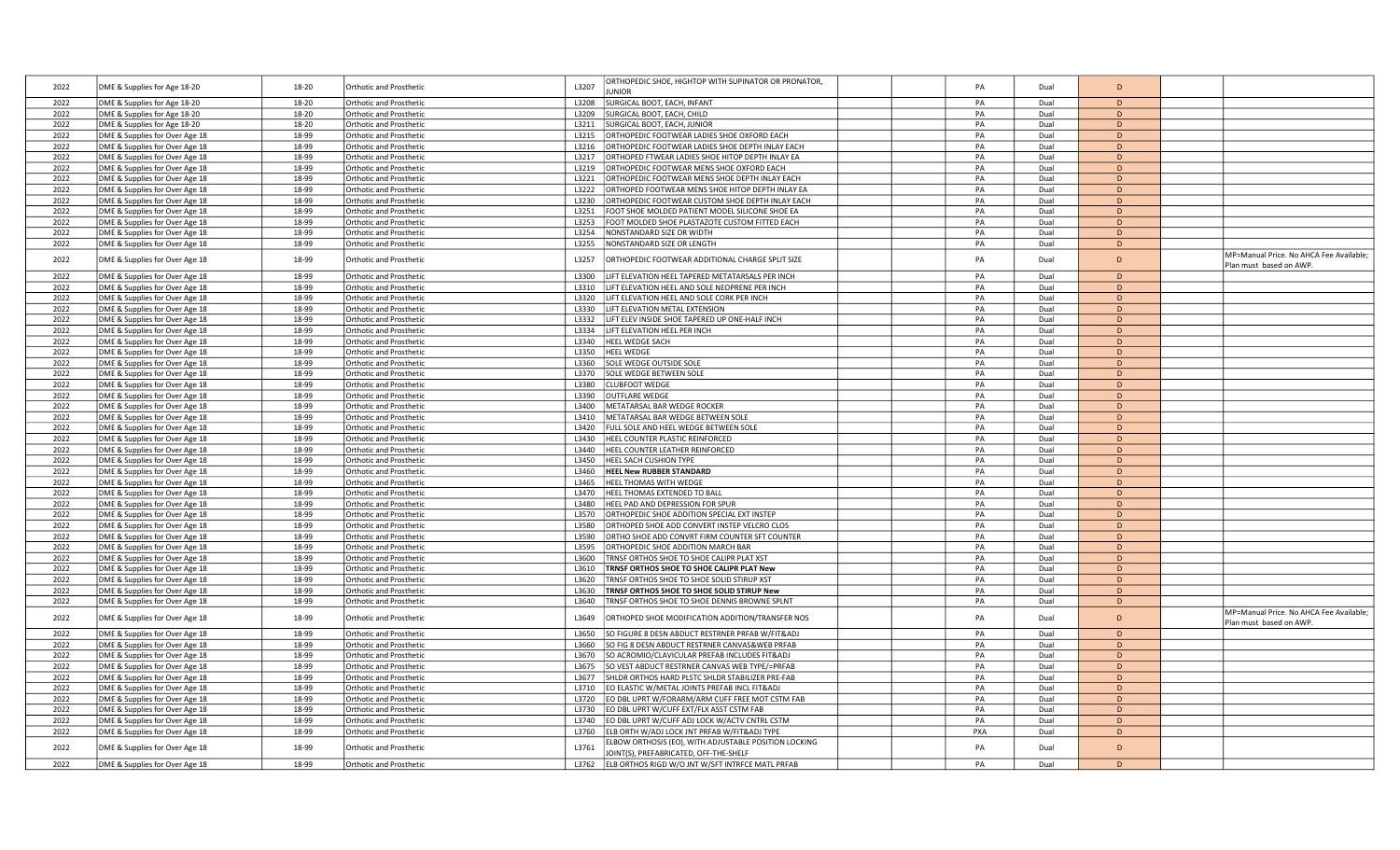| 2022         | DME & Supplies for Age 18-20                                     | 18-20          | Orthotic and Prosthetic                                   | ORTHOPEDIC SHOE, HIGHTOP WITH SUPINATOR OR PRONATOR,<br>L3207<br><b>JNIOF</b>                             | PA       | Dual         | D                 |                                                                    |
|--------------|------------------------------------------------------------------|----------------|-----------------------------------------------------------|-----------------------------------------------------------------------------------------------------------|----------|--------------|-------------------|--------------------------------------------------------------------|
| 2022         | DME & Supplies for Age 18-20                                     | 18-20          | <b>Orthotic and Prosthetic</b>                            | L3208<br>SURGICAL BOOT, EACH, INFANT                                                                      | PA       | Dual         | D                 |                                                                    |
| 2022         | DME & Supplies for Age 18-20                                     | 18-20          | Orthotic and Prosthetic                                   | SURGICAL BOOT, EACH, CHILD<br>L3209                                                                       | PA       | Dual         | D                 |                                                                    |
| 2022         | DME & Supplies for Age 18-20                                     | 18-20          | <b>Orthotic and Prosthetic</b>                            | L3211<br>SURGICAL BOOT, EACH, JUNIOR                                                                      | PA       | Dual         | D                 |                                                                    |
| 2022         | DME & Supplies for Over Age 18                                   | 18-99          | Orthotic and Prosthetic                                   | L3215<br>ORTHOPEDIC FOOTWEAR LADIES SHOE OXFORD EACH                                                      | PA       | Dual         | D                 |                                                                    |
| 2022         | DME & Supplies for Over Age 18                                   | 18-99          | Orthotic and Prosthetic                                   | L3216<br>ORTHOPEDIC FOOTWEAR LADIES SHOE DEPTH INLAY EACH                                                 | PA       | Dual         | D                 |                                                                    |
| 2022         | DME & Supplies for Over Age 18                                   | 18-99          | <b>Orthotic and Prosthetic</b>                            | L3217<br>ORTHOPED FTWEAR LADIES SHOE HITOP DEPTH INLAY EA                                                 | PA       | Dual         | D                 |                                                                    |
| 2022         | DME & Supplies for Over Age 18                                   | 18-99          | Orthotic and Prosthetic                                   | ORTHOPEDIC FOOTWEAR MENS SHOE OXFORD EACH<br>L3219                                                        | PA       | Dual         | D                 |                                                                    |
| 2022         | DME & Supplies for Over Age 18                                   | 18-99          | Orthotic and Prosthetic                                   | L3221<br>ORTHOPEDIC FOOTWEAR MENS SHOE DEPTH INLAY EACH                                                   | PA       | Dual         | D                 |                                                                    |
| 2022         | DME & Supplies for Over Age 18                                   | 18-99          | <b>Orthotic and Prosthetic</b>                            | L3222<br>ORTHOPED FOOTWEAR MENS SHOE HITOP DEPTH INLAY EA                                                 | PA       | Dual         | D                 |                                                                    |
| 2022         | DME & Supplies for Over Age 18                                   | 18-99          | Orthotic and Prosthetic                                   | L3230<br>ORTHOPEDIC FOOTWEAR CUSTOM SHOE DEPTH INLAY EACH                                                 | PA       | Dual         | D                 |                                                                    |
| 2022         | DME & Supplies for Over Age 18                                   | 18-99          | <b>Orthotic and Prosthetic</b>                            | FOOT SHOE MOLDED PATIENT MODEL SILICONE SHOE EA<br>L3251                                                  | PA       | Dual         | $\mathsf{D}$      |                                                                    |
| 2022         | DME & Supplies for Over Age 18                                   | 18-99          | Orthotic and Prosthetic                                   | L3253<br>FOOT MOLDED SHOE PLASTAZOTE CUSTOM FITTED EACH                                                   | PA       | Dual         | D                 |                                                                    |
| 2022         | DME & Supplies for Over Age 18                                   | 18-99          | Orthotic and Prosthetic                                   | L3254<br>NONSTANDARD SIZE OR WIDTH                                                                        | PA       | Dual         | D                 |                                                                    |
| 2022         | DME & Supplies for Over Age 18                                   | 18-99          | <b>Orthotic and Prosthetic</b>                            | NONSTANDARD SIZE OR LENGTH<br>L3255                                                                       | PA       | Dual         | D                 |                                                                    |
| 2022         | DME & Supplies for Over Age 18                                   | 18-99          | Orthotic and Prosthetic                                   | L3257<br>ORTHOPEDIC FOOTWEAR ADDITIONAL CHARGE SPLIT SIZE                                                 | PA       | Dual         | D                 | MP=Manual Price. No AHCA Fee Available;<br>Plan must based on AWP. |
| 2022         | DME & Supplies for Over Age 18                                   | 18-99          | Orthotic and Prosthetic                                   | LIFT ELEVATION HEEL TAPERED METATARSALS PER INCH<br>L3300                                                 | PA       | Dual         | D                 |                                                                    |
| 2022         | DME & Supplies for Over Age 18                                   | 18-99          | <b>Orthotic and Prosthetic</b>                            | LIFT ELEVATION HEEL AND SOLE NEOPRENE PER INCH<br>L3310                                                   | PA       | Dual         | D                 |                                                                    |
| 2022         | DME & Supplies for Over Age 18                                   | 18-99          | Orthotic and Prosthetic                                   | L3320<br>LIFT ELEVATION HEEL AND SOLE CORK PER INCH                                                       | PA       | Dual         | D                 |                                                                    |
| 2022         | DME & Supplies for Over Age 18                                   | 18-99          | Orthotic and Prosthetic                                   | L3330<br>LIFT ELEVATION METAL EXTENSION                                                                   | PA       | Dual         | D                 |                                                                    |
| 2022         | DME & Supplies for Over Age 18                                   | 18-99          | <b>Orthotic and Prosthetic</b>                            | L3332<br>LIFT ELEV INSIDE SHOE TAPERED UP ONE-HALF INCH                                                   | PA       | Dual         | D                 |                                                                    |
| 2022         | DME & Supplies for Over Age 18                                   | 18-99          | Orthotic and Prosthetic                                   | L3334<br>LIFT ELEVATION HEEL PER INCH                                                                     | PA       | Dual         | D                 |                                                                    |
| 2022         | DME & Supplies for Over Age 18                                   | 18-99          | Orthotic and Prosthetic                                   | HEEL WEDGE SACH<br>L3340                                                                                  | PA       | Dual         | D                 |                                                                    |
| 2022         | DME & Supplies for Over Age 18                                   | 18-99          | <b>Orthotic and Prosthetic</b>                            | <b>HEEL WEDGE</b><br>L3350                                                                                | PA       | Dual         | D                 |                                                                    |
| 2022         | DME & Supplies for Over Age 18                                   | 18-99          | Orthotic and Prosthetic                                   | SOLE WEDGE OUTSIDE SOLE<br>L3360                                                                          | PA       | Dual         | D                 |                                                                    |
| 2022         | DME & Supplies for Over Age 18                                   | 18-99          | Orthotic and Prosthetic                                   | L3370<br>SOLE WEDGE BETWEEN SOLE                                                                          | PA       | Dual         | D                 |                                                                    |
| 2022         | DME & Supplies for Over Age 18                                   | 18-99          | <b>Orthotic and Prosthetic</b>                            | L3380<br><b>CLUBFOOT WEDGE</b>                                                                            | PA       | Dual         | D                 |                                                                    |
| 2022         | DME & Supplies for Over Age 18                                   | 18-99          | Orthotic and Prosthetic                                   | L3390<br><b>OUTFLARE WEDGE</b>                                                                            | PA       | Dual         | D                 |                                                                    |
| 2022         | DME & Supplies for Over Age 18                                   | 18-99          | Orthotic and Prosthetic                                   | METATARSAL BAR WEDGE ROCKER<br>L3400                                                                      | PA       | Dual         | D                 |                                                                    |
| 2022         | DME & Supplies for Over Age 18                                   | 18-99          | <b>Orthotic and Prosthetic</b>                            | L3410<br>METATARSAL BAR WEDGE BETWEEN SOLE                                                                | PA       | Dual         | D                 |                                                                    |
| 2022         | DME & Supplies for Over Age 18                                   | 18-99          | Orthotic and Prosthetic                                   | FULL SOLE AND HEEL WEDGE BETWEEN SOLE<br>L3420                                                            | PA       | Dual         | D                 |                                                                    |
| 2022         | DME & Supplies for Over Age 18                                   | 18-99          | <b>Orthotic and Prosthetic</b>                            | L3430<br>HEEL COUNTER PLASTIC REINFORCED                                                                  | PA       | Dual         | D                 |                                                                    |
| 2022         | DME & Supplies for Over Age 18                                   | 18-99          | <b>Orthotic and Prosthetic</b>                            | L3440<br>HEEL COUNTER LEATHER REINFORCED                                                                  | PA       | Dual         | D                 |                                                                    |
| 2022         | DME & Supplies for Over Age 18                                   | 18-99          | Orthotic and Prosthetic                                   | L3450<br>HEEL SACH CUSHION TYPE                                                                           | PA       | Dual         | D                 |                                                                    |
| 2022         | DME & Supplies for Over Age 18                                   | 18-99          | Orthotic and Prosthetic                                   | L3460<br><b>HEEL New RUBBER STANDARD</b>                                                                  | PA       | Dual         | D                 |                                                                    |
| 2022         | DME & Supplies for Over Age 18                                   | 18-99          | <b>Orthotic and Prosthetic</b>                            | L3465<br>HEEL THOMAS WITH WEDGE                                                                           | PA       | Dual         | D                 |                                                                    |
| 2022         | DME & Supplies for Over Age 18                                   | 18-99          | Orthotic and Prosthetic                                   | L3470<br>HEEL THOMAS EXTENDED TO BALL                                                                     | PA       | Dual         | D                 |                                                                    |
| 2022         | DME & Supplies for Over Age 18                                   | 18-99          | Orthotic and Prosthetic                                   | HEEL PAD AND DEPRESSION FOR SPUR<br>L3480                                                                 | PA       | Dual         | D                 |                                                                    |
| 2022         | DME & Supplies for Over Age 18                                   | 18-99          | <b>Orthotic and Prosthetic</b>                            | ORTHOPEDIC SHOE ADDITION SPECIAL EXT INSTEP<br>L3570                                                      | PA       | Dual         | D                 |                                                                    |
| 2022         | DME & Supplies for Over Age 18                                   | 18-99          | Orthotic and Prosthetic                                   | L3580<br>ORTHOPED SHOE ADD CONVERT INSTEP VELCRO CLOS                                                     | PA       | Dual         | D                 |                                                                    |
| 2022         | DME & Supplies for Over Age 18                                   | 18-99          | <b>Orthotic and Prosthetic</b>                            | ORTHO SHOE ADD CONVRT FIRM COUNTER SFT COUNTER<br>L3590                                                   | PA       | Dual         | D                 |                                                                    |
| 2022         | DME & Supplies for Over Age 18                                   | 18-99          | <b>Orthotic and Prosthetic</b>                            | L3595<br>ORTHOPEDIC SHOE ADDITION MARCH BAR                                                               | PA       | Dual         | D                 |                                                                    |
| 2022         | DME & Supplies for Over Age 18                                   | 18-99<br>18-99 | Orthotic and Prosthetic                                   | TRNSF ORTHOS SHOE TO SHOE CALIPR PLAT XST<br>L3600<br>L3610                                               | PA<br>PA | Dual         | D<br>D            |                                                                    |
| 2022<br>2022 | DME & Supplies for Over Age 18<br>DME & Supplies for Over Age 18 | 18-99          | <b>Orthotic and Prosthetic</b><br>Orthotic and Prosthetic | TRNSF ORTHOS SHOE TO SHOE CALIPR PLAT New<br>L3620<br>TRNSF ORTHOS SHOE TO SHOE SOLID STIRUP XST          | PA       | Dual<br>Dual | D                 |                                                                    |
| 2022         | DME & Supplies for Over Age 18                                   | 18-99          | Orthotic and Prosthetic                                   | L3630<br><b>FRNSF ORTHOS SHOE TO SHOE SOLID STIRUP New</b>                                                | PA       | Dual         | D                 |                                                                    |
| 2022         | DME & Supplies for Over Age 18                                   | 18-99          | <b>Orthotic and Prosthetic</b>                            | L3640<br>FRNSF ORTHOS SHOE TO SHOE DENNIS BROWNE SPLNT                                                    | PA       | Dual         | D                 |                                                                    |
| 2022         | DME & Supplies for Over Age 18                                   | 18-99          | Orthotic and Prosthetic                                   | L3649<br>ORTHOPED SHOE MODIFICATION ADDITION/TRANSFER NOS                                                 | PA       | Dual         | D                 | MP=Manual Price. No AHCA Fee Available;<br>Plan must based on AWP. |
| 2022         | DME & Supplies for Over Age 18                                   | 18-99          | Orthotic and Prosthetic                                   | SO FIGURE 8 DESN ABDUCT RESTRNER PRFAB W/FIT&ADJ<br>L3650                                                 | PA       | Dual         | D.                |                                                                    |
| 2022         | DME & Supplies for Over Age 18                                   | 18-99          | <b>Orthotic and Prosthetic</b>                            | L3660<br>SO FIG 8 DESN ABDUCT RESTRNER CANVAS&WEB PRFAB                                                   | PA       | Dual         | D                 |                                                                    |
| 2022         | DME & Supplies for Over Age 18                                   | 18-99          | Orthotic and Prosthetic                                   | L3670<br>SO ACROMIO/CLAVICULAR PREFAB INCLUDES FIT&ADJ                                                    | PA       | Dual         | D                 |                                                                    |
| 2022         | DME & Supplies for Over Age 18                                   | 18-99          | Orthotic and Prosthetic                                   | SO VEST ABDUCT RESTRNER CANVAS WEB TYPE/=PRFAB<br>L3675                                                   | PA       | Dual         | $\mathsf{D}$      |                                                                    |
| 2022         | DME & Supplies for Over Age 18                                   | 18-99          | Orthotic and Prosthetic                                   | L3677<br>SHLDR ORTHOS HARD PLSTC SHLDR STABILIZER PRE-FAB                                                 | PA       | Dual         | D                 |                                                                    |
| 2022         | DME & Supplies for Over Age 18                                   | 18-99          | Orthotic and Prosthetic                                   | EO ELASTIC W/METAL JOINTS PREFAB INCL FIT&ADJ<br>L3710                                                    | PA       | Dual         | D                 |                                                                    |
| 2022         | DME & Supplies for Over Age 18                                   | 18-99          | Orthotic and Prosthetic                                   | EO DBL UPRT W/FORARM/ARM CUFF FREE MOT CSTM FAB<br>L3720                                                  | PA       | Dual         | D                 |                                                                    |
| 2022         | DME & Supplies for Over Age 18                                   | 18-99          | <b>Orthotic and Prosthetic</b>                            | EO DBL UPRT W/CUFF EXT/FLX ASST CSTM FAB<br>L3730                                                         | PA       | Dual         | D                 |                                                                    |
| 2022         | DME & Supplies for Over Age 18                                   | 18-99          | Orthotic and Prosthetic                                   | L3740<br>EO DBL UPRT W/CUFF ADJ LOCK W/ACTV CNTRL CSTM                                                    | PA       | Dual         | D                 |                                                                    |
| 2022         | DME & Supplies for Over Age 18                                   | 18-99          | Orthotic and Prosthetic                                   | ELB ORTH W/ADJ LOCK JNT PRFAB W/FIT&ADJ TYPE<br>L3760                                                     | PXA      | Dual         | D                 |                                                                    |
|              |                                                                  |                |                                                           | ELBOW ORTHOSIS (EO), WITH ADJUSTABLE POSITION LOCKING                                                     |          |              |                   |                                                                    |
| 2022<br>2022 | DME & Supplies for Over Age 18<br>DME & Supplies for Over Age 18 | 18-99<br>18-99 | Orthotic and Prosthetic<br><b>Orthotic and Prosthetic</b> | L3761<br>JOINT(S), PREFABRICATED, OFF-THE-SHELF<br>L3762 ELB ORTHOS RIGD W/O JNT W/SFT INTRFCE MATL PRFAB | PA<br>PA | Dual<br>Dual | D<br>$\mathsf{D}$ |                                                                    |
|              |                                                                  |                |                                                           |                                                                                                           |          |              |                   |                                                                    |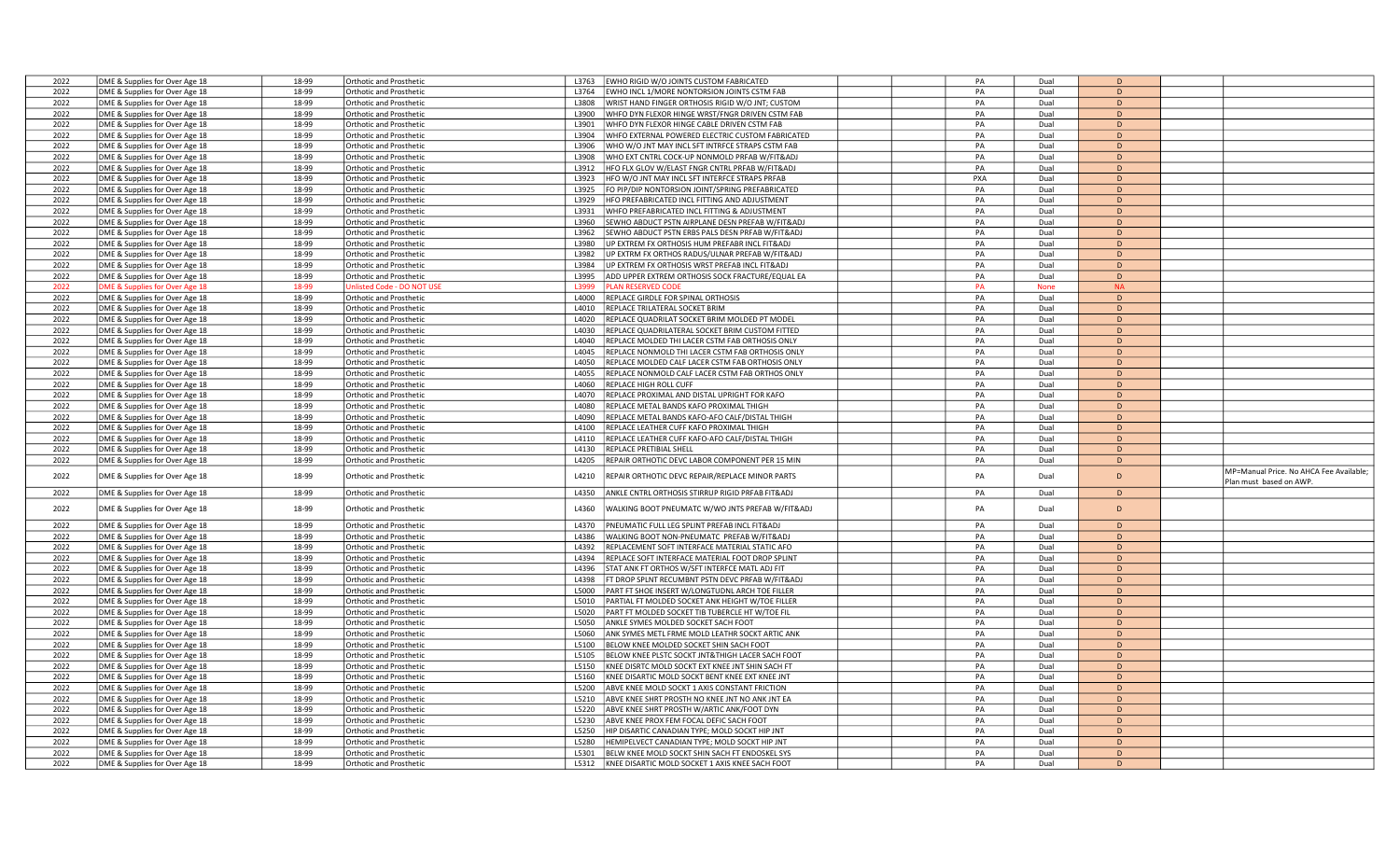| 2022         |                                                                  | 18-99          |                                                           | EWHO RIGID W/O JOINTS CUSTOM FABRICATED<br>L3763                                                           |  | PA  | Dual         | D            |                                        |
|--------------|------------------------------------------------------------------|----------------|-----------------------------------------------------------|------------------------------------------------------------------------------------------------------------|--|-----|--------------|--------------|----------------------------------------|
|              | DME & Supplies for Over Age 18                                   |                | <b>Orthotic and Prosthetic</b>                            |                                                                                                            |  |     |              |              |                                        |
| 2022         | DME & Supplies for Over Age 18                                   | 18-99          | <b>Orthotic and Prosthetic</b>                            | L3764<br>EWHO INCL 1/MORE NONTORSION JOINTS CSTM FAB                                                       |  | PA  | Dual         | D            |                                        |
| 2022         | DME & Supplies for Over Age 18                                   | 18-99          | <b>Orthotic and Prosthetic</b>                            | WRIST HAND FINGER ORTHOSIS RIGID W/O JNT; CUSTOM<br>L3808                                                  |  | PA  | Dual         | D            |                                        |
| 2022         | DME & Supplies for Over Age 18                                   | 18-99          | Orthotic and Prosthetic                                   | WHFO DYN FLEXOR HINGE WRST/FNGR DRIVEN CSTM FAB<br>L3900                                                   |  | PA  | Dual         | D            |                                        |
| 2022         | DME & Supplies for Over Age 18                                   | 18-99          | Orthotic and Prosthetic                                   | L3901<br>WHFO DYN FLEXOR HINGE CABLE DRIVEN CSTM FAB                                                       |  | PA  | Dual         | D            |                                        |
|              |                                                                  |                |                                                           |                                                                                                            |  |     |              |              |                                        |
| 2022         | DME & Supplies for Over Age 18                                   | 18-99          | <b>Orthotic and Prosthetic</b>                            | L3904<br>WHFO EXTERNAL POWERED ELECTRIC CUSTOM FABRICATED                                                  |  | PA  | Dual         | D            |                                        |
| 2022         | DME & Supplies for Over Age 18                                   | 18-99          | Orthotic and Prosthetic                                   | WHO W/O JNT MAY INCL SFT INTRFCE STRAPS CSTM FAB<br>L3906                                                  |  | PA  | Dual         | D            |                                        |
| 2022         | DME & Supplies for Over Age 18                                   | 18-99          | Orthotic and Prosthetic                                   | L3908<br>WHO EXT CNTRL COCK-UP NONMOLD PRFAB W/FIT&ADJ                                                     |  | PA  | Dual         | D            |                                        |
| 2022         |                                                                  |                |                                                           |                                                                                                            |  |     |              |              |                                        |
|              | DME & Supplies for Over Age 18                                   | 18-99          | Orthotic and Prosthetic                                   | HFO FLX GLOV W/ELAST FNGR CNTRL PRFAB W/FIT&ADJ<br>L3912                                                   |  | PA  | Dual         | D            |                                        |
| 2022         | DME & Supplies for Over Age 18                                   | 18-99          | Orthotic and Prosthetic                                   | L3923<br>HFO W/O JNT MAY INCL SFT INTERFCE STRAPS PRFAB                                                    |  | PXA | Dual         | D            |                                        |
| 2022         | DME & Supplies for Over Age 18                                   | 18-99          | Orthotic and Prosthetic                                   | L3925<br>FO PIP/DIP NONTORSION JOINT/SPRING PREFABRICATED                                                  |  | PA  | Dual         | D            |                                        |
| 2022         | DME & Supplies for Over Age 18                                   | 18-99          | Orthotic and Prosthetic                                   | L3929<br>HFO PREFABRICATED INCL FITTING AND ADJUSTMENT                                                     |  | PA  | Dual         | D            |                                        |
|              |                                                                  |                |                                                           |                                                                                                            |  |     |              |              |                                        |
| 2022         | DME & Supplies for Over Age 18                                   | 18-99          | <b>Orthotic and Prosthetic</b>                            | WHFO PREFABRICATED INCL FITTING & ADJUSTMENT<br>L3931                                                      |  | PA  | Dual         | D            |                                        |
| 2022         | DME & Supplies for Over Age 18                                   | 18-99          | Orthotic and Prosthetic                                   | L3960<br>SEWHO ABDUCT PSTN AIRPLANE DESN PREFAB W/FIT&ADJ                                                  |  | PA  | Dual         | D            |                                        |
| 2022         | DME & Supplies for Over Age 18                                   | 18-99          | <b>Orthotic and Prosthetic</b>                            | L3962<br>SEWHO ABDUCT PSTN ERBS PALS DESN PRFAB W/FIT&ADJ                                                  |  | PA  | Dual         | D            |                                        |
| 2022         |                                                                  | 18-99          | <b>Orthotic and Prosthetic</b>                            | L3980<br>UP EXTREM FX ORTHOSIS HUM PREFABR INCL FIT&ADJ                                                    |  | PA  | Dual         | D            |                                        |
|              | DME & Supplies for Over Age 18                                   |                |                                                           |                                                                                                            |  |     |              |              |                                        |
| 2022         | DME & Supplies for Over Age 18                                   | 18-99          | Orthotic and Prosthetic                                   | L3982<br>UP EXTRM FX ORTHOS RADUS/ULNAR PREFAB W/FIT&ADJ                                                   |  | PA  | Dual         | D            |                                        |
| 2022         | DME & Supplies for Over Age 18                                   | 18-99          | Orthotic and Prosthetic                                   | UP EXTREM FX ORTHOSIS WRST PREFAB INCL FIT&ADJ<br>L3984                                                    |  | PA  | Dual         | D            |                                        |
| 2022         | DME & Supplies for Over Age 18                                   | 18-99          | <b>Orthotic and Prosthetic</b>                            | ADD UPPER EXTREM ORTHOSIS SOCK FRACTURE/EQUAL EA<br>L3995                                                  |  | PA  | Dual         | D            |                                        |
|              |                                                                  |                |                                                           | 3999                                                                                                       |  |     |              | <b>NA</b>    |                                        |
| 2022         | OME & Supplies for Over Age 18                                   | 18-99          | nlisted Code - DO NOT US                                  | <b>LAN RESERVED CODE</b>                                                                                   |  | PA  | <b>None</b>  |              |                                        |
| 2022         | DME & Supplies for Over Age 18                                   | 18-99          | Orthotic and Prosthetic                                   | L4000<br>REPLACE GIRDLE FOR SPINAL ORTHOSIS                                                                |  | PA  | Dual         | D            |                                        |
| 2022         | DME & Supplies for Over Age 18                                   | 18-99          | Orthotic and Prosthetic                                   | L4010<br>REPLACE TRILATERAL SOCKET BRIM                                                                    |  | PA  | Dual         | D            |                                        |
| 2022         | DME & Supplies for Over Age 18                                   | 18-99          | Orthotic and Prosthetic                                   | L4020<br>REPLACE QUADRILAT SOCKET BRIM MOLDED PT MODEL                                                     |  | PA  | Dual         | D            |                                        |
|              |                                                                  |                |                                                           |                                                                                                            |  |     |              |              |                                        |
| 2022         | DME & Supplies for Over Age 18                                   | 18-99          | Orthotic and Prosthetic                                   | L4030<br>REPLACE QUADRILATERAL SOCKET BRIM CUSTOM FITTED                                                   |  | PA  | Dual         | D            |                                        |
| 2022         | DME & Supplies for Over Age 18                                   | 18-99          | Orthotic and Prosthetic                                   | REPLACE MOLDED THI LACER CSTM FAB ORTHOSIS ONLY<br>L4040                                                   |  | PA  | Dual         | $\mathsf{D}$ |                                        |
| 2022         | DME & Supplies for Over Age 18                                   | 18-99          | Orthotic and Prosthetic                                   | L4045<br>REPLACE NONMOLD THI LACER CSTM FAB ORTHOSIS ONLY                                                  |  | PA  | Dual         | $\mathsf{D}$ |                                        |
| 2022         | DME & Supplies for Over Age 18                                   | 18-99          | Orthotic and Prosthetic                                   | L4050<br>REPLACE MOLDED CALF LACER CSTM FAB ORTHOSIS ONLY                                                  |  | PA  | Dual         | D            |                                        |
|              |                                                                  |                |                                                           |                                                                                                            |  |     |              |              |                                        |
| 2022         | DME & Supplies for Over Age 18                                   | 18-99          | Orthotic and Prosthetic                                   | L4055<br>REPLACE NONMOLD CALF LACER CSTM FAB ORTHOS ONLY                                                   |  | PA  | Dual         | D            |                                        |
| 2022         | DME & Supplies for Over Age 18                                   | 18-99          | Orthotic and Prosthetic                                   | L4060<br>REPLACE HIGH ROLL CUFF                                                                            |  | PA  | Dual         | D            |                                        |
| 2022         | DME & Supplies for Over Age 18                                   | 18-99          | <b>Orthotic and Prosthetic</b>                            | L4070<br>REPLACE PROXIMAL AND DISTAL UPRIGHT FOR KAFO                                                      |  | PA  | Dual         | D            |                                        |
|              |                                                                  |                |                                                           |                                                                                                            |  |     |              |              |                                        |
| 2022         | DME & Supplies for Over Age 18                                   | 18-99          | <b>Orthotic and Prosthetic</b>                            | REPLACE METAL BANDS KAFO PROXIMAL THIGH<br>L4080                                                           |  | PA  | Dual         | D            |                                        |
| 2022         | DME & Supplies for Over Age 18                                   | 18-99          | Orthotic and Prosthetic                                   | L4090<br>REPLACE METAL BANDS KAFO-AFO CALF/DISTAL THIGH                                                    |  | PA  | Dual         | D            |                                        |
| 2022         | DME & Supplies for Over Age 18                                   | 18-99          | Orthotic and Prosthetic                                   | L4100<br>REPLACE LEATHER CUFF KAFO PROXIMAL THIGH                                                          |  | PA  | Dual         | D            |                                        |
| 2022         | DME & Supplies for Over Age 18                                   | 18-99          | Orthotic and Prosthetic                                   | REPLACE LEATHER CUFF KAFO-AFO CALF/DISTAL THIGH<br>L4110                                                   |  | PA  | Dual         | D            |                                        |
|              |                                                                  |                |                                                           |                                                                                                            |  |     |              |              |                                        |
| 2022         | DME & Supplies for Over Age 18                                   | 18-99          | Orthotic and Prosthetic                                   | L4130<br>REPLACE PRETIBIAL SHELL                                                                           |  | PA  | Dual         | D            |                                        |
| 2022         | DME & Supplies for Over Age 18                                   | 18-99          | Orthotic and Prosthetic                                   | REPAIR ORTHOTIC DEVC LABOR COMPONENT PER 15 MIN<br>L4205                                                   |  | PA  | Dual         | D            |                                        |
|              |                                                                  |                |                                                           |                                                                                                            |  |     |              |              | MP=Manual Price. No AHCA Fee Available |
| 2022         | DME & Supplies for Over Age 18                                   | 18-99          | <b>Orthotic and Prosthetic</b>                            | L4210<br>REPAIR ORTHOTIC DEVC REPAIR/REPLACE MINOR PARTS                                                   |  | PA  | Dual         | D            |                                        |
|              |                                                                  |                |                                                           |                                                                                                            |  |     |              |              | Plan must based on AWP.                |
| 2022         | DME & Supplies for Over Age 18                                   | 18-99          | Orthotic and Prosthetic                                   | ANKLE CNTRL ORTHOSIS STIRRUP RIGID PRFAB FIT&ADJ<br>L4350                                                  |  | PA  | Dual         | D            |                                        |
|              |                                                                  |                |                                                           |                                                                                                            |  |     |              |              |                                        |
| 2022         | DME & Supplies for Over Age 18                                   |                |                                                           |                                                                                                            |  |     |              |              |                                        |
|              |                                                                  | 18-99          | Orthotic and Prosthetic                                   | L4360<br>WALKING BOOT PNEUMATC W/WO JNTS PREFAB W/FIT&ADJ                                                  |  | PA  | Dual         | D            |                                        |
| 2022         |                                                                  |                |                                                           |                                                                                                            |  |     |              |              |                                        |
|              | DME & Supplies for Over Age 18                                   | 18-99          | Orthotic and Prosthetic                                   | PNEUMATIC FULL LEG SPLINT PREFAB INCL FIT&ADJ<br>L4370                                                     |  | PA  | Dual         | D            |                                        |
| 2022         | DME & Supplies for Over Age 18                                   | 18-99          | <b>Orthotic and Prosthetic</b>                            | L4386<br>WALKING BOOT NON-PNEUMATC PREFAB W/FIT&ADJ                                                        |  | PA  | Dual         | D            |                                        |
|              |                                                                  |                |                                                           |                                                                                                            |  |     |              |              |                                        |
| 2022         | DME & Supplies for Over Age 18                                   | 18-99          | <b>Orthotic and Prosthetic</b>                            | REPLACEMENT SOFT INTERFACE MATERIAL STATIC AFO<br>L4392                                                    |  | PA  | Dual         | D            |                                        |
| 2022         | DME & Supplies for Over Age 18                                   | 18-99          | <b>Orthotic and Prosthetic</b>                            | REPLACE SOFT INTERFACE MATERIAL FOOT DROP SPLINT<br>14394                                                  |  | PA  | Dual         | D            |                                        |
| 2022         | DME & Supplies for Over Age 18                                   | 18-99          | Orthotic and Prosthetic                                   | STAT ANK FT ORTHOS W/SFT INTERFCE MATL ADJ FIT<br>L4396                                                    |  | PA  | Dual         | D            |                                        |
| 2022         | DME & Supplies for Over Age 18                                   | 18-99          | <b>Orthotic and Prosthetic</b>                            | FT DROP SPLNT RECUMBNT PSTN DEVC PRFAB W/FIT&ADJ<br>L4398                                                  |  | PA  | Dual         | D            |                                        |
|              |                                                                  |                |                                                           |                                                                                                            |  |     |              |              |                                        |
| 2022         | DME & Supplies for Over Age 18                                   | 18-99          | Orthotic and Prosthetic                                   | PART FT SHOE INSERT W/LONGTUDNL ARCH TOE FILLER<br>L5000                                                   |  | PA  | Dual         | D            |                                        |
| 2022         | DME & Supplies for Over Age 18                                   | 18-99          | Orthotic and Prosthetic                                   | PARTIAL FT MOLDED SOCKET ANK HEIGHT W/TOE FILLER<br>L5010                                                  |  | PA  | Dual         | D            |                                        |
| 2022         | DME & Supplies for Over Age 18                                   | 18-99          | Orthotic and Prosthetic                                   | PART FT MOLDED SOCKET TIB TUBERCLE HT W/TOE FIL<br>L5020                                                   |  | PA  | Dual         | $\mathsf{D}$ |                                        |
| 2022         | DME & Supplies for Over Age 18                                   | 18-99          | Orthotic and Prosthetic                                   | ANKLE SYMES MOLDED SOCKET SACH FOOT<br>L5050                                                               |  | PA  | Dual         | D            |                                        |
|              |                                                                  |                |                                                           |                                                                                                            |  |     |              |              |                                        |
| 2022         | DME & Supplies for Over Age 18                                   | 18-99          | <b>Orthotic and Prosthetic</b>                            | L5060<br>ANK SYMES METL FRME MOLD LEATHR SOCKT ARTIC ANK                                                   |  | PA  | Dual         | D            |                                        |
| 2022         | DME & Supplies for Over Age 18                                   | 18-99          | <b>Orthotic and Prosthetic</b>                            | BELOW KNEE MOLDED SOCKET SHIN SACH FOOT<br>L5100                                                           |  | PA  | Dual         | D            |                                        |
| 2022         | DME & Supplies for Over Age 18                                   | 18-99          | Orthotic and Prosthetic                                   | L5105<br>BELOW KNEE PLSTC SOCKT JNT&THIGH LACER SACH FOOT                                                  |  | PA  | Dual         | D            |                                        |
| 2022         | DME & Supplies for Over Age 18                                   | 18-99          | <b>Orthotic and Prosthetic</b>                            | KNEE DISRTC MOLD SOCKT EXT KNEE JNT SHIN SACH FT<br>L5150                                                  |  | PA  | Dual         | D            |                                        |
|              |                                                                  |                |                                                           |                                                                                                            |  |     |              |              |                                        |
| 2022         | DME & Supplies for Over Age 18                                   | 18-99          | Orthotic and Prosthetic                                   | KNEE DISARTIC MOLD SOCKT BENT KNEE EXT KNEE JNT<br>L5160                                                   |  | PA  | Dual         | D            |                                        |
| 2022         | DME & Supplies for Over Age 18                                   | 18-99          | Orthotic and Prosthetic                                   | ABVE KNEE MOLD SOCKT 1 AXIS CONSTANT FRICTION<br>L5200                                                     |  | PA  | Dual         | D            |                                        |
| 2022         | DME & Supplies for Over Age 18                                   | 18-99          | Orthotic and Prosthetic                                   | L5210<br>ABVE KNEE SHRT PROSTH NO KNEE JNT NO ANK JNT EA                                                   |  | PA  | Dual         | D            |                                        |
|              |                                                                  |                |                                                           | L5220                                                                                                      |  |     |              | D            |                                        |
| 2022         | DME & Supplies for Over Age 18                                   | 18-99          | Orthotic and Prosthetic                                   | ABVE KNEE SHRT PROSTH W/ARTIC ANK/FOOT DYN                                                                 |  | PA  | Dual         |              |                                        |
| 2022         | DME & Supplies for Over Age 18                                   | 18-99          | Orthotic and Prosthetic                                   | L5230<br>ABVE KNEE PROX FEM FOCAL DEFIC SACH FOOT                                                          |  | PA  | Dual         | D            |                                        |
| 2022         | DME & Supplies for Over Age 18                                   | 18-99          | Orthotic and Prosthetic                                   | L5250<br>HIP DISARTIC CANADIAN TYPE; MOLD SOCKT HIP JNT                                                    |  | PA  | Dual         | D            |                                        |
| 2022         | DME & Supplies for Over Age 18                                   | 18-99          | <b>Orthotic and Prosthetic</b>                            | HEMIPELVECT CANADIAN TYPE; MOLD SOCKT HIP JNT<br>1.5280                                                    |  | PA  | Dual         | D            |                                        |
|              |                                                                  |                |                                                           | L5301                                                                                                      |  | PA  |              | D            |                                        |
| 2022<br>2022 | DME & Supplies for Over Age 18<br>DME & Supplies for Over Age 18 | 18-99<br>18-99 | Orthotic and Prosthetic<br><b>Orthotic and Prosthetic</b> | BELW KNEE MOLD SOCKT SHIN SACH FT ENDOSKEL SYS<br>KNEE DISARTIC MOLD SOCKET 1 AXIS KNEE SACH FOOT<br>L5312 |  | PA  | Dual<br>Dual | D            |                                        |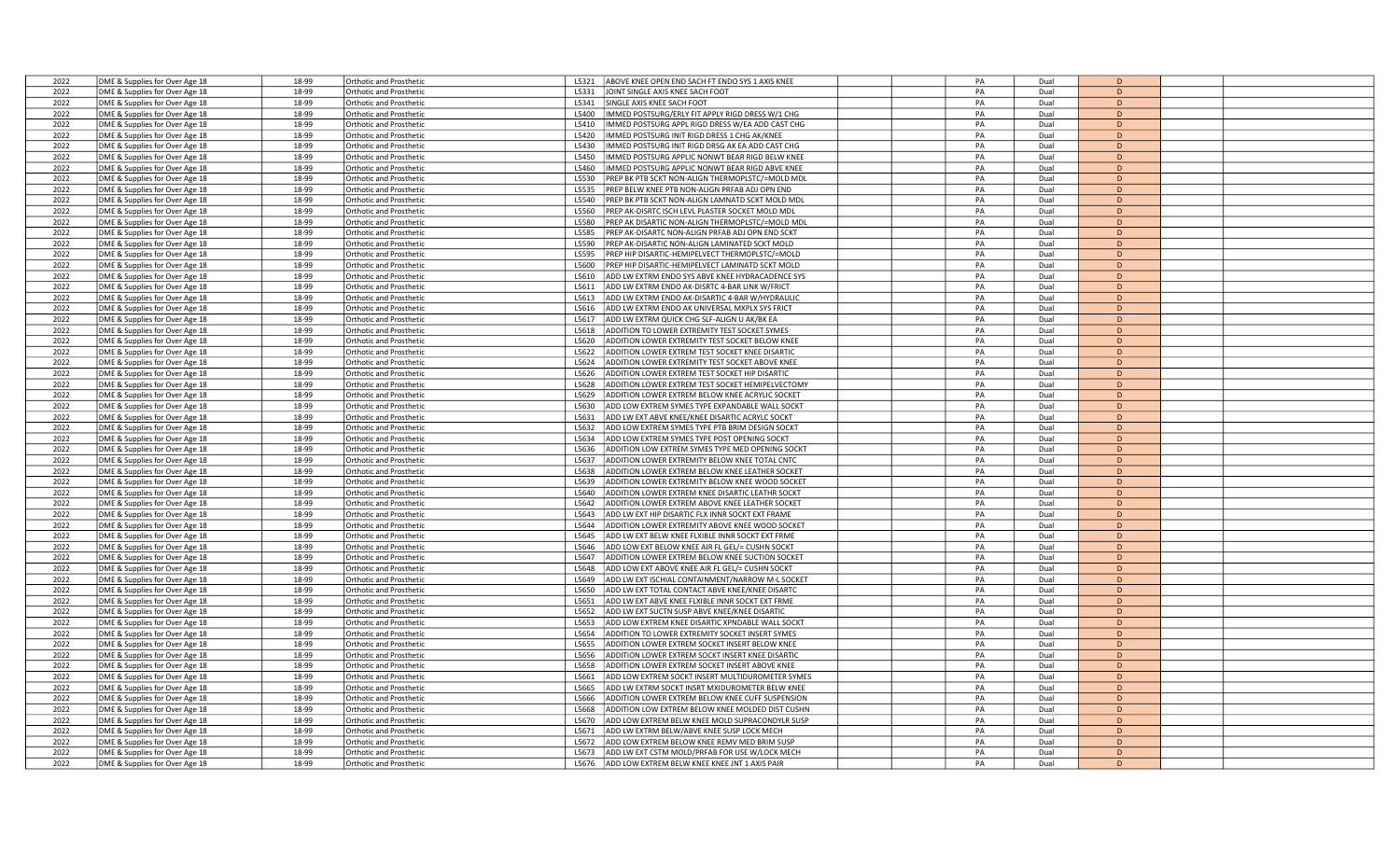| 2022 | DME & Supplies for Over Age 18 | 18-99          | <b>Orthotic and Prosthetio</b>                            | ABOVE KNEE OPEN END SACH FT ENDO SYS 1 AXIS KNEE<br>L5321 | PA | Dual         | D              |  |
|------|--------------------------------|----------------|-----------------------------------------------------------|-----------------------------------------------------------|----|--------------|----------------|--|
| 2022 | DME & Supplies for Over Age 18 | 18-99          | Orthotic and Prosthetic                                   | JOINT SINGLE AXIS KNEE SACH FOOT<br>L5331                 | PA | Dual         | D              |  |
| 2022 | DME & Supplies for Over Age 18 | 18-99          | <b>Orthotic and Prosthetic</b>                            | SINGLE AXIS KNEE SACH FOOT<br>L5341                       | PA | Dual         | D              |  |
| 2022 | DME & Supplies for Over Age 18 | 18-99          | Orthotic and Prosthetic                                   | MMED POSTSURG/ERLY FIT APPLY RIGD DRESS W/1 CHG<br>L5400  | PA | Dual         | D              |  |
| 2022 | DME & Supplies for Over Age 18 | 18-99          | <b>Orthotic and Prosthetic</b>                            | MMED POSTSURG APPL RIGD DRESS W/EA ADD CAST CHG<br>L5410  | PA | Dual         | D              |  |
| 2022 | DME & Supplies for Over Age 18 | 18-99          | <b>Orthotic and Prosthetic</b>                            | L5420<br>IMMED POSTSURG INIT RIGD DRESS 1 CHG AK/KNEE     | PA | Dual         | D              |  |
| 2022 | DME & Supplies for Over Age 18 | 18-99          | Orthotic and Prosthetic                                   | MMED POSTSURG INIT RIGD DRSG AK EA ADD CAST CHG<br>L5430  | PA | Dual         | D.             |  |
| 2022 | DME & Supplies for Over Age 18 | 18-99          | Orthotic and Prosthetic                                   | IMMED POSTSURG APPLIC NONWT BEAR RIGD BELW KNEE<br>L5450  | PA | Dual         | D              |  |
| 2022 | DME & Supplies for Over Age 18 | 18-99          | Orthotic and Prosthetic                                   | L5460<br>MMED POSTSURG APPLIC NONWT BEAR RIGD ABVE KNEE   | PA | Dual         | D              |  |
| 2022 |                                | 18-99          |                                                           | PREP BK PTB SCKT NON-ALIGN THERMOPLSTC/=MOLD MDL<br>L5530 | PA | Dual         | D              |  |
| 2022 | DME & Supplies for Over Age 18 | 18-99          | <b>Orthotic and Prosthetic</b><br>Orthotic and Prosthetic | L5535<br>PREP BELW KNEE PTB NON-ALIGN PRFAB ADJ OPN END   | PA | Dual         | D              |  |
| 2022 | DME & Supplies for Over Age 18 | 18-99          |                                                           | L5540                                                     | PA |              | D              |  |
|      | DME & Supplies for Over Age 18 |                | Orthotic and Prosthetic                                   | PREP BK PTB SCKT NON-ALIGN LAMNATD SCKT MOLD MDL          |    | Dual         |                |  |
| 2022 | DME & Supplies for Over Age 18 | 18-99          | <b>Orthotic and Prosthetic</b>                            | PREP AK-DISRTC ISCH LEVL PLASTER SOCKET MOLD MDL<br>L5560 | PA | Dual         | D              |  |
| 2022 | DME & Supplies for Over Age 18 | 18-99          | Orthotic and Prosthetic                                   | L5580<br>PREP AK DISARTIC NON-ALIGN THERMOPLSTC/=MOLD MDL | PA | Dual         | D              |  |
| 2022 | DME & Supplies for Over Age 18 | 18-99          | <b>Drthotic and Prosthetic</b>                            | L5585<br>PREP AK-DISARTC NON-ALIGN PRFAB ADJ OPN END SCKT | PA | Dual         | D              |  |
| 2022 | DME & Supplies for Over Age 18 | 18-99          | <b>Drthotic and Prosthetic</b>                            | L5590<br>PREP AK-DISARTIC NON-ALIGN LAMINATED SCKT MOLD   | PA | Dual         | D              |  |
| 2022 | DME & Supplies for Over Age 18 | 18-99          | Orthotic and Prosthetic                                   | L5595<br>PREP HIP DISARTIC-HEMIPELVECT THERMOPLSTC/=MOLD  | PA | Dual         | D              |  |
| 2022 | DME & Supplies for Over Age 18 | 18-99          | Orthotic and Prosthetic                                   | L5600<br>PREP HIP DISARTIC-HEMIPELVECT LAMINATD SCKT MOLD | PA | Dual         | D              |  |
| 2022 | DME & Supplies for Over Age 18 | 18-99          | Orthotic and Prosthetic                                   | ADD LW EXTRM ENDO SYS ABVE KNEE HYDRACADENCE SYS<br>L5610 | PA | Dual         | $\overline{D}$ |  |
| 2022 | DME & Supplies for Over Age 18 | 18-99          | Orthotic and Prosthetic                                   | L5611<br>ADD LW EXTRM ENDO AK-DISRTC 4-BAR LINK W/FRICT   | PA | Dual         | D              |  |
| 2022 | DME & Supplies for Over Age 18 | 18-99          | Orthotic and Prosthetic                                   | L5613<br>ADD LW EXTRM ENDO AK-DISARTIC 4-BAR W/HYDRAULIC  | PA | Dual         | D              |  |
| 2022 | DME & Supplies for Over Age 18 | 18-99          | <b>Orthotic and Prosthetic</b>                            | L5616<br>ADD LW EXTRM ENDO AK UNIVERSAL MXPLX SYS FRICT   | PA | Dual         | D              |  |
| 2022 | DME & Supplies for Over Age 18 | 18-99          | Orthotic and Prosthetic                                   | ADD LW EXTRM QUICK CHG SLF-ALIGN U AK/BK EA<br>L5617      | PA | Dual         | D              |  |
| 2022 | DME & Supplies for Over Age 18 | 18-99          | Orthotic and Prosthetic                                   | ADDITION TO LOWER EXTREMITY TEST SOCKET SYMES<br>L5618    | PA | Dual         | D              |  |
| 2022 | DME & Supplies for Over Age 18 | 18-99          | <b>Orthotic and Prosthetic</b>                            | ADDITION LOWER EXTREMITY TEST SOCKET BELOW KNEE<br>L5620  | PA | Dual         | D              |  |
| 2022 | DME & Supplies for Over Age 18 | 18-99          | Orthotic and Prosthetic                                   | L5622<br>ADDITION LOWER EXTREM TEST SOCKET KNEE DISARTIC  | PA | Dual         | D              |  |
| 2022 | DME & Supplies for Over Age 18 | 18-99          | <b>Orthotic and Prosthetic</b>                            | L5624<br>ADDITION LOWER EXTREMITY TEST SOCKET ABOVE KNEE  | PA | Dual         | D              |  |
| 2022 | DME & Supplies for Over Age 18 | 18-99          | <b>Orthotic and Prosthetic</b>                            | L5626<br>ADDITION LOWER EXTREM TEST SOCKET HIP DISARTIC   | PA | Dual         | D              |  |
| 2022 | DME & Supplies for Over Age 18 | 18-99          | Orthotic and Prosthetic                                   | ADDITION LOWER EXTREM TEST SOCKET HEMIPELVECTOMY<br>L5628 | PA | Dual         | D              |  |
| 2022 | DME & Supplies for Over Age 18 | 18-99          | Orthotic and Prosthetic                                   | ADDITION LOWER EXTREM BELOW KNEE ACRYLIC SOCKET<br>L5629  | PA | Dual         | D              |  |
| 2022 | DME & Supplies for Over Age 18 | 18-99          | <b>Orthotic and Prosthetio</b>                            | ADD LOW EXTREM SYMES TYPE EXPANDABLE WALL SOCKT<br>L5630  | PA | Dual         | D              |  |
| 2022 | DME & Supplies for Over Age 18 | 18-99          | Orthotic and Prosthetic                                   | ADD LW EXT ABVE KNEE/KNEE DISARTIC ACRYLC SOCKT<br>L5631  | PA | Dual         | D              |  |
| 2022 | DME & Supplies for Over Age 18 | 18-99          | Orthotic and Prosthetic                                   | ADD LOW EXTREM SYMES TYPE PTB BRIM DESIGN SOCKT<br>L5632  | PA | Dual         | D              |  |
| 2022 | DME & Supplies for Over Age 18 | 18-99          | <b>Orthotic and Prosthetic</b>                            | L5634<br>ADD LOW EXTREM SYMES TYPE POST OPENING SOCKT     | PA | Dual         | D              |  |
| 2022 |                                | 18-99          | Orthotic and Prosthetic                                   | ADDITION LOW EXTREM SYMES TYPE MED OPENING SOCKT<br>L5636 | PA | Dual         | D              |  |
| 2022 | DME & Supplies for Over Age 18 |                |                                                           | L5637<br>ADDITION LOWER EXTREMITY BELOW KNEE TOTAL CNTC   | PA |              | D              |  |
|      | DME & Supplies for Over Age 18 | 18-99<br>18-99 | Orthotic and Prosthetic                                   |                                                           | PA | Dual<br>Dual | D              |  |
| 2022 | DME & Supplies for Over Age 18 |                | <b>Orthotic and Prosthetio</b>                            | ADDITION LOWER EXTREM BELOW KNEE LEATHER SOCKET<br>L5638  |    |              | D              |  |
| 2022 | DME & Supplies for Over Age 18 | 18-99          | Orthotic and Prosthetic                                   | ADDITION LOWER EXTREMITY BELOW KNEE WOOD SOCKET<br>L5639  | PA | Dual         |                |  |
| 2022 | DME & Supplies for Over Age 18 | 18-99          | Orthotic and Prosthetic                                   | ADDITION LOWER EXTREM KNEE DISARTIC LEATHR SOCKT<br>L5640 | PA | Dual         | D              |  |
| 2022 | DME & Supplies for Over Age 18 | 18-99          | <b>Orthotic and Prosthetic</b>                            | ADDITION LOWER EXTREM ABOVE KNEE LEATHER SOCKET<br>L5642  | PA | Dual         | D              |  |
| 2022 | DME & Supplies for Over Age 18 | 18-99          | Orthotic and Prosthetic                                   | ADD LW EXT HIP DISARTIC FLX INNR SOCKT EXT FRAME<br>L5643 | PA | Dual         | $\overline{D}$ |  |
| 2022 | DME & Supplies for Over Age 18 | 18-99          | Orthotic and Prosthetic                                   | L5644<br>ADDITION LOWER EXTREMITY ABOVE KNEE WOOD SOCKET  | PA | Dual         | D              |  |
| 2022 | DME & Supplies for Over Age 18 | 18-99          | <b>Orthotic and Prosthetic</b>                            | L5645<br>ADD LW EXT BELW KNEE FLXIBLE INNR SOCKT EXT FRME | PA | Dual         | D              |  |
| 2022 | DME & Supplies for Over Age 18 | 18-99          | <b>Irthotic and Prosthetic</b>                            | ADD LOW EXT BELOW KNEE AIR FL GEL/= CUSHN SOCKT<br>L5646  | PA | Dual         | D              |  |
| 2022 | DME & Supplies for Over Age 18 | 18-99          | Orthotic and Prosthetic                                   | ADDITION LOWER EXTREM BELOW KNEE SUCTION SOCKET<br>L5647  | PA | Dual         | D              |  |
| 2022 | DME & Supplies for Over Age 18 | 18-99          | <b>Orthotic and Prosthetic</b>                            | ADD LOW EXT ABOVE KNEE AIR FL GEL/= CUSHN SOCKT<br>L5648  | PA | Dual         | D              |  |
| 2022 | DME & Supplies for Over Age 18 | 18-99          | Orthotic and Prosthetic                                   | L5649<br>ADD LW EXT ISCHIAL CONTAINMENT/NARROW M-L SOCKET | PA | Dual         | D              |  |
| 2022 | DME & Supplies for Over Age 18 | 18-99          | <b>Orthotic and Prosthetic</b>                            | L5650<br>ADD LW EXT TOTAL CONTACT ABVE KNEE/KNEE DISARTC  | PA | Dual         | D              |  |
| 2022 | DME & Supplies for Over Age 18 | 18-99          | <b>Orthotic and Prosthetic</b>                            | ADD LW EXT ABVE KNEE FLXIBLE INNR SOCKT EXT FRME<br>L5651 | PA | Dual         | $\overline{D}$ |  |
| 2022 | DME & Supplies for Over Age 18 | 18-99          | Orthotic and Prosthetic                                   | ADD LW EXT SUCTN SUSP ABVE KNEE/KNEE DISARTIC<br>L5652    | PA | Dual         | D              |  |
| 2022 | DME & Supplies for Over Age 18 | 18-99          | Orthotic and Prosthetic                                   | ADD LOW EXTREM KNEE DISARTIC XPNDABLE WALL SOCKT<br>L5653 | PA | Dual         | D              |  |
| 2022 | DME & Supplies for Over Age 18 | 18-99          | <b>Orthotic and Prosthetic</b>                            | L5654<br>ADDITION TO LOWER EXTREMITY SOCKET INSERT SYMES  | PA | Dual         | D              |  |
| 2022 | DME & Supplies for Over Age 18 | 18-99          | Orthotic and Prosthetic                                   | L5655<br>ADDITION LOWER EXTREM SOCKET INSERT BELOW KNEE   | PA | Dual         | D              |  |
| 2022 | DME & Supplies for Over Age 18 | 18-99          | <b>Orthotic and Prosthetic</b>                            | L5656<br>ADDITION LOWER EXTREM SOCKT INSERT KNEE DISARTIC | PA | Dual         | D              |  |
| 2022 | DME & Supplies for Over Age 18 | 18-99          | <b>Orthotic and Prosthetic</b>                            | ADDITION LOWER EXTREM SOCKET INSERT ABOVE KNEE<br>L5658   | PA | Dual         | $\overline{D}$ |  |
| 2022 | DME & Supplies for Over Age 18 | 18-99          | Orthotic and Prosthetic                                   | ADD LOW EXTREM SOCKT INSERT MULTIDUROMETER SYMES<br>L5661 | PA | Dual         | D              |  |
| 2022 | DME & Supplies for Over Age 18 | 18-99          | <b>Orthotic and Prosthetic</b>                            | L5665<br>ADD LW EXTRM SOCKT INSRT MXIDUROMETER BELW KNEE  | PA | Dual         | D              |  |
| 2022 | DME & Supplies for Over Age 18 | 18-99          | <b>Orthotic and Prosthetic</b>                            | L5666<br>ADDITION LOWER EXTREM BELOW KNEE CUFF SUSPENSION | PA | Dual         | D              |  |
| 2022 | DME & Supplies for Over Age 18 | 18-99          | Orthotic and Prosthetic                                   | L5668<br>ADDITION LOW EXTREM BELOW KNEE MOLDED DIST CUSHN | PA | Dual         | D              |  |
| 2022 | DME & Supplies for Over Age 18 | 18-99          | Orthotic and Prosthetic                                   | L5670<br>ADD LOW EXTREM BELW KNEE MOLD SUPRACONDYLR SUSP  | PA | Dual         | D              |  |
| 2022 | DME & Supplies for Over Age 18 | 18-99          | <b>Orthotic and Prosthetic</b>                            | ADD LW EXTRM BELW/ABVE KNEE SUSP LOCK MECH<br>L5671       | PA | Dual         | $\overline{D}$ |  |
| 2022 | DME & Supplies for Over Age 18 | 18-99          | <b>Irthotic and Prosthetic</b>                            | ADD LOW EXTREM BELOW KNEE REMV MED BRIM SUSP<br>L5672     | PA | Dual         | D              |  |
| 2022 | DME & Supplies for Over Age 18 | 18-99          | <b>Orthotic and Prosthetic</b>                            | ADD LW EXT CSTM MOLD/PRFAB FOR USE W/LOCK MECH<br>L5673   | PA | Dual         | D              |  |
| 2022 | DME & Supplies for Over Age 18 | 18-99          | <b>Orthotic and Prosthetic</b>                            | L5676<br>ADD LOW EXTREM BELW KNEE KNEE JNT 1 AXIS PAIR    | PA | Dual         | D              |  |
|      |                                |                |                                                           |                                                           |    |              |                |  |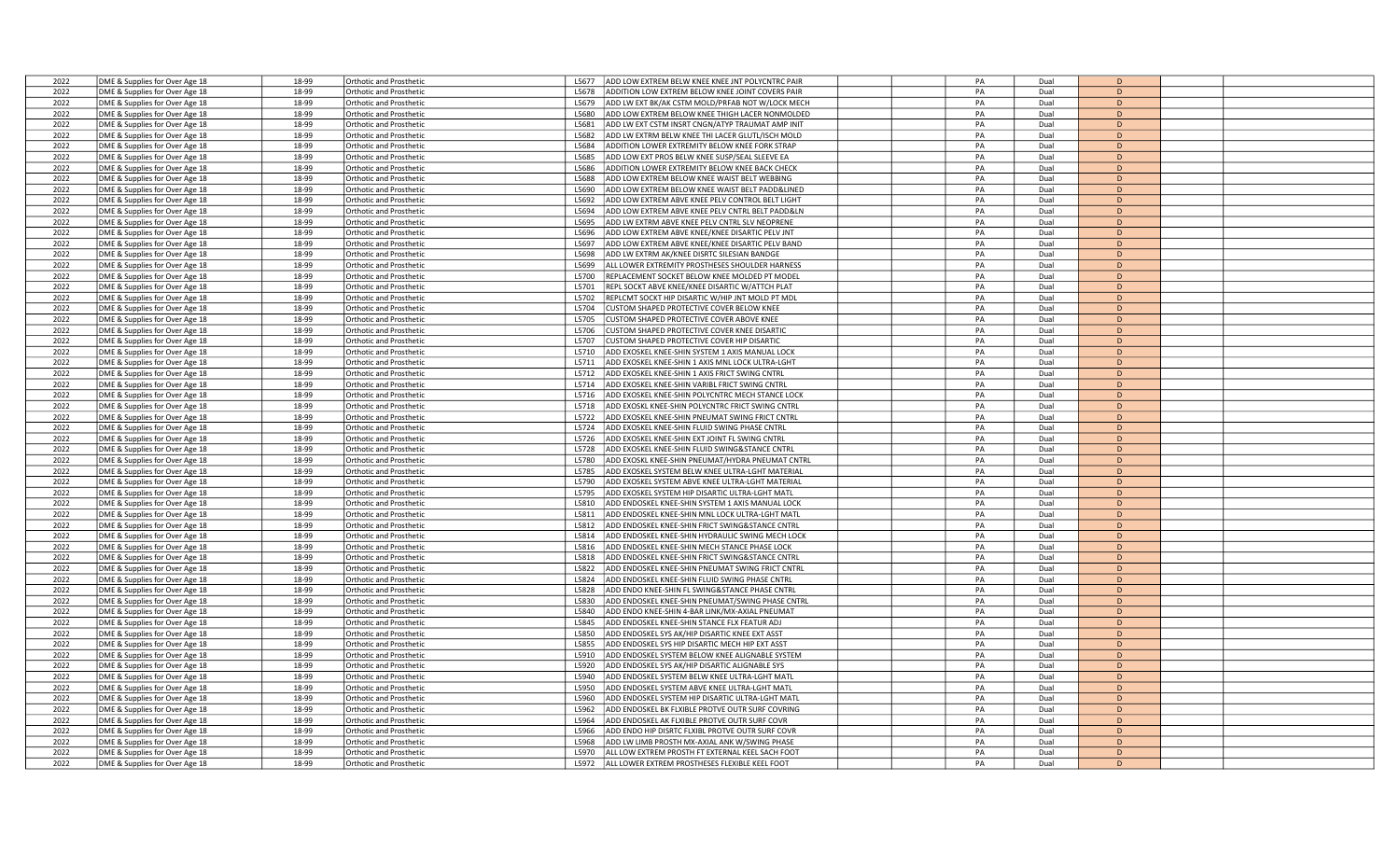| 2022 | DME & Supplies for Over Age 18 | 18-99 | <b>Orthotic and Prosthetic</b> | ADD LOW EXTREM BELW KNEE KNEE JNT POLYCNTRC PAIR<br>L5677  | PA | Dual | D            |  |
|------|--------------------------------|-------|--------------------------------|------------------------------------------------------------|----|------|--------------|--|
| 2022 | DME & Supplies for Over Age 18 | 18-99 | Orthotic and Prosthetic        | ADDITION LOW EXTREM BELOW KNEE JOINT COVERS PAIR<br>L5678  | PA | Dual | D            |  |
| 2022 | DME & Supplies for Over Age 18 | 18-99 | Orthotic and Prosthetic        | ADD LW EXT BK/AK CSTM MOLD/PRFAB NOT W/LOCK MECH<br>L5679  | PA | Dual | D            |  |
| 2022 | DME & Supplies for Over Age 18 | 18-99 | <b>Orthotic and Prosthetic</b> | ADD LOW EXTREM BELOW KNEE THIGH LACER NONMOLDED<br>L5680   | PA | Dual | D            |  |
| 2022 | DME & Supplies for Over Age 18 | 18-99 | <b>Orthotic and Prosthetic</b> | ADD LW EXT CSTM INSRT CNGN/ATYP TRAUMAT AMP INIT<br>L5681  | PA | Dual | D            |  |
| 2022 | DME & Supplies for Over Age 18 | 18-99 | <b>Orthotic and Prosthetic</b> | L5682<br>ADD LW EXTRM BELW KNEE THI LACER GLUTL/ISCH MOLD  | PA | Dual | D            |  |
| 2022 | DME & Supplies for Over Age 18 | 18-99 | <b>Orthotic and Prosthetic</b> | ADDITION LOWER EXTREMITY BELOW KNEE FORK STRAP<br>L5684    | PA | Dual | D.           |  |
| 2022 | DME & Supplies for Over Age 18 | 18-99 | <b>Orthotic and Prosthetic</b> | L5685<br>ADD LOW EXT PROS BELW KNEE SUSP/SEAL SLEEVE EA    | PA | Dual | D            |  |
| 2022 | DME & Supplies for Over Age 18 | 18-99 | Orthotic and Prosthetic        | L5686<br>ADDITION LOWER EXTREMITY BELOW KNEE BACK CHECK    | PA | Dual | D            |  |
| 2022 | DME & Supplies for Over Age 18 | 18-99 | <b>Orthotic and Prosthetic</b> | L5688<br>ADD LOW EXTREM BELOW KNEE WAIST BELT WEBBING      | PA | Dual | D            |  |
| 2022 | DME & Supplies for Over Age 18 | 18-99 | <b>Orthotic and Prosthetic</b> | L5690<br>ADD LOW EXTREM BELOW KNEE WAIST BELT PADD&LINED   | PA | Dual | D            |  |
| 2022 | DME & Supplies for Over Age 18 | 18-99 | Orthotic and Prosthetic        | L5692<br>ADD LOW EXTREM ABVE KNEE PELV CONTROL BELT LIGHT  | PA | Dual | D            |  |
| 2022 | DME & Supplies for Over Age 18 | 18-99 | <b>Orthotic and Prosthetic</b> | ADD LOW EXTREM ABVE KNEE PELV CNTRL BELT PADD&LN<br>L5694  | PA | Dual | D            |  |
| 2022 | DME & Supplies for Over Age 18 | 18-99 | <b>Orthotic and Prosthetic</b> | ADD LW EXTRM ABVE KNEE PELV CNTRL SLV NEOPRENE<br>L5695    | PA | Dual | D            |  |
| 2022 | DME & Supplies for Over Age 18 | 18-99 | <b>Orthotic and Prosthetic</b> | ADD LOW EXTREM ABVE KNEE/KNEE DISARTIC PELV JNT<br>L5696   | PA | Dual | D            |  |
| 2022 | DME & Supplies for Over Age 18 | 18-99 | <b>Orthotic and Prosthetic</b> | L5697<br>ADD LOW EXTREM ABVE KNEE/KNEE DISARTIC PELV BAND  | PA | Dual | D            |  |
| 2022 | DME & Supplies for Over Age 18 | 18-99 | Orthotic and Prosthetic        | ADD LW EXTRM AK/KNEE DISRTC SILESIAN BANDGE<br>L5698       | PA | Dual | D            |  |
| 2022 | DME & Supplies for Over Age 18 | 18-99 | Orthotic and Prosthetic        | ALL LOWER EXTREMITY PROSTHESES SHOULDER HARNESS<br>L5699   | PA | Dual | D            |  |
| 2022 | DME & Supplies for Over Age 18 | 18-99 | <b>Orthotic and Prosthetic</b> | REPLACEMENT SOCKET BELOW KNEE MOLDED PT MODEL<br>L5700     | PA | Dual | $\mathsf{D}$ |  |
| 2022 | DME & Supplies for Over Age 18 | 18-99 | <b>Orthotic and Prosthetic</b> | L5701<br>REPL SOCKT ABVE KNEE/KNEE DISARTIC W/ATTCH PLAT   | PA | Dual | D            |  |
| 2022 | DME & Supplies for Over Age 18 | 18-99 | <b>Orthotic and Prosthetic</b> | L5702<br>REPLCMT SOCKT HIP DISARTIC W/HIP JNT MOLD PT MDL  | PA | Dual | D            |  |
| 2022 | DME & Supplies for Over Age 18 | 18-99 | <b>Orthotic and Prosthetic</b> | L5704<br>CUSTOM SHAPED PROTECTIVE COVER BELOW KNEE         | PA | Dual | D            |  |
| 2022 | DME & Supplies for Over Age 18 | 18-99 | Orthotic and Prosthetic        | L5705<br>CUSTOM SHAPED PROTECTIVE COVER ABOVE KNEE         | PA | Dual | D            |  |
| 2022 | DME & Supplies for Over Age 18 | 18-99 | Orthotic and Prosthetic        | L5706<br>CUSTOM SHAPED PROTECTIVE COVER KNEE DISARTIC      | PA | Dual | D            |  |
| 2022 | DME & Supplies for Over Age 18 | 18-99 | Orthotic and Prosthetic        | CUSTOM SHAPED PROTECTIVE COVER HIP DISARTIC<br>L5707       | PA | Dual | D            |  |
| 2022 | DME & Supplies for Over Age 18 | 18-99 | <b>Orthotic and Prosthetic</b> | L5710<br>ADD EXOSKEL KNEE-SHIN SYSTEM 1 AXIS MANUAL LOCK   | PA | Dual | D            |  |
| 2022 | DME & Supplies for Over Age 18 | 18-99 | <b>Orthotic and Prosthetic</b> | L5711<br>ADD EXOSKEL KNEE-SHIN 1 AXIS MNL LOCK ULTRA-LGHT  | PA | Dual | D            |  |
| 2022 | DME & Supplies for Over Age 18 | 18-99 | <b>Orthotic and Prosthetic</b> | L5712<br>ADD EXOSKEL KNEE-SHIN 1 AXIS FRICT SWING CNTRL    | PA | Dual | D            |  |
| 2022 | DME & Supplies for Over Age 18 | 18-99 | Orthotic and Prosthetic        | ADD EXOSKEL KNEE-SHIN VARIBL FRICT SWING CNTRL<br>L5714    | PA | Dual | D            |  |
| 2022 | DME & Supplies for Over Age 18 | 18-99 | Orthotic and Prosthetic        | L5716<br>ADD EXOSKEL KNEE-SHIN POLYCNTRC MECH STANCE LOCK  | PA | Dual | D            |  |
| 2022 | DME & Supplies for Over Age 18 | 18-99 | <b>Orthotic and Prosthetic</b> | ADD EXOSKL KNEE-SHIN POLYCNTRC FRICT SWING CNTRI<br>L5718  | PA | Dual | $\mathsf{D}$ |  |
| 2022 | DME & Supplies for Over Age 18 | 18-99 | Orthotic and Prosthetic        | ADD EXOSKEL KNEE-SHIN PNEUMAT SWING FRICT CNTRL<br>L5722   | PA | Dual | D            |  |
| 2022 | DME & Supplies for Over Age 18 | 18-99 | <b>Orthotic and Prosthetic</b> | L5724<br>ADD EXOSKEL KNEE-SHIN FLUID SWING PHASE CNTRL     | PA | Dual | D            |  |
| 2022 | DME & Supplies for Over Age 18 | 18-99 | <b>Orthotic and Prosthetic</b> | L5726<br>ADD EXOSKEL KNEE-SHIN EXT JOINT FL SWING CNTRL    | PA | Dual | D.           |  |
| 2022 | DME & Supplies for Over Age 18 | 18-99 | Orthotic and Prosthetic        | ADD EXOSKEL KNEE-SHIN FLUID SWING&STANCE CNTRL<br>L5728    | PA | Dual | D            |  |
| 2022 | DME & Supplies for Over Age 18 | 18-99 | Orthotic and Prosthetic        | ADD EXOSKL KNEE-SHIN PNEUMAT/HYDRA PNEUMAT CNTRL<br>L5780  | PA | Dual | D            |  |
| 2022 | DME & Supplies for Over Age 18 | 18-99 | <b>Orthotic and Prosthetic</b> | L5785<br>ADD EXOSKEL SYSTEM BELW KNEE ULTRA-LGHT MATERIAL  | PA | Dual | D            |  |
| 2022 | DME & Supplies for Over Age 18 | 18-99 | Orthotic and Prosthetic        | ADD EXOSKEL SYSTEM ABVE KNEE ULTRA-LGHT MATERIAL<br>1.5790 | PA | Dual | D            |  |
| 2022 | DME & Supplies for Over Age 18 | 18-99 | Orthotic and Prosthetic        | ADD EXOSKEL SYSTEM HIP DISARTIC ULTRA-LGHT MATL<br>L5795   | PA | Dual | D            |  |
| 2022 | DME & Supplies for Over Age 18 | 18-99 | <b>Orthotic and Prosthetic</b> | L5810<br>ADD ENDOSKEL KNEE-SHIN SYSTEM 1 AXIS MANUAL LOCK  | PA | Dual | D.           |  |
| 2022 | DME & Supplies for Over Age 18 | 18-99 | <b>Orthotic and Prosthetic</b> | L5811<br>ADD ENDOSKEL KNEE-SHIN MNL LOCK ULTRA-LGHT MATL   | PA | Dual | D            |  |
| 2022 | DME & Supplies for Over Age 18 | 18-99 | Orthotic and Prosthetic        | L5812<br>ADD ENDOSKEL KNEE-SHIN FRICT SWING&STANCE CNTRL   | PA | Dual | D            |  |
| 2022 | DME & Supplies for Over Age 18 | 18-99 | <b>Orthotic and Prosthetic</b> | L5814<br>ADD ENDOSKEL KNEE-SHIN HYDRAULIC SWING MECH LOCK  | PA | Dual | D            |  |
| 2022 | DME & Supplies for Over Age 18 | 18-99 | Orthotic and Prosthetic        | ADD ENDOSKEL KNEE-SHIN MECH STANCE PHASE LOCK<br>L5816     | PA | Dual | D            |  |
| 2022 | DME & Supplies for Over Age 18 | 18-99 | Orthotic and Prosthetic        | L5818<br>ADD ENDOSKEL KNEE-SHIN FRICT SWING&STANCE CNTRL   | PA | Dual | D            |  |
| 2022 | DME & Supplies for Over Age 18 | 18-99 | Orthotic and Prosthetic        | ADD ENDOSKEL KNEE-SHIN PNEUMAT SWING FRICT CNTRL<br>L5822  | PA | Dual | D            |  |
| 2022 | DME & Supplies for Over Age 18 | 18-99 | Orthotic and Prosthetic        | L5824<br>ADD ENDOSKEL KNEE-SHIN FLUID SWING PHASE CNTRL    | PA | Dual | D            |  |
| 2022 | DME & Supplies for Over Age 18 | 18-99 | <b>Orthotic and Prosthetic</b> | L5828<br>ADD ENDO KNEE-SHIN FL SWING&STANCE PHASE CNTRL    | PA | Dual | D            |  |
| 2022 | DME & Supplies for Over Age 18 | 18-99 | <b>Orthotic and Prosthetic</b> | L5830<br>ADD ENDOSKEL KNEE-SHIN PNEUMAT/SWING PHASE CNTRL  | PA | Dual | $\mathsf{D}$ |  |
| 2022 | DME & Supplies for Over Age 18 | 18-99 | Orthotic and Prosthetic        | ADD ENDO KNEE-SHIN 4-BAR LINK/MX-AXIAL PNEUMAT<br>15840    | PA | Dual | D            |  |
| 2022 | DME & Supplies for Over Age 18 | 18-99 | Orthotic and Prosthetic        | ADD ENDOSKEL KNEE-SHIN STANCE FLX FEATUR ADJ<br>L5845      | PA | Dual | D            |  |
| 2022 | DME & Supplies for Over Age 18 | 18-99 | <b>Orthotic and Prosthetic</b> | L5850<br>ADD ENDOSKEL SYS AK/HIP DISARTIC KNEE EXT ASST    | PA | Dual | D            |  |
| 2022 | DME & Supplies for Over Age 18 | 18-99 | Orthotic and Prosthetic        | L5855<br>ADD ENDOSKEL SYS HIP DISARTIC MECH HIP EXT ASST   | PA | Dual | D            |  |
| 2022 | DME & Supplies for Over Age 18 | 18-99 | <b>Orthotic and Prosthetic</b> | L5910<br>ADD ENDOSKEL SYSTEM BELOW KNEE ALIGNABLE SYSTEM   | PA | Dual | D            |  |
| 2022 | DME & Supplies for Over Age 18 | 18-99 | <b>Orthotic and Prosthetic</b> | ADD ENDOSKEL SYS AK/HIP DISARTIC ALIGNABLE SYS<br>L5920    | PA | Dual | $\mathsf{D}$ |  |
| 2022 | DME & Supplies for Over Age 18 | 18-99 | Orthotic and Prosthetic        | ADD ENDOSKEL SYSTEM BELW KNEE ULTRA-LGHT MATI<br>L5940     | PA | Dual | D            |  |
| 2022 | DME & Supplies for Over Age 18 | 18-99 | <b>Orthotic and Prosthetic</b> | ADD ENDOSKEL SYSTEM ABVE KNEE ULTRA-LGHT MATL<br>L5950     | PA | Dual | D            |  |
| 2022 | DME & Supplies for Over Age 18 | 18-99 | <b>Orthotic and Prosthetic</b> | L5960<br>ADD ENDOSKEL SYSTEM HIP DISARTIC ULTRA-LGHT MATL  | PA | Dual | D            |  |
| 2022 | DME & Supplies for Over Age 18 | 18-99 | Orthotic and Prosthetic        | L5962<br>ADD ENDOSKEL BK FLXIBLE PROTVE OUTR SURF COVRING  | PA | Dual | D            |  |
| 2022 | DME & Supplies for Over Age 18 | 18-99 | Orthotic and Prosthetic        | L5964<br>ADD ENDOSKEL AK FLXIBLE PROTVE OUTR SURF COVR     | PA | Dual | D            |  |
| 2022 | DME & Supplies for Over Age 18 | 18-99 | <b>Orthotic and Prosthetic</b> | ADD ENDO HIP DISRTC FLXIBL PROTVE OUTR SURF COVR<br>L5966  | PA | Dual | $\mathsf{D}$ |  |
| 2022 | DME & Supplies for Over Age 18 | 18-99 | <b>Irthotic and Prosthetic</b> | ADD LW LIMB PROSTH MX-AXIAL ANK W/SWING PHASE<br>15968     | PA | Dual | D            |  |
| 2022 | DME & Supplies for Over Age 18 | 18-99 | <b>Orthotic and Prosthetic</b> | ALL LOW EXTREM PROSTH FT EXTERNAL KEEL SACH FOOT<br>L5970  | PA | Dual | D            |  |
| 2022 | DME & Supplies for Over Age 18 | 18-99 | <b>Orthotic and Prosthetic</b> | L5972<br>ALL LOWER EXTREM PROSTHESES FLEXIBLE KEEL FOOT    | PA | Dual | D            |  |
|      |                                |       |                                |                                                            |    |      |              |  |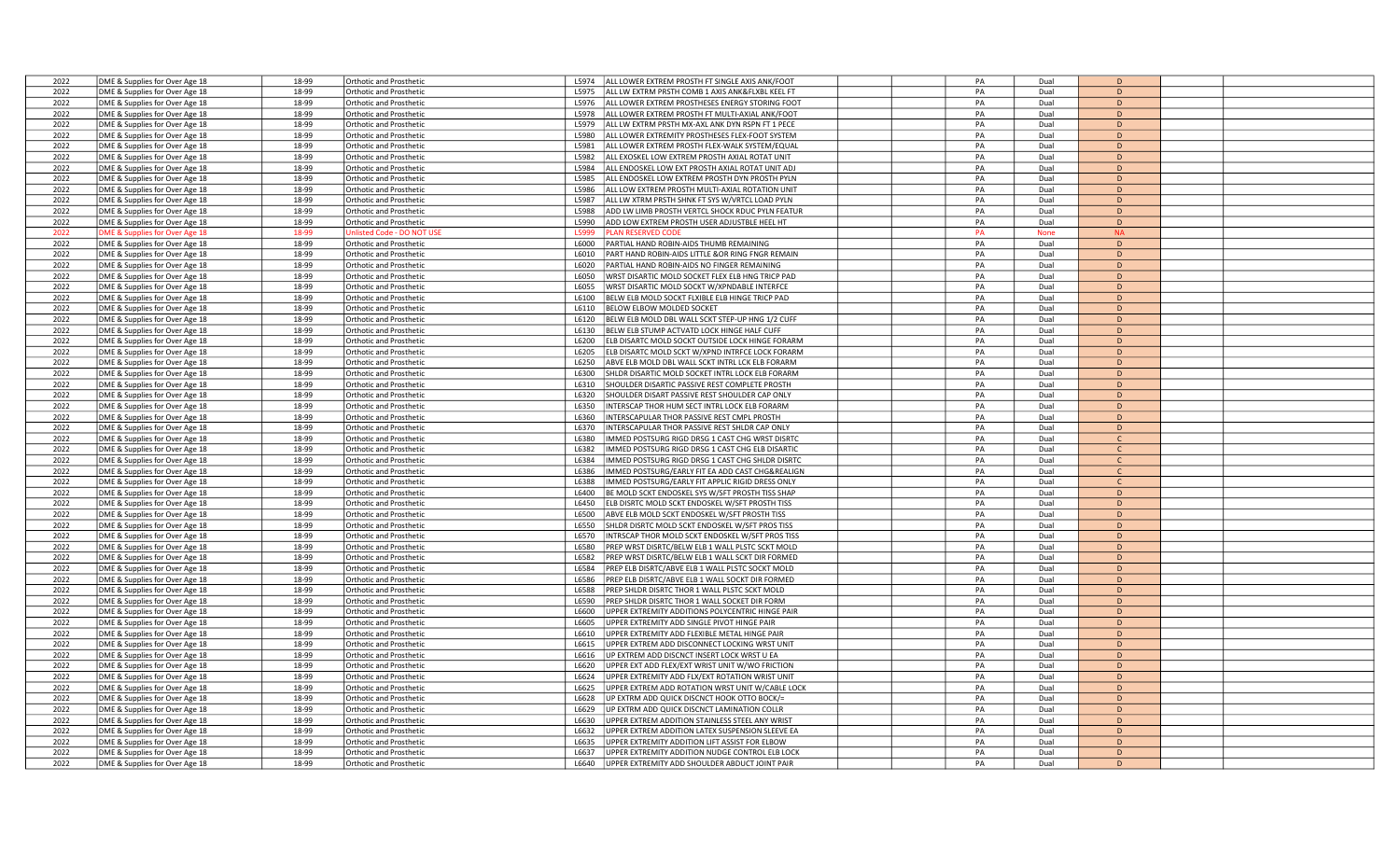|      |                                                                  | 18-99 | Orthotic and Prosthetic        | ALL LOWER EXTREM PROSTH FT SINGLE AXIS ANK/FOOT<br>1.5974  | PA | Dual        | D             |  |
|------|------------------------------------------------------------------|-------|--------------------------------|------------------------------------------------------------|----|-------------|---------------|--|
| 2022 | DME & Supplies for Over Age 18                                   |       |                                |                                                            |    |             |               |  |
| 2022 | DME & Supplies for Over Age 18                                   | 18-99 | <b>Orthotic and Prosthetic</b> | ALL LW EXTRM PRSTH COMB 1 AXIS ANK&FLXBL KEEL FT<br>L5975  | PA | Dual        | D             |  |
| 2022 | DME & Supplies for Over Age 18                                   | 18-99 | <b>Orthotic and Prosthetic</b> | L5976<br>ALL LOWER EXTREM PROSTHESES ENERGY STORING FOOT   | PA | Dual        | D             |  |
| 2022 | DME & Supplies for Over Age 18                                   | 18-99 | Orthotic and Prosthetic        | ALL LOWER EXTREM PROSTH FT MULTI-AXIAL ANK/FOOT<br>L5978   | PA | Dual        | D             |  |
| 2022 | DME & Supplies for Over Age 18                                   | 18-99 | <b>Orthotic and Prosthetic</b> | ALL LW EXTRM PRSTH MX-AXL ANK DYN RSPN FT 1 PECE<br>L5979  | PA | Dual        | D             |  |
| 2022 | DME & Supplies for Over Age 18                                   | 18-99 | <b>Orthotic and Prosthetic</b> | L5980<br>ALL LOWER EXTREMITY PROSTHESES FLEX-FOOT SYSTEM   | PA | Dual        | D             |  |
|      |                                                                  |       |                                |                                                            |    |             |               |  |
| 2022 | DME & Supplies for Over Age 18                                   | 18-99 | Orthotic and Prosthetic        | ALL LOWER EXTREM PROSTH FLEX-WALK SYSTEM/EQUAI<br>L5981    | PA | Dual        | D             |  |
| 2022 | DME & Supplies for Over Age 18                                   | 18-99 | <b>Orthotic and Prosthetic</b> | ALL EXOSKEL LOW EXTREM PROSTH AXIAL ROTAT UNIT<br>L5982    | PA | Dual        | D             |  |
| 2022 | DME & Supplies for Over Age 18                                   | 18-99 | <b>Orthotic and Prosthetic</b> | ALL ENDOSKEL LOW EXT PROSTH AXIAL ROTAT UNIT ADJ<br>L5984  | PA | Dual        | D             |  |
| 2022 | DME & Supplies for Over Age 18                                   | 18-99 | Orthotic and Prosthetic        | L5985<br>ALL ENDOSKEL LOW EXTREM PROSTH DYN PROSTH PYLN    | PA | Dual        | D             |  |
| 2022 |                                                                  | 18-99 |                                | L5986<br>ALL LOW EXTREM PROSTH MULTI-AXIAL ROTATION UNIT   | PA | Dual        | D             |  |
|      | DME & Supplies for Over Age 18                                   |       | Orthotic and Prosthetic        |                                                            |    |             |               |  |
| 2022 | DME & Supplies for Over Age 18                                   | 18-99 | Orthotic and Prosthetic        | ALL LW XTRM PRSTH SHNK FT SYS W/VRTCL LOAD PYLN<br>L5987   | PA | Dual        | D             |  |
| 2022 | DME & Supplies for Over Age 18                                   | 18-99 | Orthotic and Prosthetic        | ADD LW LIMB PROSTH VERTCL SHOCK RDUC PYLN FEATUF<br>L5988  | PA | Dual        | D             |  |
| 2022 | DME & Supplies for Over Age 18                                   | 18-99 | <b>Orthotic and Prosthetic</b> | ADD LOW EXTREM PROSTH USER ADJUSTBLE HEEL HT<br>L5990      | PA | Dual        | D             |  |
| 2022 | OME & Supplies for Over Age 18                                   | 18-99 | nlisted Code - DO NOT U        | 5999<br><b>ILAN RESERVED CODI</b>                          | PA | <b>None</b> | <b>NA</b>     |  |
| 2022 |                                                                  | 18-99 |                                | PARTIAL HAND ROBIN-AIDS THUMB REMAINING                    | PA | Dual        | D             |  |
|      | DME & Supplies for Over Age 18                                   |       | Orthotic and Prosthetic        | L6000                                                      |    |             |               |  |
| 2022 | DME & Supplies for Over Age 18                                   | 18-99 | Orthotic and Prosthetic        | L6010<br>PART HAND ROBIN-AIDS LITTLE &OR RING FNGR REMAIN  | PA | Dual        | D             |  |
| 2022 | DME & Supplies for Over Age 18                                   | 18-99 | <b>Orthotic and Prosthetic</b> | L6020<br>PARTIAL HAND ROBIN-AIDS NO FINGER REMAINING       | PA | Dual        | D             |  |
| 2022 | DME & Supplies for Over Age 18                                   | 18-99 | Orthotic and Prosthetic        | WRST DISARTIC MOLD SOCKET FLEX ELB HNG TRICP PAD<br>L6050  | PA | Dual        | D             |  |
| 2022 | DME & Supplies for Over Age 18                                   | 18-99 | <b>Orthotic and Prosthetic</b> | WRST DISARTIC MOLD SOCKT W/XPNDABLE INTERFCE<br>L6055      | PA | Dual        | D             |  |
|      |                                                                  |       |                                | L6100                                                      | PA |             | D             |  |
| 2022 | DME & Supplies for Over Age 18                                   | 18-99 | Orthotic and Prosthetic        | BELW ELB MOLD SOCKT FLXIBLE ELB HINGE TRICP PAD            |    | Dual        |               |  |
| 2022 | DME & Supplies for Over Age 18                                   | 18-99 | <b>Orthotic and Prosthetic</b> | BELOW ELBOW MOLDED SOCKET<br>L6110                         | PA | Dual        | D             |  |
| 2022 | DME & Supplies for Over Age 18                                   | 18-99 | <b>Orthotic and Prosthetic</b> | L6120<br>BELW ELB MOLD DBL WALL SCKT STEP-UP HNG 1/2 CUFF  | PA | Dual        | D             |  |
| 2022 | DME & Supplies for Over Age 18                                   | 18-99 | <b>Orthotic and Prosthetic</b> | L6130<br>BELW ELB STUMP ACTVATD LOCK HINGE HALF CUFF       | PA | Dual        | D             |  |
| 2022 | DME & Supplies for Over Age 18                                   | 18-99 | Orthotic and Prosthetic        | ELB DISARTC MOLD SOCKT OUTSIDE LOCK HINGE FORARM<br>L6200  | PA | Dual        | D             |  |
|      |                                                                  |       |                                |                                                            |    |             |               |  |
| 2022 | DME & Supplies for Over Age 18                                   | 18-99 | <b>Orthotic and Prosthetic</b> | L6205<br>ELB DISARTC MOLD SCKT W/XPND INTRFCE LOCK FORARM  | PA | Dual        | D             |  |
| 2022 | DME & Supplies for Over Age 18                                   | 18-99 | Orthotic and Prosthetic        | L6250<br>ABVE ELB MOLD DBL WALL SCKT INTRL LCK ELB FORARM  | PA | Dual        | D             |  |
| 2022 | DME & Supplies for Over Age 18                                   | 18-99 | <b>Orthotic and Prosthetic</b> | L6300<br>SHLDR DISARTIC MOLD SOCKET INTRL LOCK ELB FORARM  | PA | Dual        | D             |  |
| 2022 | DME & Supplies for Over Age 18                                   | 18-99 | <b>Orthotic and Prosthetic</b> | L6310<br>SHOULDER DISARTIC PASSIVE REST COMPLETE PROSTH    | PA | Dual        | D             |  |
| 2022 | DME & Supplies for Over Age 18                                   | 18-99 | <b>Orthotic and Prosthetic</b> | L6320<br>SHOULDER DISART PASSIVE REST SHOULDER CAP ONLY    | PA | Dual        | D             |  |
|      |                                                                  |       |                                |                                                            |    |             |               |  |
| 2022 | DME & Supplies for Over Age 18                                   | 18-99 | <b>Orthotic and Prosthetic</b> | INTERSCAP THOR HUM SECT INTRL LOCK ELB FORARM<br>L6350     | PA | Dual        | D             |  |
| 2022 | DME & Supplies for Over Age 18                                   | 18-99 | <b>Orthotic and Prosthetic</b> | INTERSCAPULAR THOR PASSIVE REST CMPL PROSTH<br>L6360       | PA | Dual        | D             |  |
| 2022 | DME & Supplies for Over Age 18                                   | 18-99 | Orthotic and Prosthetic        | INTERSCAPULAR THOR PASSIVE REST SHLDR CAP ONLY<br>L6370    | PA | Dual        | D             |  |
| 2022 | DME & Supplies for Over Age 18                                   | 18-99 | Orthotic and Prosthetic        | MMED POSTSURG RIGD DRSG 1 CAST CHG WRST DISRTO<br>L6380    | PA | Dual        | $\mathcal{C}$ |  |
| 2022 | DME & Supplies for Over Age 18                                   | 18-99 | <b>Orthotic and Prosthetic</b> | L6382<br>MMED POSTSURG RIGD DRSG 1 CAST CHG ELB DISARTIC   | PA | Dual        | $\mathsf{C}$  |  |
|      |                                                                  |       |                                |                                                            |    |             |               |  |
|      |                                                                  |       |                                |                                                            |    |             |               |  |
| 2022 | DME & Supplies for Over Age 18                                   | 18-99 | Orthotic and Prosthetic        | L6384<br>MMED POSTSURG RIGD DRSG 1 CAST CHG SHLDR DISRTC   | PA | Dual        | $\mathsf{C}$  |  |
| 2022 | DME & Supplies for Over Age 18                                   | 18-99 | <b>Orthotic and Prosthetic</b> | MMED POSTSURG/EARLY FIT EA ADD CAST CHG&REALIGN<br>L6386   | PA | Dual        | $\mathcal{C}$ |  |
| 2022 | DME & Supplies for Over Age 18                                   | 18-99 | Orthotic and Prosthetic        | IMMED POSTSURG/EARLY FIT APPLIC RIGID DRESS ONLY<br>L6388  | PA | Dual        | $\mathsf{C}$  |  |
|      |                                                                  |       |                                |                                                            |    |             |               |  |
| 2022 | DME & Supplies for Over Age 18                                   | 18-99 | Orthotic and Prosthetic        | L6400<br>BE MOLD SCKT ENDOSKEL SYS W/SFT PROSTH TISS SHAP  | PA | Dual        | D             |  |
| 2022 | DME & Supplies for Over Age 18                                   | 18-99 | <b>Orthotic and Prosthetic</b> | ELB DISRTC MOLD SCKT ENDOSKEL W/SFT PROSTH TISS<br>L6450   | PA | Dual        | D             |  |
| 2022 | DME & Supplies for Over Age 18                                   | 18-99 | Orthotic and Prosthetic        | L6500<br>ABVE ELB MOLD SCKT ENDOSKEL W/SFT PROSTH TISS     | PA | Dual        | D             |  |
| 2022 | DME & Supplies for Over Age 18                                   | 18-99 | <b>Orthotic and Prosthetic</b> | L6550<br>SHLDR DISRTC MOLD SCKT ENDOSKEL W/SFT PROS TISS   | PA | Dual        | D             |  |
| 2022 | DME & Supplies for Over Age 18                                   | 18-99 | <b>Orthotic and Prosthetio</b> | L6570<br>INTRSCAP THOR MOLD SCKT ENDOSKEL W/SFT PROS TISS  | PA | Dual        | D             |  |
|      |                                                                  |       |                                | L6580                                                      |    |             | D             |  |
| 2022 | DME & Supplies for Over Age 18                                   | 18-99 | Orthotic and Prosthetic        | PREP WRST DISRTC/BELW ELB 1 WALL PLSTC SCKT MOLD           | PA | Dual        |               |  |
| 2022 | DME & Supplies for Over Age 18                                   | 18-99 | Orthotic and Prosthetic        | PREP WRST DISRTC/BELW ELB 1 WALL SCKT DIR FORMED<br>L6582  | PA | Dual        | D             |  |
| 2022 | DME & Supplies for Over Age 18                                   | 18-99 | <b>Orthotic and Prosthetic</b> | L6584<br>PREP ELB DISRTC/ABVE ELB 1 WALL PLSTC SOCKT MOLD  | PA | Dual        | D             |  |
| 2022 | DME & Supplies for Over Age 18                                   | 18-99 | Orthotic and Prosthetic        | L6586<br>PREP ELB DISRTC/ABVE ELB 1 WALL SOCKT DIR FORMED  | PA | Dual        | D             |  |
| 2022 | DME & Supplies for Over Age 18                                   | 18-99 | <b>Orthotic and Prosthetic</b> | L6588<br>PREP SHLDR DISRTC THOR 1 WALL PLSTC SCKT MOLD     | PA | Dual        | D             |  |
| 2022 |                                                                  | 18-99 | <b>Orthotic and Prosthetic</b> | L6590<br>PREP SHLDR DISRTC THOR 1 WALL SOCKET DIR FORM     | PA | Dual        | D             |  |
|      | DME & Supplies for Over Age 18                                   |       |                                |                                                            |    |             |               |  |
| 2022 | DME & Supplies for Over Age 18                                   | 18-99 | <b>Irthotic and Prosthetic</b> | JPPER EXTREMITY ADDITIONS POLYCENTRIC HINGE PAIF<br>1.6600 | PA | Dual        | D             |  |
| 2022 | DME & Supplies for Over Age 18                                   | 18-99 | <b>Orthotic and Prosthetic</b> | JPPER EXTREMITY ADD SINGLE PIVOT HINGE PAIR<br>L6605       | PA | Dual        | D             |  |
| 2022 | DME & Supplies for Over Age 18                                   | 18-99 | <b>Orthotic and Prosthetic</b> | L6610<br>JPPER EXTREMITY ADD FLEXIBLE METAL HINGE PAIR     | PA | Dual        | D             |  |
| 2022 | DME & Supplies for Over Age 18                                   | 18-99 | Orthotic and Prosthetic        | JPPER EXTREM ADD DISCONNECT LOCKING WRST UNIT<br>L6615     | PA | Dual        | D             |  |
| 2022 | DME & Supplies for Over Age 18                                   | 18-99 | <b>Orthotic and Prosthetic</b> | JP EXTREM ADD DISCNCT INSERT LOCK WRST U EA<br>L6616       | PA | Dual        | D             |  |
|      |                                                                  |       |                                |                                                            |    |             | D             |  |
| 2022 | DME & Supplies for Over Age 18                                   | 18-99 | <b>Orthotic and Prosthetic</b> | L6620<br>JPPER EXT ADD FLEX/EXT WRIST UNIT W/WO FRICTION   | PA | Dual        |               |  |
| 2022 | DME & Supplies for Over Age 18                                   | 18-99 | Orthotic and Prosthetic        | L6624<br>JPPER EXTREMITY ADD FLX/EXT ROTATION WRIST UNIT   | PA | Dual        | D             |  |
| 2022 | DME & Supplies for Over Age 18                                   | 18-99 | <b>Orthotic and Prosthetic</b> | JPPER EXTREM ADD ROTATION WRST UNIT W/CABLE LOCK<br>L6625  | PA | Dual        | D             |  |
| 2022 | DME & Supplies for Over Age 18                                   | 18-99 | <b>Orthotic and Prosthetic</b> | JP EXTRM ADD QUICK DISCNCT HOOK OTTO BOCK/=<br>L6628       | PA | Dual        | D             |  |
| 2022 | DME & Supplies for Over Age 18                                   | 18-99 | Orthotic and Prosthetic        | L6629<br>JP EXTRM ADD QUICK DISCNCT LAMINATION COLLR       | PA | Dual        | D             |  |
|      |                                                                  |       |                                |                                                            |    |             |               |  |
| 2022 | DME & Supplies for Over Age 18                                   | 18-99 | Orthotic and Prosthetic        | L6630<br>JPPER EXTREM ADDITION STAINLESS STEEL ANY WRIST   | PA | Dual        | D             |  |
| 2022 | DME & Supplies for Over Age 18                                   | 18-99 | <b>Orthotic and Prosthetic</b> | L6632<br>JPPER EXTREM ADDITION LATEX SUSPENSION SLEEVE EA  | PA | Dual        | D             |  |
| 2022 | DME & Supplies for Over Age 18                                   | 18-99 | Orthotic and Prosthetic        | JPPER EXTREMITY ADDITION LIFT ASSIST FOR ELBOW<br>16635    | PA | Dual        | D             |  |
| 2022 | DME & Supplies for Over Age 18<br>DME & Supplies for Over Age 18 | 18-99 | <b>Orthotic and Prosthetic</b> | UPPER EXTREMITY ADDITION NUDGE CONTROL ELB LOCK<br>L6637   | PA | Dual        | D             |  |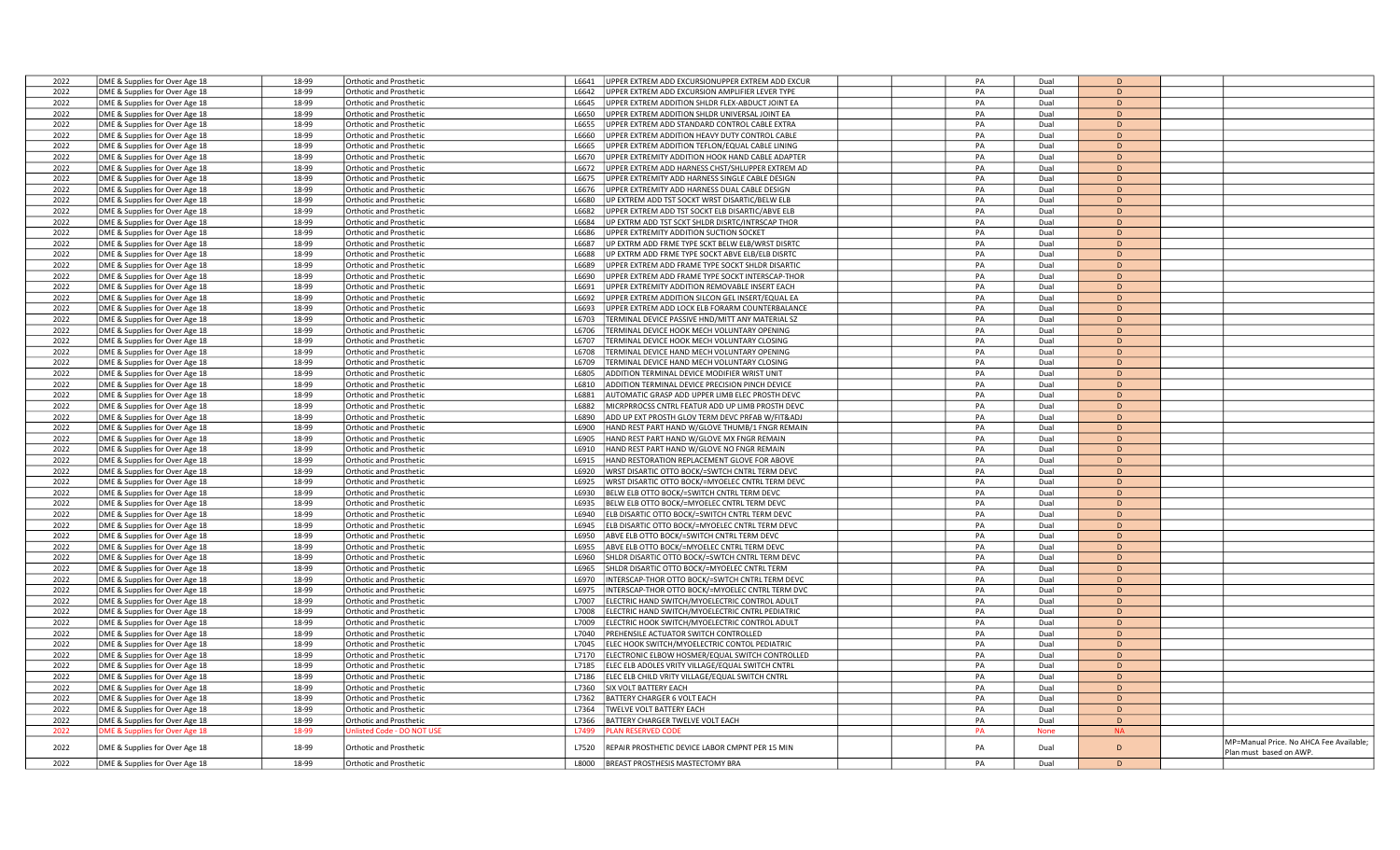| 2022 | DME & Supplies for Over Age 18 | 18-99 | Orthotic and Prosthetic          | L6641 | UPPER EXTREM ADD EXCURSIONUPPER EXTREM ADD EXCUR       | PA        | Dual        | D         |                                         |
|------|--------------------------------|-------|----------------------------------|-------|--------------------------------------------------------|-----------|-------------|-----------|-----------------------------------------|
| 2022 | DME & Supplies for Over Age 18 | 18-99 | Orthotic and Prosthetic          | L6642 | UPPER EXTREM ADD EXCURSION AMPLIFIER LEVER TYPE        | PA        | Dual        | D         |                                         |
| 2022 | DME & Supplies for Over Age 18 | 18-99 | <b>Orthotic and Prosthetic</b>   | L6645 | UPPER EXTREM ADDITION SHLDR FLEX-ABDUCT JOINT EA       | PA        | Dual        | D         |                                         |
| 2022 | DME & Supplies for Over Age 18 | 18-99 | Orthotic and Prosthetic          | L6650 | JPPER EXTREM ADDITION SHLDR UNIVERSAL JOINT EA         | PA        | Dual        | D         |                                         |
| 2022 | DME & Supplies for Over Age 18 | 18-99 | <b>Orthotic and Prosthetic</b>   | L6655 | JPPER EXTREM ADD STANDARD CONTROL CABLE EXTRA          | PA        | Dual        | D         |                                         |
| 2022 |                                | 18-99 |                                  | L6660 | JPPER EXTREM ADDITION HEAVY DUTY CONTROL CABLE         | PA        | Dual        | D         |                                         |
|      | DME & Supplies for Over Age 18 |       | Orthotic and Prosthetic          |       |                                                        | PA        | Dual        | D         |                                         |
| 2022 | DME & Supplies for Over Age 18 | 18-99 | <b>Orthotic and Prosthetic</b>   | L6665 | JPPER EXTREM ADDITION TEFLON/EQUAL CABLE LINING        |           |             |           |                                         |
| 2022 | DME & Supplies for Over Age 18 | 18-99 | Orthotic and Prosthetic          | L6670 | UPPER EXTREMITY ADDITION HOOK HAND CABLE ADAPTER       | PA        | Dual        | D         |                                         |
| 2022 | DME & Supplies for Over Age 18 | 18-99 | <b>Orthotic and Prosthetic</b>   | L6672 | UPPER EXTREM ADD HARNESS CHST/SHLUPPER EXTREM AD       | PA        | Dual        | D         |                                         |
| 2022 | DME & Supplies for Over Age 18 | 18-99 | Orthotic and Prosthetic          | L6675 | JPPER EXTREMITY ADD HARNESS SINGLE CABLE DESIGN        | PA        | Dual        | D         |                                         |
| 2022 | DME & Supplies for Over Age 18 | 18-99 | <b>Orthotic and Prosthetic</b>   | L6676 | JPPER EXTREMITY ADD HARNESS DUAL CABLE DESIGN          | PA        | Dual        | D         |                                         |
| 2022 | DME & Supplies for Over Age 18 | 18-99 | <b>Orthotic and Prosthetic</b>   | L6680 | UP EXTREM ADD TST SOCKT WRST DISARTIC/BELW ELB         | PA        | Dual        | D         |                                         |
| 2022 | DME & Supplies for Over Age 18 | 18-99 | <b>Orthotic and Prosthetic</b>   | L6682 | UPPER EXTREM ADD TST SOCKT ELB DISARTIC/ABVE ELB       | PA        | Dual        | D         |                                         |
| 2022 | DME & Supplies for Over Age 18 | 18-99 | Orthotic and Prosthetic          | L6684 | UP EXTRM ADD TST SCKT SHLDR DISRTC/INTRSCAP THOR       | PA        | Dual        | D         |                                         |
| 2022 | DME & Supplies for Over Age 18 | 18-99 | <b>Orthotic and Prosthetic</b>   | L6686 | UPPER EXTREMITY ADDITION SUCTION SOCKET                | PA        | Dual        | D         |                                         |
| 2022 | DME & Supplies for Over Age 18 | 18-99 | Orthotic and Prosthetic          | L6687 | UP EXTRM ADD FRME TYPE SCKT BELW ELB/WRST DISRTC       | PA        | Dual        | D         |                                         |
| 2022 | DME & Supplies for Over Age 18 | 18-99 | Orthotic and Prosthetic          | L6688 | UP EXTRM ADD FRME TYPE SOCKT ABVE ELB/ELB DISRTC       | PA        | Dual        | D         |                                         |
| 2022 |                                | 18-99 |                                  | L6689 | UPPER EXTREM ADD FRAME TYPE SOCKT SHLDR DISARTIC       | PA        | Dual        | D         |                                         |
|      | DME & Supplies for Over Age 18 |       | Orthotic and Prosthetic          |       |                                                        |           |             |           |                                         |
| 2022 | DME & Supplies for Over Age 18 | 18-99 | Orthotic and Prosthetic          | L6690 | UPPER EXTREM ADD FRAME TYPE SOCKT INTERSCAP-THOR       | PA        | Dual        | D         |                                         |
| 2022 | DME & Supplies for Over Age 18 | 18-99 | Orthotic and Prosthetic          | L6691 | JPPER EXTREMITY ADDITION REMOVABLE INSERT EACH         | PA        | Dual        | D         |                                         |
| 2022 | DME & Supplies for Over Age 18 | 18-99 | Orthotic and Prosthetic          | L6692 | UPPER EXTREM ADDITION SILCON GEL INSERT/EQUAL EA       | PA        | Dual        | D         |                                         |
| 2022 | DME & Supplies for Over Age 18 | 18-99 | Orthotic and Prosthetic          | L6693 | UPPER EXTREM ADD LOCK ELB FORARM COUNTERBALANCE        | PA        | Dual        | D         |                                         |
| 2022 | DME & Supplies for Over Age 18 | 18-99 | Orthotic and Prosthetic          | L6703 | <b>ERMINAL DEVICE PASSIVE HND/MITT ANY MATERIAL SZ</b> | PA        | Dual        | D         |                                         |
| 2022 | DME & Supplies for Over Age 18 | 18-99 | Orthotic and Prosthetic          | L6706 | TERMINAL DEVICE HOOK MECH VOLUNTARY OPENING            | PA        | Dual        | D         |                                         |
| 2022 | DME & Supplies for Over Age 18 | 18-99 | <b>Orthotic and Prosthetic</b>   | L6707 | TERMINAL DEVICE HOOK MECH VOLUNTARY CLOSING            | PA        | Dual        | D         |                                         |
| 2022 | DME & Supplies for Over Age 18 | 18-99 | Orthotic and Prosthetic          | L6708 | TERMINAL DEVICE HAND MECH VOLUNTARY OPENING            | PA        | Dual        | D         |                                         |
| 2022 | DME & Supplies for Over Age 18 | 18-99 | Orthotic and Prosthetic          | L6709 | TERMINAL DEVICE HAND MECH VOLUNTARY CLOSING            | PA        | Dual        | D         |                                         |
| 2022 | DME & Supplies for Over Age 18 | 18-99 | Orthotic and Prosthetic          | L6805 | ADDITION TERMINAL DEVICE MODIFIER WRIST UNIT           | PA        | Dual        | D         |                                         |
| 2022 |                                | 18-99 |                                  | L6810 |                                                        | PA        | Dual        | D         |                                         |
|      | DME & Supplies for Over Age 18 |       | Orthotic and Prosthetic          |       | ADDITION TERMINAL DEVICE PRECISION PINCH DEVICE        |           |             |           |                                         |
| 2022 | DME & Supplies for Over Age 18 | 18-99 | Orthotic and Prosthetic          | L6881 | AUTOMATIC GRASP ADD UPPER LIMB ELEC PROSTH DEVC        | PA        | Dual        | D         |                                         |
| 2022 | DME & Supplies for Over Age 18 | 18-99 | Orthotic and Prosthetic          | L6882 | MICRPRROCSS CNTRL FEATUR ADD UP LIMB PROSTH DEVC       | PA        | Dual        | D         |                                         |
| 2022 | DME & Supplies for Over Age 18 | 18-99 | <b>Orthotic and Prosthetic</b>   | L6890 | ADD UP EXT PROSTH GLOV TERM DEVC PRFAB W/FIT&ADJ       | PA        | Dual        | D         |                                         |
| 2022 | DME & Supplies for Over Age 18 | 18-99 | Orthotic and Prosthetic          | L6900 | HAND REST PART HAND W/GLOVE THUMB/1 FNGR REMAIN        | PA        | Dual        | D         |                                         |
| 2022 | DME & Supplies for Over Age 18 | 18-99 | Orthotic and Prosthetic          | L6905 | HAND REST PART HAND W/GLOVE MX FNGR REMAIN             | PA        | Dual        | D         |                                         |
| 2022 | DME & Supplies for Over Age 18 | 18-99 | Orthotic and Prosthetic          | L6910 | HAND REST PART HAND W/GLOVE NO FNGR REMAIN             | PA        | Dual        | D         |                                         |
| 2022 | DME & Supplies for Over Age 18 | 18-99 | <b>Orthotic and Prosthetic</b>   | L6915 | HAND RESTORATION REPLACEMENT GLOVE FOR ABOVE           | PA        | Dual        | D         |                                         |
| 2022 | DME & Supplies for Over Age 18 | 18-99 | <b>Orthotic and Prosthetic</b>   | L6920 | WRST DISARTIC OTTO BOCK/=SWTCH CNTRL TERM DEVC         | PA        | Dual        | D         |                                         |
| 2022 | DME & Supplies for Over Age 18 | 18-99 | <b>Orthotic and Prosthetic</b>   | L6925 | WRST DISARTIC OTTO BOCK/=MYOELEC CNTRL TERM DEVC       | PA        | Dual        | D         |                                         |
| 2022 | DME & Supplies for Over Age 18 | 18-99 | Orthotic and Prosthetic          | L6930 | BELW ELB OTTO BOCK/=SWITCH CNTRL TERM DEVC             | PA        | Dual        | D         |                                         |
| 2022 | DME & Supplies for Over Age 18 | 18-99 | Orthotic and Prosthetic          | L6935 | BELW ELB OTTO BOCK/=MYOELEC CNTRL TERM DEVC            | PA        | Dual        | D         |                                         |
| 2022 | DME & Supplies for Over Age 18 | 18-99 |                                  | L6940 |                                                        | PA        | Dual        | D         |                                         |
| 2022 |                                | 18-99 | Orthotic and Prosthetic          | L6945 | ELB DISARTIC OTTO BOCK/=SWITCH CNTRL TERM DEVC         | PA        | Dual        | D         |                                         |
|      | DME & Supplies for Over Age 18 |       | Orthotic and Prosthetic          |       | ELB DISARTIC OTTO BOCK/=MYOELEC CNTRL TERM DEVC        |           |             |           |                                         |
| 2022 | DME & Supplies for Over Age 18 | 18-99 | <b>Orthotic and Prosthetic</b>   | L6950 | ABVE ELB OTTO BOCK/=SWITCH CNTRL TERM DEVC             | PA        | Dual        | D         |                                         |
| 2022 | DME & Supplies for Over Age 18 | 18-99 | Orthotic and Prosthetic          | L6955 | ABVE ELB OTTO BOCK/=MYOELEC CNTRL TERM DEVC            | PA        | Dual        | D         |                                         |
| 2022 | DME & Supplies for Over Age 18 | 18-99 | Orthotic and Prosthetic          | L6960 | SHLDR DISARTIC OTTO BOCK/=SWTCH CNTRL TERM DEVC        | PA        | Dual        | D         |                                         |
| 2022 | DME & Supplies for Over Age 18 | 18-99 | Orthotic and Prosthetic          | L6965 | SHLDR DISARTIC OTTO BOCK/=MYOELEC CNTRL TERM           | PA        | Dual        | D         |                                         |
| 2022 | DME & Supplies for Over Age 18 | 18-99 | Orthotic and Prosthetic          | L6970 | INTERSCAP-THOR OTTO BOCK/=SWTCH CNTRL TERM DEVC        | PA        | Dual        | D         |                                         |
| 2022 | DME & Supplies for Over Age 18 | 18-99 | Orthotic and Prosthetic          | L6975 | INTERSCAP-THOR OTTO BOCK/=MYOELEC CNTRL TERM DVC       | PA        | Dual        | D         |                                         |
| 2022 | DME & Supplies for Over Age 18 | 18-99 | <b>Orthotic and Prosthetic</b>   | L7007 | ELECTRIC HAND SWITCH/MYOELECTRIC CONTROL ADULT         | PA        | Dual        | D         |                                         |
| 2022 | DME & Supplies for Over Age 18 | 18-99 | <b>Orthotic and Prosthetic</b>   | L7008 | ELECTRIC HAND SWITCH/MYOELECTRIC CNTRL PEDIATRIC       | PA        | Dual        | D         |                                         |
| 2022 | DME & Supplies for Over Age 18 | 18-99 | Orthotic and Prosthetic          | L7009 | ELECTRIC HOOK SWITCH/MYOELECTRIC CONTROL ADULT         | PA        | Dual        | D         |                                         |
| 2022 | DME & Supplies for Over Age 18 | 18-99 | Orthotic and Prosthetic          | L7040 | PREHENSILE ACTUATOR SWITCH CONTROLLED                  | PA        | Dual        | D         |                                         |
| 2022 | DME & Supplies for Over Age 18 | 18-99 | Orthotic and Prosthetic          | L7045 | ELEC HOOK SWITCH/MYOELECTRIC CONTOL PEDIATRIC          | PA        | Dual        | D         |                                         |
| 2022 | DME & Supplies for Over Age 18 | 18-99 | Orthotic and Prosthetic          | L7170 | ELECTRONIC ELBOW HOSMER/EQUAL SWITCH CONTROLLED        | PA        | Dual        | D         |                                         |
|      |                                |       |                                  |       |                                                        |           |             |           |                                         |
| 2022 | DME & Supplies for Over Age 18 | 18-99 | <b>Orthotic and Prosthetic</b>   | L7185 | ELEC ELB ADOLES VRITY VILLAGE/EQUAL SWITCH CNTRL       | PA        | Dual        | D         |                                         |
| 2022 | DME & Supplies for Over Age 18 | 18-99 | Orthotic and Prosthetic          | L7186 | ELEC ELB CHILD VRITY VILLAGE/EQUAL SWITCH CNTRL        | PA        | Dual        | D         |                                         |
| 2022 | DME & Supplies for Over Age 18 | 18-99 | <b>Orthotic and Prosthetic</b>   | L7360 | <b>SIX VOLT BATTERY EACH</b>                           | PA        | Dual        | D         |                                         |
| 2022 | DME & Supplies for Over Age 18 | 18-99 | Orthotic and Prosthetic          | L7362 | BATTERY CHARGER 6 VOLT EACH                            | PA        | Dual        | D         |                                         |
| 2022 | DME & Supplies for Over Age 18 | 18-99 | Orthotic and Prosthetic          | L7364 | TWELVE VOLT BATTERY EACH                               | PA        | Dual        | D         |                                         |
| 2022 | DME & Supplies for Over Age 18 | 18-99 | <b>Orthotic and Prosthetic</b>   | L7366 | BATTERY CHARGER TWELVE VOLT EACH                       | PA        | Dual        | D         |                                         |
| 2022 | DME & Supplies for Over Age 18 | 18-99 | <b>Jnlisted Code - DO NOT US</b> | L7499 | <b>LAN RESERVED CODE</b>                               | <b>PA</b> | <b>None</b> | <b>NA</b> |                                         |
|      |                                |       |                                  |       |                                                        |           |             |           | MP=Manual Price. No AHCA Fee Available; |
| 2022 | DME & Supplies for Over Age 18 | 18-99 | Orthotic and Prosthetic          | L7520 | REPAIR PROSTHETIC DEVICE LABOR CMPNT PER 15 MIN        | PA        | Dual        | D         | Plan must based on AWP.                 |
| 2022 | DME & Supplies for Over Age 18 | 18-99 | <b>Orthotic and Prosthetic</b>   |       | L8000 BREAST PROSTHESIS MASTECTOMY BRA                 | PA        | Dual        | D         |                                         |
|      |                                |       |                                  |       |                                                        |           |             |           |                                         |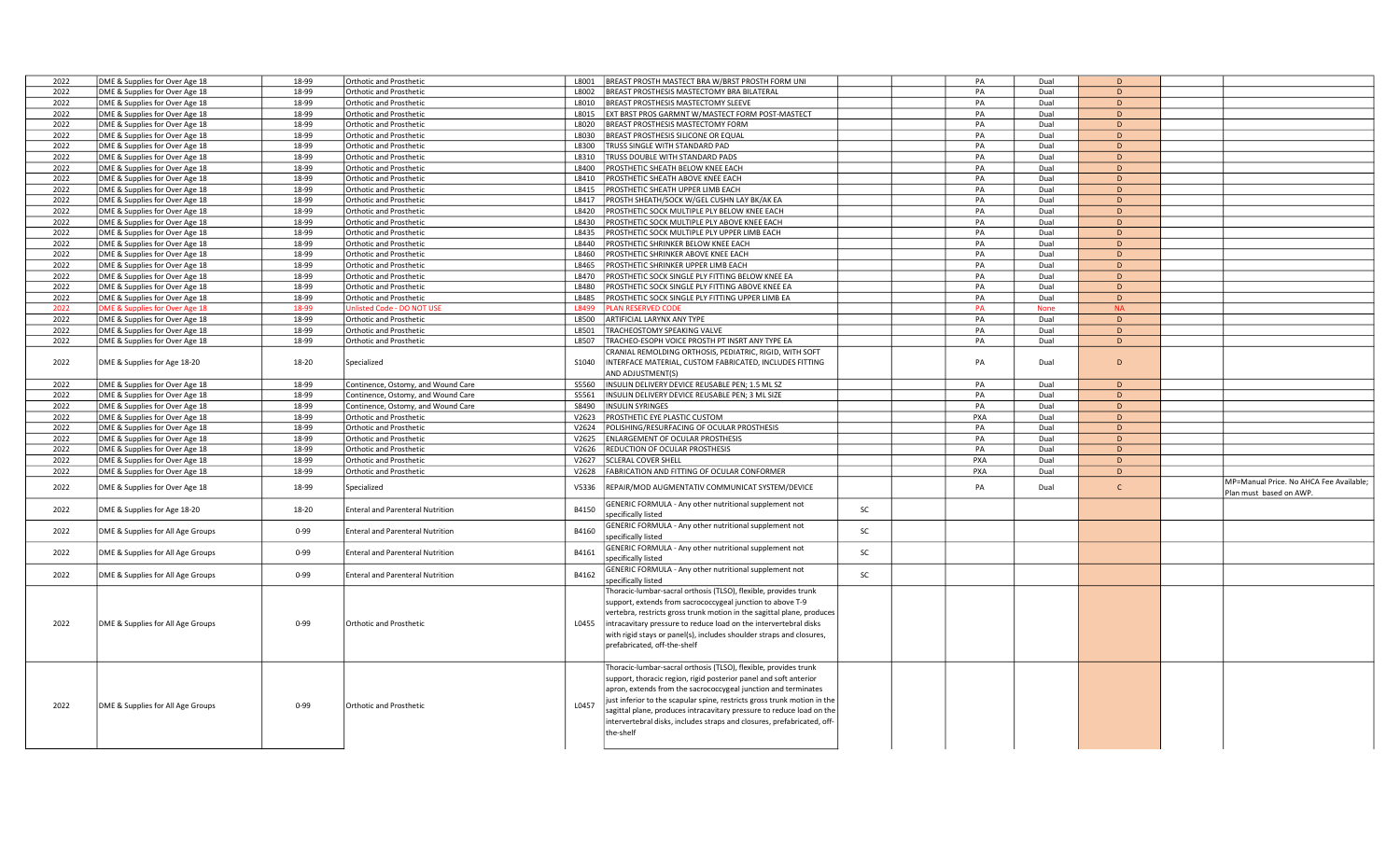| 2022 | DME & Supplies for Over Age 18    | 18-99    | Orthotic and Prosthetic                 | 1.8001 | BREAST PROSTH MASTECT BRA W/BRST PROSTH FORM UNI                         |    | PA         | Dual        | D            |                                         |
|------|-----------------------------------|----------|-----------------------------------------|--------|--------------------------------------------------------------------------|----|------------|-------------|--------------|-----------------------------------------|
| 2022 | DME & Supplies for Over Age 18    | 18-99    | <b>Orthotic and Prosthetic</b>          | L8002  | BREAST PROSTHESIS MASTECTOMY BRA BILATERAL                               |    | PA         | Dual        | D            |                                         |
| 2022 | DME & Supplies for Over Age 18    | 18-99    | <b>Orthotic and Prosthetic</b>          | L8010  | <b>BREAST PROSTHESIS MASTECTOMY SLEEVE</b>                               |    | PA         | Dual        | D            |                                         |
| 2022 | DME & Supplies for Over Age 18    | 18-99    | <b>Orthotic and Prosthetic</b>          | L8015  | EXT BRST PROS GARMNT W/MASTECT FORM POST-MASTECT                         |    | PA         | Dual        | D            |                                         |
|      |                                   |          |                                         |        |                                                                          |    |            |             | D            |                                         |
| 2022 | DME & Supplies for Over Age 18    | 18-99    | <b>Orthotic and Prosthetic</b>          | L8020  | <b>BREAST PROSTHESIS MASTECTOMY FORM</b>                                 |    | PA         | Dual        |              |                                         |
| 2022 | DME & Supplies for Over Age 18    | 18-99    | <b>Orthotic and Prosthetic</b>          | L8030  | BREAST PROSTHESIS SILICONE OR EQUAL                                      |    | PA         | Dual        | D            |                                         |
| 2022 | DME & Supplies for Over Age 18    | 18-99    | <b>Orthotic and Prosthetic</b>          | L8300  | TRUSS SINGLE WITH STANDARD PAD                                           |    | PA         | Dual        | D            |                                         |
| 2022 | DME & Supplies for Over Age 18    | 18-99    | <b>Orthotic and Prosthetic</b>          | L8310  | TRUSS DOUBLE WITH STANDARD PADS                                          |    | PA         | Dual        | D            |                                         |
| 2022 | DME & Supplies for Over Age 18    | 18-99    | <b>Orthotic and Prosthetic</b>          | L8400  | PROSTHETIC SHEATH BELOW KNEE EACH                                        |    | PA         | Dual        | D            |                                         |
| 2022 | DME & Supplies for Over Age 18    | 18-99    | <b>Orthotic and Prosthetic</b>          | L8410  | PROSTHETIC SHEATH ABOVE KNEE EACH                                        |    | PA         | Dual        | D            |                                         |
| 2022 | DME & Supplies for Over Age 18    | 18-99    | Orthotic and Prosthetic                 | L8415  | PROSTHETIC SHEATH UPPER LIMB EACH                                        |    | PA         | Dual        | D            |                                         |
| 2022 | DME & Supplies for Over Age 18    | 18-99    | <b>Orthotic and Prosthetic</b>          | L8417  | PROSTH SHEATH/SOCK W/GEL CUSHN LAY BK/AK EA                              |    | PA         | Dual        | D            |                                         |
| 2022 | DME & Supplies for Over Age 18    | 18-99    | <b>Orthotic and Prosthetic</b>          | L8420  | PROSTHETIC SOCK MULTIPLE PLY BELOW KNEE EACH                             |    | PA         | Dual        | D            |                                         |
| 2022 | DME & Supplies for Over Age 18    | 18-99    | <b>Orthotic and Prosthetic</b>          | L8430  | PROSTHETIC SOCK MULTIPLE PLY ABOVE KNEE EACH                             |    | PA         | Dual        | D            |                                         |
|      |                                   |          |                                         |        |                                                                          |    |            |             |              |                                         |
| 2022 | DME & Supplies for Over Age 18    | 18-99    | <b>Orthotic and Prosthetic</b>          | L8435  | PROSTHETIC SOCK MULTIPLE PLY UPPER LIMB EACH                             |    | PA         | Dual        | D            |                                         |
| 2022 | DME & Supplies for Over Age 18    | 18-99    | Orthotic and Prosthetic                 | L8440  | PROSTHETIC SHRINKER BELOW KNEE EACH                                      |    | PA         | Dual        | D            |                                         |
| 2022 | DME & Supplies for Over Age 18    | 18-99    | <b>Orthotic and Prosthetic</b>          | L8460  | PROSTHETIC SHRINKER ABOVE KNEE EACH                                      |    | PA         | Dual        | D            |                                         |
| 2022 | DME & Supplies for Over Age 18    | 18-99    | <b>Orthotic and Prosthetic</b>          | L8465  | PROSTHETIC SHRINKER UPPER LIMB EACH                                      |    | PA         | Dual        | D            |                                         |
| 2022 | DME & Supplies for Over Age 18    | 18-99    | <b>Orthotic and Prosthetic</b>          | L8470  | PROSTHETIC SOCK SINGLE PLY FITTING BELOW KNEE EA                         |    | PA         | Dual        | D            |                                         |
| 2022 | DME & Supplies for Over Age 18    | 18-99    | <b>Orthotic and Prosthetic</b>          | L8480  | PROSTHETIC SOCK SINGLE PLY FITTING ABOVE KNEE EA                         |    | PA         | Dual        | D            |                                         |
| 2022 | DME & Supplies for Over Age 18    | 18-99    | Orthotic and Prosthetic                 | L8485  | PROSTHETIC SOCK SINGLE PLY FITTING UPPER LIMB EA                         |    | PA         | Dual        | D            |                                         |
| 2022 | OME & Supplies for Over Age 18    | 18-99    | Unlisted Code - DO NOT USE              | L8499  | <b>PLAN RESERVED CODE</b>                                                |    | <b>PA</b>  | <b>None</b> | <b>NA</b>    |                                         |
|      |                                   |          |                                         |        |                                                                          |    | PA         |             | D            |                                         |
| 2022 | DME & Supplies for Over Age 18    | 18-99    | <b>Orthotic and Prosthetic</b>          | L8500  | ARTIFICIAL LARYNX ANY TYPE                                               |    |            | Dual        |              |                                         |
| 2022 | DME & Supplies for Over Age 18    | 18-99    | <b>Orthotic and Prosthetic</b>          | L8501  | TRACHEOSTOMY SPEAKING VALVE                                              |    | PA         | Dual        | D            |                                         |
| 2022 | DME & Supplies for Over Age 18    | 18-99    | Orthotic and Prosthetic                 | L8507  | TRACHEO-ESOPH VOICE PROSTH PT INSRT ANY TYPE EA                          |    | PA         | Dual        | D            |                                         |
|      |                                   |          |                                         |        | CRANIAL REMOLDING ORTHOSIS, PEDIATRIC, RIGID, WITH SOFT                  |    |            |             |              |                                         |
| 2022 | DME & Supplies for Age 18-20      | 18-20    | Specialized                             | S1040  | INTERFACE MATERIAL, CUSTOM FABRICATED, INCLUDES FITTING                  |    | PA         | Dual        | D            |                                         |
|      |                                   |          |                                         |        | AND ADJUSTMENT(S)                                                        |    |            |             |              |                                         |
| 2022 | DME & Supplies for Over Age 18    | 18-99    | Continence, Ostomy, and Wound Care      | S5560  | INSULIN DELIVERY DEVICE REUSABLE PEN; 1.5 ML SZ                          |    | PA         | Dual        | D            |                                         |
| 2022 | DME & Supplies for Over Age 18    | 18-99    | Continence, Ostomy, and Wound Care      | S5561  | INSULIN DELIVERY DEVICE REUSABLE PEN; 3 ML SIZE                          |    | PA         | Dual        | D            |                                         |
| 2022 | DME & Supplies for Over Age 18    | 18-99    | Continence, Ostomy, and Wound Care      | S8490  | <b>INSULIN SYRINGES</b>                                                  |    | PA         | Dual        | D            |                                         |
|      |                                   | 18-99    |                                         |        |                                                                          |    | <b>PXA</b> | Dual        | D            |                                         |
| 2022 | DME & Supplies for Over Age 18    |          | Orthotic and Prosthetic                 | V2623  | <b>PROSTHETIC EYE PLASTIC CUSTOM</b>                                     |    |            |             |              |                                         |
| 2022 | DME & Supplies for Over Age 18    | 18-99    | <b>Orthotic and Prosthetic</b>          | V2624  | POLISHING/RESURFACING OF OCULAR PROSTHESIS                               |    | PA         | Dual        | D            |                                         |
| 2022 | DME & Supplies for Over Age 18    | 18-99    | <b>Orthotic and Prosthetic</b>          | V2625  | ENLARGEMENT OF OCULAR PROSTHESIS                                         |    | PA         | Dual        | D            |                                         |
| 2022 | DME & Supplies for Over Age 18    | 18-99    | <b>Orthotic and Prosthetic</b>          | V2626  | REDUCTION OF OCULAR PROSTHESIS                                           |    | PA         | Dual        | D            |                                         |
| 2022 | DME & Supplies for Over Age 18    | 18-99    | Orthotic and Prosthetic                 | V2627  | <b>SCLERAL COVER SHELL</b>                                               |    | PXA        | Dual        | D            |                                         |
| 2022 | DME & Supplies for Over Age 18    | 18-99    | <b>Orthotic and Prosthetic</b>          |        | V2628   FABRICATION AND FITTING OF OCULAR CONFORMER                      |    | PXA        | Dual        | D            |                                         |
|      |                                   |          |                                         |        |                                                                          |    |            |             |              | MP=Manual Price. No AHCA Fee Available; |
| 2022 | DME & Supplies for Over Age 18    | 18-99    | Specialized                             | V5336  | REPAIR/MOD AUGMENTATIV COMMUNICAT SYSTEM/DEVICE                          |    | PA         | Dual        | $\mathsf{C}$ | Plan must based on AWP.                 |
|      |                                   |          |                                         |        | GENERIC FORMULA - Any other nutritional supplement not                   |    |            |             |              |                                         |
| 2022 | DME & Supplies for Age 18-20      | 18-20    | <b>Enteral and Parenteral Nutrition</b> | B4150  | specifically listed                                                      | SC |            |             |              |                                         |
|      |                                   |          |                                         |        |                                                                          |    |            |             |              |                                         |
| 2022 | DME & Supplies for All Age Groups | $0 - 99$ | <b>Enteral and Parenteral Nutrition</b> | B4160  | GENERIC FORMULA - Any other nutritional supplement not                   | SC |            |             |              |                                         |
|      |                                   |          |                                         |        | specifically listed                                                      |    |            |             |              |                                         |
| 2022 | DME & Supplies for All Age Groups | $0 - 99$ | <b>Enteral and Parenteral Nutrition</b> | B4161  | <b>GENERIC FORMULA - Any other nutritional supplement not</b>            | SC |            |             |              |                                         |
|      |                                   |          |                                         |        | specifically listed                                                      |    |            |             |              |                                         |
|      |                                   | $0 - 99$ |                                         |        | GENERIC FORMULA - Any other nutritional supplement not                   | SC |            |             |              |                                         |
| 2022 | DME & Supplies for All Age Groups |          | <b>Enteral and Parenteral Nutrition</b> | B4162  | specifically listed                                                      |    |            |             |              |                                         |
|      |                                   |          |                                         |        | Thoracic-lumbar-sacral orthosis (TLSO), flexible, provides trunk         |    |            |             |              |                                         |
|      |                                   |          |                                         |        | support, extends from sacrococcygeal junction to above T-9               |    |            |             |              |                                         |
|      |                                   |          |                                         |        | vertebra, restricts gross trunk motion in the sagittal plane, produces   |    |            |             |              |                                         |
| 2022 | DME & Supplies for All Age Groups | $0 - 99$ | Orthotic and Prosthetic                 | L0455  | intracavitary pressure to reduce load on the intervertebral disks        |    |            |             |              |                                         |
|      |                                   |          |                                         |        |                                                                          |    |            |             |              |                                         |
|      |                                   |          |                                         |        | with rigid stays or panel(s), includes shoulder straps and closures,     |    |            |             |              |                                         |
|      |                                   |          |                                         |        | prefabricated, off-the-shelf                                             |    |            |             |              |                                         |
|      |                                   |          |                                         |        |                                                                          |    |            |             |              |                                         |
|      |                                   |          |                                         |        | Thoracic-lumbar-sacral orthosis (TLSO), flexible, provides trunk         |    |            |             |              |                                         |
|      |                                   |          |                                         |        | support, thoracic region, rigid posterior panel and soft anterior        |    |            |             |              |                                         |
|      |                                   |          |                                         |        | apron, extends from the sacrococcygeal junction and terminates           |    |            |             |              |                                         |
|      |                                   |          |                                         |        | just inferior to the scapular spine, restricts gross trunk motion in the |    |            |             |              |                                         |
| 2022 | DME & Supplies for All Age Groups | $0 - 99$ | Orthotic and Prosthetic                 | L0457  | sagittal plane, produces intracavitary pressure to reduce load on the    |    |            |             |              |                                         |
|      |                                   |          |                                         |        | intervertebral disks, includes straps and closures, prefabricated, off-  |    |            |             |              |                                         |
|      |                                   |          |                                         |        | the-shelf                                                                |    |            |             |              |                                         |
|      |                                   |          |                                         |        |                                                                          |    |            |             |              |                                         |
|      |                                   |          |                                         |        |                                                                          |    |            |             |              |                                         |